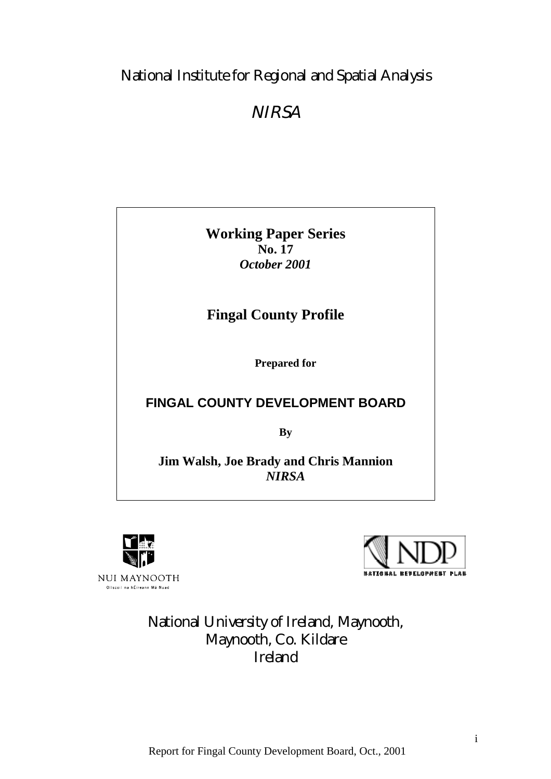# National Institute for Regional and Spatial Analysis

# **NIRSA**

**Working Paper Series No. 17** *October 2001*

# **Fingal County Profile**

**Prepared for**

# **FINGAL COUNTY DEVELOPMENT BOARD**

**By**

**Jim Walsh, Joe Brady and Chris Mannion** *NIRSA*





# National University of Ireland, Maynooth, Maynooth, Co. Kildare Ireland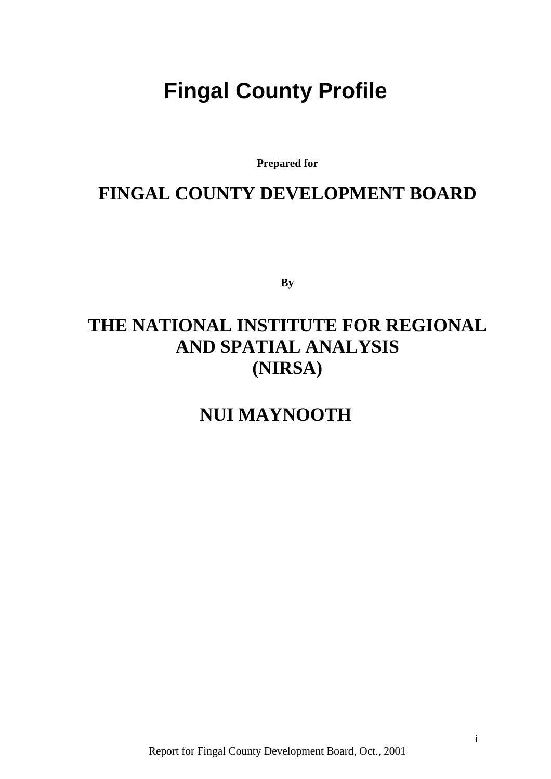# <span id="page-1-0"></span>**Fingal County Profile**

**Prepared for**

# **FINGAL COUNTY DEVELOPMENT BOARD**

**By**

# **THE NATIONAL INSTITUTE FOR REGIONAL AND SPATIAL ANALYSIS (NIRSA)**

**NUI MAYNOOTH**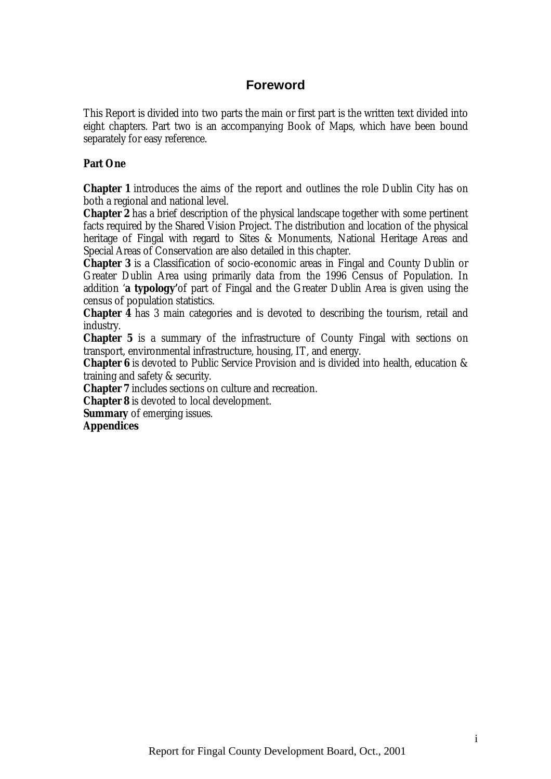# **Foreword**

<span id="page-2-0"></span>This Report is divided into two parts the main or first part is the written text divided into eight chapters. Part two is an accompanying Book of Maps, which have been bound separately for easy reference.

## **Part One**

**Chapter 1** introduces the aims of the report and outlines the role Dublin City has on both a regional and national level.

**Chapter 2** has a brief description of the physical landscape together with some pertinent facts required by the Shared Vision Project. The distribution and location of the physical heritage of Fingal with regard to Sites & Monuments, National Heritage Areas and Special Areas of Conservation are also detailed in this chapter.

**Chapter 3** is a Classification of socio-economic areas in Fingal and County Dublin or Greater Dublin Area using primarily data from the 1996 Census of Population. In addition '**a typology'**of part of Fingal and the Greater Dublin Area is given using the census of population statistics.

**Chapter 4** has 3 main categories and is devoted to describing the tourism, retail and industry.

**Chapter 5** is a summary of the infrastructure of County Fingal with sections on transport, environmental infrastructure, housing, IT, and energy.

**Chapter 6** is devoted to Public Service Provision and is divided into health, education & training and safety & security.

**Chapter 7** includes sections on culture and recreation.

**Chapter 8** is devoted to local development.

**Summary** of emerging issues.

**Appendices**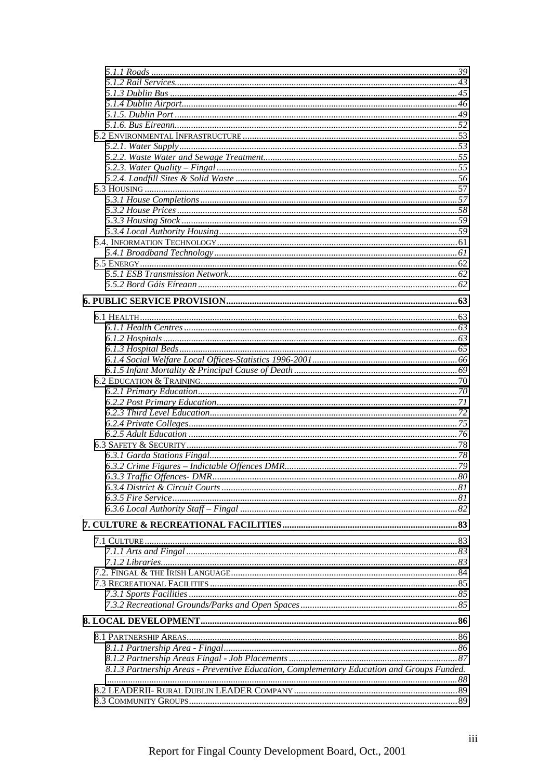| 8.1.3 Partnership Areas - Preventive Education, Complementary Education and Groups Funded. |  |
|--------------------------------------------------------------------------------------------|--|
|                                                                                            |  |
|                                                                                            |  |
|                                                                                            |  |
|                                                                                            |  |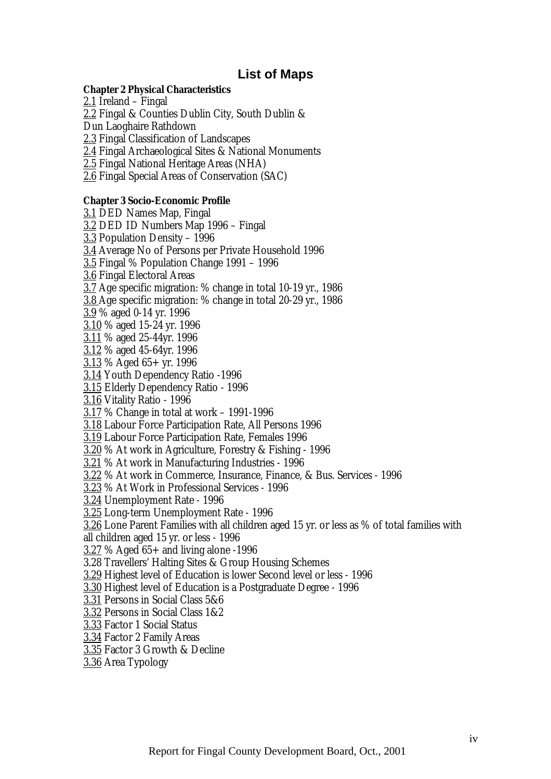# **List of Maps**

#### <span id="page-5-0"></span>**Chapter 2 Physical Characteristics**

2.1 Ireland – Fingal 2.2 Fingal & Counties Dublin City, South Dublin & Dun Laoghaire Rathdown 2.3 Fingal Classification of Landscapes 2.4 Fingal Archaeological Sites & National Monuments 2.5 Fingal National Heritage Areas (NHA) 2.6 Fingal Special Areas of Conservation (SAC)

#### **Chapter 3 Socio-Economic Profile**

3.1 DED Names Map, Fingal 3.2 DED ID Numbers Map 1996 – Fingal 3.3 Population Density – 1996 3.4 Average No of Persons per Private Household 1996 3.5 Fingal % Population Change 1991 – 1996 3.6 Fingal Electoral Areas 3.7 Age specific migration: % change in total 10-19 yr., 1986 3.8 Age specific migration: % change in total 20-29 yr., 1986 3.9 % aged 0-14 yr. 1996 3.10 % aged 15-24 yr. 1996 3.11 % aged 25-44yr. 1996 3.12 % aged 45-64yr. 1996  $3.13\%$  Aged 65+ yr. 1996 3.14 Youth Dependency Ratio -1996 3.15 Elderly Dependency Ratio - 1996 3.16 Vitality Ratio - 1996 3.17 % Change in total at work – 1991-1996 3.18 Labour Force Participation Rate, All Persons 1996 3.19 Labour Force Participation Rate, Females 1996 3.20 % At work in Agriculture, Forestry & Fishing - 1996 3.21 % At work in Manufacturing Industries - 1996 3.22 % At work in Commerce, Insurance, Finance, & Bus. Services - 1996 3.23 % At Work in Professional Services - 1996 3.24 Unemployment Rate - 1996 3.25 Long-term Unemployment Rate - 1996 3.26 Lone Parent Families with all children aged 15 yr. or less as % of total families with all children aged 15 yr. or less - 1996 3.27 % Aged 65+ and living alone -1996 3.28 Travellers' Halting Sites & Group Housing Schemes 3.29 Highest level of Education is lower Second level or less - 1996 3.30 Highest level of Education is a Postgraduate Degree - 1996 3.31 Persons in Social Class 5&6 3.32 Persons in Social Class 1&2 3.33 Factor 1 Social Status 3.34 Factor 2 Family Areas

- 3.35 Factor 3 Growth & Decline
- 3.36 Area Typology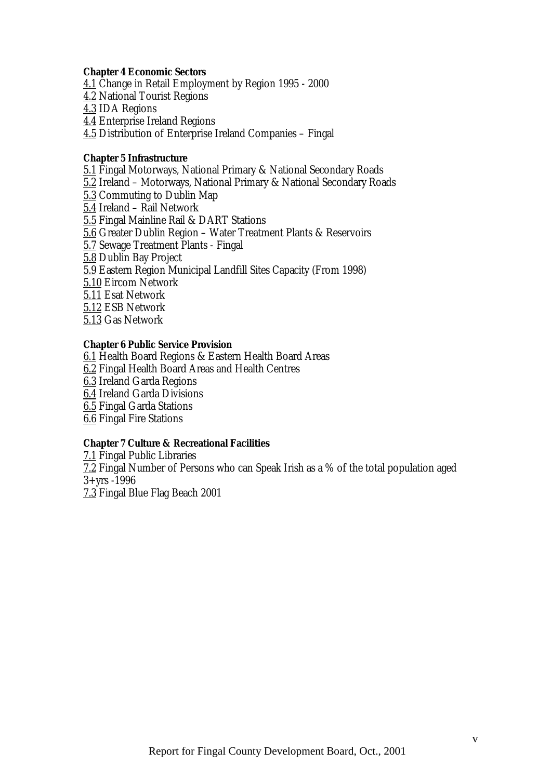#### **Chapter 4 Economic Sectors**

4.1 Change in Retail Employment by Region 1995 - 2000 4.2 National Tourist Regions 4.3 IDA Regions 4.4 Enterprise Ireland Regions 4.5 Distribution of Enterprise Ireland Companies – Fingal

#### **Chapter 5 Infrastructure**

5.1 Fingal Motorways, National Primary & National Secondary Roads 5.2 Ireland – Motorways, National Primary & National Secondary Roads 5.3 Commuting to Dublin Map 5.4 Ireland – Rail Network 5.5 Fingal Mainline Rail & DART Stations 5.6 Greater Dublin Region – Water Treatment Plants & Reservoirs 5.7 Sewage Treatment Plants - Fingal 5.8 Dublin Bay Project 5.9 Eastern Region Municipal Landfill Sites Capacity (From 1998) 5.10 Eircom Network 5.11 Esat Network 5.12 ESB Network 5.13 Gas Network

#### **Chapter 6 Public Service Provision**

6.1 Health Board Regions & Eastern Health Board Areas 6.2 Fingal Health Board Areas and Health Centres 6.3 Ireland Garda Regions 6.4 Ireland Garda Divisions 6.5 Fingal Garda Stations 6.6 Fingal Fire Stations

#### **Chapter 7 Culture & Recreational Facilities**

7.1 Fingal Public Libraries 7.2 Fingal Number of Persons who can Speak Irish as a % of the total population aged 3+yrs -1996 7.3 Fingal Blue Flag Beach 2001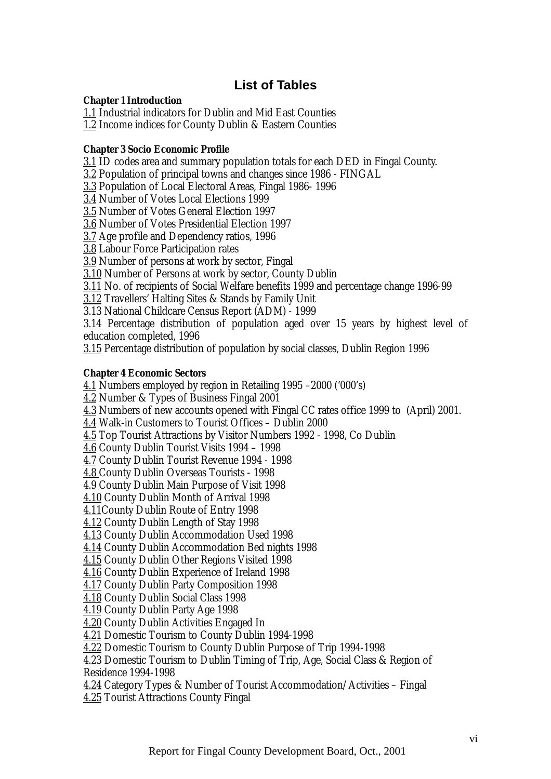# **List of Tables**

#### <span id="page-7-0"></span>**Chapter 1 Introduction**

1.1 Industrial indicators for Dublin and Mid East Counties

1.2 Income indices for County Dublin & Eastern Counties

## **Chapter 3 Socio Economic Profile**

3.1 ID codes area and summary population totals for each DED in Fingal County.

3.2 Population of principal towns and changes since 1986 - FINGAL

3.3 Population of Local Electoral Areas, Fingal 1986- 1996

3.4 Number of Votes Local Elections 1999

3.5 Number of Votes General Election 1997

3.6 Number of Votes Presidential Election 1997

3.7 Age profile and Dependency ratios, 1996

3.8 Labour Force Participation rates

3.9 Number of persons at work by sector, Fingal

3.10 Number of Persons at work by sector, County Dublin

3.11 No. of recipients of Social Welfare benefits 1999 and percentage change 1996-99

3.12 Travellers' Halting Sites & Stands by Family Unit

3.13 National Childcare Census Report (ADM) - 1999

3.14 Percentage distribution of population aged over 15 years by highest level of education completed, 1996

3.15 Percentage distribution of population by social classes, Dublin Region 1996

## **Chapter 4 Economic Sectors**

4.1 Numbers employed by region in Retailing 1995 –2000 ('000's)

4.2 Number & Types of Business Fingal 2001

4.3 Numbers of new accounts opened with Fingal CC rates office 1999 to (April) 2001.

4.4 Walk-in Customers to Tourist Offices – Dublin 2000

4.5 Top Tourist Attractions by Visitor Numbers 1992 - 1998, Co Dublin

4.6 County Dublin Tourist Visits 1994 – 1998

4.7 County Dublin Tourist Revenue 1994 - 1998

4.8 County Dublin Overseas Tourists - 1998

4.9 County Dublin Main Purpose of Visit 1998

4.10 County Dublin Month of Arrival 1998

4.11County Dublin Route of Entry 1998

4.12 County Dublin Length of Stay 1998

4.13 County Dublin Accommodation Used 1998

4.14 County Dublin Accommodation Bed nights 1998

4.15 County Dublin Other Regions Visited 1998

4.16 County Dublin Experience of Ireland 1998

4.17 County Dublin Party Composition 1998

4.18 County Dublin Social Class 1998

4.19 County Dublin Party Age 1998

4.20 County Dublin Activities Engaged In

4.21 Domestic Tourism to County Dublin 1994-1998

4.22 Domestic Tourism to County Dublin Purpose of Trip 1994-1998

4.23 Domestic Tourism to Dublin Timing of Trip, Age, Social Class & Region of Residence 1994-1998

4.24 Category Types & Number of Tourist Accommodation/Activities – Fingal

4.25 Tourist Attractions County Fingal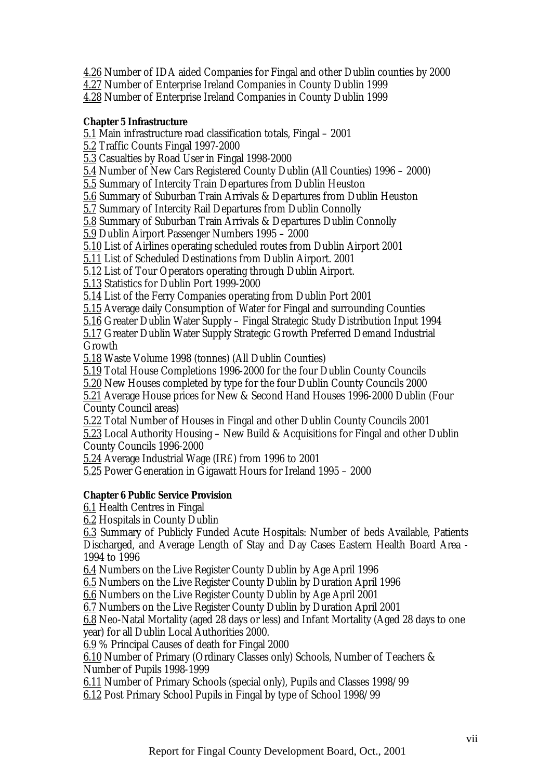4.26 Number of IDA aided Companies for Fingal and other Dublin counties by 2000

4.27 Number of Enterprise Ireland Companies in County Dublin 1999

4.28 Number of Enterprise Ireland Companies in County Dublin 1999

## **Chapter 5 Infrastructure**

5.1 Main infrastructure road classification totals, Fingal – 2001

5.2 Traffic Counts Fingal 1997-2000

5.3 Casualties by Road User in Fingal 1998-2000

5.4 Number of New Cars Registered County Dublin (All Counties) 1996 – 2000)

5.5 Summary of Intercity Train Departures from Dublin Heuston

5.6 Summary of Suburban Train Arrivals & Departures from Dublin Heuston

5.7 Summary of Intercity Rail Departures from Dublin Connolly

5.8 Summary of Suburban Train Arrivals & Departures Dublin Connolly

5.9 Dublin Airport Passenger Numbers 1995 – 2000

5.10 List of Airlines operating scheduled routes from Dublin Airport 2001

5.11 List of Scheduled Destinations from Dublin Airport. 2001

5.12 List of Tour Operators operating through Dublin Airport.

5.13 Statistics for Dublin Port 1999-2000

5.14 List of the Ferry Companies operating from Dublin Port 2001

5.15 Average daily Consumption of Water for Fingal and surrounding Counties

5.16 Greater Dublin Water Supply – Fingal Strategic Study Distribution Input 1994

5.17 Greater Dublin Water Supply Strategic Growth Preferred Demand Industrial Growth

5.18 Waste Volume 1998 (tonnes) (All Dublin Counties)

5.19 Total House Completions 1996-2000 for the four Dublin County Councils

5.20 New Houses completed by type for the four Dublin County Councils 2000

5.21 Average House prices for New & Second Hand Houses 1996-2000 Dublin (Four County Council areas)

5.22 Total Number of Houses in Fingal and other Dublin County Councils 2001

5.23 Local Authority Housing – New Build & Acquisitions for Fingal and other Dublin County Councils 1996-2000

5.24 Average Industrial Wage (IR£) from 1996 to 2001

5.25 Power Generation in Gigawatt Hours for Ireland 1995 – 2000

#### **Chapter 6 Public Service Provision**

6.1 Health Centres in Fingal

6.2 Hospitals in County Dublin

6.3 Summary of Publicly Funded Acute Hospitals: Number of beds Available, Patients Discharged, and Average Length of Stay and Day Cases Eastern Health Board Area - 1994 to 1996

6.4 Numbers on the Live Register County Dublin by Age April 1996

6.5 Numbers on the Live Register County Dublin by Duration April 1996

6.6 Numbers on the Live Register County Dublin by Age April 2001

6.7 Numbers on the Live Register County Dublin by Duration April 2001

6.8 Neo-Natal Mortality (aged 28 days or less) and Infant Mortality (Aged 28 days to one year) for all Dublin Local Authorities 2000.

6.9 % Principal Causes of death for Fingal 2000

6.10 Number of Primary (Ordinary Classes only) Schools, Number of Teachers & Number of Pupils 1998-1999

6.11 Number of Primary Schools (special only), Pupils and Classes 1998/99

6.12 Post Primary School Pupils in Fingal by type of School 1998/99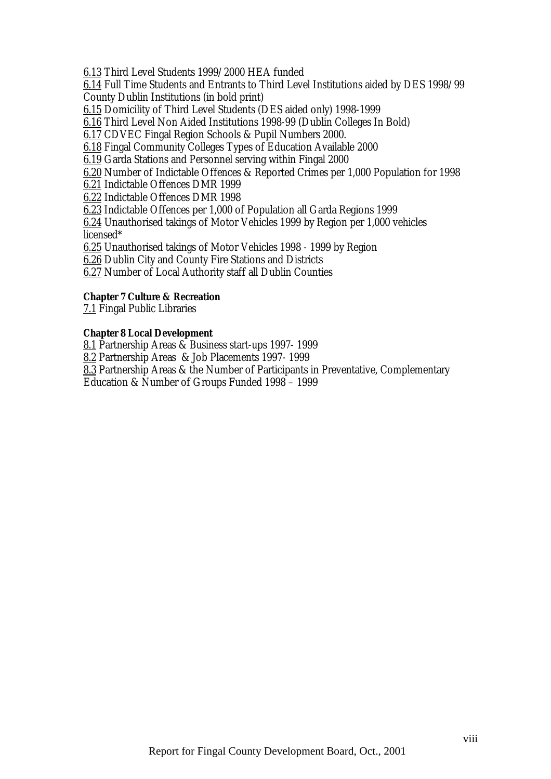6.13 Third Level Students 1999/2000 HEA funded

6.14 Full Time Students and Entrants to Third Level Institutions aided by DES 1998/99 County Dublin Institutions (in bold print)

6.15 Domicility of Third Level Students (DES aided only) 1998-1999

6.16 Third Level Non Aided Institutions 1998-99 (Dublin Colleges In Bold)

6.17 CDVEC Fingal Region Schools & Pupil Numbers 2000.

6.18 Fingal Community Colleges Types of Education Available 2000

6.19 Garda Stations and Personnel serving within Fingal 2000

6.20 Number of Indictable Offences & Reported Crimes per 1,000 Population for 1998

6.21 Indictable Offences DMR 1999

6.22 Indictable Offences DMR 1998

6.23 Indictable Offences per 1,000 of Population all Garda Regions 1999

6.24 Unauthorised takings of Motor Vehicles 1999 by Region per 1,000 vehicles licensed\*

6.25 Unauthorised takings of Motor Vehicles 1998 - 1999 by Region

6.26 Dublin City and County Fire Stations and Districts

6.27 Number of Local Authority staff all Dublin Counties

## **Chapter 7 Culture & Recreation**

7.1 Fingal Public Libraries

## **Chapter 8 Local Development**

8.1 Partnership Areas & Business start-ups 1997- 1999

8.2 Partnership Areas & Job Placements 1997- 1999

8.3 Partnership Areas & the Number of Participants in Preventative, Complementary

Education & Number of Groups Funded 1998 – 1999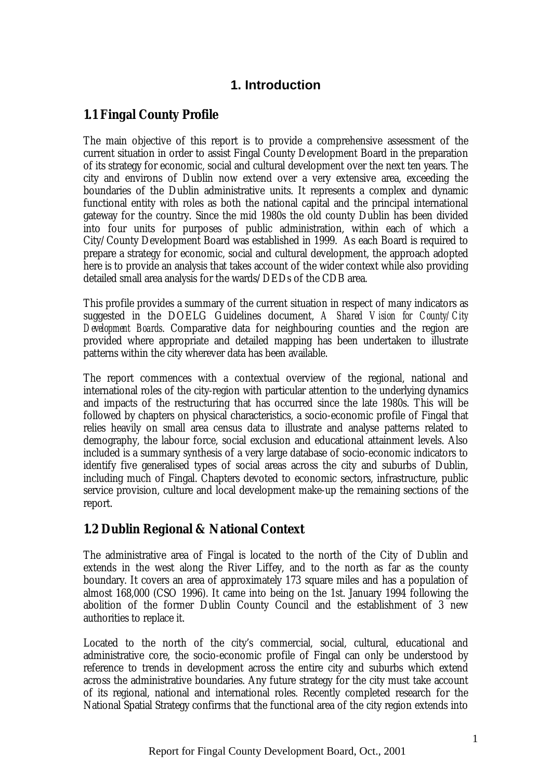# **1. Introduction**

# <span id="page-10-0"></span>**1.1 Fingal County Profile**

The main objective of this report is to provide a comprehensive assessment of the current situation in order to assist Fingal County Development Board in the preparation of its strategy for economic, social and cultural development over the next ten years. The city and environs of Dublin now extend over a very extensive area, exceeding the boundaries of the Dublin administrative units. It represents a complex and dynamic functional entity with roles as both the national capital and the principal international gateway for the country. Since the mid 1980s the old county Dublin has been divided into four units for purposes of public administration, within each of which a City/County Development Board was established in 1999. As each Board is required to prepare a strategy for economic, social and cultural development, the approach adopted here is to provide an analysis that takes account of the wider context while also providing detailed small area analysis for the wards/DEDs of the CDB area.

This profile provides a summary of the current situation in respect of many indicators as suggested in the DOELG Guidelines document, *A Shared Vision for County/City Development Boards*. Comparative data for neighbouring counties and the region are provided where appropriate and detailed mapping has been undertaken to illustrate patterns within the city wherever data has been available.

The report commences with a contextual overview of the regional, national and international roles of the city-region with particular attention to the underlying dynamics and impacts of the restructuring that has occurred since the late 1980s. This will be followed by chapters on physical characteristics, a socio-economic profile of Fingal that relies heavily on small area census data to illustrate and analyse patterns related to demography, the labour force, social exclusion and educational attainment levels. Also included is a summary synthesis of a very large database of socio-economic indicators to identify five generalised types of social areas across the city and suburbs of Dublin, including much of Fingal. Chapters devoted to economic sectors, infrastructure, public service provision, culture and local development make-up the remaining sections of the report.

# **1.2 Dublin Regional & National Context**

The administrative area of Fingal is located to the north of the City of Dublin and extends in the west along the River Liffey, and to the north as far as the county boundary. It covers an area of approximately 173 square miles and has a population of almost 168,000 (CSO 1996). It came into being on the 1st. January 1994 following the abolition of the former Dublin County Council and the establishment of 3 new authorities to replace it.

Located to the north of the city's commercial, social, cultural, educational and administrative core, the socio-economic profile of Fingal can only be understood by reference to trends in development across the entire city and suburbs which extend across the administrative boundaries. Any future strategy for the city must take account of its regional, national and international roles. Recently completed research for the National Spatial Strategy confirms that the functional area of the city region extends into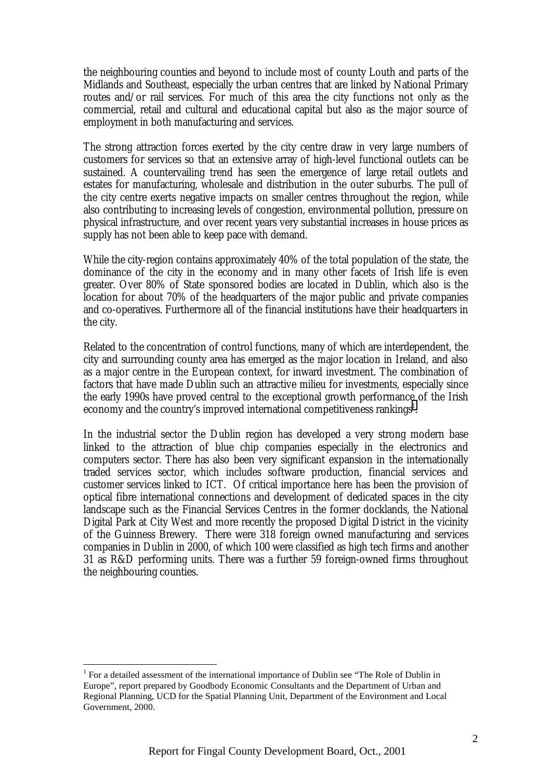the neighbouring counties and beyond to include most of county Louth and parts of the Midlands and Southeast, especially the urban centres that are linked by National Primary routes and/or rail services. For much of this area the city functions not only as the commercial, retail and cultural and educational capital but also as the major source of employment in both manufacturing and services.

The strong attraction forces exerted by the city centre draw in very large numbers of customers for services so that an extensive array of high-level functional outlets can be sustained. A countervailing trend has seen the emergence of large retail outlets and estates for manufacturing, wholesale and distribution in the outer suburbs. The pull of the city centre exerts negative impacts on smaller centres throughout the region, while also contributing to increasing levels of congestion, environmental pollution, pressure on physical infrastructure, and over recent years very substantial increases in house prices as supply has not been able to keep pace with demand.

While the city-region contains approximately 40% of the total population of the state, the dominance of the city in the economy and in many other facets of Irish life is even greater. Over 80% of State sponsored bodies are located in Dublin, which also is the location for about 70% of the headquarters of the major public and private companies and co-operatives. Furthermore all of the financial institutions have their headquarters in the city.

Related to the concentration of control functions, many of which are interdependent, the city and surrounding county area has emerged as the major location in Ireland, and also as a major centre in the European context, for inward investment. The combination of factors that have made Dublin such an attractive milieu for investments, especially since the early 1990s have proved central to the exceptional growth performance of the Irish economy and the country's improved international competitiveness rankings $^1$ .

In the industrial sector the Dublin region has developed a very strong modern base linked to the attraction of blue chip companies especially in the electronics and computers sector. There has also been very significant expansion in the internationally traded services sector, which includes software production, financial services and customer services linked to ICT. Of critical importance here has been the provision of optical fibre international connections and development of dedicated spaces in the city landscape such as the Financial Services Centres in the former docklands, the National Digital Park at City West and more recently the proposed Digital District in the vicinity of the Guinness Brewery. There were 318 foreign owned manufacturing and services companies in Dublin in 2000, of which 100 were classified as high tech firms and another 31 as R&D performing units. There was a further 59 foreign-owned firms throughout the neighbouring counties.

 $\overline{a}$ 

<sup>&</sup>lt;sup>1</sup> For a detailed assessment of the international importance of Dublin see "The Role of Dublin in Europe", report prepared by Goodbody Economic Consultants and the Department of Urban and Regional Planning, UCD for the Spatial Planning Unit, Department of the Environment and Local Government, 2000.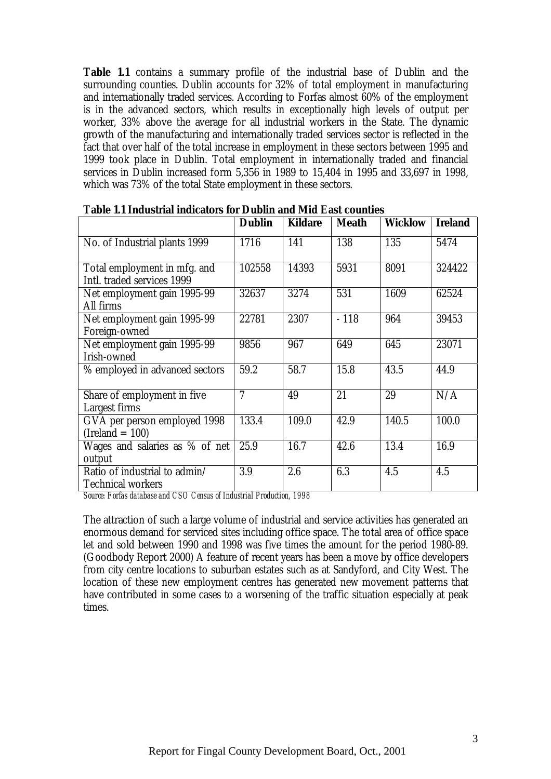**Table 1.1** contains a summary profile of the industrial base of Dublin and the surrounding counties. Dublin accounts for 32% of total employment in manufacturing and internationally traded services. According to Forfas almost 60% of the employment is in the advanced sectors, which results in exceptionally high levels of output per worker, 33% above the average for all industrial workers in the State. The dynamic growth of the manufacturing and internationally traded services sector is reflected in the fact that over half of the total increase in employment in these sectors between 1995 and 1999 took place in Dublin. Total employment in internationally traded and financial services in Dublin increased form 5,356 in 1989 to 15,404 in 1995 and 33,697 in 1998, which was 73% of the total State employment in these sectors.

|                                                            | <b>Dublin</b>  | <b>Kildare</b> | <b>Meath</b> | <b>Wicklow</b> | <b>Ireland</b> |
|------------------------------------------------------------|----------------|----------------|--------------|----------------|----------------|
| No. of Industrial plants 1999                              | 1716           | 141            | 138          | 135            | 5474           |
| Total employment in mfg. and<br>Intl. traded services 1999 | 102558         | 14393          | 5931         | 8091           | 324422         |
| Net employment gain 1995-99<br>All firms                   | 32637          | 3274           | 531          | 1609           | 62524          |
| Net employment gain 1995-99<br>Foreign-owned               | 22781          | 2307           | $-118$       | 964            | 39453          |
| Net employment gain 1995-99<br>Irish-owned                 | 9856           | 967            | 649          | 645            | 23071          |
| % employed in advanced sectors                             | 59.2           | 58.7           | 15.8         | 43.5           | 44.9           |
| Share of employment in five<br>Largest firms               | $\overline{7}$ | 49             | 21           | 29             | N/A            |
| GVA per person employed 1998<br>$(Ireland = 100)$          | 133.4          | 109.0          | 42.9         | 140.5          | 100.0          |
| Wages and salaries as % of net<br>output                   | 25.9           | 16.7           | 42.6         | 13.4           | 16.9           |
| Ratio of industrial to admin/<br><b>Technical workers</b>  | 3.9            | 2.6            | 6.3          | 4.5            | 4.5            |

|  | Table 1.1 Industrial indicators for Dublin and Mid East counties |
|--|------------------------------------------------------------------|
|--|------------------------------------------------------------------|

*Source: Forfas database and CSO Census of Industrial Production, 1998*

The attraction of such a large volume of industrial and service activities has generated an enormous demand for serviced sites including office space. The total area of office space let and sold between 1990 and 1998 was five times the amount for the period 1980-89. (Goodbody Report 2000) A feature of recent years has been a move by office developers from city centre locations to suburban estates such as at Sandyford, and City West. The location of these new employment centres has generated new movement patterns that have contributed in some cases to a worsening of the traffic situation especially at peak times.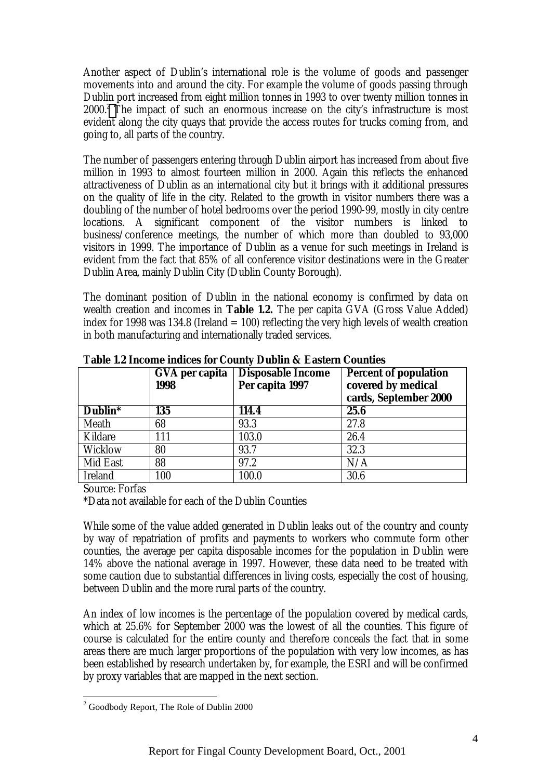Another aspect of Dublin's international role is the volume of goods and passenger movements into and around the city. For example the volume of goods passing through Dublin port increased from eight million tonnes in 1993 to over twenty million tonnes in 2000.<sup>2</sup> The impact of such an enormous increase on the city's infrastructure is most evident along the city quays that provide the access routes for trucks coming from, and going to, all parts of the country.

The number of passengers entering through Dublin airport has increased from about five million in 1993 to almost fourteen million in 2000. Again this reflects the enhanced attractiveness of Dublin as an international city but it brings with it additional pressures on the quality of life in the city. Related to the growth in visitor numbers there was a doubling of the number of hotel bedrooms over the period 1990-99, mostly in city centre locations. A significant component of the visitor numbers is linked to business/conference meetings, the number of which more than doubled to 93,000 visitors in 1999. The importance of Dublin as a venue for such meetings in Ireland is evident from the fact that 85% of all conference visitor destinations were in the Greater Dublin Area, mainly Dublin City (Dublin County Borough).

The dominant position of Dublin in the national economy is confirmed by data on wealth creation and incomes in **Table 1.2.** The per capita GVA (Gross Value Added) index for 1998 was 134.8 (Ireland  $= 100$ ) reflecting the very high levels of wealth creation in both manufacturing and internationally traded services.

| Table 1.2 meeting murets for County Dublin & Eastern Counties |                        |                                             |                                                                             |  |  |  |
|---------------------------------------------------------------|------------------------|---------------------------------------------|-----------------------------------------------------------------------------|--|--|--|
|                                                               | GVA per capita<br>1998 | <b>Disposable Income</b><br>Per capita 1997 | <b>Percent of population</b><br>covered by medical<br>cards, September 2000 |  |  |  |
| Dublin*                                                       | 135                    | 114.4                                       | 25.6                                                                        |  |  |  |
| Meath                                                         | 68                     | 93.3                                        | 27.8                                                                        |  |  |  |
| Kildare                                                       | 111                    | 103.0                                       | 26.4                                                                        |  |  |  |
| Wicklow                                                       | 80                     | 93.7                                        | 32.3                                                                        |  |  |  |
| Mid East                                                      | 88                     | 97.2                                        | N/A                                                                         |  |  |  |
| <b>Ireland</b>                                                | 100                    | 100.0                                       | 30.6                                                                        |  |  |  |

**Table 1.2 Income indices for County Dublin & Eastern Counties**

Source: Forfas

\*Data not available for each of the Dublin Counties

While some of the value added generated in Dublin leaks out of the country and county by way of repatriation of profits and payments to workers who commute form other counties, the average per capita disposable incomes for the population in Dublin were 14% above the national average in 1997. However, these data need to be treated with some caution due to substantial differences in living costs, especially the cost of housing, between Dublin and the more rural parts of the country.

An index of low incomes is the percentage of the population covered by medical cards, which at 25.6% for September 2000 was the lowest of all the counties. This figure of course is calculated for the entire county and therefore conceals the fact that in some areas there are much larger proportions of the population with very low incomes, as has been established by research undertaken by, for example, the ESRI and will be confirmed by proxy variables that are mapped in the next section.

 $\overline{a}$  $2^{2}$  Goodbody Report, The Role of Dublin 2000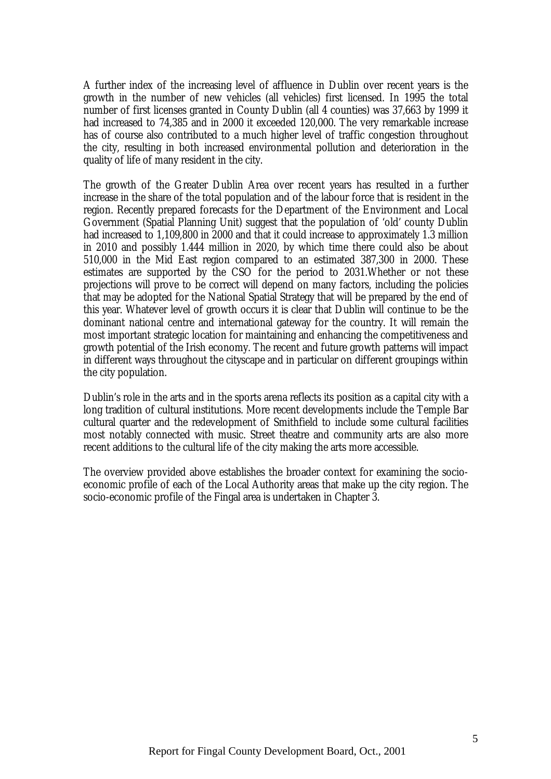A further index of the increasing level of affluence in Dublin over recent years is the growth in the number of new vehicles (all vehicles) first licensed. In 1995 the total number of first licenses granted in County Dublin (all 4 counties) was 37,663 by 1999 it had increased to 74,385 and in 2000 it exceeded 120,000. The very remarkable increase has of course also contributed to a much higher level of traffic congestion throughout the city, resulting in both increased environmental pollution and deterioration in the quality of life of many resident in the city.

The growth of the Greater Dublin Area over recent years has resulted in a further increase in the share of the total population and of the labour force that is resident in the region. Recently prepared forecasts for the Department of the Environment and Local Government (Spatial Planning Unit) suggest that the population of 'old' county Dublin had increased to 1,109,800 in 2000 and that it could increase to approximately 1.3 million in 2010 and possibly 1.444 million in 2020, by which time there could also be about 510,000 in the Mid East region compared to an estimated 387,300 in 2000. These estimates are supported by the CSO for the period to 2031.Whether or not these projections will prove to be correct will depend on many factors, including the policies that may be adopted for the National Spatial Strategy that will be prepared by the end of this year. Whatever level of growth occurs it is clear that Dublin will continue to be the dominant national centre and international gateway for the country. It will remain the most important strategic location for maintaining and enhancing the competitiveness and growth potential of the Irish economy. The recent and future growth patterns will impact in different ways throughout the cityscape and in particular on different groupings within the city population.

Dublin's role in the arts and in the sports arena reflects its position as a capital city with a long tradition of cultural institutions. More recent developments include the Temple Bar cultural quarter and the redevelopment of Smithfield to include some cultural facilities most notably connected with music. Street theatre and community arts are also more recent additions to the cultural life of the city making the arts more accessible.

The overview provided above establishes the broader context for examining the socioeconomic profile of each of the Local Authority areas that make up the city region. The socio-economic profile of the Fingal area is undertaken in Chapter 3.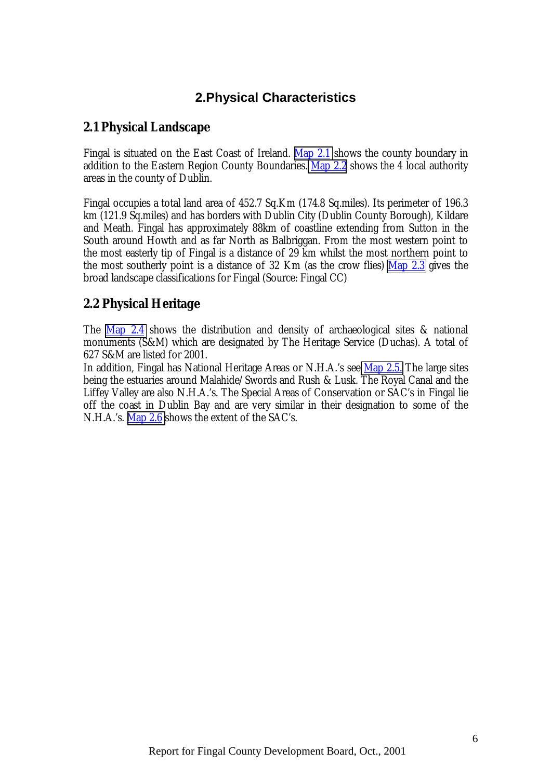# **2.Physical Characteristics**

# <span id="page-15-0"></span>**2.1 Physical Landscape**

Fingal is situated on the East Coast of Ireland. Map 2.1 shows the county boundary in addition to the Eastern Region County Boundaries. Map 2.2 shows the 4 local authority areas in the county of Dublin.

Fingal occupies a total land area of 452.7 Sq.Km (174.8 Sq.miles). Its perimeter of 196.3 km (121.9 Sq.miles) and has borders with Dublin City (Dublin County Borough), Kildare and Meath. Fingal has approximately 88km of coastline extending from Sutton in the South around Howth and as far North as Balbriggan. From the most western point to the most easterly tip of Fingal is a distance of 29 km whilst the most northern point to the most southerly point is a distance of 32 Km (as the crow flies) Map 2.3 gives the broad landscape classifications for Fingal (Source: Fingal CC)

# **2.2 Physical Heritage**

The Map 2.4 shows the distribution and density of archaeological sites & national monuments (S&M) which are designated by The Heritage Service (Duchas). A total of 627 S&M are listed for 2001.

In addition, Fingal has National Heritage Areas or N.H.A.'s see Map 2.5. The large sites being the estuaries around Malahide/Swords and Rush & Lusk. The Royal Canal and the Liffey Valley are also N.H.A.'s. The Special Areas of Conservation or SAC's in Fingal lie off the coast in Dublin Bay and are very similar in their designation to some of the N.H.A.'s. Map 2.6 shows the extent of the SAC's.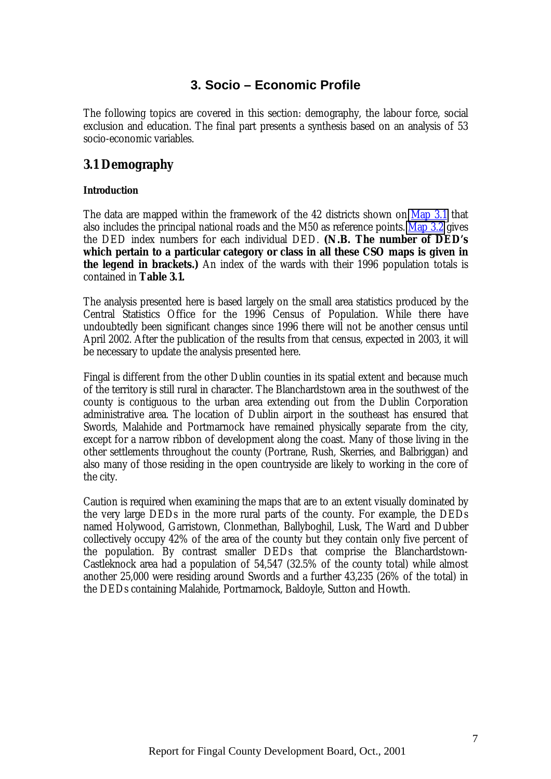# **3. Socio – Economic Profile**

<span id="page-16-0"></span>The following topics are covered in this section: demography, the labour force, social exclusion and education. The final part presents a synthesis based on an analysis of 53 socio-economic variables.

# **3.1 Demography**

## **Introduction**

The data are mapped within the framework of the 42 districts shown on Map 3.1 that also includes the principal national roads and the M50 as reference points. Map 3.2 gives the DED index numbers for each individual DED. **(N.B. The number of DED's which pertain to a particular category or class in all these CSO maps is given in the legend in brackets.)** An index of the wards with their 1996 population totals is contained in **Table 3.1.**

The analysis presented here is based largely on the small area statistics produced by the Central Statistics Office for the 1996 Census of Population. While there have undoubtedly been significant changes since 1996 there will not be another census until April 2002. After the publication of the results from that census, expected in 2003, it will be necessary to update the analysis presented here.

Fingal is different from the other Dublin counties in its spatial extent and because much of the territory is still rural in character. The Blanchardstown area in the southwest of the county is contiguous to the urban area extending out from the Dublin Corporation administrative area. The location of Dublin airport in the southeast has ensured that Swords, Malahide and Portmarnock have remained physically separate from the city, except for a narrow ribbon of development along the coast. Many of those living in the other settlements throughout the county (Portrane, Rush, Skerries, and Balbriggan) and also many of those residing in the open countryside are likely to working in the core of the city.

Caution is required when examining the maps that are to an extent visually dominated by the very large DEDs in the more rural parts of the county. For example, the DEDs named Holywood, Garristown, Clonmethan, Ballyboghil, Lusk, The Ward and Dubber collectively occupy 42% of the area of the county but they contain only five percent of the population. By contrast smaller DEDs that comprise the Blanchardstown-Castleknock area had a population of 54,547 (32.5% of the county total) while almost another 25,000 were residing around Swords and a further 43,235 (26% of the total) in the DEDs containing Malahide, Portmarnock, Baldoyle, Sutton and Howth.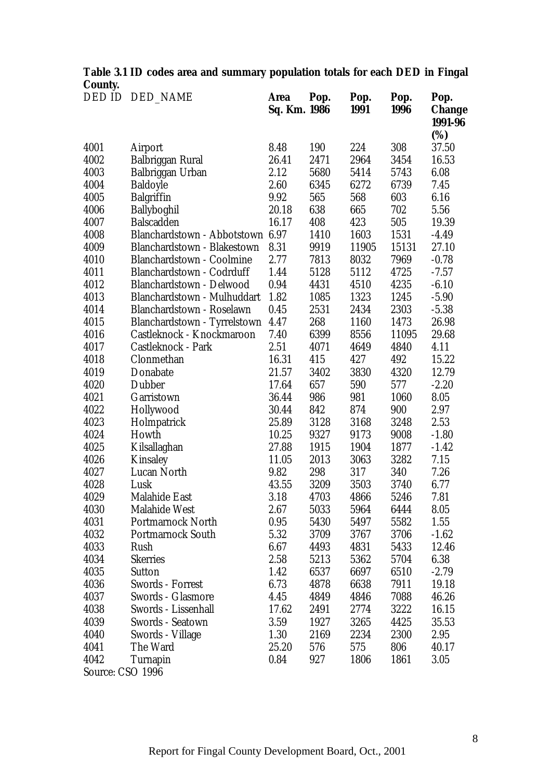|         | Table 3.1 ID codes area and summary population totals for each DED in Fingal |  |  |  |  |
|---------|------------------------------------------------------------------------------|--|--|--|--|
| County. |                                                                              |  |  |  |  |
|         | <b>BERTH BERTHIST</b>                                                        |  |  |  |  |

|                  | DED ID DED_NAME                  | Area<br>Sq. Km. 1986 | Pop. | Pop.<br>1991 | Pop.<br>1996 | Pop.<br><b>Change</b><br>1991-96 |
|------------------|----------------------------------|----------------------|------|--------------|--------------|----------------------------------|
| 4001             | Airport                          | 8.48                 | 190  | 224          | 308          | (%)<br>37.50                     |
| 4002             | Balbriggan Rural                 | 26.41                | 2471 | 2964         | 3454         | 16.53                            |
| 4003             | Balbriggan Urban                 | 2.12                 | 5680 | 5414         | 5743         | 6.08                             |
| 4004             | <b>Baldoyle</b>                  | 2.60                 | 6345 | 6272         | 6739         | 7.45                             |
| 4005             | <b>Balgriffin</b>                | 9.92                 | 565  | 568          | 603          | 6.16                             |
| 4006             | Ballyboghil                      | 20.18                | 638  | 665          | 702          | 5.56                             |
| 4007             | <b>Balscadden</b>                | 16.17                | 408  | 423          | 505          | 19.39                            |
| 4008             | Blanchardstown - Abbotstown      | 6.97                 | 1410 | 1603         | 1531         | $-4.49$                          |
| 4009             | Blanchardstown - Blakestown      | 8.31                 | 9919 | 11905        | 15131        | 27.10                            |
| 4010             | <b>Blanchardstown - Coolmine</b> | 2.77                 | 7813 | 8032         | 7969         | $-0.78$                          |
| 4011             | Blanchardstown - Codrduff        | 1.44                 | 5128 | 5112         | 4725         | $-7.57$                          |
| 4012             | Blanchardstown - Delwood         | 0.94                 | 4431 | 4510         | 4235         | $-6.10$                          |
| 4013             | Blanchardstown - Mulhuddart      | 1.82                 | 1085 | 1323         | 1245         | $-5.90$                          |
| 4014             | Blanchardstown - Roselawn        | 0.45                 | 2531 | 2434         | 2303         | $-5.38$                          |
| 4015             | Blanchardstown - Tyrrelstown     | 4.47                 | 268  | 1160         | 1473         | 26.98                            |
| 4016             | Castleknock - Knockmaroon        | 7.40                 | 6399 | 8556         | 11095        | 29.68                            |
| 4017             | Castleknock - Park               | 2.51                 | 4071 | 4649         | 4840         | 4.11                             |
| 4018             | Clonmethan                       | 16.31                | 415  | 427          | 492          | 15.22                            |
| 4019             | Donabate                         | 21.57                | 3402 | 3830         | 4320         | 12.79                            |
| 4020             | <b>Dubber</b>                    | 17.64                | 657  | 590          | 577          | $-2.20$                          |
| 4021             | Garristown                       | 36.44                | 986  | 981          | 1060         | 8.05                             |
| 4022             | Hollywood                        | 30.44                | 842  | 874          | 900          | 2.97                             |
| 4023             | Holmpatrick                      | 25.89                | 3128 | 3168         | 3248         | 2.53                             |
| 4024             | Howth                            | 10.25                | 9327 | 9173         | 9008         | $-1.80$                          |
| 4025             | Kilsallaghan                     | 27.88                | 1915 | 1904         | 1877         | $-1.42$                          |
| 4026             | Kinsaley                         | 11.05                | 2013 | 3063         | 3282         | 7.15                             |
| 4027             | Lucan North                      | 9.82                 | 298  | 317          | 340          | 7.26                             |
| 4028             | Lusk                             | 43.55                | 3209 | 3503         | 3740         | 6.77                             |
| 4029             | <b>Malahide East</b>             | 3.18                 | 4703 | 4866         | 5246         | 7.81                             |
| 4030             | <b>Malahide West</b>             | 2.67                 | 5033 | 5964         | 6444         | 8.05                             |
| 4031             | <b>Portmarnock North</b>         | 0.95                 | 5430 | 5497         | 5582         | 1.55                             |
| 4032             | <b>Portmarnock South</b>         | 5.32                 | 3709 | 3767         | 3706         | $-1.62$                          |
| 4033             | Rush                             | 6.67                 | 4493 | 4831         | 5433         | 12.46                            |
| 4034             | <b>Skerries</b>                  | 2.58                 | 5213 | 5362         | 5704         | 6.38                             |
| 4035             | <b>Sutton</b>                    | 1.42                 | 6537 | 6697         | 6510         | $-2.79$                          |
| 4036             | <b>Swords - Forrest</b>          | 6.73                 | 4878 | 6638         | 7911         | 19.18                            |
| 4037             | <b>Swords - Glasmore</b>         | 4.45                 | 4849 | 4846         | 7088         | 46.26                            |
| 4038             | Swords - Lissenhall              | 17.62                | 2491 | 2774         | 3222         | 16.15                            |
| 4039             | <b>Swords - Seatown</b>          | 3.59                 | 1927 | 3265         | 4425         | 35.53                            |
| 4040             | Swords - Village                 | 1.30                 | 2169 | 2234         | 2300         | 2.95                             |
| 4041             | The Ward                         | 25.20                | 576  | 575          | 806          | 40.17                            |
| 4042             | <b>Turnapin</b>                  | 0.84                 | 927  | 1806         | 1861         | 3.05                             |
| Source: CSO 1996 |                                  |                      |      |              |              |                                  |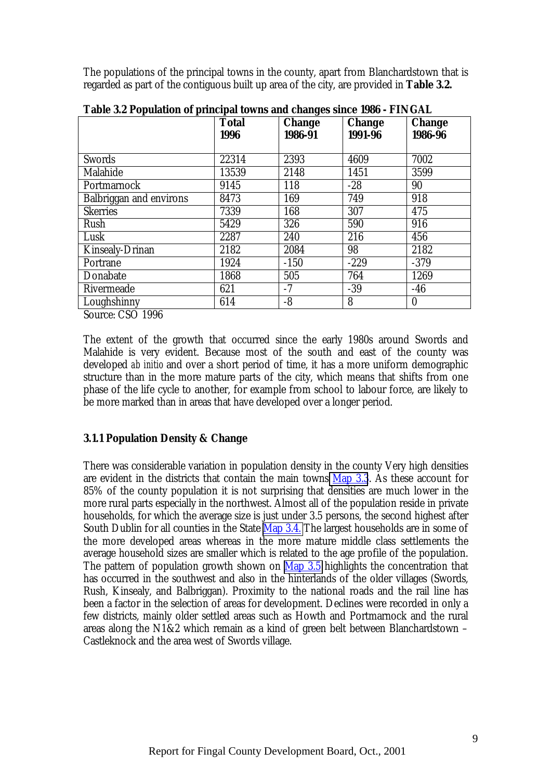<span id="page-18-0"></span>The populations of the principal towns in the county, apart from Blanchardstown that is regarded as part of the contiguous built up area of the city, are provided in **Table 3.2.**

|                                   | <b>Total</b> | <b>Change</b> | <b>Change</b><br>1991-96 | <b>Change</b> |
|-----------------------------------|--------------|---------------|--------------------------|---------------|
|                                   | 1996         | 1986-91       |                          | 1986-96       |
| <b>Swords</b>                     | 22314        | 2393          | 4609                     | 7002          |
| Malahide                          | 13539        | 2148          | 1451                     | 3599          |
| Portmarnock                       | 9145         | 118           | $-28$                    | 90            |
| <b>Balbriggan and environs</b>    | 8473         | 169           | 749                      | 918           |
| <b>Skerries</b>                   | 7339         | 168           | 307                      | 475           |
| Rush                              | 5429         | 326           | 590                      | 916           |
| Lusk                              | 2287         | 240           | 216                      | 456           |
| <b>Kinsealy-Drinan</b>            | 2182         | 2084          | 98                       | 2182          |
| Portrane                          | 1924         | $-150$        | $-229$                   | $-379$        |
| Donabate                          | 1868         | 505           | 764                      | 1269          |
| Rivermeade                        | 621          | $-7$          | $-39$                    | $-46$         |
| Loughshinny                       | 614          | $-8$          | 8                        | $\mathbf{0}$  |
| $C_{\text{current}}$ , $CCA$ 1000 |              |               |                          |               |

**Table 3.2 Population of principal towns and changes since 1986 - FINGAL**

Source: CSO 1996

The extent of the growth that occurred since the early 1980s around Swords and Malahide is very evident. Because most of the south and east of the county was developed *ab initio* and over a short period of time, it has a more uniform demographic structure than in the more mature parts of the city, which means that shifts from one phase of the life cycle to another, for example from school to labour force, are likely to be more marked than in areas that have developed over a longer period.

#### **3.1.1 Population Density & Change**

There was considerable variation in population density in the county Very high densities are evident in the districts that contain the main towns  $\overline{Map 3.3}$ . As these account for 85% of the county population it is not surprising that densities are much lower in the more rural parts especially in the northwest. Almost all of the population reside in private households, for which the average size is just under 3.5 persons, the second highest after South Dublin for all counties in the State Map 3.4. The largest households are in some of the more developed areas whereas in the more mature middle class settlements the average household sizes are smaller which is related to the age profile of the population. The pattern of population growth shown on  $\overline{Map 3.5}$  highlights the concentration that has occurred in the southwest and also in the hinterlands of the older villages (Swords, Rush, Kinsealy, and Balbriggan). Proximity to the national roads and the rail line has been a factor in the selection of areas for development. Declines were recorded in only a few districts, mainly older settled areas such as Howth and Portmarnock and the rural areas along the N1&2 which remain as a kind of green belt between Blanchardstown – Castleknock and the area west of Swords village.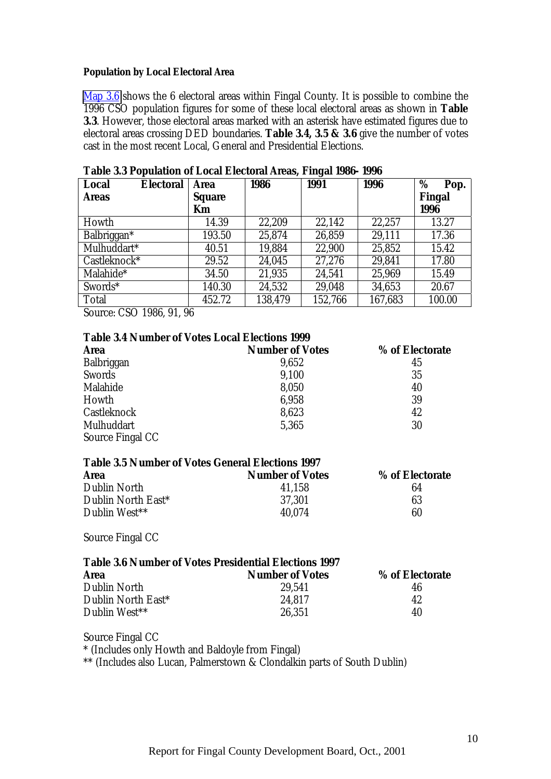#### **Population by Local Electoral Area**

Map 3.6 shows the 6 electoral areas within Fingal County. It is possible to combine the 1996 CSO population figures for some of these local electoral areas as shown in **Table 3.3**. However, those electoral areas marked with an asterisk have estimated figures due to electoral areas crossing DED boundaries. **Table 3.4, 3.5 & 3.6** give the number of votes cast in the most recent Local, General and Presidential Elections.

| <b>Local</b><br><b>Electoral</b> | <b>Area</b>   | 1986    | ັ<br><b>1991</b> | 1996    | %<br>Pop. |
|----------------------------------|---------------|---------|------------------|---------|-----------|
| <b>Areas</b>                     | <b>Square</b> |         |                  |         | Fingal    |
|                                  | Km            |         |                  |         | 1996      |
| Howth                            | 14.39         | 22,209  | 22,142           | 22,257  | 13.27     |
| Balbriggan*                      | 193.50        | 25,874  | 26,859           | 29,111  | 17.36     |
| Mulhuddart*                      | 40.51         | 19,884  | 22,900           | 25,852  | 15.42     |
| Castleknock*                     | 29.52         | 24,045  | 27,276           | 29,841  | 17.80     |
| Malahide*                        | 34.50         | 21,935  | 24,541           | 25,969  | 15.49     |
| Swords*                          | 140.30        | 24,532  | 29,048           | 34,653  | 20.67     |
| <b>Total</b>                     | 452.72        | 138,479 | 152,766          | 167,683 | 100.00    |

**Table 3.3 Population of Local Electoral Areas, Fingal 1986- 1996**

Source: CSO 1986, 91, 96

#### **Table 3.4 Number of Votes Local Elections 1999**

| <b>Area</b>      | <b>Number of Votes</b> | % of Electorate |
|------------------|------------------------|-----------------|
| Balbriggan       | 9,652                  | 45              |
| Swords           | 9,100                  | 35              |
| Malahide         | 8,050                  | 40              |
| Howth            | 6,958                  | 39              |
| Castleknock      | 8,623                  | 42              |
| Mulhuddart       | 5,365                  | 30              |
| Source Fingal CC |                        |                 |

| <b>Table 3.5 Number of Votes General Elections 1997</b> |  |  |  |  |  |  |  |
|---------------------------------------------------------|--|--|--|--|--|--|--|
| % of Electorate                                         |  |  |  |  |  |  |  |
| 64                                                      |  |  |  |  |  |  |  |
| 63                                                      |  |  |  |  |  |  |  |
| 60                                                      |  |  |  |  |  |  |  |
|                                                         |  |  |  |  |  |  |  |

Source Fingal CC

## **Table 3.6 Number of Votes Presidential Elections 1997**

| <b>Area</b>        | <b>Number of Votes</b> | % of Electorate |
|--------------------|------------------------|-----------------|
| Dublin North       | 29.541                 | 46              |
| Dublin North East* | 24.817                 | 42              |
| Dublin West**      | 26.351                 | 40              |

Source Fingal CC

\* (Includes only Howth and Baldoyle from Fingal)

\*\* (Includes also Lucan, Palmerstown & Clondalkin parts of South Dublin)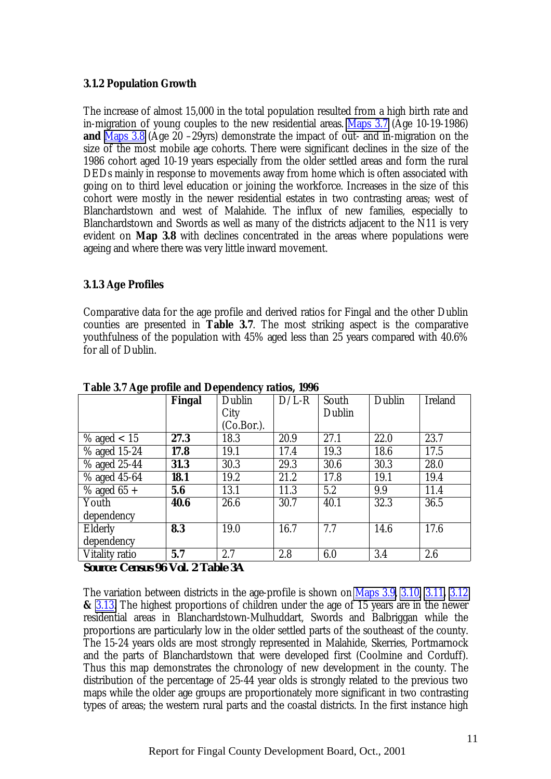## <span id="page-20-0"></span>**3.1.2 Population Growth**

The increase of almost 15,000 in the total population resulted from a high birth rate and in-migration of young couples to the new residential areas. Maps 3.7 (Age 10-19-1986) **and** Maps 3.8 (Age 20 –29yrs) demonstrate the impact of out- and in-migration on the size of the most mobile age cohorts. There were significant declines in the size of the 1986 cohort aged 10-19 years especially from the older settled areas and form the rural DEDs mainly in response to movements away from home which is often associated with going on to third level education or joining the workforce. Increases in the size of this cohort were mostly in the newer residential estates in two contrasting areas; west of Blanchardstown and west of Malahide. The influx of new families, especially to Blanchardstown and Swords as well as many of the districts adjacent to the N11 is very evident on **Map 3.8** with declines concentrated in the areas where populations were ageing and where there was very little inward movement.

## **3.1.3 Age Profiles**

Comparative data for the age profile and derived ratios for Fingal and the other Dublin counties are presented in **Table 3.7**. The most striking aspect is the comparative youthfulness of the population with 45% aged less than 25 years compared with 40.6% for all of Dublin.

| O I                   | <b>Fingal</b> | Dublin        | $D/L-R$ | South  | Dublin | <b>Ireland</b> |
|-----------------------|---------------|---------------|---------|--------|--------|----------------|
|                       |               | City          |         | Dublin |        |                |
|                       |               | $(Co.Bor.)$ . |         |        |        |                |
| % aged $< 15$         | 27.3          | 18.3          | 20.9    | 27.1   | 22.0   | 23.7           |
| % aged 15-24          | 17.8          | 19.1          | 17.4    | 19.3   | 18.6   | 17.5           |
| % aged 25-44          | 31.3          | 30.3          | 29.3    | 30.6   | 30.3   | 28.0           |
| $%$ aged $45-64$      | 18.1          | 19.2          | 21.2    | 17.8   | 19.1   | 19.4           |
| $\%$ aged 65 +        | 5.6           | 13.1          | 11.3    | 5.2    | 9.9    | 11.4           |
| Youth                 | 40.6          | 26.6          | 30.7    | 40.1   | 32.3   | 36.5           |
| dependency            |               |               |         |        |        |                |
| <b>Elderly</b>        | 8.3           | 19.0          | 16.7    | 7.7    | 14.6   | 17.6           |
| dependency            |               |               |         |        |        |                |
| <b>Vitality ratio</b> | 5.7           | 2.7           | 2.8     | 6.0    | 3.4    | 2.6            |

**Table 3.7 Age profile and Dependency ratios, 1996**

*Source: Census 96 Vol. 2 Table 3A*

The variation between districts in the age-profile is shown on Maps 3.9, 3.10**,** 3.11**,** 3.12 **&** 3.13. The highest proportions of children under the age of 15 years are in the newer residential areas in Blanchardstown-Mulhuddart, Swords and Balbriggan while the proportions are particularly low in the older settled parts of the southeast of the county. The 15-24 years olds are most strongly represented in Malahide, Skerries, Portmarnock and the parts of Blanchardstown that were developed first (Coolmine and Corduff). Thus this map demonstrates the chronology of new development in the county. The distribution of the percentage of 25-44 year olds is strongly related to the previous two maps while the older age groups are proportionately more significant in two contrasting types of areas; the western rural parts and the coastal districts. In the first instance high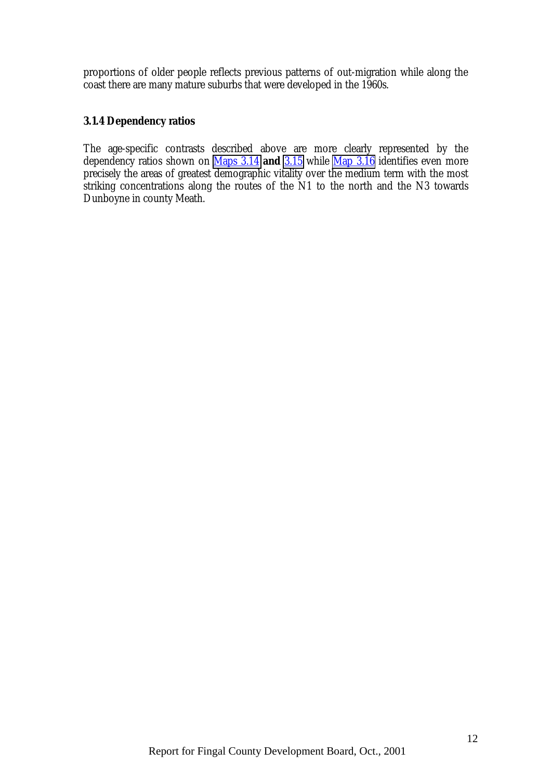<span id="page-21-0"></span>proportions of older people reflects previous patterns of out-migration while along the coast there are many mature suburbs that were developed in the 1960s.

## **3.1.4 Dependency ratios**

The age-specific contrasts described above are more clearly represented by the dependency ratios shown on Maps 3.14 **and** 3.15 while Map 3.16 identifies even more precisely the areas of greatest demographic vitality over the medium term with the most striking concentrations along the routes of the N1 to the north and the N3 towards Dunboyne in county Meath.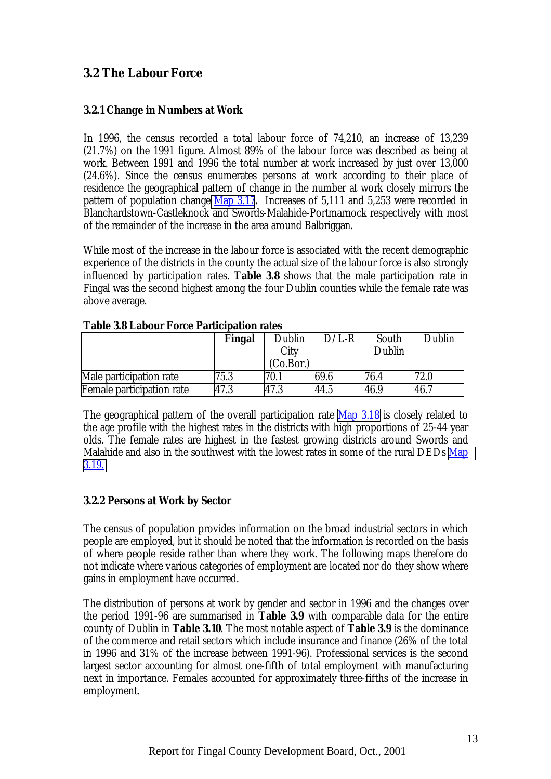# <span id="page-22-0"></span>**3.2 The Labour Force**

## **3.2.1 Change in Numbers at Work**

In 1996, the census recorded a total labour force of 74,210, an increase of 13,239 (21.7%) on the 1991 figure. Almost 89% of the labour force was described as being at work. Between 1991 and 1996 the total number at work increased by just over 13,000 (24.6%). Since the census enumerates persons at work according to their place of residence the geographical pattern of change in the number at work closely mirrors the pattern of population change Map 3.17**.** Increases of 5,111 and 5,253 were recorded in Blanchardstown-Castleknock and Swords-Malahide-Portmarnock respectively with most of the remainder of the increase in the area around Balbriggan.

While most of the increase in the labour force is associated with the recent demographic experience of the districts in the county the actual size of the labour force is also strongly influenced by participation rates. **Table 3.8** shows that the male participation rate in Fingal was the second highest among the four Dublin counties while the female rate was above average.

|                           | Fingal | Dublin            | $\rm D/L$ -R | South  | Dublin |
|---------------------------|--------|-------------------|--------------|--------|--------|
|                           |        | City<br>(Co.Bor.) |              | Dublin |        |
| Male participation rate   | 75.3   | 70.1              | 69.6         | 76.4   | 72.0   |
| Female participation rate | 47.3   | 47.3              | 44.5         | 46.9   | 46.7   |

## **Table 3.8 Labour Force Participation rates**

The geographical pattern of the overall participation rate Map 3.18 is closely related to the age profile with the highest rates in the districts with high proportions of 25-44 year olds. The female rates are highest in the fastest growing districts around Swords and Malahide and also in the southwest with the lowest rates in some of the rural DEDs Map 3.19.

## **3.2.2 Persons at Work by Sector**

The census of population provides information on the broad industrial sectors in which people are employed, but it should be noted that the information is recorded on the basis of where people reside rather than where they work. The following maps therefore do not indicate where various categories of employment are located nor do they show where gains in employment have occurred.

The distribution of persons at work by gender and sector in 1996 and the changes over the period 1991-96 are summarised in **Table 3.9** with comparable data for the entire county of Dublin in **Table 3.10**. The most notable aspect of **Table 3.9** is the dominance of the commerce and retail sectors which include insurance and finance (26% of the total in 1996 and 31% of the increase between 1991-96). Professional services is the second largest sector accounting for almost one-fifth of total employment with manufacturing next in importance. Females accounted for approximately three-fifths of the increase in employment.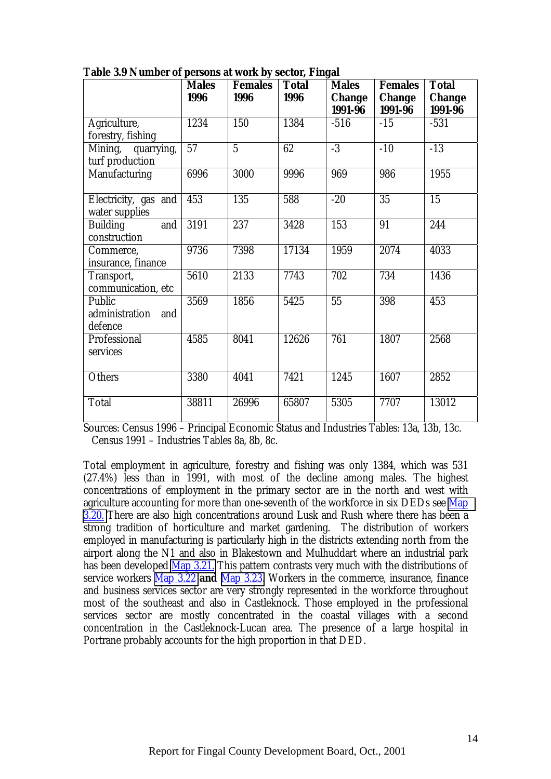|                                            | <b>Males</b>    | <b>Females</b> | <b>Total</b> | <b>Males</b>             | <b>Females</b>           | <b>Total</b>             |
|--------------------------------------------|-----------------|----------------|--------------|--------------------------|--------------------------|--------------------------|
|                                            | 1996            | 1996           | 1996         | <b>Change</b><br>1991-96 | <b>Change</b><br>1991-96 | <b>Change</b><br>1991-96 |
| Agriculture,<br>forestry, fishing          | 1234            | 150            | 1384         | $-516$                   | $-15$                    | $-531$                   |
| Mining, quarrying,<br>turf production      | $\overline{57}$ | $\overline{5}$ | 62           | $-3$                     | $-10$                    | $-13$                    |
| Manufacturing                              | 6996            | 3000           | 9996         | 969                      | 986                      | 1955                     |
| Electricity, gas and<br>water supplies     | 453             | 135            | 588          | $-20$                    | $\overline{35}$          | $\overline{15}$          |
| <b>Building</b><br>and<br>construction     | 3191            | 237            | 3428         | 153                      | 91                       | 244                      |
| Commerce,<br>insurance, finance            | 9736            | 7398           | 17134        | 1959                     | 2074                     | 4033                     |
| Transport,<br>communication, etc           | 5610            | 2133           | 7743         | 702                      | 734                      | 1436                     |
| Public<br>administration<br>and<br>defence | 3569            | 1856           | 5425         | $\overline{55}$          | 398                      | 453                      |
| Professional<br>services                   | 4585            | 8041           | 12626        | 761                      | 1807                     | 2568                     |
| <b>Others</b>                              | 3380            | 4041           | 7421         | 1245                     | 1607                     | 2852                     |
| <b>Total</b>                               | 38811           | 26996          | 65807        | 5305                     | 7707                     | 13012                    |

**Table 3.9 Number of persons at work by sector, Fingal**

Sources: Census 1996 – Principal Economic Status and Industries Tables: 13a, 13b, 13c. Census 1991 – Industries Tables 8a, 8b, 8c.

Total employment in agriculture, forestry and fishing was only 1384, which was 531 (27.4%) less than in 1991, with most of the decline among males. The highest concentrations of employment in the primary sector are in the north and west with agriculture accounting for more than one-seventh of the workforce in six DEDs see Map 3.20. There are also high concentrations around Lusk and Rush where there has been a strong tradition of horticulture and market gardening. The distribution of workers employed in manufacturing is particularly high in the districts extending north from the airport along the N1 and also in Blakestown and Mulhuddart where an industrial park has been developed Map 3.21. This pattern contrasts very much with the distributions of service workers Map 3.22 **and** Map 3.23. Workers in the commerce, insurance, finance and business services sector are very strongly represented in the workforce throughout most of the southeast and also in Castleknock. Those employed in the professional services sector are mostly concentrated in the coastal villages with a second concentration in the Castleknock-Lucan area. The presence of a large hospital in Portrane probably accounts for the high proportion in that DED.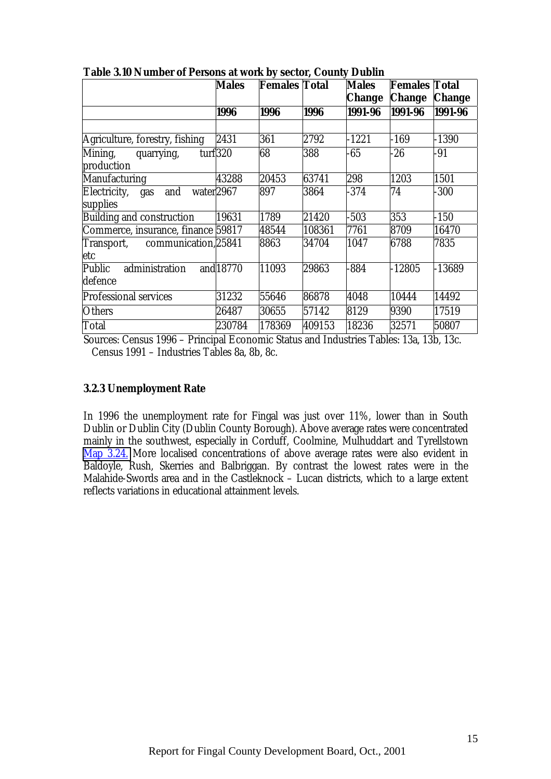|                                                | <b>Males</b>         | <b>Females Total</b> |        | <b>Males</b>  | <b>Females Total</b> |               |
|------------------------------------------------|----------------------|----------------------|--------|---------------|----------------------|---------------|
|                                                |                      |                      |        | <b>Change</b> | <b>Change</b>        | <b>Change</b> |
|                                                | 1996                 | 1996                 | 1996   | 1991-96       | 1991-96              | 1991-96       |
|                                                |                      |                      |        |               |                      |               |
| Agriculture, forestry, fishing                 | 2431                 | 361                  | 2792   | $-1221$       | $-169$               | $-1390$       |
| turf $320$<br>Mining, quarrying,<br>production |                      | 68                   | 388    | 65            | $-26$                | -91           |
| <b>Manufacturing</b>                           | 43288                | 20453                | 63741  | 298           | 1203                 | 1501          |
| Electricity, gas and<br>water2967<br>supplies  |                      | 897                  | 3864   | $-374$        | 74                   | $-300$        |
| <b>Building and construction</b>               | 19631                | 1789                 | 21420  | $-503$        | 353                  | $-150$        |
| Commerce, insurance, finance 59817             |                      | 48544                | 108361 | 7761          | 8709                 | 16470         |
| Transport, communication, 25841<br>etc         |                      | 8863                 | 34704  | 1047          | 6788                 | 7835          |
| administration<br>Public<br>defence            | and <sup>18770</sup> | 11093                | 29863  | 884           | $-12805$             | $-13689$      |
| <b>Professional services</b>                   | 31232                | 55646                | 86878  | 4048          | 10444                | 14492         |
| <b>Others</b>                                  | 26487                | 30655                | 57142  | 8129          | 9390                 | 17519         |
| Total                                          | 230784               | 178369               | 409153 | 18236         | 32571                | 50807         |

<span id="page-24-0"></span>**Table 3.10 Number of Persons at work by sector, County Dublin**

Sources: Census 1996 – Principal Economic Status and Industries Tables: 13a, 13b, 13c. Census 1991 – Industries Tables 8a, 8b, 8c.

## **3.2.3 Unemployment Rate**

In 1996 the unemployment rate for Fingal was just over 11%, lower than in South Dublin or Dublin City (Dublin County Borough). Above average rates were concentrated mainly in the southwest, especially in Corduff, Coolmine, Mulhuddart and Tyrellstown Map 3.24. More localised concentrations of above average rates were also evident in Baldoyle, Rush, Skerries and Balbriggan. By contrast the lowest rates were in the Malahide-Swords area and in the Castleknock – Lucan districts, which to a large extent reflects variations in educational attainment levels.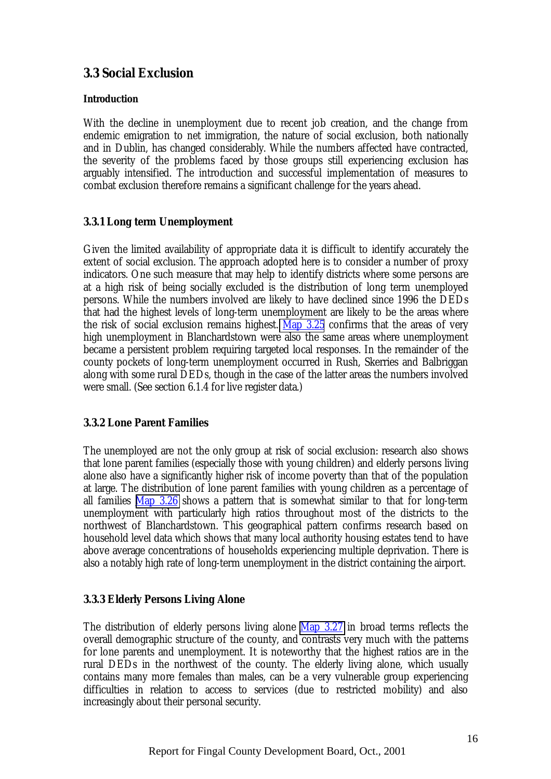# <span id="page-25-0"></span>**3.3 Social Exclusion**

## **Introduction**

With the decline in unemployment due to recent job creation, and the change from endemic emigration to net immigration, the nature of social exclusion, both nationally and in Dublin, has changed considerably. While the numbers affected have contracted, the severity of the problems faced by those groups still experiencing exclusion has arguably intensified. The introduction and successful implementation of measures to combat exclusion therefore remains a significant challenge for the years ahead.

## **3.3.1 Long term Unemployment**

Given the limited availability of appropriate data it is difficult to identify accurately the extent of social exclusion. The approach adopted here is to consider a number of proxy indicators. One such measure that may help to identify districts where some persons are at a high risk of being socially excluded is the distribution of long term unemployed persons. While the numbers involved are likely to have declined since 1996 the DEDs that had the highest levels of long-term unemployment are likely to be the areas where the risk of social exclusion remains highest. Map 3.25 confirms that the areas of very high unemployment in Blanchardstown were also the same areas where unemployment became a persistent problem requiring targeted local responses. In the remainder of the county pockets of long-term unemployment occurred in Rush, Skerries and Balbriggan along with some rural DEDs, though in the case of the latter areas the numbers involved were small. (See section 6.1.4 for live register data.)

## **3.3.2 Lone Parent Families**

The unemployed are not the only group at risk of social exclusion: research also shows that lone parent families (especially those with young children) and elderly persons living alone also have a significantly higher risk of income poverty than that of the population at large. The distribution of lone parent families with young children as a percentage of all families Map 3.26 shows a pattern that is somewhat similar to that for long-term unemployment with particularly high ratios throughout most of the districts to the northwest of Blanchardstown. This geographical pattern confirms research based on household level data which shows that many local authority housing estates tend to have above average concentrations of households experiencing multiple deprivation. There is also a notably high rate of long-term unemployment in the district containing the airport.

## **3.3.3 Elderly Persons Living Alone**

The distribution of elderly persons living alone Map 3.27 in broad terms reflects the overall demographic structure of the county, and contrasts very much with the patterns for lone parents and unemployment. It is noteworthy that the highest ratios are in the rural DEDs in the northwest of the county. The elderly living alone, which usually contains many more females than males, can be a very vulnerable group experiencing difficulties in relation to access to services (due to restricted mobility) and also increasingly about their personal security.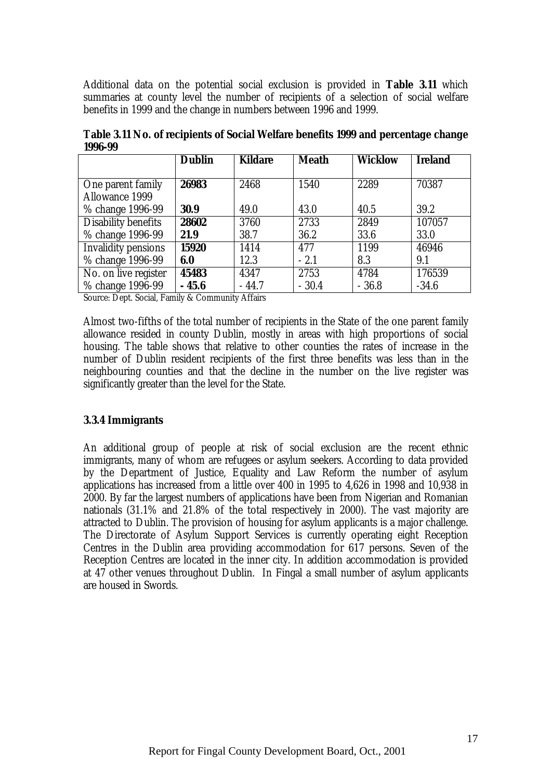<span id="page-26-0"></span>Additional data on the potential social exclusion is provided in **Table 3.11** which summaries at county level the number of recipients of a selection of social welfare benefits in 1999 and the change in numbers between 1996 and 1999.

|                            | <b>Dublin</b> | <b>Kildare</b> | <b>Meath</b> | <b>Wicklow</b> | <b>Ireland</b> |
|----------------------------|---------------|----------------|--------------|----------------|----------------|
|                            |               |                |              |                |                |
| One parent family          | 26983         | 2468           | 1540         | 2289           | 70387          |
| <b>Allowance 1999</b>      |               |                |              |                |                |
| % change 1996-99           | 30.9          | 49.0           | 43.0         | 40.5           | 39.2           |
| Disability benefits        | 28602         | 3760           | 2733         | 2849           | 107057         |
| % change 1996-99           | 21.9          | 38.7           | 36.2         | 33.6           | 33.0           |
| <b>Invalidity pensions</b> | 15920         | 1414           | 477          | 1199           | 46946          |
| % change 1996-99           | 6.0           | 12.3           | $-2.1$       | 8.3            | 9.1            |
| No. on live register       | 45483         | 4347           | 2753         | 4784           | 176539         |
| % change 1996-99           | $-45.6$       | $-44.7$        | $-30.4$      | $-36.8$        | $-34.6$        |

**Table 3.11 No. of recipients of Social Welfare benefits 1999 and percentage change 1996-99**

Source: Dept. Social, Family & Community Affairs

Almost two-fifths of the total number of recipients in the State of the one parent family allowance resided in county Dublin, mostly in areas with high proportions of social housing. The table shows that relative to other counties the rates of increase in the number of Dublin resident recipients of the first three benefits was less than in the neighbouring counties and that the decline in the number on the live register was significantly greater than the level for the State.

#### **3.3.4 Immigrants**

An additional group of people at risk of social exclusion are the recent ethnic immigrants, many of whom are refugees or asylum seekers. According to data provided by the Department of Justice, Equality and Law Reform the number of asylum applications has increased from a little over 400 in 1995 to 4,626 in 1998 and 10,938 in 2000. By far the largest numbers of applications have been from Nigerian and Romanian nationals (31.1% and 21.8% of the total respectively in 2000). The vast majority are attracted to Dublin. The provision of housing for asylum applicants is a major challenge. The Directorate of Asylum Support Services is currently operating eight Reception Centres in the Dublin area providing accommodation for 617 persons. Seven of the Reception Centres are located in the inner city. In addition accommodation is provided at 47 other venues throughout Dublin. In Fingal a small number of asylum applicants are housed in Swords.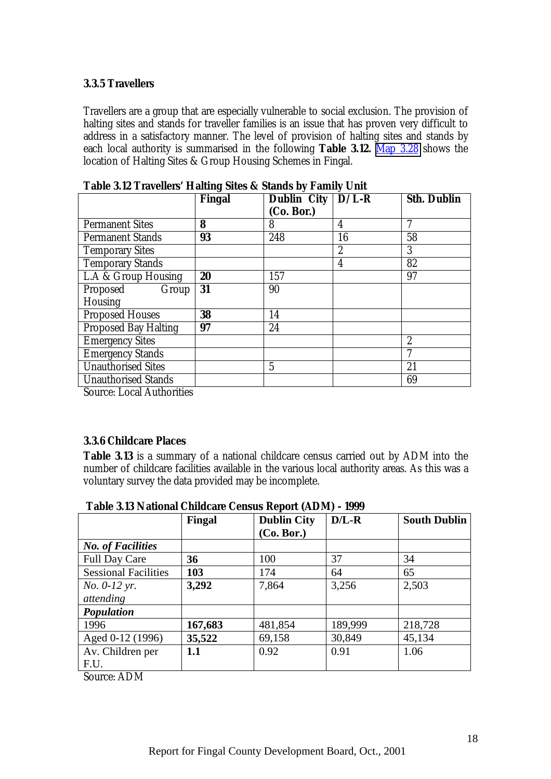## <span id="page-27-0"></span>**3.3.5 Travellers**

Travellers are a group that are especially vulnerable to social exclusion. The provision of halting sites and stands for traveller families is an issue that has proven very difficult to address in a satisfactory manner. The level of provision of halting sites and stands by each local authority is summarised in the following **Table 3.12.** Map 3.28 shows the location of Halting Sites & Group Housing Schemes in Fingal.

| <b>Fingal</b> | (Co. Bor.)     |                  | Sth. Dublin         |
|---------------|----------------|------------------|---------------------|
| 8             | 8              | 4                |                     |
| 93            | 248            | 16               | 58                  |
|               |                | $\boldsymbol{2}$ | 3                   |
|               |                | 4                | 82                  |
| 20            | 157            |                  | 97                  |
| 31            | 90             |                  |                     |
|               |                |                  |                     |
| 38            | 14             |                  |                     |
| 97            | 24             |                  |                     |
|               |                |                  | $\overline{2}$      |
|               |                |                  |                     |
|               | $\overline{5}$ |                  | 21                  |
|               |                |                  | 69                  |
|               |                |                  | Dublin City $D/L-R$ |

**Table 3.12 Travellers' Halting Sites & Stands by Family Unit**

Source: Local Authorities

## **3.3.6 Childcare Places**

**Table 3.13** is a summary of a national childcare census carried out by ADM into the number of childcare facilities available in the various local authority areas. As this was a voluntary survey the data provided may be incomplete.

| Table 3.13 National Childcare Census Report (ADM) - 1999 |  |  |  |
|----------------------------------------------------------|--|--|--|
|----------------------------------------------------------|--|--|--|

|                             | Fingal  | <b>Dublin City</b> | $D/L-R$ | <b>South Dublin</b> |
|-----------------------------|---------|--------------------|---------|---------------------|
|                             |         | (Co. Bor.)         |         |                     |
| <b>No. of Facilities</b>    |         |                    |         |                     |
| <b>Full Day Care</b>        | 36      | 100                | 37      | 34                  |
| <b>Sessional Facilities</b> | 103     | 174                | 64      | 65                  |
| <i>No.</i> $0-12$ yr.       | 3,292   | 7,864              | 3,256   | 2,503               |
| attending                   |         |                    |         |                     |
| Population                  |         |                    |         |                     |
| 1996                        | 167,683 | 481,854            | 189,999 | 218,728             |
| Aged 0-12 (1996)            | 35,522  | 69,158             | 30,849  | 45,134              |
| Av. Children per            | 1.1     | 0.92               | 0.91    | 1.06                |
| F.U.                        |         |                    |         |                     |

Source: ADM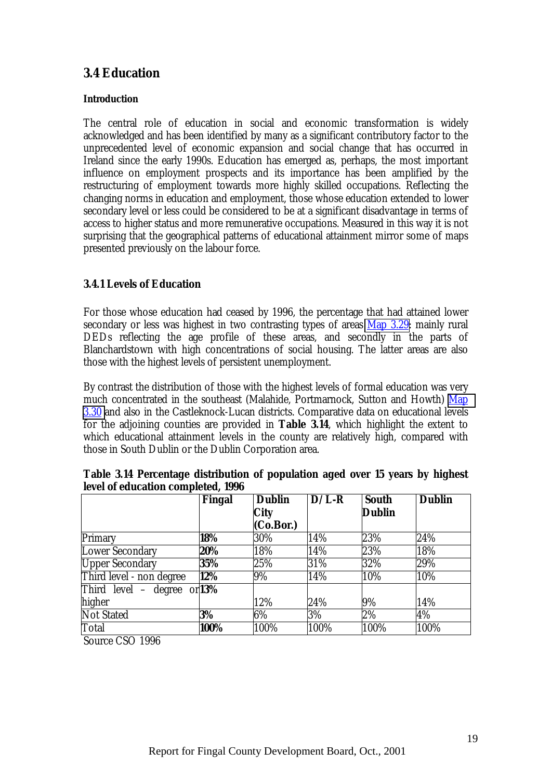# <span id="page-28-0"></span>**3.4 Education**

## **Introduction**

The central role of education in social and economic transformation is widely acknowledged and has been identified by many as a significant contributory factor to the unprecedented level of economic expansion and social change that has occurred in Ireland since the early 1990s. Education has emerged as, perhaps, the most important influence on employment prospects and its importance has been amplified by the restructuring of employment towards more highly skilled occupations. Reflecting the changing norms in education and employment, those whose education extended to lower secondary level or less could be considered to be at a significant disadvantage in terms of access to higher status and more remunerative occupations. Measured in this way it is not surprising that the geographical patterns of educational attainment mirror some of maps presented previously on the labour force.

# **3.4.1 Levels of Education**

For those whose education had ceased by 1996, the percentage that had attained lower secondary or less was highest in two contrasting types of areas Map 3.29: mainly rural DEDs reflecting the age profile of these areas, and secondly in the parts of Blanchardstown with high concentrations of social housing. The latter areas are also those with the highest levels of persistent unemployment.

By contrast the distribution of those with the highest levels of formal education was very much concentrated in the southeast (Malahide, Portmarnock, Sutton and Howth) Map 3.30 and also in the Castleknock-Lucan districts. Comparative data on educational levels for the adjoining counties are provided in **Table 3.14**, which highlight the extent to which educational attainment levels in the county are relatively high, compared with those in South Dublin or the Dublin Corporation area.

|                          | Fingal        | <b>Dublin</b> | $D/L-R$ | <b>South</b>  | <b>Dublin</b> |
|--------------------------|---------------|---------------|---------|---------------|---------------|
|                          |               | <b>City</b>   |         | <b>Dublin</b> |               |
|                          |               | (Co.Bor.)     |         |               |               |
| Primary                  | 18%           | 30%           | 14%     | 23%           | 24%           |
| <b>Lower Secondary</b>   | 20%           | 18%           | 14%     | 23%           | 18%           |
| <b>Upper Secondary</b>   | 35%           | 25%           | 31%     | 32%           | 29%           |
| Third level - non degree | 12%           | 9%            | 14%     | 10%           | 10%           |
| Third level -<br>degree  | or <b>13%</b> |               |         |               |               |
| higher                   |               | 12%           | 24%     | 9%            | 14%           |
| <b>Not Stated</b>        | 3%            | $6\%$         | 3%      | 2%            | 4%            |
| Total                    | 100%          | 100%          | 100%    | 100%          | 100%          |

**Table 3.14 Percentage distribution of population aged over 15 years by highest level of education completed, 1996**

Source CSO 1996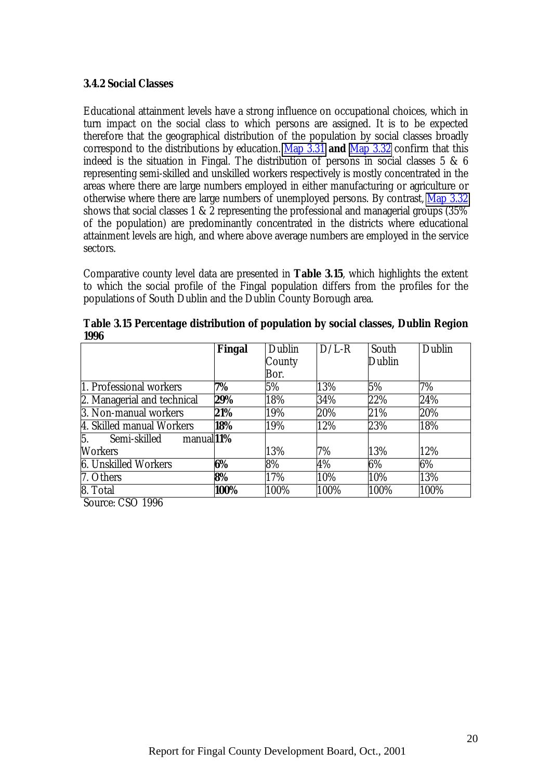#### <span id="page-29-0"></span>**3.4.2 Social Classes**

Educational attainment levels have a strong influence on occupational choices, which in turn impact on the social class to which persons are assigned. It is to be expected therefore that the geographical distribution of the population by social classes broadly correspond to the distributions by education. Map 3.31 **and** Map 3.32 confirm that this indeed is the situation in Fingal. The distribution of persons in social classes 5 & 6 representing semi-skilled and unskilled workers respectively is mostly concentrated in the areas where there are large numbers employed in either manufacturing or agriculture or otherwise where there are large numbers of unemployed persons. By contrast, Map 3.32 shows that social classes 1 & 2 representing the professional and managerial groups (35% of the population) are predominantly concentrated in the districts where educational attainment levels are high, and where above average numbers are employed in the service sectors.

Comparative county level data are presented in **Table 3.15**, which highlights the extent to which the social profile of the Fingal population differs from the profiles for the populations of South Dublin and the Dublin County Borough area.

|                                                  | Fingal | Dublin | $D/L-R$ | South  | Dublin |
|--------------------------------------------------|--------|--------|---------|--------|--------|
|                                                  |        | County |         | Dublin |        |
|                                                  |        | Bor.   |         |        |        |
| 1. Professional workers                          | 7%     | 5%     | 13%     | 5%     | 7%     |
| 2. Managerial and technical                      | 29%    | 18%    | 34%     | 22%    | 24%    |
| 3. Non-manual workers                            | 21%    | 19%    | 20%     | 21%    | 20%    |
| 4. Skilled manual Workers                        | 18%    | 19%    | 12%     | 23%    | 18%    |
| $\overline{5}$ .<br>manual $1\%$<br>Semi-skilled |        |        |         |        |        |
| <b>Workers</b>                                   |        | 13%    | 7%      | 13%    | 12%    |
| <b>6. Unskilled Workers</b>                      | 6%     | 8%     | 4%      | 6%     | $6\%$  |
| 7. Others                                        | 8%     | 17%    | 10%     | 10%    | 13%    |
| 8. Total                                         | 100%   | 100%   | 100%    | 100%   | 100%   |

**Table 3.15 Percentage distribution of population by social classes, Dublin Region 1996**

Source: CSO 1996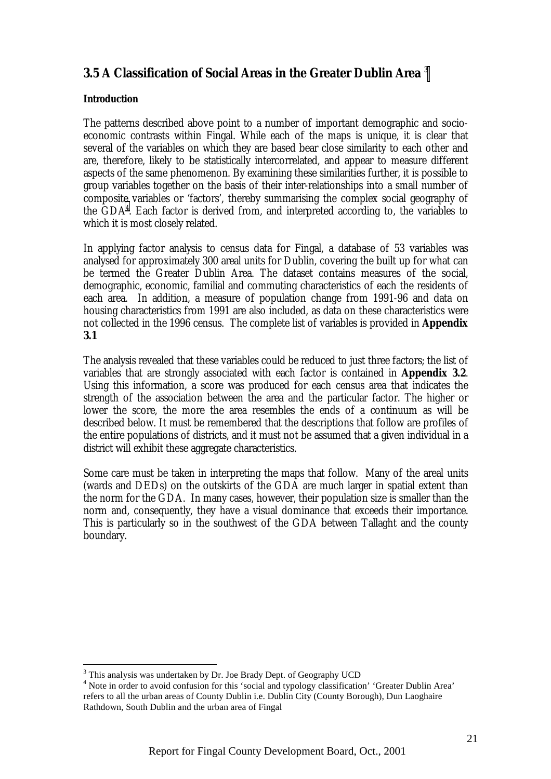# <span id="page-30-0"></span>**3.5 A Classification of Social Areas in the Greater Dublin Area 3**

## **Introduction**

 $\overline{a}$ 

The patterns described above point to a number of important demographic and socioeconomic contrasts within Fingal. While each of the maps is unique, it is clear that several of the variables on which they are based bear close similarity to each other and are, therefore, likely to be statistically intercorrelated, and appear to measure different aspects of the same phenomenon. By examining these similarities further, it is possible to group variables together on the basis of their inter-relationships into a small number of composite variables or 'factors', thereby summarising the complex social geography of the GDA4 . Each factor is derived from, and interpreted according to, the variables to which it is most closely related.

In applying factor analysis to census data for Fingal, a database of 53 variables was analysed for approximately 300 areal units for Dublin, covering the built up for what can be termed the Greater Dublin Area. The dataset contains measures of the social, demographic, economic, familial and commuting characteristics of each the residents of each area. In addition, a measure of population change from 1991-96 and data on housing characteristics from 1991 are also included, as data on these characteristics were not collected in the 1996 census. The complete list of variables is provided in **Appendix 3.1**

The analysis revealed that these variables could be reduced to just three factors; the list of variables that are strongly associated with each factor is contained in **Appendix 3.2**. Using this information, a score was produced for each census area that indicates the strength of the association between the area and the particular factor. The higher or lower the score, the more the area resembles the ends of a continuum as will be described below. It must be remembered that the descriptions that follow are profiles of the entire populations of districts, and it must not be assumed that a given individual in a district will exhibit these aggregate characteristics.

Some care must be taken in interpreting the maps that follow. Many of the areal units (wards and DEDs) on the outskirts of the GDA are much larger in spatial extent than the norm for the GDA. In many cases, however, their population size is smaller than the norm and, consequently, they have a visual dominance that exceeds their importance. This is particularly so in the southwest of the GDA between Tallaght and the county boundary.

<sup>&</sup>lt;sup>3</sup> This analysis was undertaken by Dr. Joe Brady Dept. of Geography UCD

<sup>&</sup>lt;sup>4</sup> Note in order to avoid confusion for this 'social and typology classification' 'Greater Dublin Area' refers to all the urban areas of County Dublin i.e. Dublin City (County Borough), Dun Laoghaire Rathdown, South Dublin and the urban area of Fingal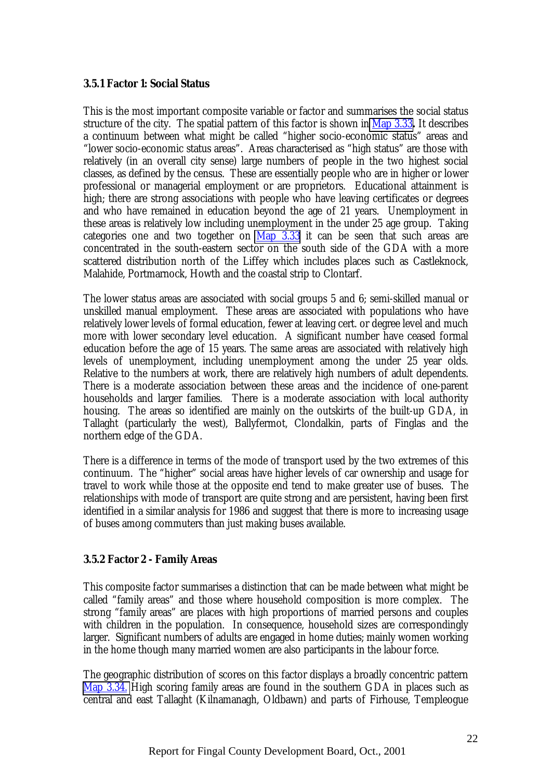## <span id="page-31-0"></span>**3.5.1 Factor 1: Social Status**

This is the most important composite variable or factor and summarises the social status structure of the city. The spatial pattern of this factor is shown in Map 3.33**.** It describes a continuum between what might be called "higher socio-economic status" areas and "lower socio-economic status areas". Areas characterised as "high status" are those with relatively (in an overall city sense) large numbers of people in the two highest social classes, as defined by the census. These are essentially people who are in higher or lower professional or managerial employment or are proprietors. Educational attainment is high; there are strong associations with people who have leaving certificates or degrees and who have remained in education beyond the age of 21 years. Unemployment in these areas is relatively low including unemployment in the under 25 age group. Taking categories one and two together on  $\overline{Map}$  3.33 it can be seen that such areas are concentrated in the south-eastern sector on the south side of the GDA with a more scattered distribution north of the Liffey which includes places such as Castleknock, Malahide, Portmarnock, Howth and the coastal strip to Clontarf.

The lower status areas are associated with social groups 5 and 6; semi-skilled manual or unskilled manual employment. These areas are associated with populations who have relatively lower levels of formal education, fewer at leaving cert. or degree level and much more with lower secondary level education. A significant number have ceased formal education before the age of 15 years. The same areas are associated with relatively high levels of unemployment, including unemployment among the under 25 year olds. Relative to the numbers at work, there are relatively high numbers of adult dependents. There is a moderate association between these areas and the incidence of one-parent households and larger families. There is a moderate association with local authority housing. The areas so identified are mainly on the outskirts of the built-up GDA, in Tallaght (particularly the west), Ballyfermot, Clondalkin, parts of Finglas and the northern edge of the GDA.

There is a difference in terms of the mode of transport used by the two extremes of this continuum. The "higher" social areas have higher levels of car ownership and usage for travel to work while those at the opposite end tend to make greater use of buses. The relationships with mode of transport are quite strong and are persistent, having been first identified in a similar analysis for 1986 and suggest that there is more to increasing usage of buses among commuters than just making buses available.

## **3.5.2 Factor 2 - Family Areas**

This composite factor summarises a distinction that can be made between what might be called "family areas" and those where household composition is more complex. The strong "family areas" are places with high proportions of married persons and couples with children in the population. In consequence, household sizes are correspondingly larger. Significant numbers of adults are engaged in home duties; mainly women working in the home though many married women are also participants in the labour force.

The geographic distribution of scores on this factor displays a broadly concentric pattern Map 3.34. High scoring family areas are found in the southern GDA in places such as central and east Tallaght (Kilnamanagh, Oldbawn) and parts of Firhouse, Templeogue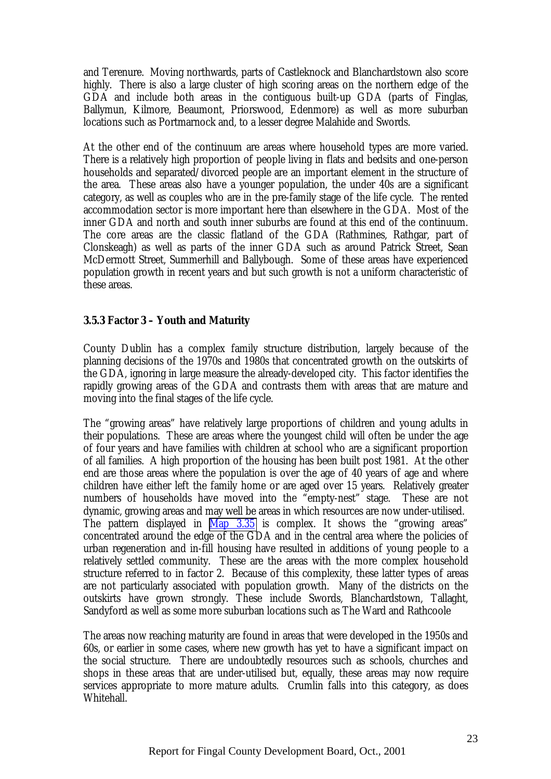<span id="page-32-0"></span>and Terenure. Moving northwards, parts of Castleknock and Blanchardstown also score highly. There is also a large cluster of high scoring areas on the northern edge of the GDA and include both areas in the contiguous built-up GDA (parts of Finglas, Ballymun, Kilmore, Beaumont, Priorswood, Edenmore) as well as more suburban locations such as Portmarnock and, to a lesser degree Malahide and Swords.

At the other end of the continuum are areas where household types are more varied. There is a relatively high proportion of people living in flats and bedsits and one-person households and separated/divorced people are an important element in the structure of the area. These areas also have a younger population, the under 40s are a significant category, as well as couples who are in the pre-family stage of the life cycle. The rented accommodation sector is more important here than elsewhere in the GDA. Most of the inner GDA and north and south inner suburbs are found at this end of the continuum. The core areas are the classic flatland of the GDA (Rathmines, Rathgar, part of Clonskeagh) as well as parts of the inner GDA such as around Patrick Street, Sean McDermott Street, Summerhill and Ballybough. Some of these areas have experienced population growth in recent years and but such growth is not a uniform characteristic of these areas.

## **3.5.3 Factor 3 – Youth and Maturity**

County Dublin has a complex family structure distribution, largely because of the planning decisions of the 1970s and 1980s that concentrated growth on the outskirts of the GDA, ignoring in large measure the already-developed city. This factor identifies the rapidly growing areas of the GDA and contrasts them with areas that are mature and moving into the final stages of the life cycle.

The "growing areas" have relatively large proportions of children and young adults in their populations. These are areas where the youngest child will often be under the age of four years and have families with children at school who are a significant proportion of all families. A high proportion of the housing has been built post 1981. At the other end are those areas where the population is over the age of 40 years of age and where children have either left the family home or are aged over 15 years. Relatively greater numbers of households have moved into the "empty-nest" stage. These are not dynamic, growing areas and may well be areas in which resources are now under-utilised. The pattern displayed in Map 3.35 is complex. It shows the "growing areas" concentrated around the edge of the GDA and in the central area where the policies of urban regeneration and in-fill housing have resulted in additions of young people to a relatively settled community. These are the areas with the more complex household structure referred to in factor 2. Because of this complexity, these latter types of areas are not particularly associated with population growth. Many of the districts on the outskirts have grown strongly. These include Swords, Blanchardstown, Tallaght, Sandyford as well as some more suburban locations such as The Ward and Rathcoole

The areas now reaching maturity are found in areas that were developed in the 1950s and 60s, or earlier in some cases, where new growth has yet to have a significant impact on the social structure. There are undoubtedly resources such as schools, churches and shops in these areas that are under-utilised but, equally, these areas may now require services appropriate to more mature adults. Crumlin falls into this category, as does Whitehall.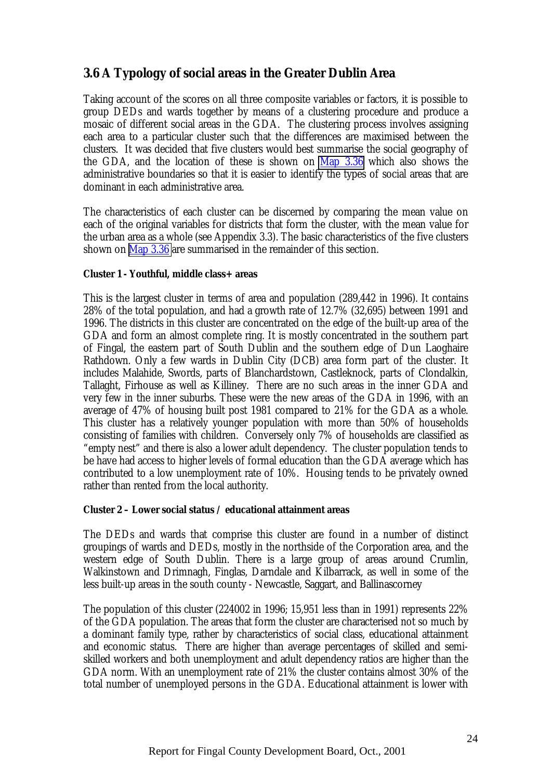# <span id="page-33-0"></span>**3.6 A Typology of social areas in the Greater Dublin Area**

Taking account of the scores on all three composite variables or factors, it is possible to group DEDs and wards together by means of a clustering procedure and produce a mosaic of different social areas in the GDA. The clustering process involves assigning each area to a particular cluster such that the differences are maximised between the clusters. It was decided that five clusters would best summarise the social geography of the GDA, and the location of these is shown on Map 3.36 which also shows the administrative boundaries so that it is easier to identify the types of social areas that are dominant in each administrative area.

The characteristics of each cluster can be discerned by comparing the mean value on each of the original variables for districts that form the cluster, with the mean value for the urban area as a whole (see Appendix 3.3). The basic characteristics of the five clusters shown on Map 3.36 are summarised in the remainder of this section.

## **Cluster 1 - Youthful, middle class+ areas**

This is the largest cluster in terms of area and population (289,442 in 1996). It contains 28% of the total population, and had a growth rate of 12.7% (32,695) between 1991 and 1996. The districts in this cluster are concentrated on the edge of the built-up area of the GDA and form an almost complete ring. It is mostly concentrated in the southern part of Fingal, the eastern part of South Dublin and the southern edge of Dun Laoghaire Rathdown. Only a few wards in Dublin City (DCB) area form part of the cluster. It includes Malahide, Swords, parts of Blanchardstown, Castleknock, parts of Clondalkin, Tallaght, Firhouse as well as Killiney. There are no such areas in the inner GDA and very few in the inner suburbs. These were the new areas of the GDA in 1996, with an average of 47% of housing built post 1981 compared to 21% for the GDA as a whole. This cluster has a relatively younger population with more than 50% of households consisting of families with children. Conversely only 7% of households are classified as "empty nest" and there is also a lower adult dependency. The cluster population tends to be have had access to higher levels of formal education than the GDA average which has contributed to a low unemployment rate of 10%. Housing tends to be privately owned rather than rented from the local authority.

#### **Cluster 2 – Lower social status / educational attainment areas**

The DEDs and wards that comprise this cluster are found in a number of distinct groupings of wards and DEDs, mostly in the northside of the Corporation area, and the western edge of South Dublin. There is a large group of areas around Crumlin, Walkinstown and Drimnagh, Finglas, Darndale and Kilbarrack, as well in some of the less built-up areas in the south county - Newcastle, Saggart, and Ballinascorney

The population of this cluster (224002 in 1996; 15,951 less than in 1991) represents 22% of the GDA population. The areas that form the cluster are characterised not so much by a dominant family type, rather by characteristics of social class, educational attainment and economic status. There are higher than average percentages of skilled and semiskilled workers and both unemployment and adult dependency ratios are higher than the GDA norm. With an unemployment rate of 21% the cluster contains almost 30% of the total number of unemployed persons in the GDA. Educational attainment is lower with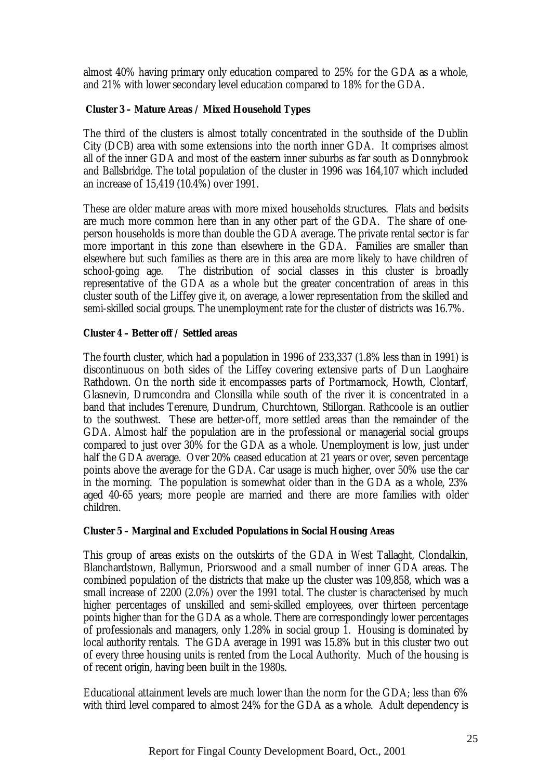almost 40% having primary only education compared to 25% for the GDA as a whole, and 21% with lower secondary level education compared to 18% for the GDA.

## **Cluster 3 – Mature Areas / Mixed Household Types**

The third of the clusters is almost totally concentrated in the southside of the Dublin City (DCB) area with some extensions into the north inner GDA. It comprises almost all of the inner GDA and most of the eastern inner suburbs as far south as Donnybrook and Ballsbridge. The total population of the cluster in 1996 was 164,107 which included an increase of 15,419 (10.4%) over 1991.

These are older mature areas with more mixed households structures. Flats and bedsits are much more common here than in any other part of the GDA. The share of oneperson households is more than double the GDA average. The private rental sector is far more important in this zone than elsewhere in the GDA. Families are smaller than elsewhere but such families as there are in this area are more likely to have children of school-going age. The distribution of social classes in this cluster is broadly representative of the GDA as a whole but the greater concentration of areas in this cluster south of the Liffey give it, on average, a lower representation from the skilled and semi-skilled social groups. The unemployment rate for the cluster of districts was 16.7%.

## **Cluster 4 – Better off / Settled areas**

The fourth cluster, which had a population in 1996 of 233,337 (1.8% less than in 1991) is discontinuous on both sides of the Liffey covering extensive parts of Dun Laoghaire Rathdown. On the north side it encompasses parts of Portmarnock, Howth, Clontarf, Glasnevin, Drumcondra and Clonsilla while south of the river it is concentrated in a band that includes Terenure, Dundrum, Churchtown, Stillorgan. Rathcoole is an outlier to the southwest. These are better-off, more settled areas than the remainder of the GDA. Almost half the population are in the professional or managerial social groups compared to just over 30% for the GDA as a whole. Unemployment is low, just under half the GDA average. Over 20% ceased education at 21 years or over, seven percentage points above the average for the GDA. Car usage is much higher, over 50% use the car in the morning. The population is somewhat older than in the GDA as a whole, 23% aged 40-65 years; more people are married and there are more families with older children.

## **Cluster 5 – Marginal and Excluded Populations in Social Housing Areas**

This group of areas exists on the outskirts of the GDA in West Tallaght, Clondalkin, Blanchardstown, Ballymun, Priorswood and a small number of inner GDA areas. The combined population of the districts that make up the cluster was 109,858, which was a small increase of 2200 (2.0%) over the 1991 total. The cluster is characterised by much higher percentages of unskilled and semi-skilled employees, over thirteen percentage points higher than for the GDA as a whole. There are correspondingly lower percentages of professionals and managers, only 1.28% in social group 1. Housing is dominated by local authority rentals. The GDA average in 1991 was 15.8% but in this cluster two out of every three housing units is rented from the Local Authority. Much of the housing is of recent origin, having been built in the 1980s.

Educational attainment levels are much lower than the norm for the GDA; less than 6% with third level compared to almost 24% for the GDA as a whole. Adult dependency is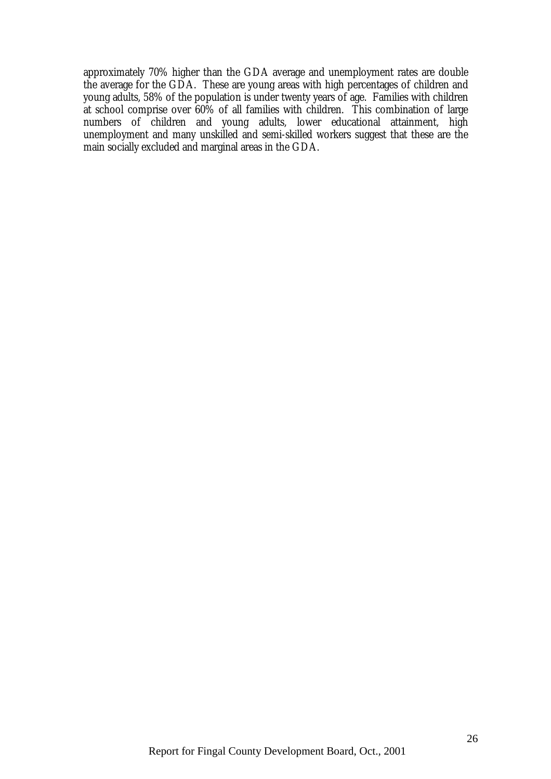approximately 70% higher than the GDA average and unemployment rates are double the average for the GDA. These are young areas with high percentages of children and young adults, 58% of the population is under twenty years of age. Families with children at school comprise over 60% of all families with children. This combination of large numbers of children and young adults, lower educational attainment, high unemployment and many unskilled and semi-skilled workers suggest that these are the main socially excluded and marginal areas in the GDA.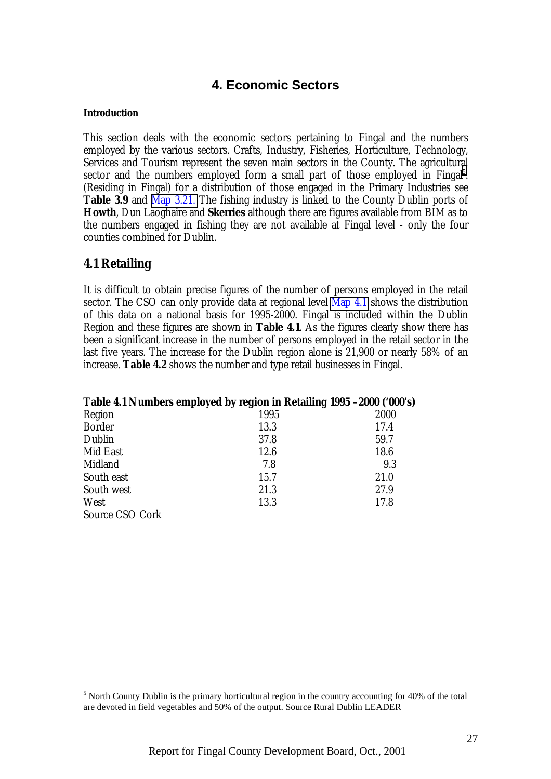# **4. Economic Sectors**

#### **Introduction**

This section deals with the economic sectors pertaining to Fingal and the numbers employed by the various sectors. Crafts, Industry, Fisheries, Horticulture, Technology, Services and Tourism represent the seven main sectors in the County. The agricultural sector and the numbers employed form a small part of those employed in Fingal<sup>5</sup>. (Residing in Fingal) for a distribution of those engaged in the Primary Industries see **Table 3.9** and Map 3.21. The fishing industry is linked to the County Dublin ports of **Howth**, Dun Laoghaire and **Skerries** although there are figures available from BIM as to the numbers engaged in fishing they are not available at Fingal level - only the four counties combined for Dublin.

## **4.1 Retailing**

It is difficult to obtain precise figures of the number of persons employed in the retail sector. The CSO can only provide data at regional level Map 4.1 shows the distribution of this data on a national basis for 1995-2000. Fingal is included within the Dublin Region and these figures are shown in **Table 4.1**. As the figures clearly show there has been a significant increase in the number of persons employed in the retail sector in the last five years. The increase for the Dublin region alone is 21,900 or nearly 58% of an increase. **Table 4.2** shows the number and type retail businesses in Fingal.

|                 | Table 4.1 Numbers employed by region in Retailing 1995 -2000 ('000's) |      |
|-----------------|-----------------------------------------------------------------------|------|
| Region          | 1995                                                                  | 2000 |
| <b>Border</b>   | 13.3                                                                  | 17.4 |
| Dublin          | 37.8                                                                  | 59.7 |
| Mid East        | 12.6                                                                  | 18.6 |
| Midland         | 7.8                                                                   | 9.3  |
| South east      | 15.7                                                                  | 21.0 |
| South west      | 21.3                                                                  | 27.9 |
| West            | 13.3                                                                  | 17.8 |
| Source CSO Cork |                                                                       |      |

 $\overline{a}$  $<sup>5</sup>$  North County Dublin is the primary horticultural region in the country accounting for 40% of the total</sup> are devoted in field vegetables and 50% of the output. Source Rural Dublin LEADER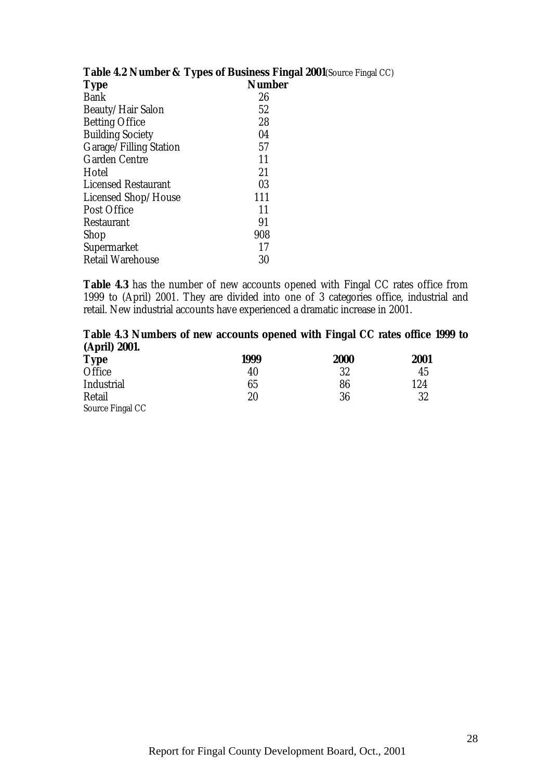| <b>Table 4.2 INDIBILITY LATES OF DUSTRESS FIL</b> |               |
|---------------------------------------------------|---------------|
| <b>Type</b>                                       | <b>Number</b> |
| <b>Bank</b>                                       | 26            |
| <b>Beauty/Hair Salon</b>                          | 52            |
| <b>Betting Office</b>                             | 28            |
| <b>Building Society</b>                           | 04            |
| Garage/Filling Station                            | 57            |
| <b>Garden Centre</b>                              | 11            |
| Hotel                                             | 21            |
| <b>Licensed Restaurant</b>                        | 03            |
| <b>Licensed Shop/House</b>                        | 111           |
| <b>Post Office</b>                                | 11            |
| Restaurant                                        | 91            |
| Shop                                              | 908           |
| <b>Supermarket</b>                                | 17            |
| <b>Retail Warehouse</b>                           | 30            |
|                                                   |               |

# **Table 4.2 Number & Types of Business Fingal 2001**(Source Fingal CC)

**Table 4.3** has the number of new accounts opened with Fingal CC rates office from 1999 to (April) 2001. They are divided into one of 3 categories office, industrial and retail. New industrial accounts have experienced a dramatic increase in 2001.

## **Table 4.3 Numbers of new accounts opened with Fingal CC rates office 1999 to (April) 2001.**

| <b>Type</b>       | 1999   | <b>2000</b> | 2001 |
|-------------------|--------|-------------|------|
| Office            | 40     | 32          | 45   |
| <b>Industrial</b> | 65     | 86          | 124  |
| Retail            | $20\,$ | 36          | 32   |
| Source Fingal CC  |        |             |      |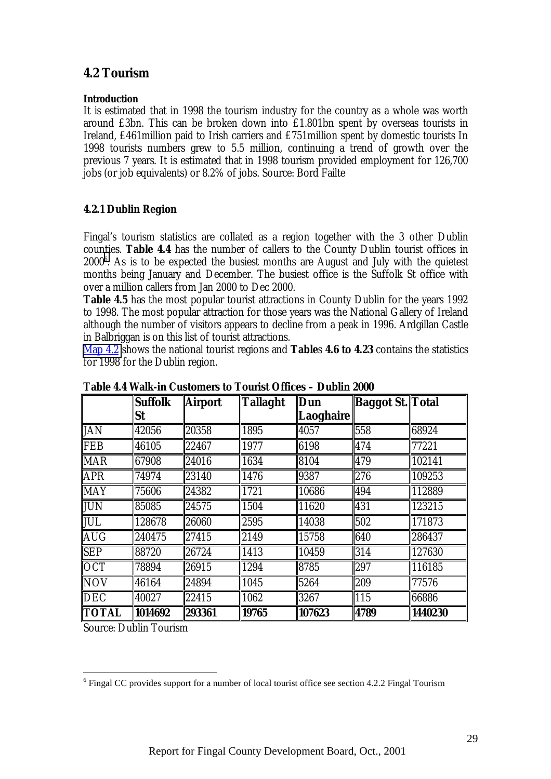# **4.2 Tourism**

#### **Introduction**

It is estimated that in 1998 the tourism industry for the country as a whole was worth around £3bn. This can be broken down into £1.801bn spent by overseas tourists in Ireland, £461million paid to Irish carriers and £751million spent by domestic tourists In 1998 tourists numbers grew to 5.5 million, continuing a trend of growth over the previous 7 years. It is estimated that in 1998 tourism provided employment for 126,700 jobs (or job equivalents) or 8.2% of jobs. Source: Bord Failte

#### **4.2.1 Dublin Region**

Fingal's tourism statistics are collated as a region together with the 3 other Dublin counties. **Table 4.4** has the number of callers to the County Dublin tourist offices in  $2000^6$ . As is to be expected the busiest months are August and July with the quietest months being January and December. The busiest office is the Suffolk St office with over a million callers from Jan 2000 to Dec 2000.

**Table 4.5** has the most popular tourist attractions in County Dublin for the years 1992 to 1998. The most popular attraction for those years was the National Gallery of Ireland although the number of visitors appears to decline from a peak in 1996. Ardgillan Castle in Balbriggan is on this list of tourist attractions.

Map 4.2 shows the national tourist regions and **Table**s **4.6 to 4.23** contains the statistics for 1998 for the Dublin region.

|              | <b>Suffolk</b> | <b>Airport</b> | <b>Tallaght</b> | Dun       | <b>Baggot St. Total</b> |         |
|--------------|----------------|----------------|-----------------|-----------|-------------------------|---------|
|              | <b>St</b>      |                |                 | Laoghaire |                         |         |
| <b>JAN</b>   | 42056          | 20358          | 1895            | 4057      | 558                     | 68924   |
| FEB          | 46105          | 22467          | 1977            | 6198      | 474                     | 77221   |
| <b>MAR</b>   | 67908          | 24016          | 1634            | 8104      | 479                     | 102141  |
| <b>APR</b>   | 74974          | 23140          | 1476            | 9387      | 276                     | 109253  |
| <b>MAY</b>   | 75606          | 24382          | 1721            | 10686     | 494                     | 112889  |
| JUN          | 85085          | 24575          | 1504            | 11620     | 431                     | 123215  |
| JUL          | 128678         | 26060          | 2595            | 14038     | 502                     | 171873  |
| <b>AUG</b>   | 240475         | 27415          | 2149            | 15758     | 640                     | 286437  |
| <b>SEP</b>   | 88720          | 26724          | 1413            | 10459     | 314                     | 127630  |
| <b>OCT</b>   | 78894          | 26915          | 1294            | 8785      | 297                     | 116185  |
| <b>NOV</b>   | 46164          | 24894          | 1045            | 5264      | 209                     | 77576   |
| <b>DEC</b>   | 40027          | 22415          | 1062            | 3267      | 115                     | 66886   |
| <b>TOTAL</b> | 1014692        | 293361         | 19765           | 107623    | 4789                    | 1440230 |

**Table 4.4 Walk-in Customers to Tourist Offices – Dublin 2000**

Source: Dublin Tourism

 $\overline{a}$ 

 $6$  Fingal CC provides support for a number of local tourist office see section 4.2.2 Fingal Tourism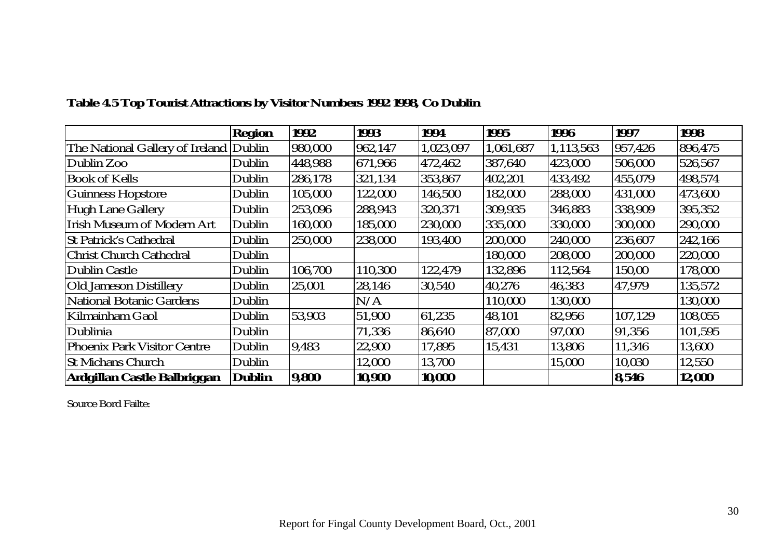|                                    | <b>Region</b> | 1992    | 1993    | 1994      | 1995      | 1996      | 1997    | 1998    |
|------------------------------------|---------------|---------|---------|-----------|-----------|-----------|---------|---------|
| The National Gallery of Ireland    | Dublin        | 980,000 | 962,147 | 1,023,097 | 1,061,687 | 1,113,563 | 957,426 | 896,475 |
| Dublin Zoo                         | Dublin        | 448,988 | 671,966 | 472,462   | 387,640   | 423,000   | 506,000 | 526,567 |
| Book of Kells                      | Dublin        | 286,178 | 321,134 | 353,867   | 402,201   | 433,492   | 455,079 | 498,574 |
| <b>Guinness Hopstore</b>           | Dublin        | 105,000 | 122,000 | 146,500   | 182,000   | 288,000   | 431,000 | 473,600 |
| Hugh Lane Gallery                  | Dublin        | 253,096 | 288,943 | 320,371   | 309,935   | 346,883   | 338,909 | 395,352 |
| <b>Irish Museum of Modern Art</b>  | Dublin        | 160,000 | 185,000 | 230,000   | 335,000   | 330,000   | 300.000 | 290,000 |
| <b>St Patrick's Cathedral</b>      | Dublin        | 250,000 | 238,000 | 193,400   | 200,000   | 240,000   | 236,607 | 242,166 |
| <b>Christ Church Cathedral</b>     | Dublin        |         |         |           | 180,000   | 208,000   | 200,000 | 220,000 |
| Dublin Castle                      | Dublin        | 106,700 | 110,300 | 122,479   | 132,896   | 112,564   | 150,00  | 178,000 |
| <b>Old Jameson Distillery</b>      | Dublin        | 25,001  | 28,146  | 30,540    | 40,276    | 46,383    | 47,979  | 135,572 |
| National Botanic Gardens           | Dublin        |         | N/A     |           | 110,000   | 130,000   |         | 130,000 |
| Kilmainham Gaol                    | Dublin        | 53,903  | 51,900  | 61,235    | 48,101    | 82,956    | 107,129 | 108,055 |
| Dublinia                           | Dublin        |         | 71,336  | 86,640    | 87,000    | 97,000    | 91,356  | 101,595 |
| <b>Phoenix Park Visitor Centre</b> | Dublin        | 9.483   | 22,900  | 17,895    | 15,431    | 13,806    | 11,346  | 13,600  |
| <b>St Michans Church</b>           | Dublin        |         | 12,000  | 13,700    |           | 15,000    | 10,030  | 12,550  |
| Ardgillan Castle Balbriggan        | <b>Dublin</b> | 9,800   | 10,900  | 10,000    |           |           | 8,546   | 12,000  |

# **Table 4.5 Top Tourist Attractions by Visitor Numbers 1992 1998, Co Dublin**

Source Bord Failte: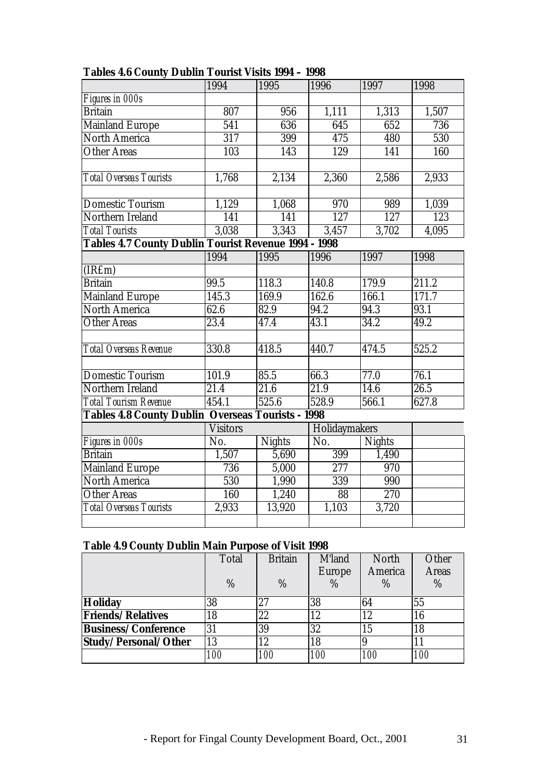|                                                             | 1994              | 1995          | 1996              | 1997          | 1998  |  |  |  |
|-------------------------------------------------------------|-------------------|---------------|-------------------|---------------|-------|--|--|--|
| Figures in 000s                                             |                   |               |                   |               |       |  |  |  |
| <b>Britain</b>                                              | 807               | 956           | 1,111             | 1,313         | 1,507 |  |  |  |
| <b>Mainland Europe</b>                                      | $\overline{541}$  | 636           | 645               | 652           | 736   |  |  |  |
| <b>North America</b>                                        | $\overline{317}$  | 399           | 475               | 480           | 530   |  |  |  |
| <b>Other Areas</b>                                          | 103               | 143           | 129               | 141           | 160   |  |  |  |
|                                                             |                   |               |                   |               |       |  |  |  |
| Total Overseas Tourists                                     | 1,768             | 2,134         | 2,360             | 2,586         | 2,933 |  |  |  |
|                                                             |                   |               |                   |               |       |  |  |  |
| <b>Domestic Tourism</b>                                     | 1,129             | 1,068         | 970               | 989           | 1,039 |  |  |  |
| Northern Ireland                                            | 141               | 141           | 127               | 127           | 123   |  |  |  |
| <b>Total Tourists</b>                                       | 3,038             | 3,343         | 3,457             | 3,702         | 4,095 |  |  |  |
| <b>Tables 4.7 County Dublin Tourist Revenue 1994 - 1998</b> |                   |               |                   |               |       |  |  |  |
|                                                             | 1994              | 1995          | 1996              | 1997          | 1998  |  |  |  |
| (IRfm)                                                      |                   |               |                   |               |       |  |  |  |
| <b>Britain</b>                                              | 99.5              | 118.3         | 140.8             | 179.9         | 211.2 |  |  |  |
| <b>Mainland Europe</b>                                      | 145.3             | 169.9         | 162.6             | 166.1         | 171.7 |  |  |  |
| <b>North America</b>                                        | $\overline{62.6}$ | 82.9          | $94.\overline{2}$ | 94.3          | 93.1  |  |  |  |
| <b>Other Areas</b>                                          | 23.4              | 47.4          | 43.1              | 34.2          | 49.2  |  |  |  |
|                                                             |                   |               |                   |               |       |  |  |  |
| <b>Total Overseas Revenue</b>                               | 330.8             | 418.5         | 440.7             | 474.5         | 525.2 |  |  |  |
|                                                             |                   |               |                   |               |       |  |  |  |
| <b>Domestic Tourism</b>                                     | 101.9             | 85.5          | 66.3              | 77.0          | 76.1  |  |  |  |
| Northern Ireland                                            | 21.4              | 21.6          | 21.9              | 14.6          | 26.5  |  |  |  |
| <b>Total Tourism Revenue</b>                                | 454.1             | 525.6         | 528.9             | 566.1         | 627.8 |  |  |  |
| <b>Tables 4.8 County Dublin Overseas Tourists - 1998</b>    |                   |               |                   |               |       |  |  |  |
|                                                             | <b>Visitors</b>   |               | Holidaymakers     |               |       |  |  |  |
| Figures in 000s                                             | No.               | <b>Nights</b> | No.               | <b>Nights</b> |       |  |  |  |
| <b>Britain</b>                                              | 1,507             | 5,690         | 399               | 1,490         |       |  |  |  |
| <b>Mainland Europe</b>                                      | 736               | 5,000         | 277               | 970           |       |  |  |  |
| <b>North America</b>                                        | 530               | 1,990         | 339               | 990           |       |  |  |  |
| <b>Other Areas</b>                                          | 160               | 1,240         | 88                | 270           |       |  |  |  |
| <b>Total Overseas Tourists</b>                              | 2,933             | 13,920        | 1,103             | 3,720         |       |  |  |  |
|                                                             |                   |               |                   |               |       |  |  |  |

#### **Tables 4.6 County Dublin Tourist Visits 1994 – 1998**

## **Table 4.9 County Dublin Main Purpose of Visit 1998**

|                            | Total      | <b>Britain</b> | M'land        | North      | Other        |
|----------------------------|------------|----------------|---------------|------------|--------------|
|                            |            |                | <b>Europe</b> | America    | <b>Areas</b> |
|                            | %          | $\%$           | %             | $\%$       | $\%$         |
| <b>Holiday</b>             | 38         | 97             | 38            | 64         | 55           |
| <b>Friends/Relatives</b>   | 18         | 22             | 12            | 12         | 16           |
| <b>Business/Conference</b> | 31         | 39             | 32            | 15         | 18           |
| Study/Personal/Other       | 13         | 12             | 18            |            |              |
|                            | <i>100</i> | <i>100</i>     | <i>100</i>    | <i>100</i> | <i>100</i>   |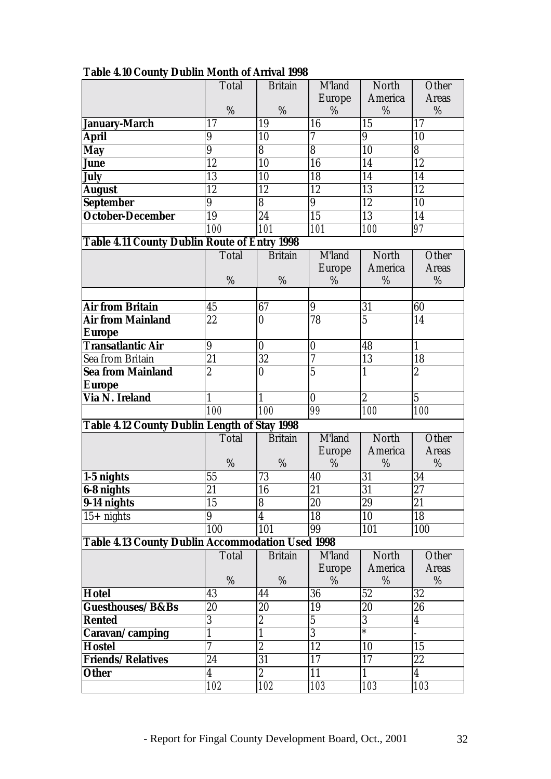|                                                         | <b>Total</b>    | <b>Britain</b>          | M'land          | North            | Other                   |
|---------------------------------------------------------|-----------------|-------------------------|-----------------|------------------|-------------------------|
|                                                         |                 |                         | <b>Europe</b>   | America          | <b>Areas</b>            |
|                                                         | $\%$            | $\%$                    | %               | %                | %                       |
| January-March                                           | 17              | 19                      | 16              | 15               | 17                      |
| <b>April</b>                                            | 9               | 10                      | 7               | 9                | 10                      |
| <b>May</b>                                              | 9               | 8                       | 8               | 10               | 8                       |
| <b>June</b>                                             | 12              | 10                      | 16              | 14               | 12                      |
| <b>July</b>                                             | 13              | 10                      | 18              | 14               | 14                      |
| <b>August</b>                                           | 12              | 12                      | 12              | 13               | 12                      |
| <b>September</b>                                        | 9               | 8                       | 9               | 12               | 10                      |
| <b>October-December</b>                                 | 19              | 24                      | $\overline{15}$ | 13               | 14                      |
|                                                         | 100             | 101                     | 101             | 100              | 97                      |
| <b>Table 4.11 County Dublin Route of Entry 1998</b>     |                 |                         |                 |                  |                         |
|                                                         | Total           | <b>Britain</b>          | M'land          | North            | Other                   |
|                                                         |                 |                         | <b>Europe</b>   | America          | <b>Areas</b>            |
|                                                         | %               | %                       | %               | %                | %                       |
|                                                         |                 |                         |                 |                  |                         |
| <b>Air from Britain</b>                                 | 45              | 67                      | 9               | 31               | 60                      |
| <b>Air from Mainland</b>                                | 22              | $\bf{0}$                | 78              | $\overline{5}$   | 14                      |
| <b>Europe</b>                                           |                 |                         |                 |                  |                         |
| <b>Transatlantic Air</b>                                | 9               | $\bf{0}$                | $\bf{0}$        | 48               | $\mathbf{1}$            |
| Sea from Britain                                        | 21              | 32                      | 7               | 13               | 18                      |
| <b>Sea from Mainland</b>                                | $\overline{c}$  | 0                       | $\overline{5}$  | $\mathbf{1}$     | $\overline{2}$          |
| <b>Europe</b>                                           |                 |                         |                 |                  |                         |
| <b>Via N. Ireland</b>                                   | 1               | $\mathbf{1}$            | $\bf{0}$        | $\boldsymbol{2}$ | $\overline{5}$          |
|                                                         | 100             | <i>100</i>              | 99              | 100              | 100                     |
| <b>Table 4.12 County Dublin Length of Stay 1998</b>     |                 |                         |                 |                  |                         |
|                                                         | Total           | <b>Britain</b>          | M'land          | North            | Other                   |
|                                                         |                 |                         | <b>Europe</b>   | America          | <b>Areas</b>            |
|                                                         | %               | %                       | %               | %                | %                       |
| $1-5$ nights                                            | 55              | 73                      | 40              | 31               | 34                      |
| <b>6-8 nights</b>                                       | $\overline{21}$ | 16                      | $\overline{21}$ | $\overline{31}$  | $27\,$                  |
| 9-14 nights                                             | 15              | $\overline{\bf 8}$      | 20              | 29               | 21                      |
| $15+$ nights                                            | 9               | $\overline{\mathbf{4}}$ | 18              | 10               | 18                      |
|                                                         | 100             | 101                     | 99              | 101              | 100                     |
| <b>Table 4.13 County Dublin Accommodation Used 1998</b> |                 |                         |                 |                  |                         |
|                                                         | <b>Total</b>    | <b>Britain</b>          | M'land          | North            | Other                   |
|                                                         |                 |                         | <b>Europe</b>   | America          | <b>Areas</b>            |
|                                                         | %               | %                       | %               | %                | %                       |
| <b>Hotel</b>                                            | 43              | 44                      | 36              | 52               | 32                      |
| Guesthouses/B&Bs                                        | 20              | 20                      | 19              | 20               | 26                      |
| <b>Rented</b>                                           | $\overline{3}$  | $\overline{2}$          | $\overline{5}$  | $\overline{3}$   | $\overline{4}$          |
| Caravan/camping                                         | $\mathbf{1}$    | $\mathbf{1}$            | $\overline{3}$  | $\ast$           |                         |
| Hostel                                                  | 7               | $\overline{2}$          | 12              | 10               | 15                      |
| Friends/Relatives                                       | $\overline{24}$ | $\overline{31}$         | 17              | 17               | 22                      |
| <b>Other</b>                                            | 4               | $\overline{c}$          | 11              | $\mathbf{1}$     | $\overline{\mathbf{4}}$ |
|                                                         | 102             | 102                     | 103             | 103              | 103                     |

# **Table 4.10 County Dublin Month of Arrival 1998**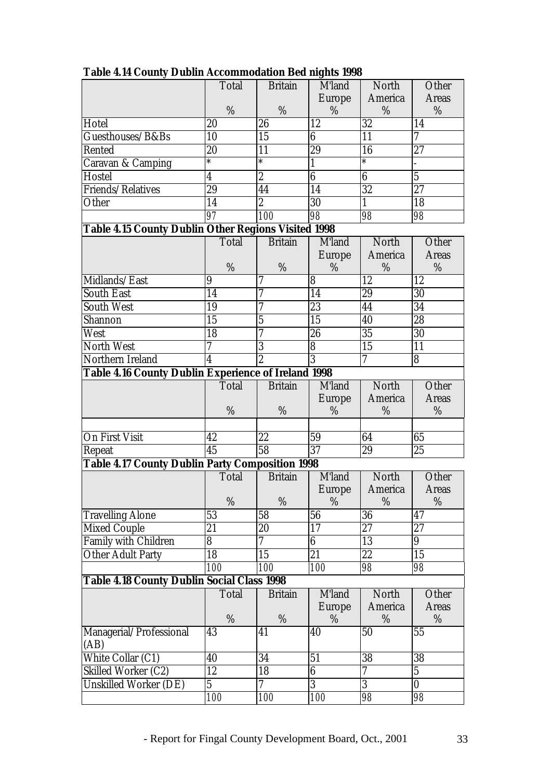|                                                            | Total                   | <b>Britain</b> | M'land           | North            | Other                    |  |  |
|------------------------------------------------------------|-------------------------|----------------|------------------|------------------|--------------------------|--|--|
|                                                            |                         |                | <b>Europe</b>    | America          | <b>Areas</b>             |  |  |
|                                                            | %                       | %              | %                | %                | %                        |  |  |
| Hotel                                                      | 20                      | 26             | 12               | 32               | 14                       |  |  |
| Guesthouses/B&Bs                                           | 10                      | 15             | 6                | 11               | 7                        |  |  |
| Rented                                                     | 20                      | 11             | 29               | 16               | 27                       |  |  |
| <b>Caravan &amp; Camping</b>                               | $\ast$                  | $\ast$         | 1                | $\ast$           |                          |  |  |
| Hostel                                                     | $\overline{\mathbf{4}}$ | $\overline{2}$ | $\boldsymbol{6}$ | $\boldsymbol{6}$ | $\overline{5}$           |  |  |
| Friends/Relatives                                          | 29                      | 44             | 14               | 32               | 27                       |  |  |
| Other                                                      | 14                      | $\overline{2}$ | 30               | $\mathbf{1}$     | 18                       |  |  |
|                                                            | 97                      | 100            | 98               | 98               | 98                       |  |  |
| <b>Table 4.15 County Dublin Other Regions Visited 1998</b> |                         |                |                  |                  |                          |  |  |
|                                                            | <b>Total</b>            | <b>Britain</b> | M'land           | North            | Other                    |  |  |
|                                                            |                         |                | <b>Europe</b>    | America          | <b>Areas</b>             |  |  |
|                                                            | %                       | %              | %                | %                | %                        |  |  |
| Midlands/East                                              | 9                       | 7              | 8                | 12               | 12                       |  |  |
| <b>South East</b>                                          | 14                      | 7              | 14               | 29               | 30                       |  |  |
| <b>South West</b>                                          | 19                      | 7              | 23               | 44               | 34                       |  |  |
| Shannon                                                    | 15                      | $\overline{5}$ | 15               | 40               | 28                       |  |  |
| West                                                       | 18                      |                | 26               | 35               | 30                       |  |  |
| <b>North West</b>                                          | 7                       | 3              | 8                | 15               | 11                       |  |  |
| Northern Ireland                                           | $\overline{\mathbf{4}}$ | $\overline{2}$ | $\overline{3}$   | 7                | 8                        |  |  |
| Table 4.16 County Dublin Experience of Ireland 1998        |                         |                |                  |                  |                          |  |  |
|                                                            | <b>Total</b>            | <b>Britain</b> | M'land           | North            | Other                    |  |  |
|                                                            |                         |                | <b>Europe</b>    | America          | <b>Areas</b>             |  |  |
|                                                            | %                       | %              | %                | %                | %                        |  |  |
|                                                            |                         |                |                  |                  |                          |  |  |
| On First Visit                                             | 42                      | 22             | 59               | 64               | 65                       |  |  |
| Repeat                                                     | 45                      | 58             | 37               | 29               | 25                       |  |  |
| <b>Table 4.17 County Dublin Party Composition 1998</b>     |                         |                |                  |                  |                          |  |  |
|                                                            | <b>Total</b>            | <b>Britain</b> | M'land           | North            | Other                    |  |  |
|                                                            |                         |                | <b>Europe</b>    | America          | <b>Areas</b>             |  |  |
|                                                            | $\%$                    | %              | %                | %                | %                        |  |  |
| <b>Travelling Alone</b>                                    | 53                      | 58             | 56               | 36               | 47                       |  |  |
| <b>Mixed Couple</b>                                        | 21                      | 20             | 17               | 27               | 27                       |  |  |
| <b>Family with Children</b>                                | 8                       | 7              | $6\phantom{a}$   | 13               | 9                        |  |  |
| <b>Other Adult Party</b>                                   | $\overline{18}$         | 15             | 21               | 22               | 15                       |  |  |
|                                                            | 100                     | <i>100</i>     | 100              | 98               | 98                       |  |  |
| <b>Table 4.18 County Dublin Social Class 1998</b>          |                         |                |                  |                  |                          |  |  |
|                                                            | Total                   | <b>Britain</b> | M'land           | North            | Other                    |  |  |
|                                                            |                         |                | <b>Europe</b>    | America          | <b>Areas</b>             |  |  |
|                                                            | %                       | $\%$           | %                | $\%$             | %                        |  |  |
| Managerial/Professional<br>(AB)                            | 43                      | 41             | 40               | 50               | 55                       |  |  |
| White Collar (C1)                                          | 40                      | 34             | 51               | $\overline{38}$  | $\overline{38}$          |  |  |
| <b>Skilled Worker (C2)</b>                                 | 12                      | 18             | $\overline{6}$   | $\overline{7}$   | $\overline{5}$           |  |  |
| <b>Unskilled Worker (DE)</b>                               | 5                       | 7              | 3                | 3                | $\bf{0}$                 |  |  |
|                                                            | <i>100</i>              | <i>100</i>     | <i>100</i>       | 98               | $\overline{\textit{98}}$ |  |  |

**Table 4.14 County Dublin Accommodation Bed nights 1998**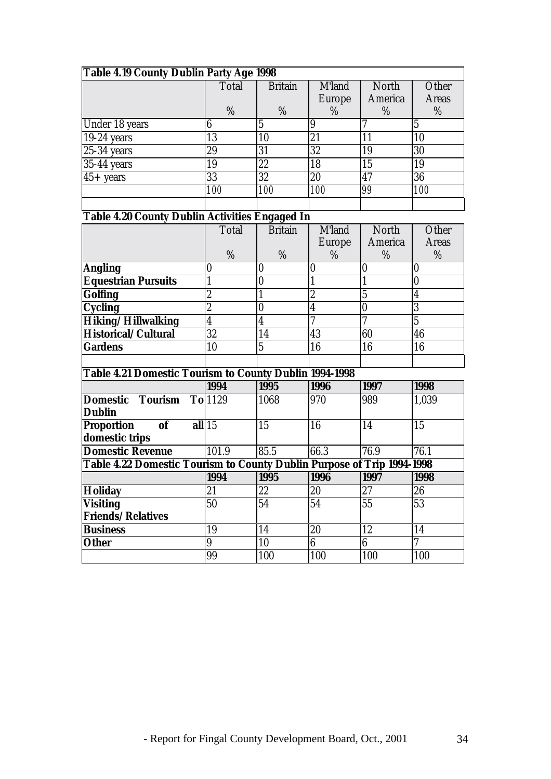| Table 4.19 County Dublin Party Age 1998 |              |                |               |              |              |  |  |
|-----------------------------------------|--------------|----------------|---------------|--------------|--------------|--|--|
|                                         | <b>Total</b> | <b>Britain</b> | M'land        | <b>North</b> | Other        |  |  |
|                                         |              |                | <b>Europe</b> | America      | <b>Areas</b> |  |  |
|                                         | %            | $\%$           | %             | %            | %            |  |  |
| Under 18 years                          |              |                | 9             |              | 5            |  |  |
| $19-24$ years                           | 13           | 10             | 21            | 11           | 10           |  |  |
| $25-34$ years                           | 29           | 31             | 32            | 19           | 30           |  |  |
| 35-44 years                             | 19           | 22             | 18            | 15           | 19           |  |  |
| $45 + \text{years}$                     | 33           | 32             | 20            | 47           | 36           |  |  |
|                                         | 100          | <i>100</i>     | 100           | 99           | <i>100</i>   |  |  |
|                                         |              |                |               |              |              |  |  |

# **Table 4.20 County Dublin Activities Engaged In**

|                            | Total            | <b>Britain</b> | <b>M'land</b> | <b>North</b> | Other        |
|----------------------------|------------------|----------------|---------------|--------------|--------------|
|                            |                  |                | <b>Europe</b> | America      | <b>Areas</b> |
|                            | %                | %              | %             | %            | %            |
| <b>Angling</b>             | $\boldsymbol{0}$ |                |               |              |              |
| <b>Equestrian Pursuits</b> |                  |                |               |              |              |
| <b>Golfing</b>             | ŋ<br>∼           |                | ິດ<br>Ш       |              |              |
| <b>Cycling</b>             | 9<br>∼           |                |               |              |              |
| Hiking/Hillwalking         | 4                | 4              |               |              |              |
| Historical/Cultural        | 32               | 14             | 43            | 60           | 46           |
| <b>Gardens</b>             | 10               | 5              | 16            | 16           | 16           |
|                            |                  |                |               |              |              |

# **Table 4.21 Domestic Tourism to County Dublin 1994-1998**

|                                                                        | 1994      | $\mathbf{v}$<br>1995 | 1996 | 1997 | 1998  |
|------------------------------------------------------------------------|-----------|----------------------|------|------|-------|
| <b>Domestic</b><br>Tourism<br><b>Dublin</b>                            | $T0$ 1129 | 1068                 | 970  | 989  | 1,039 |
| <b>of</b><br>Proportion<br>domestic trips                              | all 15    | 15                   | 16   | 14   | 15    |
| <b>Domestic Revenue</b>                                                | 101.9     | 85.5                 | 66.3 | 76.9 | 76.1  |
| Table 4.22 Domestic Tourism to County Dublin Purpose of Trip 1994-1998 |           |                      |      |      |       |
|                                                                        | 1994      | 1995                 | 1996 | 1997 | 1998  |
| <b>Holiday</b>                                                         | 21        | 22                   | 20   | 27   | 26    |
| <b>Visiting</b>                                                        | 50        | 54                   | 54   | 55   | 53    |
| <b>Friends/Relatives</b>                                               |           |                      |      |      |       |
| <b>Business</b>                                                        | 19        | 14                   | 20   | 12   | 14    |
| <b>Other</b>                                                           | 9         | 10                   | 6    | 6    |       |
|                                                                        | 99        | 100                  | 100  | 100  | 100   |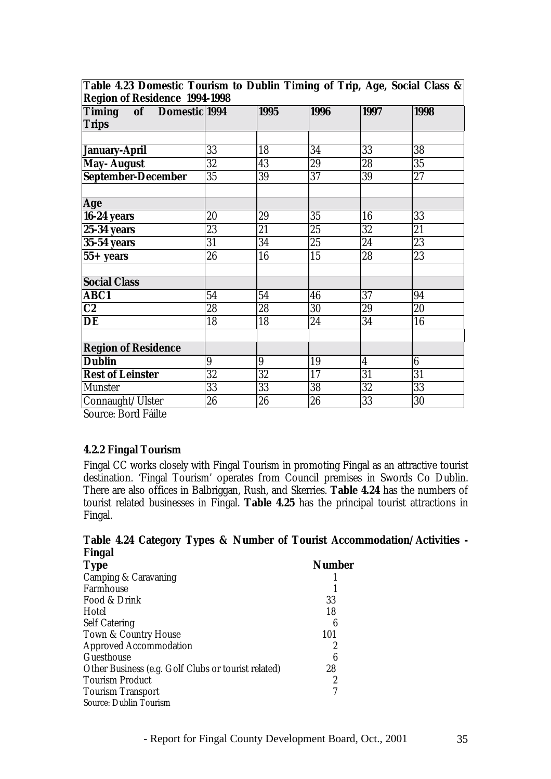| <b>Region of Residence 1994-1998</b><br>Timing of Domestic 1994 |                  | 1995             | 1996 | 1997                    | 1998   |
|-----------------------------------------------------------------|------------------|------------------|------|-------------------------|--------|
|                                                                 |                  |                  |      |                         |        |
| <b>Trips</b>                                                    |                  |                  |      |                         |        |
|                                                                 |                  |                  |      |                         |        |
| January-April                                                   | 33               | 18               | 34   | 33                      | 38     |
| May- August                                                     | 32               | 43               | 29   | 28                      | 35     |
| <b>September-December</b>                                       | 35               | 39               | 37   | 39                      | $27\,$ |
|                                                                 |                  |                  |      |                         |        |
| Age                                                             |                  |                  |      |                         |        |
| 16-24 years                                                     | 20               | 29               | 35   | 16                      | 33     |
| <b>25-34 years</b>                                              | 23               | 21               | 25   | 32                      | 21     |
| <b>35-54 years</b>                                              | 31               | 34               | 25   | 24                      | 23     |
| $55+$ years                                                     | 26               | 16               | 15   | 28                      | 23     |
|                                                                 |                  |                  |      |                         |        |
| <b>Social Class</b>                                             |                  |                  |      |                         |        |
| <b>ABC1</b>                                                     | 54               | 54               | 46   | 37                      | 94     |
| C2                                                              | 28               | 28               | 30   | 29                      | 20     |
| DE                                                              | 18               | 18               | 24   | 34                      | 16     |
|                                                                 |                  |                  |      |                         |        |
| <b>Region of Residence</b>                                      |                  |                  |      |                         |        |
| <b>Dublin</b>                                                   | $\boldsymbol{9}$ | $\boldsymbol{9}$ | 19   | $\overline{\mathbf{4}}$ | 6      |
| <b>Rest of Leinster</b>                                         | 32               | 32               | 17   | 31                      | 31     |
| <b>Munster</b>                                                  | 33               | 33               | 38   | 32                      | 33     |
| Connaught/Ulster                                                | 26               | 26               | 26   | 33                      | 30     |

**Table 4.23 Domestic Tourism to Dublin Timing of Trip, Age, Social Class &**

Source: Bord Fáilte

#### **4.2.2 Fingal Tourism**

Fingal CC works closely with Fingal Tourism in promoting Fingal as an attractive tourist destination. 'Fingal Tourism' operates from Council premises in Swords Co Dublin. There are also offices in Balbriggan, Rush, and Skerries. **Table 4.24** has the numbers of tourist related businesses in Fingal. **Table 4.25** has the principal tourist attractions in Fingal.

#### **Table 4.24 Category Types & Number of Tourist Accommodation/Activities - Fingal**

| <b>Type</b>                                         | <b>Number</b> |
|-----------------------------------------------------|---------------|
| Camping & Caravaning                                |               |
| Farmhouse                                           |               |
| Food & Drink                                        | 33            |
| Hotel                                               | 18            |
| <b>Self Catering</b>                                | 6             |
| Town & Country House                                | 101           |
| <b>Approved Accommodation</b>                       | 2             |
| Guesthouse                                          | 6             |
| Other Business (e.g. Golf Clubs or tourist related) | 28            |
| <b>Tourism Product</b>                              | 2             |
| <b>Tourism Transport</b>                            |               |
| <b>Source: Dublin Tourism</b>                       |               |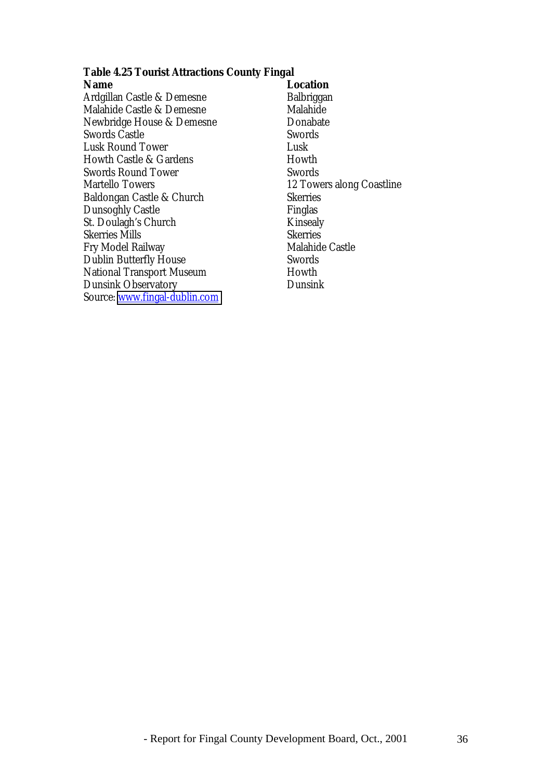# **Table 4.25 Tourist Attractions County Fingal**

| Name                                 | <b>Location</b>           |
|--------------------------------------|---------------------------|
| Ardgillan Castle & Demesne           | <b>Balbriggan</b>         |
| Malahide Castle & Demesne            | Malahide                  |
| Newbridge House & Demesne            | Donabate                  |
| <b>Swords Castle</b>                 | <b>Swords</b>             |
| Lusk Round Tower                     | Lusk                      |
| <b>Howth Castle &amp; Gardens</b>    | Howth                     |
| Swords Round Tower                   | <b>Swords</b>             |
| <b>Martello Towers</b>               | 12 Towers along Coastline |
| Baldongan Castle & Church            | <b>Skerries</b>           |
| <b>Dunsoghly Castle</b>              | Finglas                   |
| St. Doulagh's Church                 | <b>Kinsealy</b>           |
| <b>Skerries Mills</b>                | <b>Skerries</b>           |
| Fry Model Railway                    | <b>Malahide Castle</b>    |
| Dublin Butterfly House               | Swords                    |
| National Transport Museum            | Howth                     |
| <b>Dunsink Observatory</b>           | Dunsink                   |
| Source: <u>www.fingal-dublin.com</u> |                           |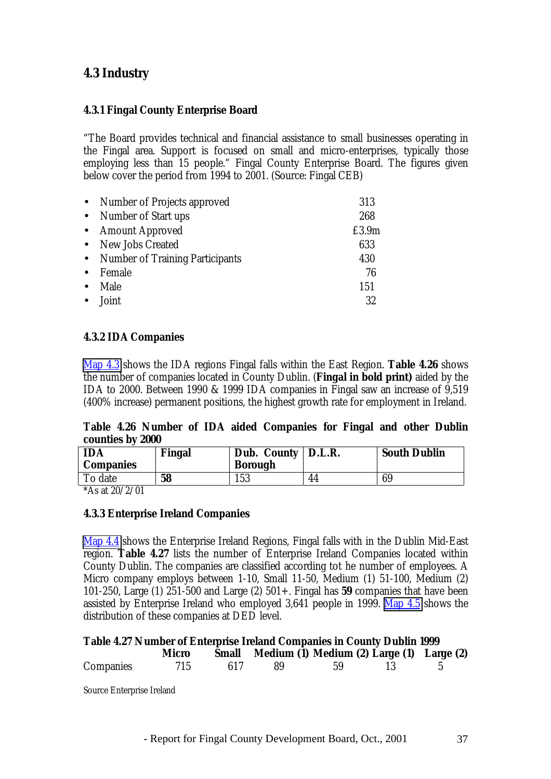# **4.3 Industry**

#### **4.3.1 Fingal County Enterprise Board**

"The Board provides technical and financial assistance to small businesses operating in the Fingal area. Support is focused on small and micro-enterprises, typically those employing less than 15 people." Fingal County Enterprise Board. The figures given below cover the period from 1994 to 2001. (Source: Fingal CEB)

| 313   |
|-------|
| 268   |
| £3.9m |
| 633   |
| 430   |
| 76    |
| 151   |
| 32    |
|       |

#### **4.3.2 IDA Companies**

Map 4.3 shows the IDA regions Fingal falls within the East Region. **Table 4.26** shows the number of companies located in County Dublin. (**Fingal in bold print)** aided by the IDA to 2000. Between 1990 & 1999 IDA companies in Fingal saw an increase of 9,519 (400% increase) permanent positions, the highest growth rate for employment in Ireland.

#### **Table 4.26 Number of IDA aided Companies for Fingal and other Dublin counties by 2000**

| <b>IDA</b><br><b>Companies</b> | Fingal | Dub. County   D.L.R.<br><b>Borough</b> |    | <b>South Dublin</b> |
|--------------------------------|--------|----------------------------------------|----|---------------------|
| o date L<br>0.0010101          | 58     | . J J                                  | 44 | 69                  |

\*As at 20/2/01

#### **4.3.3 Enterprise Ireland Companies**

Map 4.4 shows the Enterprise Ireland Regions, Fingal falls with in the Dublin Mid-East region. **Table 4.27** lists the number of Enterprise Ireland Companies located within County Dublin. The companies are classified according tot he number of employees. A Micro company employs between 1-10, Small 11-50, Medium (1) 51-100, Medium (2) 101-250, Large (1) 251-500 and Large (2) 501+. Fingal has **59** companies that have been assisted by Enterprise Ireland who employed 3,641 people in 1999. Map 4.5 shows the distribution of these companies at DED level.

| Table 4.27 Number of Enterprise Ireland Companies in County Dublin 1999 |  |  |  |
|-------------------------------------------------------------------------|--|--|--|
|                                                                         |  |  |  |

|           | Micro |     |      |     | Small Medium (1) Medium (2) Large (1) Large (2) |  |
|-----------|-------|-----|------|-----|-------------------------------------------------|--|
| Companies | 715   | 617 | - 89 | -59 |                                                 |  |

Source Enterprise Ireland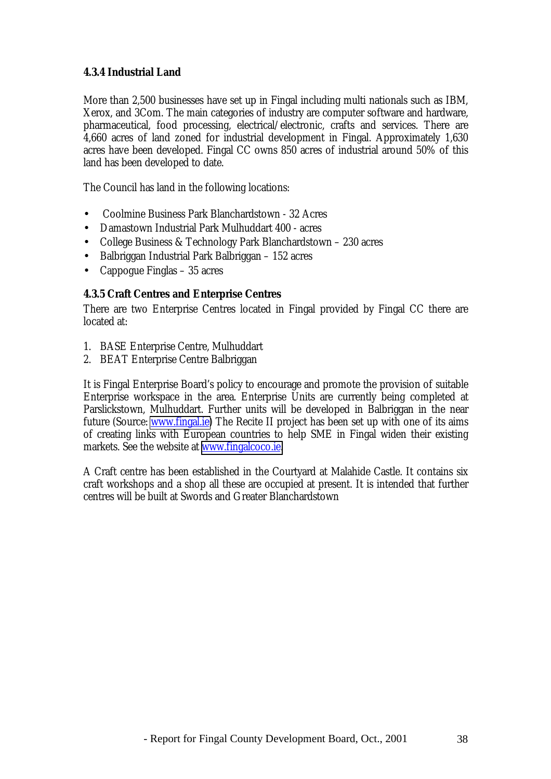#### **4.3.4 Industrial Land**

More than 2,500 businesses have set up in Fingal including multi nationals such as IBM, Xerox, and 3Com. The main categories of industry are computer software and hardware, pharmaceutical, food processing, electrical/electronic, crafts and services. There are 4,660 acres of land zoned for industrial development in Fingal. Approximately 1,630 acres have been developed. Fingal CC owns 850 acres of industrial around 50% of this land has been developed to date.

The Council has land in the following locations:

- Coolmine Business Park Blanchardstown 32 Acres
- Damastown Industrial Park Mulhuddart 400 acres
- College Business & Technology Park Blanchardstown 230 acres
- Balbriggan Industrial Park Balbriggan 152 acres
- Cappogue Finglas 35 acres

#### **4.3.5 Craft Centres and Enterprise Centres**

There are two Enterprise Centres located in Fingal provided by Fingal CC there are located at:

- 1. BASE Enterprise Centre, Mulhuddart
- 2. BEAT Enterprise Centre Balbriggan

It is Fingal Enterprise Board's policy to encourage and promote the provision of suitable Enterprise workspace in the area. Enterprise Units are currently being completed at Parslickstown, Mulhuddart. Further units will be developed in Balbriggan in the near future (Source: [www.fingal.ie\)](http://www.fingal.ie/) The Recite II project has been set up with one of its aims of creating links with European countries to help SME in Fingal widen their existing markets. See the website at [www.fingalcoco.ie.](http://www.fingalcoco.ie/)

A Craft centre has been established in the Courtyard at Malahide Castle. It contains six craft workshops and a shop all these are occupied at present. It is intended that further centres will be built at Swords and Greater Blanchardstown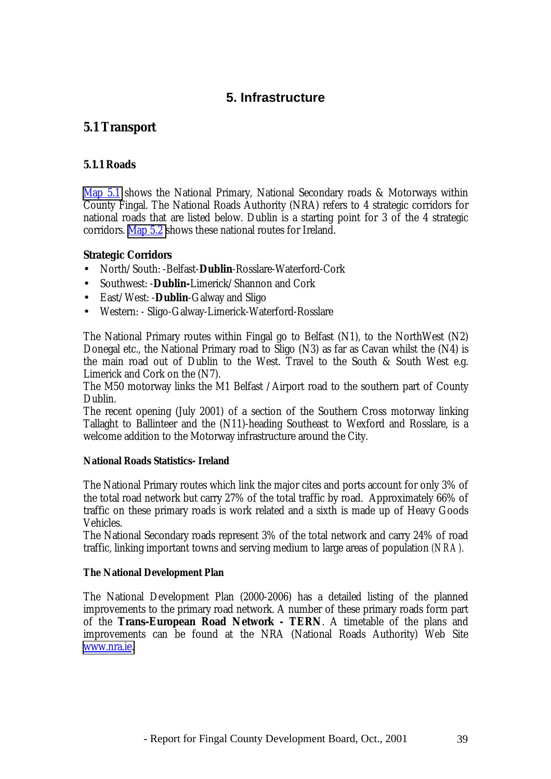# **5. Infrastructure**

# **5.1 Transport**

#### **5.1.1 Roads**

Map 5.1 shows the National Primary, National Secondary roads & Motorways within County Fingal. The National Roads Authority (NRA) refers to 4 strategic corridors for national roads that are listed below. Dublin is a starting point for 3 of the 4 strategic corridors. Map 5.2 shows these national routes for Ireland.

#### **Strategic Corridors**

- North/South: -Belfast-**Dublin**-Rosslare-Waterford-Cork
- Southwest: -**Dublin-**Limerick/Shannon and Cork
- East/West: -**Dublin**-Galway and Sligo
- Western: Sligo-Galway-Limerick-Waterford-Rosslare

The National Primary routes within Fingal go to Belfast (N1), to the NorthWest (N2) Donegal etc., the National Primary road to Sligo (N3) as far as Cavan whilst the (N4) is the main road out of Dublin to the West. Travel to the South & South West e.g. Limerick and Cork on the (N7).

The M50 motorway links the M1 Belfast /Airport road to the southern part of County Dublin.

The recent opening (July 2001) of a section of the Southern Cross motorway linking Tallaght to Ballinteer and the (N11)-heading Southeast to Wexford and Rosslare, is a welcome addition to the Motorway infrastructure around the City.

#### **National Roads Statistics- Ireland**

The National Primary routes which link the major cites and ports account for only 3% of the total road network but carry 27% of the total traffic by road. Approximately 66% of traffic on these primary roads is work related and a sixth is made up of Heavy Goods Vehicles.

The National Secondary roads represent 3% of the total network and carry 24% of road traffic, linking important towns and serving medium to large areas of population *(NRA).*

#### **The National Development Plan**

The National Development Plan (2000-2006) has a detailed listing of the planned improvements to the primary road network. A number of these primary roads form part of the **Trans-European Road Network - TERN**. A timetable of the plans and improvements can be found at the NRA (National Roads Authority) Web Site [www.nra.ie.](http://www.nra.ie/)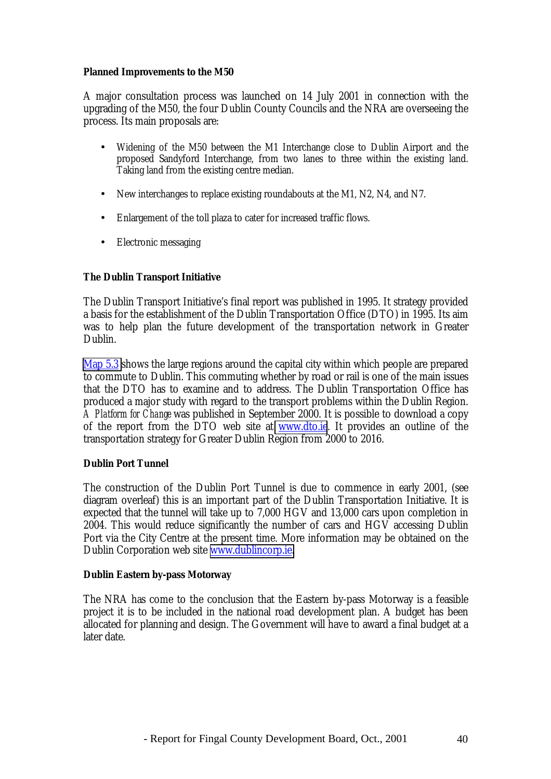#### **Planned Improvements to the M50**

A major consultation process was launched on 14 July 2001 in connection with the upgrading of the M50, the four Dublin County Councils and the NRA are overseeing the process. Its main proposals are:

- Widening of the M50 between the M1 Interchange close to Dublin Airport and the proposed Sandyford Interchange, from two lanes to three within the existing land. Taking land from the existing centre median.
- New interchanges to replace existing roundabouts at the M1, N2, N4, and N7.
- Enlargement of the toll plaza to cater for increased traffic flows.
- Electronic messaging

#### **The Dublin Transport Initiative**

The Dublin Transport Initiative's final report was published in 1995. It strategy provided a basis for the establishment of the Dublin Transportation Office (DTO) in 1995. Its aim was to help plan the future development of the transportation network in Greater Dublin.

Map 5.3 shows the large regions around the capital city within which people are prepared to commute to Dublin. This commuting whether by road or rail is one of the main issues that the DTO has to examine and to address. The Dublin Transportation Office has produced a major study with regard to the transport problems within the Dublin Region. *A Platform for Change* was published in September 2000. It is possible to download a copy of the report from the DTO web site at [www.dto.ie](http://www.dto.ie/). It provides an outline of the transportation strategy for Greater Dublin Region from 2000 to 2016.

#### **Dublin Port Tunnel**

The construction of the Dublin Port Tunnel is due to commence in early 2001, (see diagram overleaf) this is an important part of the Dublin Transportation Initiative. It is expected that the tunnel will take up to 7,000 HGV and 13,000 cars upon completion in 2004. This would reduce significantly the number of cars and HGV accessing Dublin Port via the City Centre at the present time. More information may be obtained on the Dublin Corporation web site [www.dublincorp.ie.](http://www.dublincorp.ie/)

#### **Dublin Eastern by-pass Motorway**

The NRA has come to the conclusion that the Eastern by-pass Motorway is a feasible project it is to be included in the national road development plan. A budget has been allocated for planning and design. The Government will have to award a final budget at a later date.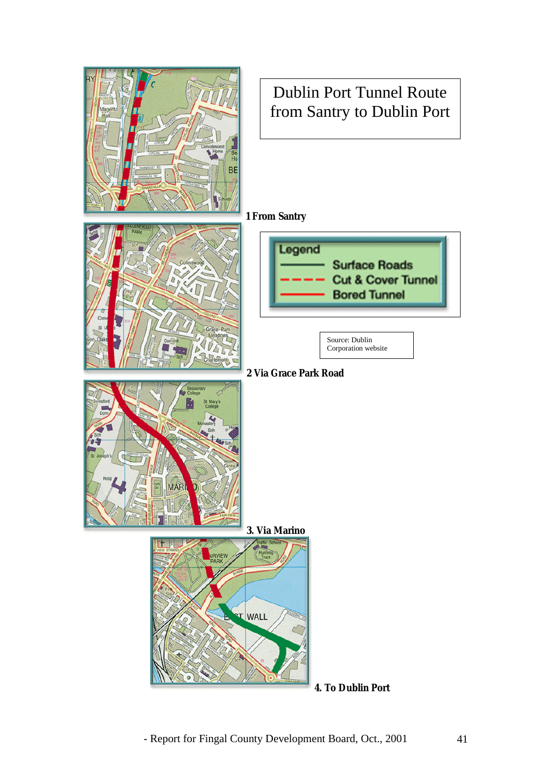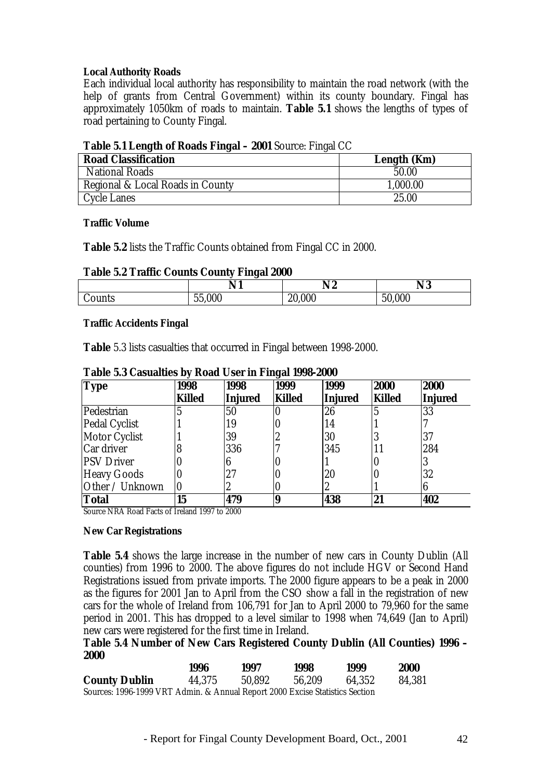#### **Local Authority Roads**

Each individual local authority has responsibility to maintain the road network (with the help of grants from Central Government) within its county boundary. Fingal has approximately 1050km of roads to maintain. **Table 5.1** shows the lengths of types of road pertaining to County Fingal.

| <b>Table 3.1 Length of Ivoaus I mgal – zool</b> bource. Fingal CC |             |  |  |  |  |
|-------------------------------------------------------------------|-------------|--|--|--|--|
| <b>Road Classification</b>                                        | Length (Km) |  |  |  |  |
| <b>National Roads</b>                                             | 50.00       |  |  |  |  |
| Regional & Local Roads in County                                  | 1,000.00    |  |  |  |  |
| <b>Cycle Lanes</b>                                                | 25.00       |  |  |  |  |

#### **Table 5.1 Length of Roads Fingal – 2001** Source: Fingal CC

#### **Traffic Volume**

**Table 5.2** lists the Traffic Counts obtained from Fingal CC in 2000.

#### **Table 5.2 Traffic Counts County Fingal 2000**

|        | N11<br>I V I | N <sub>2</sub> | N3     |
|--------|--------------|----------------|--------|
| Counts | 55,000       | 20,000         | 50,000 |

#### **Traffic Accidents Fingal**

**Table** 5.3 lists casualties that occurred in Fingal between 1998-2000.

| <b>Type</b>          | 1998<br><b>Killed</b> | 1998<br><b>Injured</b> | 1999<br><b>Killed</b> | 1999<br>Injured | 2000<br><b>Killed</b> | 2000<br>Injured |
|----------------------|-----------------------|------------------------|-----------------------|-----------------|-----------------------|-----------------|
| Pedestrian           |                       | 50                     |                       | 26              |                       | 33              |
| <b>Pedal Cyclist</b> |                       | 19                     |                       | 14              |                       |                 |
| <b>Motor Cyclist</b> |                       | 39                     | L                     | 30              |                       | 37              |
| Car driver           |                       | 336                    |                       | 345             |                       | 284             |
| <b>PSV Driver</b>    |                       |                        |                       |                 |                       |                 |
| <b>Heavy Goods</b>   |                       | 27                     |                       | 20              |                       | 32              |
| Other / Unknown      | IU                    | 2                      |                       |                 |                       |                 |
| Total                | 15                    | 479                    | 8                     | 438             | 21                    | 402             |

#### **Table 5.3 Casualties by Road User in Fingal 1998-2000**

Source NRA Road Facts of Ireland 1997 to 2000

#### **New Car Registrations**

**Table 5.4** shows the large increase in the number of new cars in County Dublin (All counties) from 1996 to 2000. The above figures do not include HGV or Second Hand Registrations issued from private imports. The 2000 figure appears to be a peak in 2000 as the figures for 2001 Jan to April from the CSO show a fall in the registration of new cars for the whole of Ireland from 106,791 for Jan to April 2000 to 79,960 for the same period in 2001. This has dropped to a level similar to 1998 when 74,649 (Jan to April) new cars were registered for the first time in Ireland.

**Table 5.4 Number of New Cars Registered County Dublin (All Counties) 1996 – 2000**

|                                                                              | 1996   | 1997   | 1998   | 1999   | <b>2000</b> |
|------------------------------------------------------------------------------|--------|--------|--------|--------|-------------|
| <b>County Dublin</b>                                                         | 44.375 | 50.892 | 56.209 | 64.352 | 84,381      |
| Sources: 1996-1999 VRT Admin. & Annual Report 2000 Excise Statistics Section |        |        |        |        |             |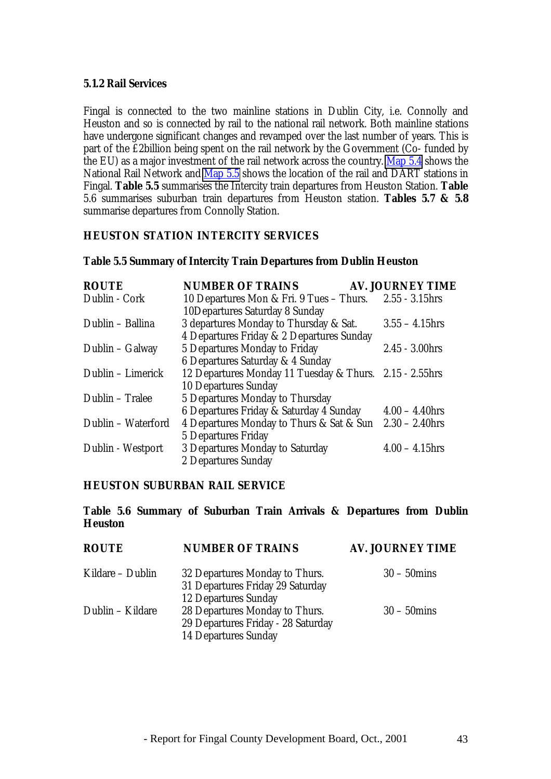#### **5.1.2 Rail Services**

Fingal is connected to the two mainline stations in Dublin City, i.e. Connolly and Heuston and so is connected by rail to the national rail network. Both mainline stations have undergone significant changes and revamped over the last number of years. This is part of the £2billion being spent on the rail network by the Government (Co- funded by the EU) as a major investment of the rail network across the country. Map 5.4 shows the National Rail Network and Map 5.5 shows the location of the rail and DART stations in Fingal. **Table 5.5** summarises the Intercity train departures from Heuston Station. **Table** 5.6 summarises suburban train departures from Heuston station. **Tables 5.7 & 5.8** summarise departures from Connolly Station.

#### **HEUSTON STATION INTERCITY SERVICES**

#### **Table 5.5 Summary of Intercity Train Departures from Dublin Heuston**

| <b>ROUTE</b>       | <b>NUMBER OF TRAINS</b>                                 | <b>AV. JOURNEY TIME</b> |
|--------------------|---------------------------------------------------------|-------------------------|
| Dublin - Cork      | 10 Departures Mon & Fri. 9 Tues - Thurs.                | $2.55 - 3.15$ hrs       |
|                    | 10Departures Saturday 8 Sunday                          |                         |
| Dublin – Ballina   | 3 departures Monday to Thursday & Sat.                  | $3.55 - 4.15$ hrs       |
|                    | 4 Departures Friday & 2 Departures Sunday               |                         |
| Dublin – Galway    | 5 Departures Monday to Friday                           | $2.45 - 3.00$ hrs       |
|                    | 6 Departures Saturday & 4 Sunday                        |                         |
| Dublin – Limerick  | 12 Departures Monday 11 Tuesday & Thurs. 2.15 - 2.55hrs |                         |
|                    | <b>10 Departures Sunday</b>                             |                         |
| Dublin - Tralee    | 5 Departures Monday to Thursday                         |                         |
|                    | 6 Departures Friday & Saturday 4 Sunday                 | $4.00 - 4.40$ hrs       |
| Dublin - Waterford | 4 Departures Monday to Thurs & Sat & Sun                | $2.30 - 2.40$ hrs       |
|                    | <b>5 Departures Friday</b>                              |                         |
| Dublin - Westport  | 3 Departures Monday to Saturday                         | $4.00 - 4.15$ hrs       |
|                    | 2 Departures Sunday                                     |                         |

#### **HEUSTON SUBURBAN RAIL SERVICE**

#### **Table 5.6 Summary of Suburban Train Arrivals & Departures from Dublin Heuston**

| <b>ROUTE</b>     | <b>NUMBER OF TRAINS</b>                                                                             | <b>AV. JOURNEY TIME</b> |
|------------------|-----------------------------------------------------------------------------------------------------|-------------------------|
| Kildare – Dublin | 32 Departures Monday to Thurs.<br>31 Departures Friday 29 Saturday                                  | $30 - 50$ mins          |
| Dublin - Kildare | <b>12 Departures Sunday</b><br>28 Departures Monday to Thurs.<br>29 Departures Friday - 28 Saturday | $30 - 50$ mins          |
|                  | <b>14 Departures Sunday</b>                                                                         |                         |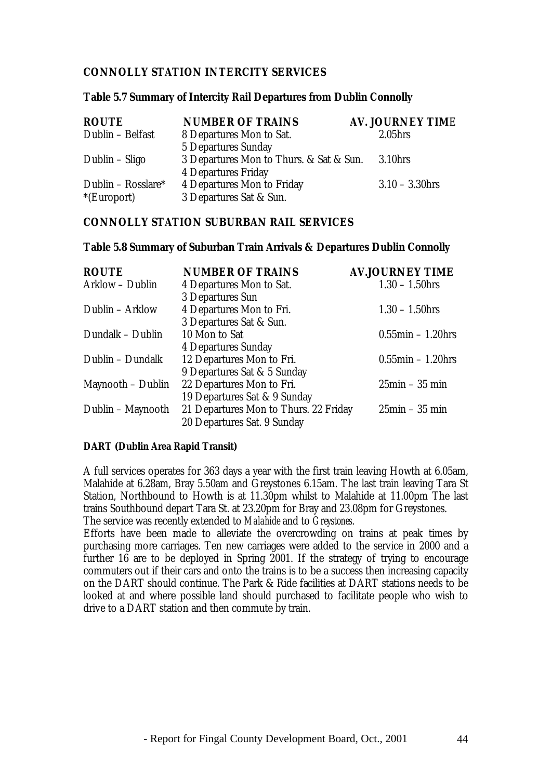#### **CONNOLLY STATION INTERCITY SERVICES**

#### **Table 5.7 Summary of Intercity Rail Departures from Dublin Connolly**

| <b>ROUTE</b>       | <b>NUMBER OF TRAINS</b>                 | <b>AV. JOURNEY TIME</b> |
|--------------------|-----------------------------------------|-------------------------|
| Dublin - Belfast   | 8 Departures Mon to Sat.                | 2.05 <sub>hrs</sub>     |
|                    | <b>5 Departures Sunday</b>              |                         |
| Dublin – Sligo     | 3 Departures Mon to Thurs. & Sat & Sun. | 3.10hrs                 |
|                    | <b>4 Departures Friday</b>              |                         |
| Dublin – Rosslare* | <b>4 Departures Mon to Friday</b>       | $3.10 - 3.30$ hrs       |
| $E$ (Europort)     | 3 Departures Sat & Sun.                 |                         |

#### **CONNOLLY STATION SUBURBAN RAIL SERVICES**

#### **Table 5.8 Summary of Suburban Train Arrivals & Departures Dublin Connolly**

| <b>ROUTE</b>      | <b>NUMBER OF TRAINS</b>               | <b>AV.JOURNEY TIME</b>        |
|-------------------|---------------------------------------|-------------------------------|
| Arklow - Dublin   | 4 Departures Mon to Sat.              | $1.30 - 1.50$ hrs             |
|                   | 3 Departures Sun                      |                               |
| Dublin - Arklow   | 4 Departures Mon to Fri.              | $1.30 - 1.50$ hrs             |
|                   | 3 Departures Sat & Sun.               |                               |
| Dundalk - Dublin  | 10 Mon to Sat                         | $0.55$ min – 1.20hrs          |
|                   | <b>4 Departures Sunday</b>            |                               |
| Dublin - Dundalk  | 12 Departures Mon to Fri.             | $0.55$ min - 1.20hrs          |
|                   | 9 Departures Sat & 5 Sunday           |                               |
| Maynooth – Dublin | 22 Departures Mon to Fri.             | $25\text{min} - 35\text{min}$ |
|                   | 19 Departures Sat & 9 Sunday          |                               |
| Dublin – Maynooth | 21 Departures Mon to Thurs. 22 Friday | $25\text{min} - 35\text{min}$ |
|                   | 20 Departures Sat. 9 Sunday           |                               |

#### **DART (Dublin Area Rapid Transit)**

A full services operates for 363 days a year with the first train leaving Howth at 6.05am, Malahide at 6.28am, Bray 5.50am and Greystones 6.15am. The last train leaving Tara St Station, Northbound to Howth is at 11.30pm whilst to Malahide at 11.00pm The last trains Southbound depart Tara St. at 23.20pm for Bray and 23.08pm for Greystones. The service was recently extended to *Malahide* and to *Greystones*.

Efforts have been made to alleviate the overcrowding on trains at peak times by purchasing more carriages. Ten new carriages were added to the service in 2000 and a further 16 are to be deployed in Spring 2001. If the strategy of trying to encourage commuters out if their cars and onto the trains is to be a success then increasing capacity on the DART should continue. The Park & Ride facilities at DART stations needs to be looked at and where possible land should purchased to facilitate people who wish to drive to a DART station and then commute by train.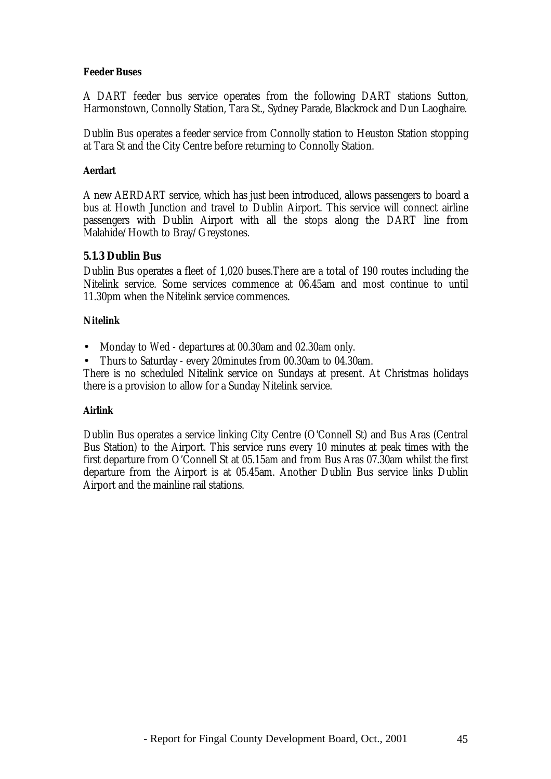#### **Feeder Buses**

A DART feeder bus service operates from the following DART stations Sutton, Harmonstown, Connolly Station, Tara St., Sydney Parade, Blackrock and Dun Laoghaire.

Dublin Bus operates a feeder service from Connolly station to Heuston Station stopping at Tara St and the City Centre before returning to Connolly Station.

#### **Aerdart**

A new AERDART service, which has just been introduced, allows passengers to board a bus at Howth Junction and travel to Dublin Airport. This service will connect airline passengers with Dublin Airport with all the stops along the DART line from Malahide/Howth to Bray/Greystones.

#### **5.1.3 Dublin Bus**

Dublin Bus operates a fleet of 1,020 buses.There are a total of 190 routes including the Nitelink service. Some services commence at 06.45am and most continue to until 11.30pm when the Nitelink service commences.

#### **Nitelink**

• Monday to Wed - departures at 00.30am and 02.30am only.

• Thurs to Saturday - every 20minutes from 00.30am to 04.30am.

There is no scheduled Nitelink service on Sundays at present. At Christmas holidays there is a provision to allow for a Sunday Nitelink service.

#### **Airlink**

Dublin Bus operates a service linking City Centre (O'Connell St) and Bus Aras (Central Bus Station) to the Airport. This service runs every 10 minutes at peak times with the first departure from O'Connell St at 05.15am and from Bus Aras 07.30am whilst the first departure from the Airport is at 05.45am. Another Dublin Bus service links Dublin Airport and the mainline rail stations.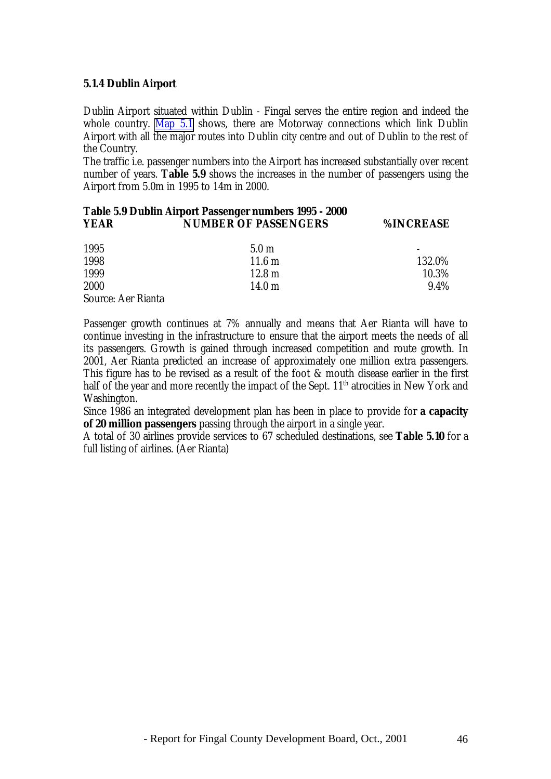#### **5.1.4 Dublin Airport**

Dublin Airport situated within Dublin - Fingal serves the entire region and indeed the whole country. Map 5.1 shows, there are Motorway connections which link Dublin Airport with all the major routes into Dublin city centre and out of Dublin to the rest of the Country.

The traffic i.e. passenger numbers into the Airport has increased substantially over recent number of years. **Table 5.9** shows the increases in the number of passengers using the Airport from 5.0m in 1995 to 14m in 2000.

#### **Table 5.9 Dublin Airport Passenger numbers 1995 - 2000 YEAR NUMBER OF PASSENGERS %INCREASE**

| 1995                      | 5.0 <sub>m</sub> | $\overline{\phantom{a}}$ |
|---------------------------|------------------|--------------------------|
| 1998                      | $11.6 \text{ m}$ | 132.0%                   |
| 1999                      | $12.8 \text{ m}$ | 10.3%                    |
| 2000                      | $14.0 \text{ m}$ | 9.4%                     |
| <b>Source: Aer Rianta</b> |                  |                          |

Passenger growth continues at 7% annually and means that Aer Rianta will have to continue investing in the infrastructure to ensure that the airport meets the needs of all its passengers. Growth is gained through increased competition and route growth. In 2001, Aer Rianta predicted an increase of approximately one million extra passengers. This figure has to be revised as a result of the foot & mouth disease earlier in the first half of the year and more recently the impact of the Sept. 11<sup>th</sup> atrocities in New York and Washington.

Since 1986 an integrated development plan has been in place to provide for **a capacity of 20 million passengers** passing through the airport in a single year.

A total of 30 airlines provide services to 67 scheduled destinations, see **Table 5.10** for a full listing of airlines. (Aer Rianta)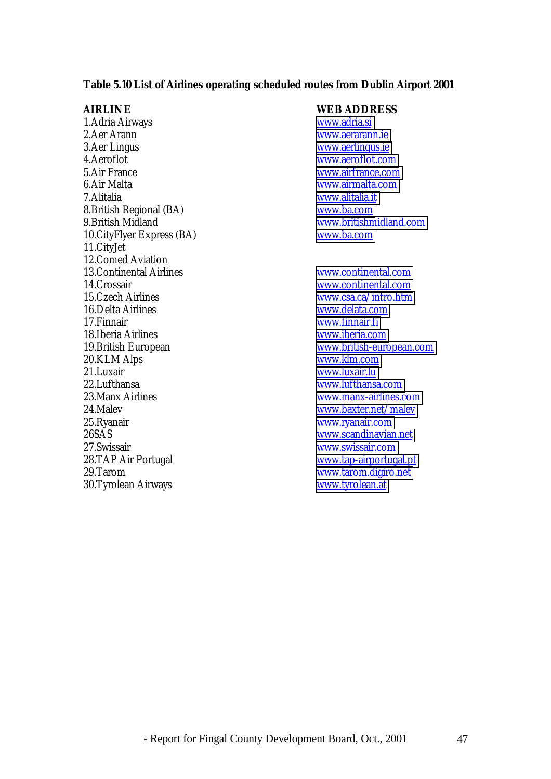#### **Table 5.10 List of Airlines operating scheduled routes from Dublin Airport 2001**

1.Adria Airways [www.adria.si](http://www.adria.si/) 2.Aer Arann [www.aerarann.ie](http://www.aerarann.ie/) 3.Aer Lingus [www.aerlingus.ie](http://www.aerlingus.ie/)<br>4.Aeroflot 5.Air France [www.airfrance.com](http://www.airfrance.com/) 6.Air Malta [www.airmalta.com](http://www.airmalta.com/) 7.Alitalia [www.alitalia.it](http://www.alitalia.it/) 8. British Regional (BA)<br>9. British Midland 10.CityFlyer Express (BA) [www.ba.com](http://www.ba.com/) 11.CityJet 12. Comed Aviation<br>13. Continental Airlines 14.Crossair [www.continental.com](http://www.continental.com/)<br>15.Czech Airlines www.csa.ca/intro.htm 16.Delta Airlines [www.delata.com](http://www.delata.com/) 17.Finnair [www.finnair.fi](http://www.finnair.fi/) 18.Iberia Airlines [www.iberia.com](http://www.iberia.com/) 20.KLM Alps [www.klm.com](http://www.klm.com/) 21.Luxair [www.luxair.lu](http://www.luxair.lu/)<br>22.Lufthansa www.lufthansa 23.Manx Airlines [www.manx-airlines.com](http://www.manx-airlines.com/) 24.Malev [www.baxter.net/malev](http://www.baxter.net/malev) 25.Ryanair [www.ryanair.com](http://www.ryanair.com/) 26SAS [www.scandinavian.net](http://www.scandinavian.net/) 27.Swissair [www.swissair.com](http://www.swissair.com/) 28.TAP Air Portugal [www.tap-airportugal.pt](http://www.tap-airportugal.pt/) 29.Tarom [www.tarom.digiro.net](http://www.tarom.digiro.net/)<br>
20.Tyrolean Airways www.tyrolean.at 30.Tyrolean Airways

#### **AIRLINE WEB ADDRESS**

[www.aeroflot.com](http://www.aeroflot.com/) [www.britishmidland.com](http://www.britishmidland.com/)

[www.continental.com](http://www.continental.com/) [www.csa.ca/intro.htm](http://www.csa.ca/intro.htm) 19.British European [www.british-european.com](http://www.british-european.com/) [www.lufthansa.com](http://www.lufthansa.com/)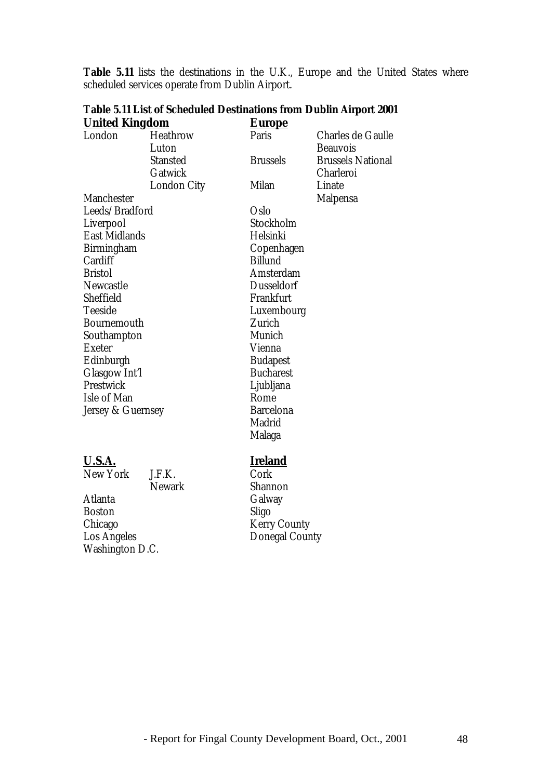| <b>United Kingdom</b> |                    | <u>Europe</u>     |                          |
|-----------------------|--------------------|-------------------|--------------------------|
| London                | <b>Heathrow</b>    | Paris             | <b>Charles de Gaulle</b> |
|                       | Luton              |                   | <b>Beauvois</b>          |
|                       | <b>Stansted</b>    | <b>Brussels</b>   | <b>Brussels National</b> |
|                       | Gatwick            |                   | Charleroi                |
|                       | <b>London City</b> | <b>Milan</b>      | Linate                   |
| <b>Manchester</b>     |                    |                   | <b>Malpensa</b>          |
| Leeds/Bradford        |                    | Oslo              |                          |
| Liverpool             |                    | Stockholm         |                          |
| <b>East Midlands</b>  |                    | Helsinki          |                          |
| Birmingham            |                    | Copenhagen        |                          |
| Cardiff               |                    | <b>Billund</b>    |                          |
| <b>Bristol</b>        |                    | Amsterdam         |                          |
| <b>Newcastle</b>      |                    | <b>Dusseldorf</b> |                          |
| Sheffield             |                    | Frankfurt         |                          |
| <b>Teeside</b>        |                    | Luxembourg        |                          |
| <b>Bournemouth</b>    |                    | Zurich            |                          |
| Southampton           |                    | Munich            |                          |
| <b>Exeter</b>         |                    | Vienna            |                          |
| Edinburgh             |                    | <b>Budapest</b>   |                          |
| <b>Glasgow Int'l</b>  |                    | <b>Bucharest</b>  |                          |
| Prestwick             |                    | Ljubljana         |                          |
| Isle of Man           |                    | Rome              |                          |
| Jersey & Guernsey     |                    | <b>Barcelona</b>  |                          |
|                       |                    | Madrid            |                          |
|                       |                    | Malaga            |                          |
| <u>U.S.A.</u>         |                    | <u>Ireland</u>    |                          |
| <b>New York</b>       | J.F.K.             | Cork              |                          |
|                       | <b>Newark</b>      | Shannon           |                          |

**Table 5.11 List of Scheduled Destinations from Dublin Airport 2001**

scheduled services operate from Dublin Airport.

**Table 5.11** lists the destinations in the U.K., Europe and the United States where

# Atlanta Galway<br>Boston Sligo Boston<br>Chicago Chicago Kerry County<br>
Los Angeles Donegal Coun Washington D.C.

Donegal County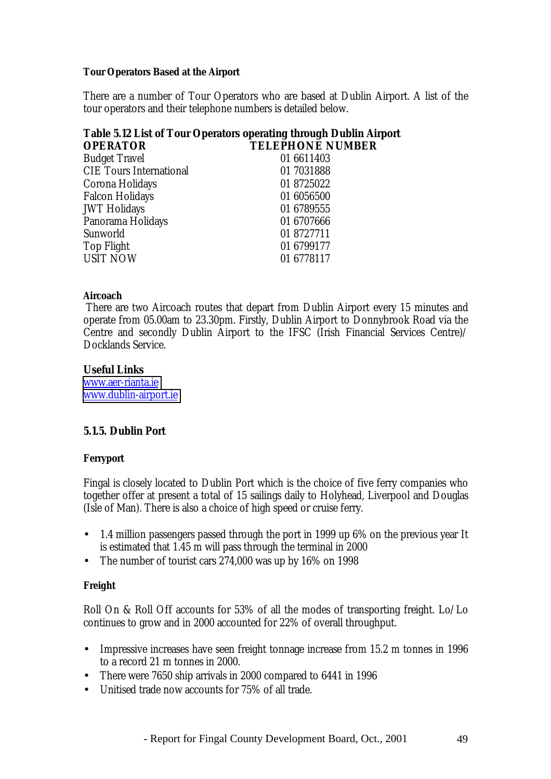#### **Tour Operators Based at the Airport**

There are a number of Tour Operators who are based at Dublin Airport. A list of the tour operators and their telephone numbers is detailed below.

# **Table 5.12 List of Tour Operators operating through Dublin Airport OPERATOR TELEPHONE NUMBER**

| <b>Budget Travel</b>           | 01 6611403 |
|--------------------------------|------------|
| <b>CIE Tours International</b> | 01 7031888 |
| Corona Holidays                | 01 8725022 |
| <b>Falcon Holidays</b>         | 01 6056500 |
| <b>JWT Holidays</b>            | 01 6789555 |
| Panorama Holidays              | 01 6707666 |
| Sunworld                       | 01 8727711 |
| <b>Top Flight</b>              | 01 6799177 |
| <b>USIT NOW</b>                | 01 6778117 |

#### **Aircoach**

 There are two Aircoach routes that depart from Dublin Airport every 15 minutes and operate from 05.00am to 23.30pm. Firstly, Dublin Airport to Donnybrook Road via the Centre and secondly Dublin Airport to the IFSC (Irish Financial Services Centre)/ Docklands Service.

#### **Useful Links**

[www.aer-rianta.ie](http://www.aerriannat.ie/) [www.dublin-airport.ie](http://www.dublin-airport.ie/)

#### **5.1.5. Dublin Port**

#### **Ferryport**

Fingal is closely located to Dublin Port which is the choice of five ferry companies who together offer at present a total of 15 sailings daily to Holyhead, Liverpool and Douglas (Isle of Man). There is also a choice of high speed or cruise ferry.

- 1.4 million passengers passed through the port in 1999 up 6% on the previous year It is estimated that 1.45 m will pass through the terminal in 2000
- The number of tourist cars 274,000 was up by 16% on 1998

#### **Freight**

Roll On & Roll Off accounts for 53% of all the modes of transporting freight. Lo/Lo continues to grow and in 2000 accounted for 22% of overall throughput.

- Impressive increases have seen freight tonnage increase from 15.2 m tonnes in 1996 to a record 21 m tonnes in 2000.
- There were 7650 ship arrivals in 2000 compared to 6441 in 1996
- Unitised trade now accounts for 75% of all trade.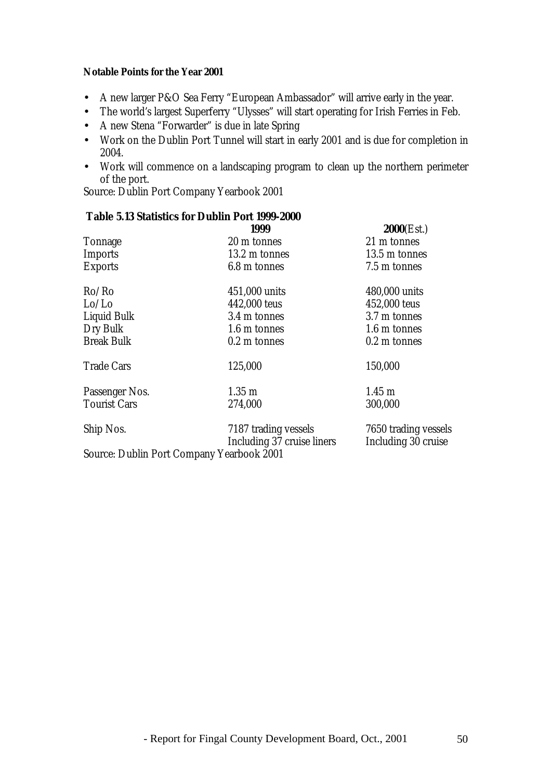#### **Notable Points for the Year 2001**

- A new larger P&O Sea Ferry "European Ambassador" will arrive early in the year.
- The world's largest Superferry "Ulysses" will start operating for Irish Ferries in Feb.
- A new Stena "Forwarder" is due in late Spring
- Work on the Dublin Port Tunnel will start in early 2001 and is due for completion in 2004.
- Work will commence on a landscaping program to clean up the northern perimeter of the port.

Source: Dublin Port Company Yearbook 2001

## **Table 5.13 Statistics for Dublin Port 1999-2000**

|                                           | 1999                                               | 2000(Est.)                                  |
|-------------------------------------------|----------------------------------------------------|---------------------------------------------|
| <b>Tonnage</b>                            | 20 m tonnes                                        | 21 m tonnes                                 |
| <b>Imports</b>                            | 13.2 m tonnes                                      | 13.5 m tonnes                               |
| <b>Exports</b>                            | 6.8 m tonnes                                       | 7.5 m tonnes                                |
| Ro/Ro                                     | 451,000 units                                      | 480,000 units                               |
| Lo/Lo                                     | 442,000 teus                                       | 452,000 teus                                |
| <b>Liquid Bulk</b>                        | 3.4 m tonnes                                       | 3.7 m tonnes                                |
| Dry Bulk                                  | 1.6 m tonnes                                       | 1.6 m tonnes                                |
| <b>Break Bulk</b>                         | $0.2 \text{ m}$ tonnes                             | 0.2 m tonnes                                |
| <b>Trade Cars</b>                         | 125,000                                            | 150,000                                     |
| Passenger Nos.                            | $1.35 \text{ m}$                                   | $1.45 \text{ m}$                            |
| <b>Tourist Cars</b>                       | 274,000                                            | 300,000                                     |
| Ship Nos.                                 | 7187 trading vessels<br>Including 37 cruise liners | 7650 trading vessels<br>Including 30 cruise |
| Source: Dublin Port Company Yearbook 2001 |                                                    |                                             |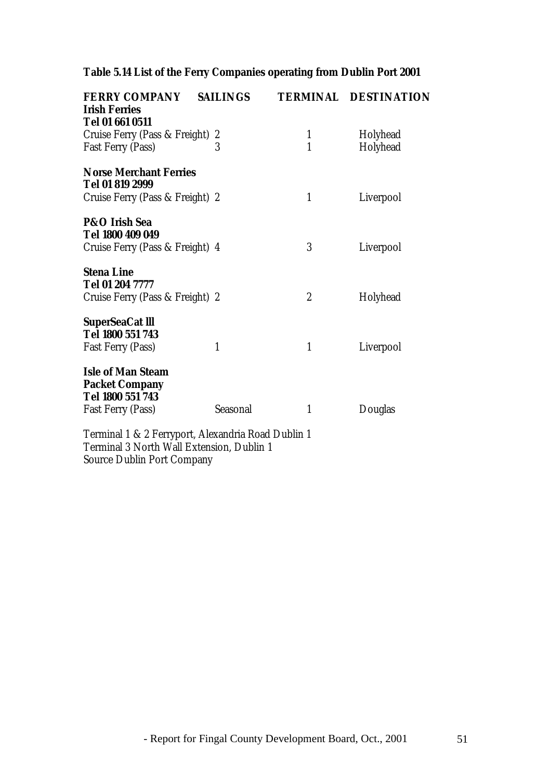# **Table 5.14 List of the Ferry Companies operating from Dublin Port 2001**

| <b>FERRY COMPANY</b>                               | <b>SAILINGS</b> |                  | <b>TERMINAL DESTINATION</b> |
|----------------------------------------------------|-----------------|------------------|-----------------------------|
| <b>Irish Ferries</b>                               |                 |                  |                             |
| Tel 01 661 0511                                    |                 |                  |                             |
| Cruise Ferry (Pass & Freight)                      | 2               | $\mathbf{1}$     | Holyhead                    |
| <b>Fast Ferry (Pass)</b>                           | 3               | $\mathbf{1}$     | Holyhead                    |
| <b>Norse Merchant Ferries</b>                      |                 |                  |                             |
| Tel 01 819 2999                                    |                 |                  |                             |
| Cruise Ferry (Pass & Freight) 2                    |                 | $\mathbf{1}$     | Liverpool                   |
|                                                    |                 |                  |                             |
| <b>P&amp;O</b> Irish Sea                           |                 |                  |                             |
| Tel 1800 409 049                                   |                 |                  |                             |
| Cruise Ferry (Pass & Freight) 4                    |                 | 3                | Liverpool                   |
| <b>Stena Line</b>                                  |                 |                  |                             |
| Tel 01 204 7777                                    |                 |                  |                             |
|                                                    |                 |                  |                             |
| Cruise Ferry (Pass & Freight) 2                    |                 | $\boldsymbol{2}$ | Holyhead                    |
| <b>SuperSeaCat III</b>                             |                 |                  |                             |
| Tel 1800 551 743                                   |                 |                  |                             |
| Fast Ferry (Pass)                                  | $\mathbf{1}$    | $\mathbf{1}$     | Liverpool                   |
|                                                    |                 |                  |                             |
| <b>Isle of Man Steam</b>                           |                 |                  |                             |
| <b>Packet Company</b>                              |                 |                  |                             |
| Tel 1800 551 743                                   |                 |                  |                             |
| <b>Fast Ferry (Pass)</b>                           | Seasonal        | 1                | Douglas                     |
|                                                    |                 |                  |                             |
| Terminal 1 & 2 Ferrynort, Alexandria Road Dublin 1 |                 |                  |                             |

Terminal 1 & 2 Ferryport, Alexandria Road Dublin 1 Terminal 3 North Wall Extension, Dublin 1 Source Dublin Port Company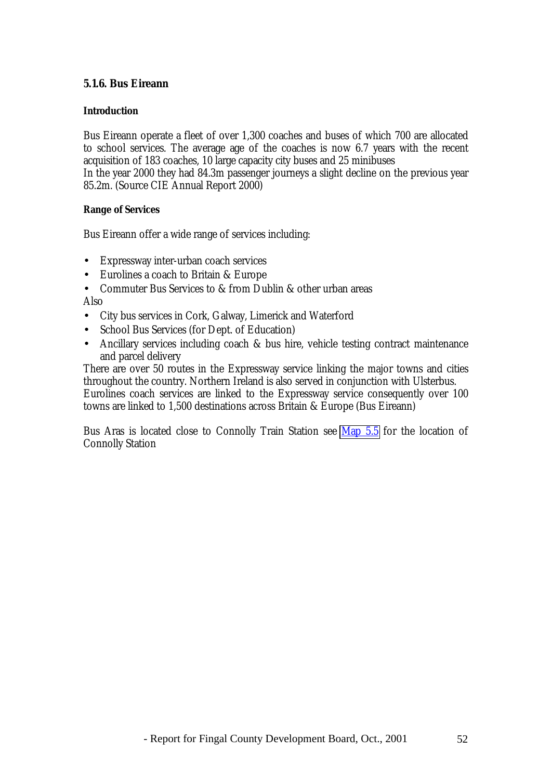#### **5.1.6. Bus Eireann**

#### **Introduction**

Bus Eireann operate a fleet of over 1,300 coaches and buses of which 700 are allocated to school services. The average age of the coaches is now 6.7 years with the recent acquisition of 183 coaches, 10 large capacity city buses and 25 minibuses

In the year 2000 they had 84.3m passenger journeys a slight decline on the previous year 85.2m. (Source CIE Annual Report 2000)

#### **Range of Services**

Bus Eireann offer a wide range of services including:

- Expressway inter-urban coach services
- Eurolines a coach to Britain & Europe
- Commuter Bus Services to & from Dublin & other urban areas

Also

- City bus services in Cork, Galway, Limerick and Waterford
- School Bus Services (for Dept. of Education)
- Ancillary services including coach & bus hire, vehicle testing contract maintenance and parcel delivery

There are over 50 routes in the Expressway service linking the major towns and cities throughout the country. Northern Ireland is also served in conjunction with Ulsterbus. Eurolines coach services are linked to the Expressway service consequently over 100 towns are linked to 1,500 destinations across Britain & Europe (Bus Eireann)

Bus Aras is located close to Connolly Train Station see Map 5.5 for the location of Connolly Station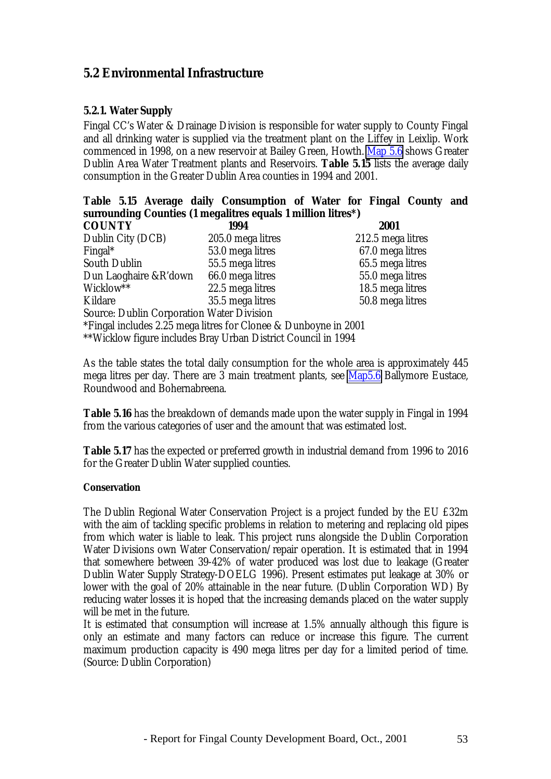# **5.2 Environmental Infrastructure**

#### **5.2.1. Water Supply**

Fingal CC's Water & Drainage Division is responsible for water supply to County Fingal and all drinking water is supplied via the treatment plant on the Liffey in Leixlip. Work commenced in 1998, on a new reservoir at Bailey Green, Howth. Map 5.6 shows Greater Dublin Area Water Treatment plants and Reservoirs. **Table 5.15** lists the average daily consumption in the Greater Dublin Area counties in 1994 and 2001.

|               |  | Table 5.15 Average daily Consumption of Water for Fingal County and |  |      |  |
|---------------|--|---------------------------------------------------------------------|--|------|--|
|               |  | surrounding Counties (1 megalitres equals 1 million litres*)        |  |      |  |
| <b>COUNTY</b> |  | 1994                                                                |  | 2001 |  |

| <b>COUNTY</b>                                                   | 1994              | 2001              |
|-----------------------------------------------------------------|-------------------|-------------------|
| Dublin City (DCB)                                               | 205.0 mega litres | 212.5 mega litres |
| Fingal*                                                         | 53.0 mega litres  | 67.0 mega litres  |
| <b>South Dublin</b>                                             | 55.5 mega litres  | 65.5 mega litres  |
| Dun Laoghaire &R'down                                           | 66.0 mega litres  | 55.0 mega litres  |
| Wicklow**                                                       | 22.5 mega litres  | 18.5 mega litres  |
| Kildare                                                         | 35.5 mega litres  | 50.8 mega litres  |
| <b>Source: Dublin Corporation Water Division</b>                |                   |                   |
| *Fingal includes 2.25 mega litres for Clonee & Dunboyne in 2001 |                   |                   |
| **Wicklow figure includes Bray Urban District Council in 1994   |                   |                   |

As the table states the total daily consumption for the whole area is approximately 445 mega litres per day. There are 3 main treatment plants, see Map5.6 Ballymore Eustace, Roundwood and Bohernabreena.

**Table 5.16** has the breakdown of demands made upon the water supply in Fingal in 1994 from the various categories of user and the amount that was estimated lost.

**Table 5.17** has the expected or preferred growth in industrial demand from 1996 to 2016 for the Greater Dublin Water supplied counties.

#### **Conservation**

The Dublin Regional Water Conservation Project is a project funded by the EU £32m with the aim of tackling specific problems in relation to metering and replacing old pipes from which water is liable to leak. This project runs alongside the Dublin Corporation Water Divisions own Water Conservation/repair operation. It is estimated that in 1994 that somewhere between 39-42% of water produced was lost due to leakage (Greater Dublin Water Supply Strategy-DOELG 1996). Present estimates put leakage at 30% or lower with the goal of 20% attainable in the near future. (Dublin Corporation WD) By reducing water losses it is hoped that the increasing demands placed on the water supply will be met in the future.

It is estimated that consumption will increase at 1.5% annually although this figure is only an estimate and many factors can reduce or increase this figure. The current maximum production capacity is 490 mega litres per day for a limited period of time. (Source: Dublin Corporation)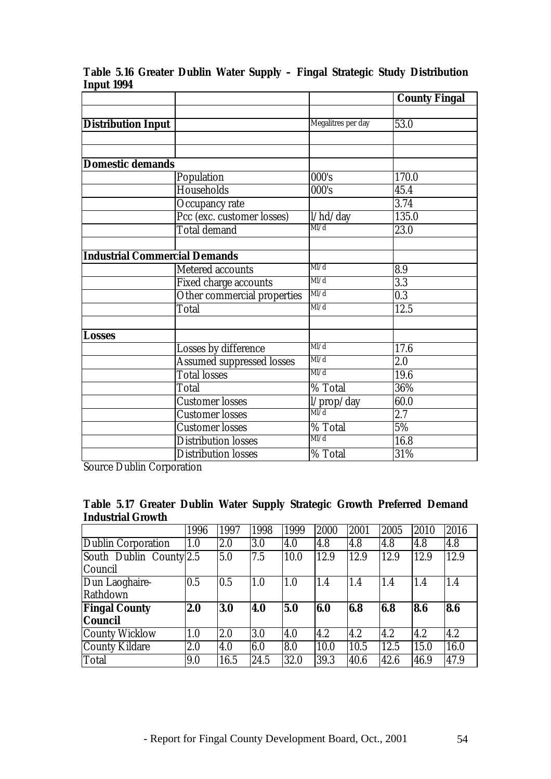|                                      |                                  |                    | <b>County Fingal</b> |
|--------------------------------------|----------------------------------|--------------------|----------------------|
|                                      |                                  |                    |                      |
| <b>Distribution Input</b>            |                                  | Megalitres per day | 53.0                 |
|                                      |                                  |                    |                      |
|                                      |                                  |                    |                      |
| <b>Domestic demands</b>              |                                  |                    |                      |
|                                      | Population                       | 000's              | 170.0                |
|                                      | Households                       | 000's              | 45.4                 |
|                                      | Occupancy rate                   |                    | 3.74                 |
|                                      | Pcc (exc. customer losses)       | l/hd/day           | 135.0                |
|                                      | <b>Total demand</b>              | M/d                | 23.0                 |
|                                      |                                  |                    |                      |
| <b>Industrial Commercial Demands</b> |                                  |                    |                      |
|                                      | <b>Metered accounts</b>          | M/d                | 8.9                  |
|                                      | Fixed charge accounts            | M/d                | 3.3                  |
|                                      | Other commercial properties      | M/d                | 0.3                  |
|                                      | <b>Total</b>                     | Ml/d               | $\overline{12.5}$    |
|                                      |                                  |                    |                      |
| Losses                               |                                  |                    |                      |
|                                      | Losses by difference             | M/d                | 17.6                 |
|                                      | <b>Assumed suppressed losses</b> | M/d                | 2.0                  |
|                                      | <b>Total losses</b>              | M/d                | 19.6                 |
|                                      | Total                            | % Total            | 36%                  |
|                                      | <b>Customer losses</b>           | l/prop/day         | 60.0                 |
|                                      | <b>Customer losses</b>           | $\overline{Ml/d}$  | 2.7                  |
|                                      | <b>Customer</b> losses           | % Total            | 5%                   |
|                                      | <b>Distribution losses</b>       | M/d                | 16.8                 |
|                                      | <b>Distribution losses</b>       | % Total            | 31%                  |

## **Table 5.16 Greater Dublin Water Supply – Fingal Strategic Study Distribution Input 1994**

Source Dublin Corporation

#### **Table 5.17 Greater Dublin Water Supply Strategic Growth Preferred Demand Industrial Growth**

|                         | 1996 | 1997 | 1998 | 1999 | 2000 | 2001 | 2005 | 2010 | 2016 |
|-------------------------|------|------|------|------|------|------|------|------|------|
| Dublin Corporation      | 1.0  | 2.0  | 3.0  | 4.0  | 4.8  | 4.8  | 4.8  | 4.8  | 4.8  |
| South Dublin County 2.5 |      | 5.0  | 7.5  | 10.0 | 12.9 | 12.9 | 12.9 | 12.9 | 12.9 |
| Council                 |      |      |      |      |      |      |      |      |      |
| Dun Laoghaire-          | 0.5  | 0.5  | 1.0  | 1.0  | 1.4  | 1.4  | 1.4  | 1.4  | 1.4  |
| Rathdown                |      |      |      |      |      |      |      |      |      |
| <b>Fingal County</b>    | 2.0  | 3.0  | 4.0  | 5.0  | 6.0  | 6.8  | 6.8  | 8.6  | 8.6  |
| <b>Council</b>          |      |      |      |      |      |      |      |      |      |
| <b>County Wicklow</b>   | 1.0  | 2.0  | 3.0  | 4.0  | 4.2  | 4.2  | 4.2  | 4.2  | 4.2  |
| County Kildare          | 2.0  | 4.0  | 6.0  | 8.0  | 10.0 | 10.5 | 12.5 | 15.0 | 16.0 |
| Total                   | 9.0  | 16.5 | 24.5 | 32.0 | 39.3 | 40.6 | 42.6 | 46.9 | 47.9 |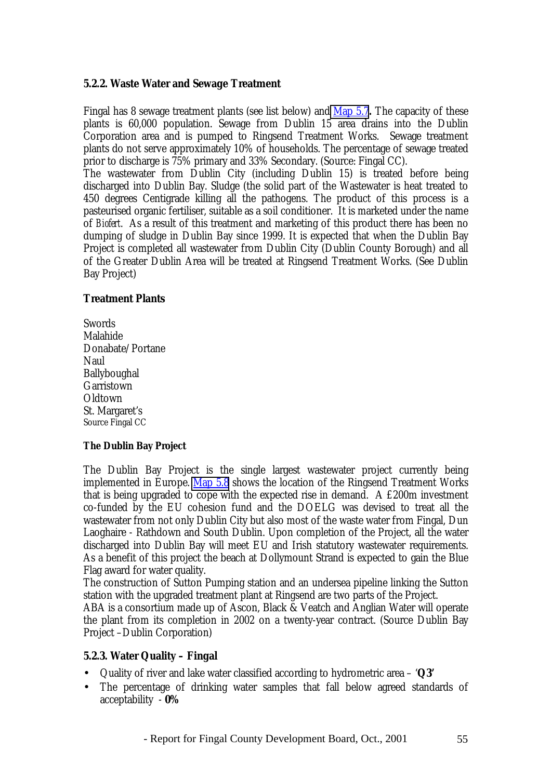#### **5.2.2. Waste Water and Sewage Treatment**

Fingal has 8 sewage treatment plants (see list below) and Map 5.7**.** The capacity of these plants is 60,000 population. Sewage from Dublin 15 area drains into the Dublin Corporation area and is pumped to Ringsend Treatment Works. Sewage treatment plants do not serve approximately 10% of households. The percentage of sewage treated prior to discharge is 75% primary and 33% Secondary. (Source: Fingal CC).

The wastewater from Dublin City (including Dublin 15) is treated before being discharged into Dublin Bay. Sludge (the solid part of the Wastewater is heat treated to 450 degrees Centigrade killing all the pathogens. The product of this process is a pasteurised organic fertiliser, suitable as a soil conditioner. It is marketed under the name of *Biofert*. As a result of this treatment and marketing of this product there has been no dumping of sludge in Dublin Bay since 1999. It is expected that when the Dublin Bay Project is completed all wastewater from Dublin City (Dublin County Borough) and all of the Greater Dublin Area will be treated at Ringsend Treatment Works. (See Dublin Bay Project)

#### **Treatment Plants**

**Swords** Malahide Donabate/Portane Naul Ballyboughal **Garristown** Oldtown St. Margaret's Source Fingal CC

#### **The Dublin Bay Project**

The Dublin Bay Project is the single largest wastewater project currently being implemented in Europe. Map 5.8 shows the location of the Ringsend Treatment Works that is being upgraded to cope with the expected rise in demand. A £200m investment co-funded by the EU cohesion fund and the DOELG was devised to treat all the wastewater from not only Dublin City but also most of the waste water from Fingal, Dun Laoghaire - Rathdown and South Dublin. Upon completion of the Project, all the water discharged into Dublin Bay will meet EU and Irish statutory wastewater requirements. As a benefit of this project the beach at Dollymount Strand is expected to gain the Blue Flag award for water quality.

The construction of Sutton Pumping station and an undersea pipeline linking the Sutton station with the upgraded treatment plant at Ringsend are two parts of the Project.

ABA is a consortium made up of Ascon, Black & Veatch and Anglian Water will operate the plant from its completion in 2002 on a twenty-year contract. (Source Dublin Bay Project –Dublin Corporation)

#### **5.2.3. Water Quality – Fingal**

- Quality of river and lake water classified according to hydrometric area '**Q3'**
- The percentage of drinking water samples that fall below agreed standards of acceptability - **0%**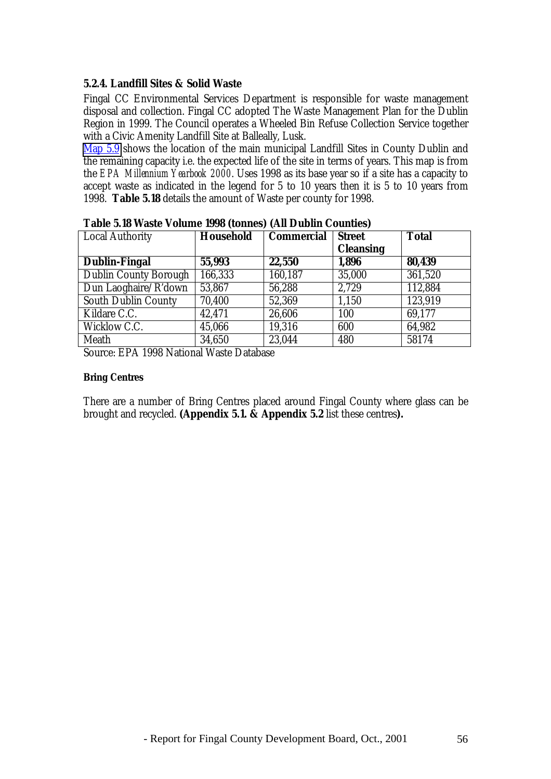#### **5.2.4. Landfill Sites & Solid Waste**

Fingal CC Environmental Services Department is responsible for waste management disposal and collection. Fingal CC adopted The Waste Management Plan for the Dublin Region in 1999. The Council operates a Wheeled Bin Refuse Collection Service together with a Civic Amenity Landfill Site at Balleally, Lusk.

Map 5.9 shows the location of the main municipal Landfill Sites in County Dublin and the remaining capacity i.e. the expected life of the site in terms of years. This map is from the *EPA Millennium Yearbook 2000*. Uses 1998 as its base year so if a site has a capacity to accept waste as indicated in the legend for 5 to 10 years then it is 5 to 10 years from 1998. **Table 5.18** details the amount of Waste per county for 1998.

| Local Authority              | <b>Household</b> | <b>Commercial</b> | <b>Street</b>    | <b>Total</b> |
|------------------------------|------------------|-------------------|------------------|--------------|
|                              |                  |                   | <b>Cleansing</b> |              |
| <b>Dublin-Fingal</b>         | 55,993           | 22,550            | 1,896            | 80,439       |
| <b>Dublin County Borough</b> | 166,333          | 160,187           | 35,000           | 361,520      |
| Dun Laoghaire/R'down         | 53,867           | 56,288            | 2,729            | 112,884      |
| <b>South Dublin County</b>   | 70,400           | 52,369            | 1,150            | 123,919      |
| Kildare C.C.                 | 42,471           | 26,606            | 100              | 69,177       |
| Wicklow C.C.                 | 45,066           | 19,316            | 600              | 64,982       |
| Meath                        | 34,650           | 23,044            | 480              | 58174        |

**Table 5.18 Waste Volume 1998 (tonnes) (All Dublin Counties)**

Source: EPA 1998 National Waste Database

#### **Bring Centres**

There are a number of Bring Centres placed around Fingal County where glass can be brought and recycled. **(Appendix 5.1. & Appendix 5.2** list these centres**).**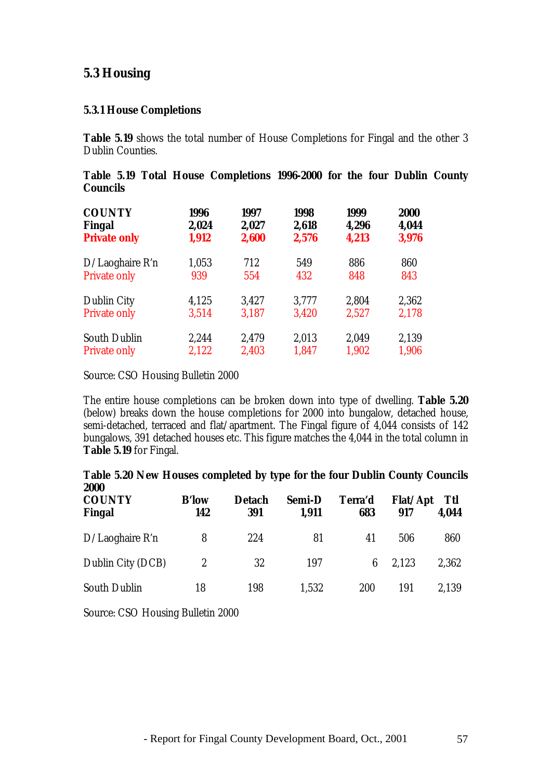# **5.3 Housing**

### **5.3.1 House Completions**

**Table 5.19** shows the total number of House Completions for Fingal and the other 3 Dublin Counties.

|                 |  | Table 5.19 Total House Completions 1996-2000 for the four Dublin County |  |  |  |
|-----------------|--|-------------------------------------------------------------------------|--|--|--|
| <b>Councils</b> |  |                                                                         |  |  |  |

| <b>COUNTY</b>       | 1996  | 1997  | 1998  | 1999  | <b>2000</b> |
|---------------------|-------|-------|-------|-------|-------------|
| Fingal              | 2,024 | 2,027 | 2,618 | 4,296 | 4,044       |
| <b>Private only</b> | 1,912 | 2,600 | 2,576 | 4,213 | 3,976       |
| $D/La$ oghaire R'n  | 1,053 | 712   | 549   | 886   | 860         |
| <b>Private only</b> | 939   | 554   | 432   | 848   | 843         |
| <b>Dublin City</b>  | 4,125 | 3,427 | 3,777 | 2,804 | 2,362       |
| <b>Private only</b> | 3,514 | 3,187 | 3,420 | 2,527 | 2,178       |
| <b>South Dublin</b> | 2,244 | 2,479 | 2,013 | 2,049 | 2,139       |
| <b>Private only</b> | 2,122 | 2,403 | 1,847 | 1,902 | 1,906       |

Source: CSO Housing Bulletin 2000

The entire house completions can be broken down into type of dwelling. **Table 5.20** (below) breaks down the house completions for 2000 into bungalow, detached house, semi-detached, terraced and flat/apartment. The Fingal figure of 4,044 consists of 142 bungalows, 391 detached houses etc. This figure matches the 4,044 in the total column in **Table 5.19** for Fingal.

| Table 5.20 New Houses completed by type for the four Dublin County Councils<br>2000 |                     |                      |                 |                |                 |              |
|-------------------------------------------------------------------------------------|---------------------|----------------------|-----------------|----------------|-----------------|--------------|
| <b>COUNTY</b><br>Fingal                                                             | <b>B'low</b><br>142 | <b>Detach</b><br>391 | Semi-D<br>1,911 | Terra'd<br>683 | Flat/Apt<br>917 | Ttl<br>4.044 |
| D/Laoghaire R'n                                                                     | 8                   | 224                  | 81              | 41             | 506             | 860          |
| Dublin City (DCB)                                                                   | 2                   | 32                   | 197             | 6              | 2.123           | 2,362        |
| <b>South Dublin</b>                                                                 | 18                  | 198                  | 1,532           | 200            | 191             | 2.139        |

Source: CSO Housing Bulletin 2000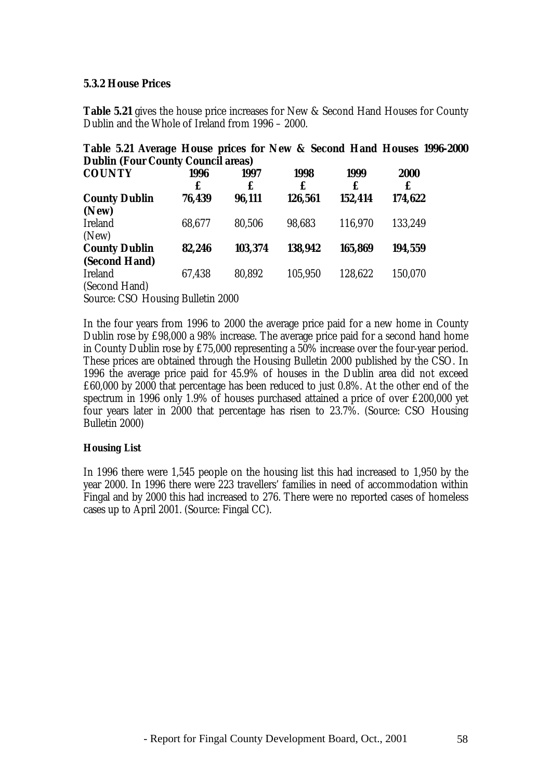#### **5.3.2 House Prices**

**Table 5.21** gives the house price increases for New & Second Hand Houses for County Dublin and the Whole of Ireland from 1996 – 2000.

| <b>Dublin (Four County Council areas)</b> |        |         |         |         |         |  |
|-------------------------------------------|--------|---------|---------|---------|---------|--|
| <b>COUNTY</b>                             | 1996   | 1997    | 1998    | 1999    | 2000    |  |
|                                           | £      | £       | £       | £       | £       |  |
| <b>County Dublin</b>                      | 76,439 | 96,111  | 126,561 | 152,414 | 174,622 |  |
| (New)                                     |        |         |         |         |         |  |
| <b>Ireland</b>                            | 68,677 | 80,506  | 98,683  | 116,970 | 133,249 |  |
| (New)                                     |        |         |         |         |         |  |
| <b>County Dublin</b>                      | 82,246 | 103,374 | 138,942 | 165,869 | 194,559 |  |
| (Second Hand)                             |        |         |         |         |         |  |
| <b>Ireland</b>                            | 67,438 | 80,892  | 105,950 | 128,622 | 150,070 |  |
| (Second Hand)                             |        |         |         |         |         |  |

**Table 5.21 Average House prices for New & Second Hand Houses 1996-2000**

Source: CSO Housing Bulletin 2000

In the four years from 1996 to 2000 the average price paid for a new home in County Dublin rose by £98,000 a 98% increase. The average price paid for a second hand home in County Dublin rose by £75,000 representing a 50% increase over the four-year period. These prices are obtained through the Housing Bulletin 2000 published by the CSO. In 1996 the average price paid for 45.9% of houses in the Dublin area did not exceed £60,000 by 2000 that percentage has been reduced to just 0.8%. At the other end of the spectrum in 1996 only 1.9% of houses purchased attained a price of over £200,000 yet four years later in 2000 that percentage has risen to 23.7%. (Source: CSO Housing Bulletin 2000)

#### **Housing List**

In 1996 there were 1,545 people on the housing list this had increased to 1,950 by the year 2000. In 1996 there were 223 travellers' families in need of accommodation within Fingal and by 2000 this had increased to 276. There were no reported cases of homeless cases up to April 2001. (Source: Fingal CC).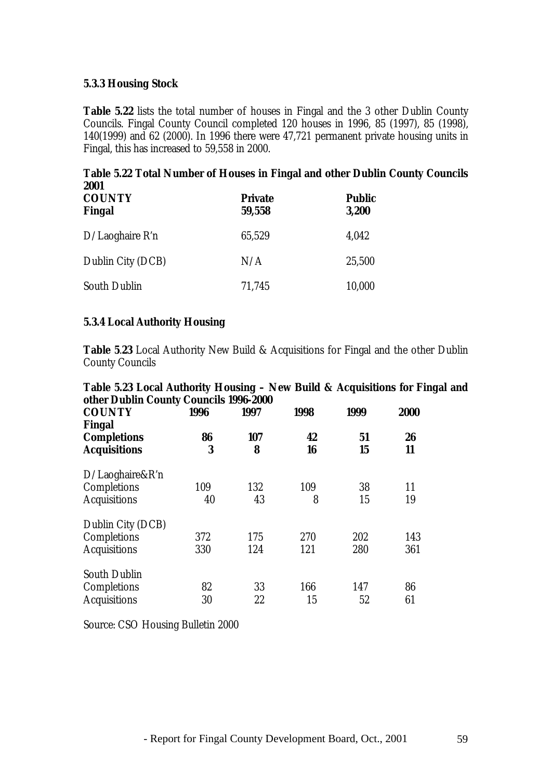#### **5.3.3 Housing Stock**

**Table 5.22** lists the total number of houses in Fingal and the 3 other Dublin County Councils. Fingal County Council completed 120 houses in 1996, 85 (1997), 85 (1998), 140(1999) and 62 (2000). In 1996 there were 47,721 permanent private housing units in Fingal, this has increased to 59,558 in 2000.

|               | Table 5.22 Total Number of Houses in Fingal and other Dublin County Councils |               |  |
|---------------|------------------------------------------------------------------------------|---------------|--|
| 2001          |                                                                              |               |  |
| <b>COUNTY</b> | <b>Private</b>                                                               | <b>Public</b> |  |
| <b>Fingal</b> | 59,558                                                                       | 3.200         |  |
|               |                                                                              |               |  |

| $D/La$ oghaire R'n  | 65,529 | 4,042  |
|---------------------|--------|--------|
| Dublin City (DCB)   | N/A    | 25,500 |
| <b>South Dublin</b> | 71.745 | 10,000 |

#### **5.3.4 Local Authority Housing**

**Table 5**.**23** Local Authority New Build & Acquisitions for Fingal and the other Dublin County Councils

| Table 5.23 Local Authority Housing - New Build & Acquisitions for Fingal and                                                                                                                                                                                                                                                                                |  |  |  |
|-------------------------------------------------------------------------------------------------------------------------------------------------------------------------------------------------------------------------------------------------------------------------------------------------------------------------------------------------------------|--|--|--|
| other Dublin County Councils 1996-2000                                                                                                                                                                                                                                                                                                                      |  |  |  |
| $\mathcal{L}$ $\mathcal{L}$ $\mathcal{L}$ $\mathcal{L}$ $\mathcal{L}$ $\mathcal{L}$ $\mathcal{L}$ $\mathcal{L}$ $\mathcal{L}$ $\mathcal{L}$ $\mathcal{L}$ $\mathcal{L}$ $\mathcal{L}$ $\mathcal{L}$ $\mathcal{L}$ $\mathcal{L}$ $\mathcal{L}$ $\mathcal{L}$ $\mathcal{L}$ $\mathcal{L}$ $\mathcal{L}$ $\mathcal{L}$ $\mathcal{L}$ $\mathcal{L}$ $\mathcal{$ |  |  |  |

| <b>COUNTY</b><br>Fingal | 1996 | 1997 | 1998 | 1999 | 2000 |
|-------------------------|------|------|------|------|------|
| <b>Completions</b>      | 86   | 107  | 42   | 51   | 26   |
| <b>Acquisitions</b>     | 3    | 8    | 16   | 15   | 11   |
| $D/La$ oghaire&R'n      |      |      |      |      |      |
| Completions             | 109  | 132  | 109  | 38   | 11   |
| <b>Acquisitions</b>     | 40   | 43   | 8    | 15   | 19   |
| Dublin City (DCB)       |      |      |      |      |      |
| Completions             | 372  | 175  | 270  | 202  | 143  |
| <b>Acquisitions</b>     | 330  | 124  | 121  | 280  | 361  |
| <b>South Dublin</b>     |      |      |      |      |      |
| Completions             | 82   | 33   | 166  | 147  | 86   |
| <b>Acquisitions</b>     | 30   | 22   | 15   | 52   | 61   |

Source: CSO Housing Bulletin 2000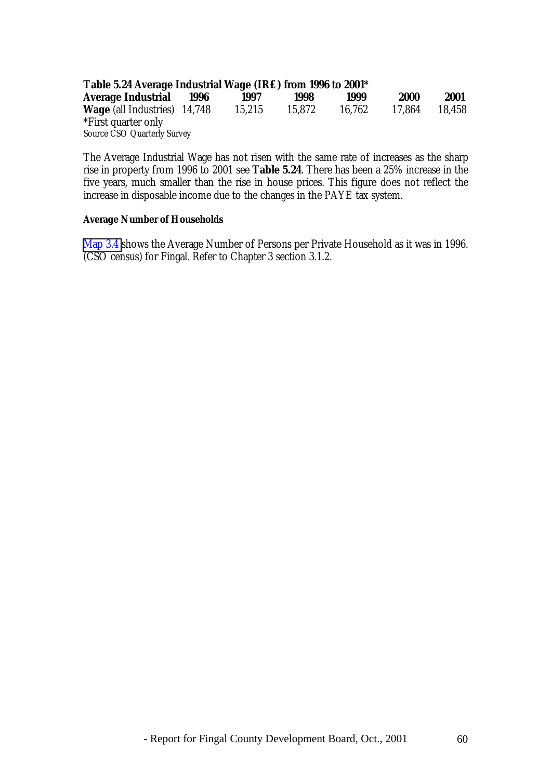| Table 5.24 Average Industrial Wage (IR£) from 1996 to 2001* |      |        |        |        |             |        |
|-------------------------------------------------------------|------|--------|--------|--------|-------------|--------|
| Average Industrial                                          | 1996 | 1997   | 1998   | 1999   | <b>2000</b> | 2001   |
| <b>Wage</b> (all Industries) 14,748                         |      | 15.215 | 15.872 | 16.762 | 17.864      | 18.458 |
| *First quarter only                                         |      |        |        |        |             |        |
| <b>Source CSO Quarterly Survey</b>                          |      |        |        |        |             |        |

The Average Industrial Wage has not risen with the same rate of increases as the sharp rise in property from 1996 to 2001 see **Table 5.24**. There has been a 25% increase in the five years, much smaller than the rise in house prices. This figure does not reflect the increase in disposable income due to the changes in the PAYE tax system.

#### **Average Number of Households**

Map 3.4 shows the Average Number of Persons per Private Household as it was in 1996. (CSO census) for Fingal. Refer to Chapter 3 section 3.1.2.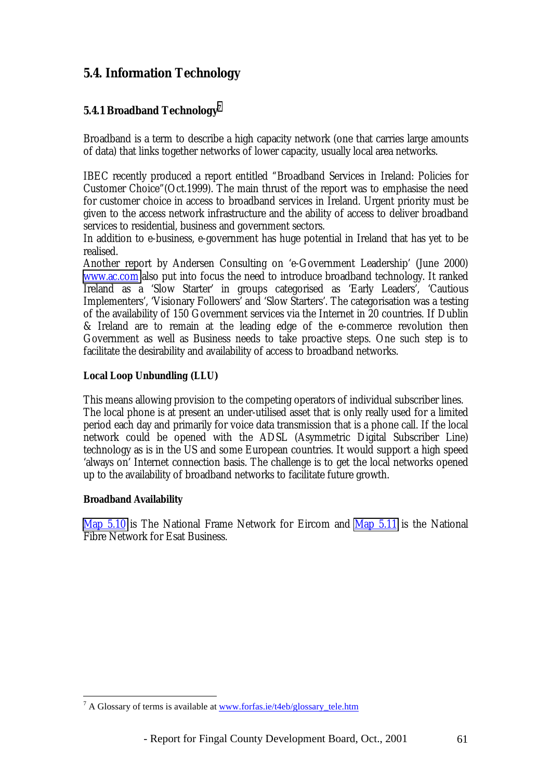# **5.4. Information Technology**

### **5.4.1 Broadband Technology7**

Broadband is a term to describe a high capacity network (one that carries large amounts of data) that links together networks of lower capacity, usually local area networks.

IBEC recently produced a report entitled "Broadband Services in Ireland: Policies for Customer Choice"(Oct.1999). The main thrust of the report was to emphasise the need for customer choice in access to broadband services in Ireland. Urgent priority must be given to the access network infrastructure and the ability of access to deliver broadband services to residential, business and government sectors.

In addition to e-business, e-government has huge potential in Ireland that has yet to be realised.

Another report by Andersen Consulting on 'e-Government Leadership' (June 2000) [www.ac.com](http://www.ac.com/) also put into focus the need to introduce broadband technology. It ranked Ireland as a 'Slow Starter' in groups categorised as 'Early Leaders', 'Cautious Implementers', 'Visionary Followers' and 'Slow Starters'. The categorisation was a testing of the availability of 150 Government services via the Internet in 20 countries. If Dublin & Ireland are to remain at the leading edge of the e-commerce revolution then Government as well as Business needs to take proactive steps. One such step is to facilitate the desirability and availability of access to broadband networks.

#### **Local Loop Unbundling (LLU)**

This means allowing provision to the competing operators of individual subscriber lines. The local phone is at present an under-utilised asset that is only really used for a limited period each day and primarily for voice data transmission that is a phone call. If the local network could be opened with the ADSL (Asymmetric Digital Subscriber Line) technology as is in the US and some European countries. It would support a high speed 'always on' Internet connection basis. The challenge is to get the local networks opened up to the availability of broadband networks to facilitate future growth.

#### **Broadband Availability**

 $\overline{a}$ 

Map 5.10 is The National Frame Network for Eircom and Map 5.11 is the National Fibre Network for Esat Business.

<sup>&</sup>lt;sup>7</sup> A Glossary of terms is available at <u>www.forfas.ie/t4eb/glossary\_tele.htm</u>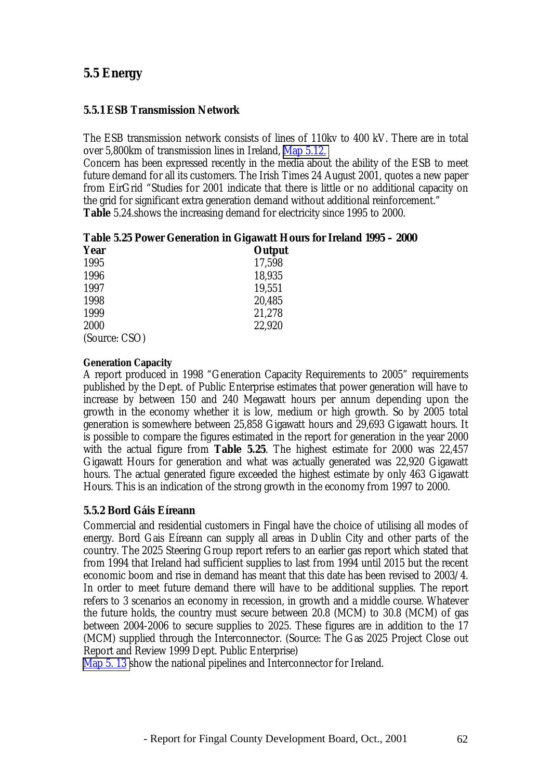# **5.5 Energy**

#### **5.5.1 ESB Transmission Network**

The ESB transmission network consists of lines of 110kv to 400 kV. There are in total over 5,800km of transmission lines in Ireland, Map 5.12.

Concern has been expressed recently in the media about the ability of the ESB to meet future demand for all its customers. The Irish Times 24 August 2001, quotes a new paper from EirGrid "Studies for 2001 indicate that there is little or no additional capacity on the grid for significant extra generation demand without additional reinforcement." **Table** 5.24.shows the increasing demand for electricity since 1995 to 2000.

| Table 5.25 Power Generation in Gigawatt Hours for Ireland 1995 – 2000 |  |  |  |  |  |  |
|-----------------------------------------------------------------------|--|--|--|--|--|--|
|-----------------------------------------------------------------------|--|--|--|--|--|--|

| <b>Year</b>   | Output |
|---------------|--------|
| 1995          | 17,598 |
| 1996          | 18,935 |
| 1997          | 19,551 |
| 1998          | 20,485 |
| 1999          | 21,278 |
| 2000          | 22,920 |
| (Source: CSO) |        |

#### **Generation Capacity**

A report produced in 1998 "Generation Capacity Requirements to 2005" requirements published by the Dept. of Public Enterprise estimates that power generation will have to increase by between 150 and 240 Megawatt hours per annum depending upon the growth in the economy whether it is low, medium or high growth. So by 2005 total generation is somewhere between 25,858 Gigawatt hours and 29,693 Gigawatt hours. It is possible to compare the figures estimated in the report for generation in the year 2000 with the actual figure from **Table 5.25**. The highest estimate for 2000 was 22,457 Gigawatt Hours for generation and what was actually generated was 22,920 Gigawatt hours. The actual generated figure exceeded the highest estimate by only 463 Gigawatt Hours. This is an indication of the strong growth in the economy from 1997 to 2000.

#### **5.5.2 Bord Gáis Eíreann**

Commercial and residential customers in Fingal have the choice of utilising all modes of energy. Bord Gais Eíreann can supply all areas in Dublin City and other parts of the country. The 2025 Steering Group report refers to an earlier gas report which stated that from 1994 that Ireland had sufficient supplies to last from 1994 until 2015 but the recent economic boom and rise in demand has meant that this date has been revised to 2003/4. In order to meet future demand there will have to be additional supplies. The report refers to 3 scenarios an economy in recession, in growth and a middle course. Whatever the future holds, the country must secure between 20.8 (MCM) to 30.8 (MCM) of gas between 2004-2006 to secure supplies to 2025. These figures are in addition to the 17 (MCM) supplied through the Interconnector. (Source: The Gas 2025 Project Close out Report and Review 1999 Dept. Public Enterprise)

Map 5. 13 show the national pipelines and Interconnector for Ireland.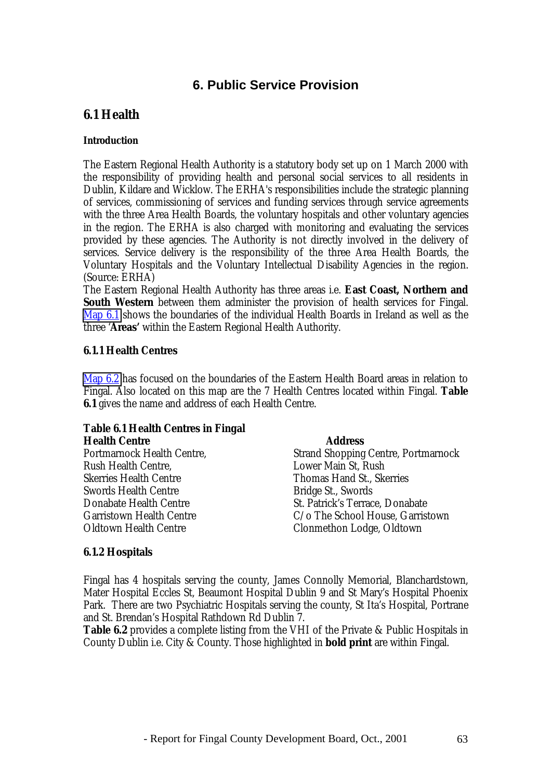# **6. Public Service Provision**

# **6.1 Health**

#### **Introduction**

The Eastern Regional Health Authority is a statutory body set up on 1 March 2000 with the responsibility of providing health and personal social services to all residents in Dublin, Kildare and Wicklow. The ERHA's responsibilities include the strategic planning of services, commissioning of services and funding services through service agreements with the three Area Health Boards, the voluntary hospitals and other voluntary agencies in the region. The ERHA is also charged with monitoring and evaluating the services provided by these agencies. The Authority is not directly involved in the delivery of services. Service delivery is the responsibility of the three Area Health Boards, the Voluntary Hospitals and the Voluntary Intellectual Disability Agencies in the region. (Source: ERHA)

The Eastern Regional Health Authority has three areas i.e. **East Coast, Northern and South Western** between them administer the provision of health services for Fingal. Map 6.1 shows the boundaries of the individual Health Boards in Ireland as well as the three '**Areas'** within the Eastern Regional Health Authority.

### **6.1.1 Health Centres**

Map 6.2 has focused on the boundaries of the Eastern Health Board areas in relation to Fingal. Also located on this map are the 7 Health Centres located within Fingal. **Table 6.1** gives the name and address of each Health Centre.

#### **Table 6.1 Health Centres in Fingal Health Centre Address**

| Tieaiul Ceillte                 | Auuress                                    |
|---------------------------------|--------------------------------------------|
| Portmarnock Health Centre,      | <b>Strand Shopping Centre, Portmarnock</b> |
| <b>Rush Health Centre,</b>      | Lower Main St, Rush                        |
| <b>Skerries Health Centre</b>   | Thomas Hand St., Skerries                  |
| <b>Swords Health Centre</b>     | Bridge St., Swords                         |
| Donabate Health Centre          | St. Patrick's Terrace, Donabate            |
| <b>Garristown Health Centre</b> | C/o The School House, Garristown           |
| <b>Oldtown Health Centre</b>    | Clonmethon Lodge, Oldtown                  |
|                                 |                                            |

#### **6.1.2 Hospitals**

Fingal has 4 hospitals serving the county, James Connolly Memorial, Blanchardstown, Mater Hospital Eccles St, Beaumont Hospital Dublin 9 and St Mary's Hospital Phoenix Park. There are two Psychiatric Hospitals serving the county, St Ita's Hospital, Portrane and St. Brendan's Hospital Rathdown Rd Dublin 7.

**Table 6.2** provides a complete listing from the VHI of the Private & Public Hospitals in County Dublin i.e. City & County. Those highlighted in **bold print** are within Fingal.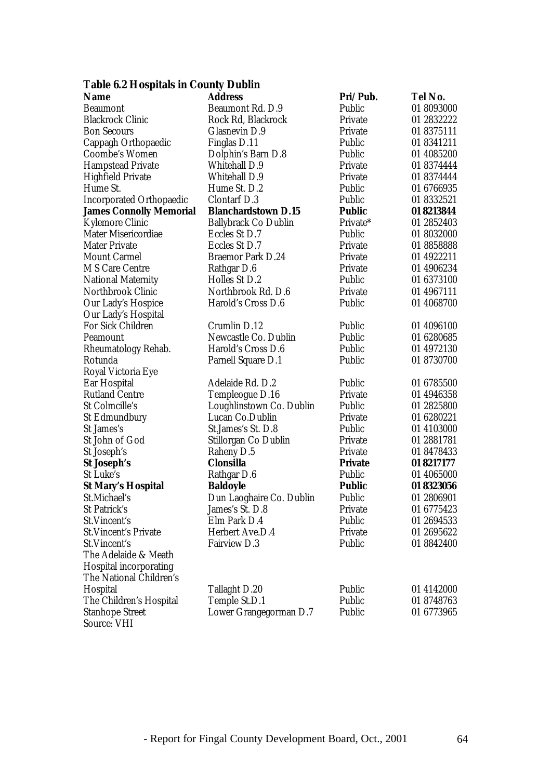## **Table 6.2 Hospitals in County Dublin**

| <b>Name</b>                     | <b>Address</b>              | Pri/Pub.       | Tel No.    |
|---------------------------------|-----------------------------|----------------|------------|
| <b>Beaumont</b>                 | Beaumont Rd. D.9            | Public         | 01 8093000 |
| <b>Blackrock Clinic</b>         | Rock Rd, Blackrock          | Private        | 01 2832222 |
| <b>Bon Secours</b>              | Glasnevin D.9               | Private        | 01 8375111 |
| Cappagh Orthopaedic             | Finglas D.11                | Public         | 01 8341211 |
| <b>Coombe's Women</b>           | Dolphin's Barn D.8          | Public         | 01 4085200 |
| <b>Hampstead Private</b>        | <b>Whitehall D.9</b>        | Private        | 01 8374444 |
| <b>Highfield Private</b>        | <b>Whitehall D.9</b>        | Private        | 01 8374444 |
| Hume St.                        | Hume St. D.2                | Public         | 01 6766935 |
| <b>Incorporated Orthopaedic</b> | <b>Clontarf D.3</b>         | Public         | 01 8332521 |
| <b>James Connolly Memorial</b>  | <b>Blanchardstown D.15</b>  | <b>Public</b>  | 01 8213844 |
| <b>Kylemore Clinic</b>          | <b>Ballybrack Co Dublin</b> | Private*       | 01 2852403 |
| <b>Mater Misericordiae</b>      | Eccles St D.7               | Public         | 01 8032000 |
| <b>Mater Private</b>            | Eccles St D.7               | Private        | 018858888  |
| <b>Mount Carmel</b>             | <b>Braemor Park D.24</b>    | Private        | 01 4922211 |
| <b>M S Care Centre</b>          | Rathgar D.6                 | Private        | 01 4906234 |
| <b>National Maternity</b>       | Holles St D.2               | Public         | 01 6373100 |
| Northbrook Clinic               | Northbrook Rd. D.6          | Private        | 01 4967111 |
| Our Lady's Hospice              | Harold's Cross D.6          | Public         | 01 4068700 |
| Our Lady's Hospital             |                             |                |            |
| <b>For Sick Children</b>        | Crumlin D.12                | Public         | 01 4096100 |
| Peamount                        | Newcastle Co. Dublin        | Public         | 01 6280685 |
| Rheumatology Rehab.             | Harold's Cross D.6          | Public         | 01 4972130 |
| Rotunda                         | <b>Parnell Square D.1</b>   | Public         | 01 8730700 |
| Royal Victoria Eye              |                             |                |            |
| Ear Hospital                    | Adelaide Rd. D.2            | Public         | 01 6785500 |
| <b>Rutland Centre</b>           | Templeogue D.16             | Private        | 01 4946358 |
| St Colmcille's                  | Loughlinstown Co. Dublin    | Public         | 01 2825800 |
| <b>St Edmundbury</b>            | Lucan Co.Dublin             | Private        | 01 6280221 |
| St James's                      | St.James's St. D.8          | Public         | 01 4103000 |
| St John of God                  | Stillorgan Co Dublin        | Private        | 01 2881781 |
| St Joseph's                     | Raheny D.5                  | Private        | 01 8478433 |
| St Joseph's                     | <b>Clonsilla</b>            | <b>Private</b> | 01 8217177 |
| St Luke's                       | Rathgar D.6                 | Public         | 01 4065000 |
| <b>St Mary's Hospital</b>       | <b>Baldoyle</b>             | <b>Public</b>  | 01 8323056 |
| St.Michael's                    | Dun Laoghaire Co. Dublin    | Public         | 01 2806901 |
| St Patrick's                    | James's St. D.8             | Private        | 01 6775423 |
| St.Vincent's                    | Elm Park D.4                | Public         | 01 2694533 |
| <b>St. Vincent's Private</b>    | Herbert Ave.D.4             | Private        | 01 2695622 |
| St.Vincent's                    | <b>Fairview D.3</b>         | Public         | 01 8842400 |
| The Adelaide & Meath            |                             |                |            |
| <b>Hospital incorporating</b>   |                             |                |            |
| The National Children's         |                             |                |            |
| Hospital                        | Tallaght D.20               | Public         | 01 4142000 |
| The Children's Hospital         | Temple St.D.1               | Public         | 01 8748763 |
| <b>Stanhope Street</b>          | Lower Grangegorman D.7      | Public         | 01 6773965 |
| <b>Source: VHI</b>              |                             |                |            |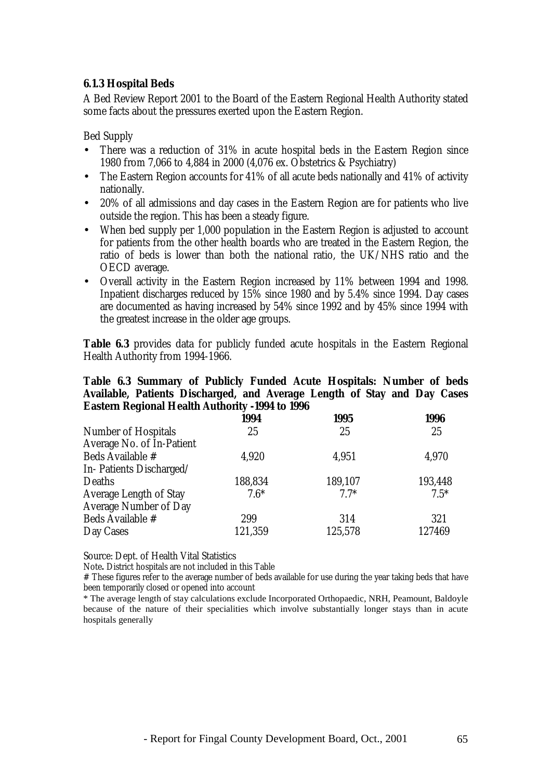### **6.1.3 Hospital Beds**

A Bed Review Report 2001 to the Board of the Eastern Regional Health Authority stated some facts about the pressures exerted upon the Eastern Region.

Bed Supply

- There was a reduction of 31% in acute hospital beds in the Eastern Region since 1980 from 7,066 to 4,884 in 2000 (4,076 ex. Obstetrics & Psychiatry)
- The Eastern Region accounts for 41% of all acute beds nationally and 41% of activity nationally.
- 20% of all admissions and day cases in the Eastern Region are for patients who live outside the region. This has been a steady figure.
- When bed supply per 1,000 population in the Eastern Region is adjusted to account for patients from the other health boards who are treated in the Eastern Region, the ratio of beds is lower than both the national ratio, the UK/NHS ratio and the OECD average.
- Overall activity in the Eastern Region increased by 11% between 1994 and 1998. Inpatient discharges reduced by 15% since 1980 and by 5.4% since 1994. Day cases are documented as having increased by 54% since 1992 and by 45% since 1994 with the greatest increase in the older age groups.

**Table 6.3** provides data for publicly funded acute hospitals in the Eastern Regional Health Authority from 1994-1966.

#### **Table 6.3 Summary of Publicly Funded Acute Hospitals: Number of beds Available, Patients Discharged, and Average Length of Stay and Day Cases Eastern Regional Health Authority -1994 to 1996**

|                               | 1994    | 1995    | 1996    |
|-------------------------------|---------|---------|---------|
| <b>Number of Hospitals</b>    | 25      | 25      | 25      |
| Average No. of In-Patient     |         |         |         |
| Beds Available #              | 4,920   | 4,951   | 4,970   |
| In-Patients Discharged/       |         |         |         |
| Deaths                        | 188,834 | 189,107 | 193,448 |
| <b>Average Length of Stay</b> | $7.6*$  | $7.7*$  | $7.5*$  |
| <b>Average Number of Day</b>  |         |         |         |
| <b>Beds Available #</b>       | 299     | 314     | 321     |
| Day Cases                     | 121,359 | 125,578 | 127469  |

Source: Dept. of Health Vital Statistics

Note**.** District hospitals are not included in this Table

# These figures refer to the average number of beds available for use during the year taking beds that have been temporarily closed or opened into account

\* The average length of stay calculations exclude Incorporated Orthopaedic, NRH, Peamount, Baldoyle because of the nature of their specialities which involve substantially longer stays than in acute hospitals generally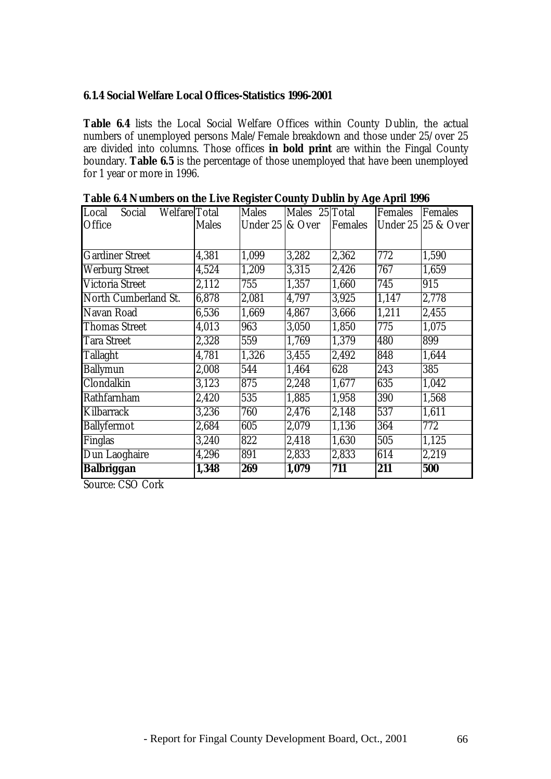#### **6.1.4 Social Welfare Local Offices-Statistics 1996-2001**

**Table 6.4** lists the Local Social Welfare Offices within County Dublin, the actual numbers of unemployed persons Male/Female breakdown and those under 25/over 25 are divided into columns. Those offices **in bold print** are within the Fingal County boundary. **Table 6.5** is the percentage of those unemployed that have been unemployed for 1 year or more in 1996.

| Local<br>Welfare Total<br>Social |              | <b>Males</b>                 | Males 25 Total |                | Females | Females                       |
|----------------------------------|--------------|------------------------------|----------------|----------------|---------|-------------------------------|
| Office                           | <b>Males</b> | Under $25 \, \text{kg}$ Over |                | <b>Females</b> |         | <b>Under 25 25 &amp; Over</b> |
|                                  |              |                              |                |                |         |                               |
|                                  |              |                              |                |                |         |                               |
| <b>Gardiner Street</b>           | 4,381        | 1,099                        | 3,282          | 2,362          | 772     | 1,590                         |
| <b>Werburg Street</b>            | 4,524        | 1,209                        | 3,315          | 2,426          | 767     | 1,659                         |
| <b>Victoria Street</b>           | 2,112        | 755                          | 1,357          | 1,660          | 745     | 915                           |
| North Cumberland St.             | 6,878        | 2,081                        | 4,797          | 3,925          | 1,147   | 2,778                         |
| Navan Road                       | 6,536        | 1,669                        | 4,867          | 3,666          | 1,211   | 2,455                         |
| <b>Thomas Street</b>             | 4,013        | 963                          | 3,050          | 1,850          | 775     | 1,075                         |
| <b>Tara Street</b>               | 2,328        | 559                          | 1,769          | 1,379          | 480     | 899                           |
| <b>Tallaght</b>                  | 4,781        | 1,326                        | 3,455          | 2,492          | 848     | 1,644                         |
| <b>Ballymun</b>                  | 2,008        | 544                          | 1,464          | 628            | 243     | 385                           |
| <b>Clondalkin</b>                | 3,123        | 875                          | 2,248          | 1,677          | 635     | 1,042                         |
| Rathfarnham                      | 2,420        | 535                          | 1,885          | 1,958          | 390     | 1,568                         |
| Kilbarrack                       | 3,236        | 760                          | 2,476          | 2,148          | 537     | 1,611                         |
| <b>Ballyfermot</b>               | 2,684        | 605                          | 2,079          | 1,136          | 364     | 772                           |
| <b>Finglas</b>                   | 3,240        | 822                          | 2,418          | 1,630          | 505     | 1,125                         |
| Dun Laoghaire                    | 4,296        | 891                          | 2,833          | 2,833          | 614     | 2,219                         |
| <b>Balbriggan</b>                | 1,348        | 269                          | 1,079          | 711            | 211     | 500                           |

Source: CSO Cork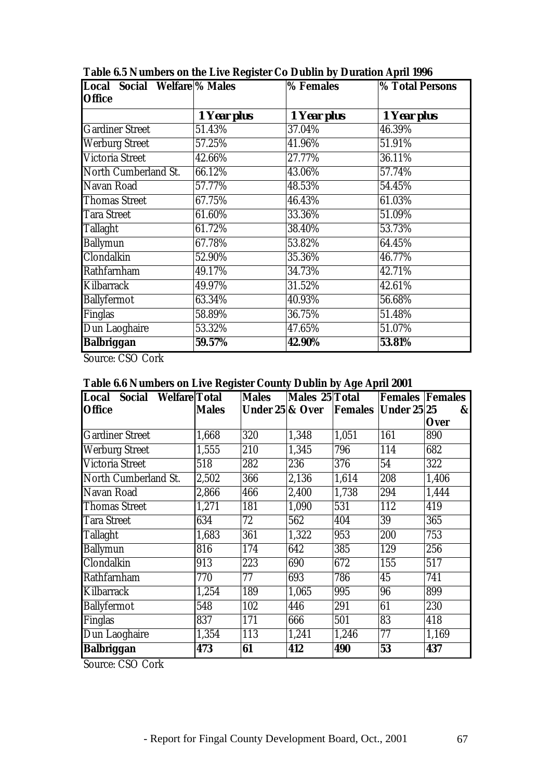| Local Social Welfare <sup>9</sup> % Males |             | % Females   | % Total Persons |
|-------------------------------------------|-------------|-------------|-----------------|
| <b>Office</b>                             |             |             |                 |
|                                           | 1 Year plus | 1 Year plus | 1 Year plus     |
| <b>Gardiner Street</b>                    | 51.43%      | 37.04%      | 46.39%          |
| <b>Werburg Street</b>                     | 57.25%      | 41.96%      | 51.91%          |
| <b>Victoria Street</b>                    | 42.66%      | 27.77%      | 36.11%          |
| North Cumberland St.                      | 66.12%      | 43.06%      | 57.74%          |
| Navan Road                                | 57.77%      | 48.53%      | 54.45%          |
| <b>Thomas Street</b>                      | 67.75%      | 46.43%      | 61.03%          |
| <b>Tara Street</b>                        | 61.60%      | 33.36%      | 51.09%          |
| <b>Tallaght</b>                           | 61.72%      | 38.40%      | 53.73%          |
| <b>Ballymun</b>                           | 67.78%      | 53.82%      | 64.45%          |
| Clondalkin                                | 52.90%      | 35.36%      | 46.77%          |
| Rathfarnham                               | 49.17%      | 34.73%      | 42.71%          |
| Kilbarrack                                | 49.97%      | 31.52%      | 42.61%          |
| <b>Ballyfermot</b>                        | 63.34%      | 40.93%      | 56.68%          |
| <b>Finglas</b>                            | 58.89%      | 36.75%      | 51.48%          |
| Dun Laoghaire                             | 53.32%      | 47.65%      | 51.07%          |
| <b>Balbriggan</b>                         | 59.57%      | 42.90%      | 53.81%          |

**Table 6.5 Numbers on the Live Register Co Dublin by Duration April 1996**

Source: CSO Cork

## **Table 6.6 Numbers on Live Register County Dublin by Age April 2001**

| Local Social Welfare Total |              | <b>Males</b>               | Males 25 Total |       | <b>Females Females</b>     |              |
|----------------------------|--------------|----------------------------|----------------|-------|----------------------------|--------------|
| <b>Office</b>              | <b>Males</b> | <b>Under 25 &amp; Over</b> |                |       | <b>Females Under 25 25</b> | $\mathbf{g}$ |
|                            |              |                            |                |       |                            | <b>Over</b>  |
| <b>Gardiner Street</b>     | 1,668        | 320                        | 1,348          | 1,051 | 161                        | 890          |
| <b>Werburg Street</b>      | 1,555        | 210                        | 1,345          | 796   | 114                        | 682          |
| <b>Victoria Street</b>     | 518          | 282                        | 236            | 376   | 54                         | 322          |
| North Cumberland St.       | 2,502        | 366                        | 2,136          | 1,614 | 208                        | 1,406        |
| Navan Road                 | 2,866        | 466                        | 2,400          | 1,738 | 294                        | 1,444        |
| <b>Thomas Street</b>       | 1,271        | 181                        | 1,090          | 531   | 112                        | 419          |
| <b>Tara Street</b>         | 634          | 72                         | 562            | 404   | 39                         | 365          |
| <b>Tallaght</b>            | 1,683        | 361                        | 1,322          | 953   | 200                        | 753          |
| <b>Ballymun</b>            | 816          | 174                        | 642            | 385   | 129                        | 256          |
| Clondalkin                 | 913          | 223                        | 690            | 672   | 155                        | 517          |
| Rathfarnham                | 770          | 77                         | 693            | 786   | 45                         | 741          |
| Kilbarrack                 | 1,254        | 189                        | 1,065          | 995   | 96                         | 899          |
| <b>Ballyfermot</b>         | 548          | 102                        | 446            | 291   | 61                         | 230          |
| Finglas                    | 837          | 171                        | 666            | 501   | 83                         | 418          |
| Dun Laoghaire              | 1,354        | 113                        | 1,241          | 1,246 | 77                         | 1,169        |
| <b>Balbriggan</b>          | 473          | 61                         | 412            | 490   | 53                         | 437          |

Source: CSO Cork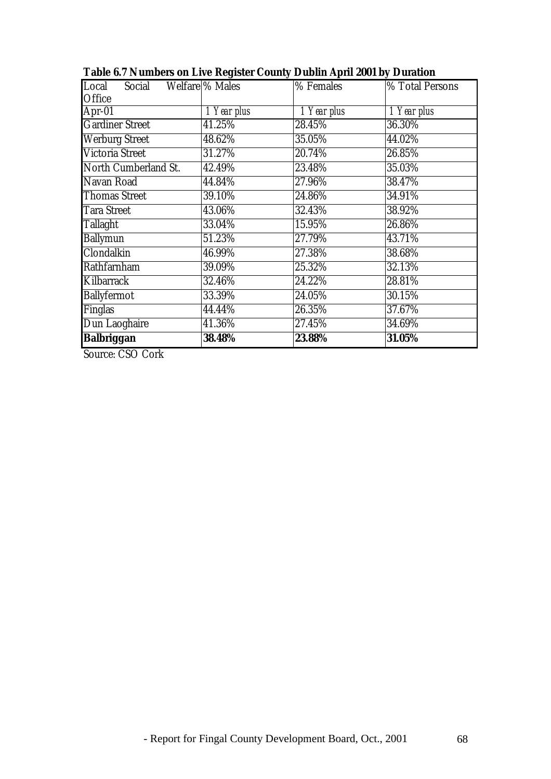| Local Social Welfare % Males |             | % Females   | <b>% Total Persons</b> |
|------------------------------|-------------|-------------|------------------------|
| Office                       |             |             |                        |
| Apr-01                       | 1 Year plus | 1 Year plus | 1 Year plus            |
| <b>Gardiner Street</b>       | 41.25%      | 28.45%      | 36.30%                 |
| <b>Werburg Street</b>        | 48.62%      | 35.05%      | 44.02%                 |
| <b>Victoria Street</b>       | 31.27%      | 20.74%      | 26.85%                 |
| North Cumberland St.         | 42.49%      | 23.48%      | 35.03%                 |
| Navan Road                   | 44.84%      | 27.96%      | 38.47%                 |
| <b>Thomas Street</b>         | 39.10%      | 24.86%      | 34.91%                 |
| <b>Tara Street</b>           | 43.06%      | 32.43%      | 38.92%                 |
| <b>Tallaght</b>              | 33.04%      | 15.95%      | 26.86%                 |
| <b>Ballymun</b>              | 51.23%      | 27.79%      | 43.71%                 |
| Clondalkin                   | 46.99%      | 27.38%      | 38.68%                 |
| Rathfarnham                  | 39.09%      | 25.32%      | 32.13%                 |
| Kilbarrack                   | 32.46%      | 24.22%      | 28.81%                 |
| <b>Ballyfermot</b>           | 33.39%      | 24.05%      | 30.15%                 |
| Finglas                      | 44.44%      | 26.35%      | 37.67%                 |
| Dun Laoghaire                | 41.36%      | 27.45%      | 34.69%                 |
| <b>Balbriggan</b>            | 38.48%      | 23.88%      | 31.05%                 |

**Table 6.7 Numbers on Live Register County Dublin April 2001 by Duration**

Source: CSO Cork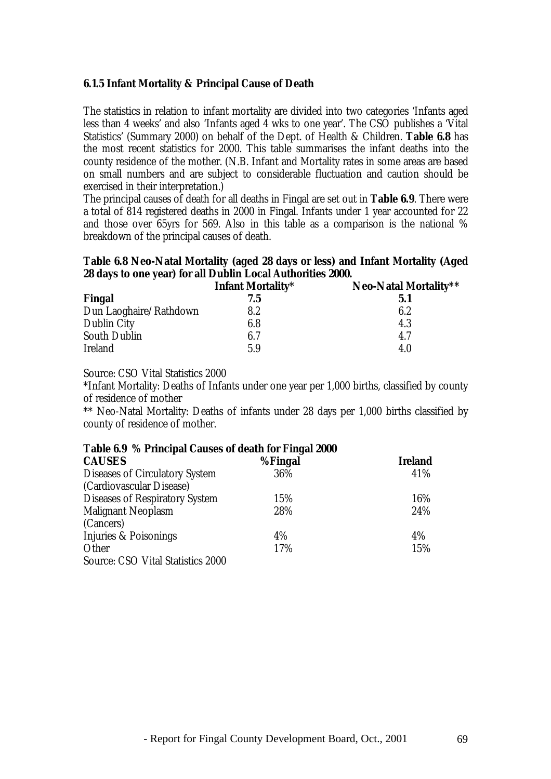### **6.1.5 Infant Mortality & Principal Cause of Death**

The statistics in relation to infant mortality are divided into two categories 'Infants aged less than 4 weeks' and also 'Infants aged 4 wks to one year'. The CSO publishes a 'Vital Statistics' (Summary 2000) on behalf of the Dept. of Health & Children. **Table 6.8** has the most recent statistics for 2000. This table summarises the infant deaths into the county residence of the mother. (N.B. Infant and Mortality rates in some areas are based on small numbers and are subject to considerable fluctuation and caution should be exercised in their interpretation.)

The principal causes of death for all deaths in Fingal are set out in **Table 6.9**. There were a total of 814 registered deaths in 2000 in Fingal. Infants under 1 year accounted for 22 and those over 65yrs for 569. Also in this table as a comparison is the national % breakdown of the principal causes of death.

## **Table 6.8 Neo-Natal Mortality (aged 28 days or less) and Infant Mortality (Aged 28 days to one year) for all Dublin Local Authorities 2000.**

|                        | <b>Infant Mortality*</b> | Neo-Natal Mortality** |
|------------------------|--------------------------|-----------------------|
| Fingal                 | 7.5                      | 5.1                   |
| Dun Laoghaire/Rathdown | 8.2                      | 6.2                   |
| <b>Dublin City</b>     | 6.8                      | 4.3                   |
| <b>South Dublin</b>    | 6.7                      | 4.7                   |
| <b>Ireland</b>         | 5.9                      | 4.0                   |

Source: CSO Vital Statistics 2000

\*Infant Mortality: Deaths of Infants under one year per 1,000 births, classified by county of residence of mother

\*\* Neo-Natal Mortality: Deaths of infants under 28 days per 1,000 births classified by county of residence of mother.

#### **Table 6.9 % Principal Causes of death for Fingal 2000**

| <b>CAUSES</b>                            | %Fingal | <b>Ireland</b> |
|------------------------------------------|---------|----------------|
| <b>Diseases of Circulatory System</b>    | 36%     | 41%            |
| (Cardiovascular Disease)                 |         |                |
| <b>Diseases of Respiratory System</b>    | 15%     | 16%            |
| <b>Malignant Neoplasm</b>                | 28%     | 24%            |
| (Cancers)                                |         |                |
| Injuries & Poisonings                    | 4%      | 4%             |
| Other                                    | 17%     | 15%            |
| <b>Source: CSO Vital Statistics 2000</b> |         |                |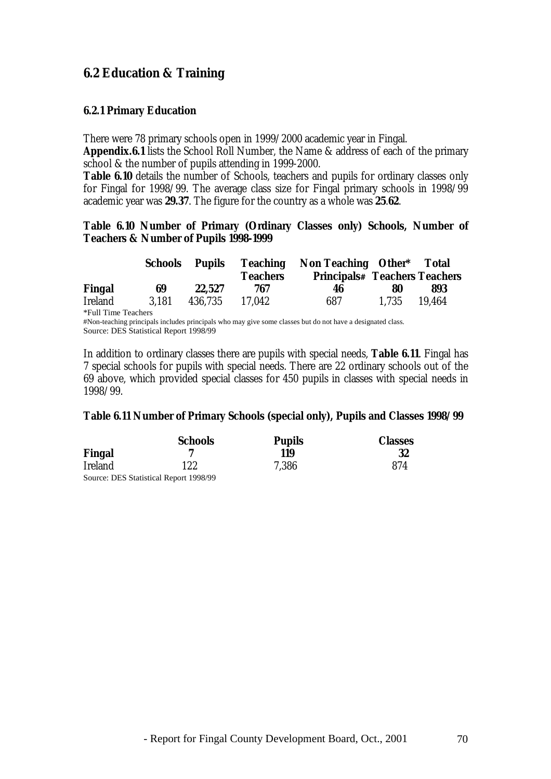## **6.2 Education & Training**

#### **6.2.1 Primary Education**

There were 78 primary schools open in 1999/2000 academic year in Fingal.

**Appendix.6.1** lists the School Roll Number, the Name & address of each of the primary school & the number of pupils attending in 1999-2000.

**Table 6.10** details the number of Schools, teachers and pupils for ordinary classes only for Fingal for 1998/99. The average class size for Fingal primary schools in 1998/99 academic year was **29.37**. The figure for the country as a whole was **25**.**62**.

#### **Table 6.10 Number of Primary (Ordinary Classes only) Schools, Number of Teachers & Number of Pupils 1998-1999**

|                | Schools | Pupils  |                 | <b>Teaching Non Teaching Other* Total</b> |       |        |
|----------------|---------|---------|-----------------|-------------------------------------------|-------|--------|
|                |         |         | <b>Teachers</b> | <b>Principals# Teachers Teachers</b>      |       |        |
| Fingal         | 69      | 22.527  | 767             | 46                                        | 80    | 893    |
| <b>Ireland</b> | 3.181   | 436.735 | 17.042          | 687                                       | 1.735 | 19.464 |

\*Full Time Teachers #Non-teaching principals includes principals who may give some classes but do not have a designated class.

Source: DES Statistical Report 1998/99

In addition to ordinary classes there are pupils with special needs, **Table 6.11**. Fingal has 7 special schools for pupils with special needs. There are 22 ordinary schools out of the 69 above, which provided special classes for 450 pupils in classes with special needs in 1998/99.

#### **Table 6.11 Number of Primary Schools (special only), Pupils and Classes 1998/99**

|                | <b>Schools</b>                         | <b>Pupils</b> | <b>Classes</b> |
|----------------|----------------------------------------|---------------|----------------|
| Fingal         |                                        | 119           | 32             |
| <b>Ireland</b> | 122                                    | 7.386         | 874            |
|                | Source: DES Statistical Report 1998/99 |               |                |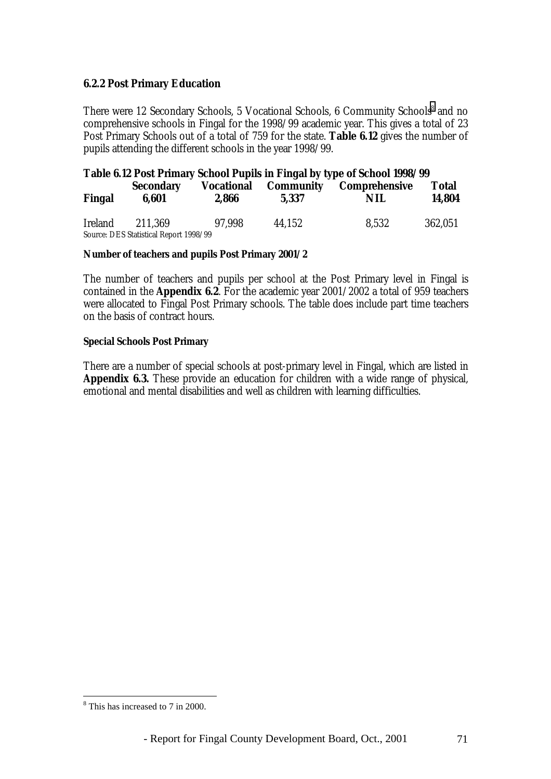#### **6.2.2 Post Primary Education**

There were 12 Secondary Schools, 5 Vocational Schools, 6 Community Schools<sup>8</sup> and no comprehensive schools in Fingal for the 1998/99 academic year. This gives a total of 23 Post Primary Schools out of a total of 759 for the state. **Table 6.12** gives the number of pupils attending the different schools in the year 1998/99.

|                |                                                   |                            |                    | Table 6.12 Post Primary School Pupils in Fingal by type of School 1998/99 |                        |
|----------------|---------------------------------------------------|----------------------------|--------------------|---------------------------------------------------------------------------|------------------------|
| Fingal         | <b>Secondary</b><br>6,601                         | <b>Vocational</b><br>2.866 | Community<br>5.337 | Comprehensive<br>NIL                                                      | <b>Total</b><br>14,804 |
| <b>Ireland</b> | 211.369<br>Source: DES Statistical Report 1998/99 | 97.998                     | 44.152             | 8.532                                                                     | 362,051                |

#### **Number of teachers and pupils Post Primary 2001/2**

The number of teachers and pupils per school at the Post Primary level in Fingal is contained in the **Appendix 6.2**. For the academic year 2001/2002 a total of 959 teachers were allocated to Fingal Post Primary schools. The table does include part time teachers on the basis of contract hours.

#### **Special Schools Post Primary**

There are a number of special schools at post-primary level in Fingal, which are listed in **Appendix 6.3.** These provide an education for children with a wide range of physical, emotional and mental disabilities and well as children with learning difficulties.

<sup>&</sup>lt;sup>8</sup> This has increased to 7 in 2000.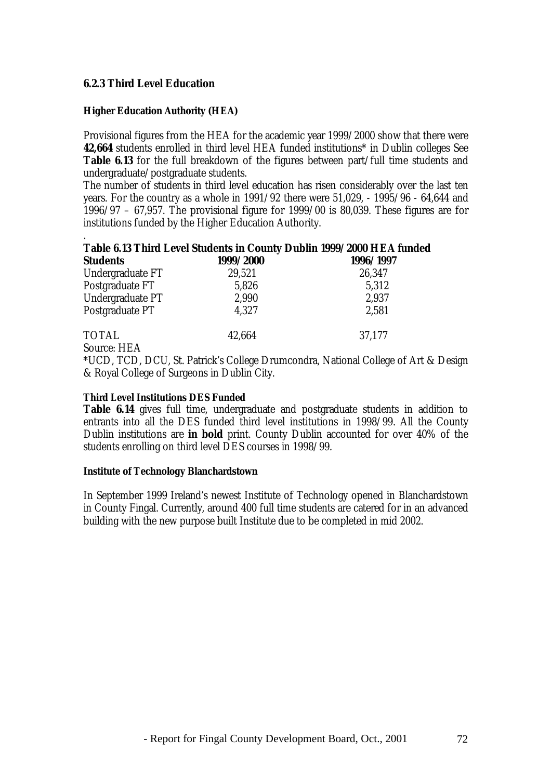#### **6.2.3 Third Level Education**

#### **Higher Education Authority (HEA)**

Provisional figures from the HEA for the academic year 1999/2000 show that there were **42,664** students enrolled in third level HEA funded institutions\* in Dublin colleges See **Table 6.13** for the full breakdown of the figures between part/full time students and undergraduate/postgraduate students.

The number of students in third level education has risen considerably over the last ten years. For the country as a whole in 1991/92 there were 51,029, - 1995/96 - 64,644 and 1996/97 – 67,957. The provisional figure for 1999/00 is 80,039. These figures are for institutions funded by the Higher Education Authority.

#### . **Table 6.13 Third Level Students in County Dublin 1999/2000 HEA funded Students 1999/2000 1996/1997**

| эшиень           | 1999/ AVVV | 1990/1997 |
|------------------|------------|-----------|
| Undergraduate FT | 29,521     | 26,347    |
| Postgraduate FT  | 5,826      | 5,312     |
| Undergraduate PT | 2,990      | 2,937     |
| Postgraduate PT  | 4,327      | 2,581     |
| <b>TOTAL</b>     | 42,664     | 37,177    |

Source: HEA

\*UCD, TCD, DCU, St. Patrick's College Drumcondra, National College of Art & Design & Royal College of Surgeons in Dublin City.

#### **Third Level Institutions DES Funded**

**Table 6.14** gives full time, undergraduate and postgraduate students in addition to entrants into all the DES funded third level institutions in 1998/99. All the County Dublin institutions are **in bold** print. County Dublin accounted for over 40% of the students enrolling on third level DES courses in 1998/99.

### **Institute of Technology Blanchardstown**

In September 1999 Ireland's newest Institute of Technology opened in Blanchardstown in County Fingal. Currently, around 400 full time students are catered for in an advanced building with the new purpose built Institute due to be completed in mid 2002.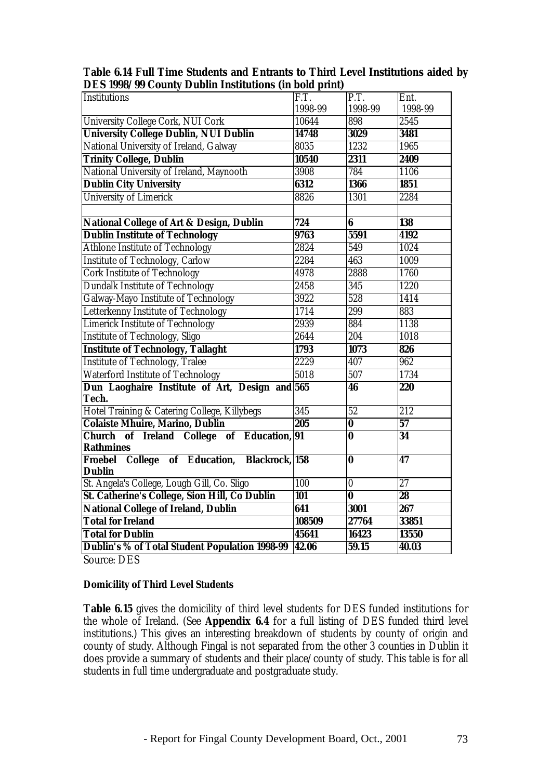| рто тооо, оо сомигү равши тизиканонз үш вом ришт        |                  |                         |                  |
|---------------------------------------------------------|------------------|-------------------------|------------------|
| Institutions                                            | F.T.             | P.T.                    | Ent.             |
|                                                         | 1998-99          | 1998-99                 | 1998-99          |
| <b>University College Cork, NUI Cork</b>                | 10644            | 898                     | 2545             |
| <b>University College Dublin, NUI Dublin</b>            | 14748            | 3029                    | 3481             |
| National University of Ireland, Galway                  | 8035             | 1232                    | 1965             |
| <b>Trinity College, Dublin</b>                          | 10540            | 2311                    | 2409             |
| National University of Ireland, Maynooth                | 3908             | 784                     | 1106             |
| <b>Dublin City University</b>                           | 6312             | 1366                    | 1851             |
| <b>University of Limerick</b>                           | 8826             | 1301                    | 2284             |
|                                                         |                  |                         |                  |
| <b>National College of Art &amp; Design, Dublin</b>     | 724              | 6                       | 138              |
| <b>Dublin Institute of Technology</b>                   | 9763             | 5591                    | 4192             |
| <b>Athlone Institute of Technology</b>                  | 2824             | 549                     | 1024             |
| <b>Institute of Technology, Carlow</b>                  | 2284             | 463                     | 1009             |
| <b>Cork Institute of Technology</b>                     | 4978             | 2888                    | 1760             |
| <b>Dundalk Institute of Technology</b>                  | 2458             | 345                     | 1220             |
| Galway-Mayo Institute of Technology                     | 3922             | 528                     | 1414             |
| Letterkenny Institute of Technology                     | 1714             | 299                     | 883              |
| <b>Limerick Institute of Technology</b>                 | 2939             | 884                     | 1138             |
| <b>Institute of Technology, Sligo</b>                   | 2644             | 204                     | 1018             |
| <b>Institute of Technology, Tallaght</b>                | 1793             | 1073                    | 826              |
| <b>Institute of Technology, Tralee</b>                  | 2229             | 407                     | 962              |
| <b>Waterford Institute of Technology</b>                | 5018             | 507                     | 1734             |
| Dun Laoghaire Institute of Art, Design and 565<br>Tech. |                  | $\overline{46}$         | 220              |
| Hotel Training & Catering College, Killybegs            | $\overline{345}$ | $\overline{52}$         | $\overline{212}$ |
| <b>Colaiste Mhuire, Marino, Dublin</b>                  | 205              | $\bf{0}$                | $\overline{57}$  |
| Church of Ireland College of Education, 91              |                  | $\overline{\mathbf{0}}$ | $\overline{34}$  |
| <b>Rathmines</b>                                        |                  |                         |                  |
| Froebel College of Education, Blackrock, 158            |                  | $\overline{\mathbf{0}}$ | $\overline{47}$  |
| Dublin                                                  |                  |                         |                  |
| St. Angela's College, Lough Gill, Co. Sligo             | 100              | $\overline{\mathbf{0}}$ | $\overline{27}$  |
| <b>St. Catherine's College, Sion Hill, Co Dublin</b>    | <b>101</b>       | $\overline{\mathbf{0}}$ | $\overline{28}$  |
| <b>National College of Ireland, Dublin</b>              | 641              | 3001                    | 267              |
| <b>Total for Ireland</b>                                | 108509           | 27764                   | 33851            |
| <b>Total for Dublin</b>                                 | 45641            | 16423                   | 13550            |
| Dublin's % of Total Student Population 1998-99          | 42.06            | 59.15                   | 40.03            |
|                                                         |                  |                         |                  |

**Table 6.14 Full Time Students and Entrants to Third Level Institutions aided by DES 1998/99 County Dublin Institutions (in bold print)**

Source: DES

#### **Domicility of Third Level Students**

**Table 6.15** gives the domicility of third level students for DES funded institutions for the whole of Ireland. (See **Appendix 6.4** for a full listing of DES funded third level institutions.) This gives an interesting breakdown of students by county of origin and county of study. Although Fingal is not separated from the other 3 counties in Dublin it does provide a summary of students and their place/county of study. This table is for all students in full time undergraduate and postgraduate study.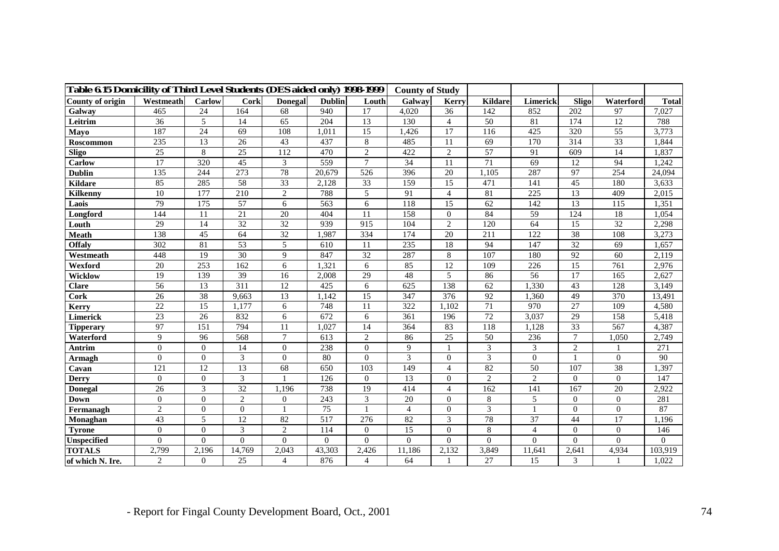| Table 6.15 Domicility of Third Level Students (DES aided only) 1998-1999 |                 |                 |                 |                |                 |                 | <b>County of Study</b> |                  |                 |                |                  |                |                |
|--------------------------------------------------------------------------|-----------------|-----------------|-----------------|----------------|-----------------|-----------------|------------------------|------------------|-----------------|----------------|------------------|----------------|----------------|
| County of origin                                                         | Westmeath       | Carlow          | Cork            | <b>Donegal</b> | <b>Dublin</b>   | Louth           | Galway                 | Kerry            | <b>Kildare</b>  | Limerick       | Sligo            | Waterford      | <b>Total</b>   |
| Galway                                                                   | 465             | $\overline{24}$ | 164             | 68             | 940             | $\overline{17}$ | 4,020                  | $\overline{36}$  | 142             | 852            | $\overline{202}$ | 97             | 7,027          |
| Leitrim                                                                  | 36              | 5               | 14              | 65             | 204             | 13              | 130                    | $\overline{4}$   | 50              | 81             | 174              | 12             | 788            |
| Mayo                                                                     | 187             | 24              | 69              | 108            | 1,011           | 15              | 1,426                  | 17               | 116             | 425            | 320              | 55             | 3,773          |
| Roscommon                                                                | 235             | 13              | 26              | 43             | 437             | 8               | 485                    | 11               | 69              | 170            | 314              | 33             | 1,844          |
| <b>Sligo</b>                                                             | 25              | 8               | 25              | 112            | 470             | $\overline{2}$  | 422                    | 2                | 57              | 91             | 609              | 14             | 1,837          |
| <b>Carlow</b>                                                            | 17              | 320             | 45              | 3              | 559             | $\overline{7}$  | 34                     | 11               | 71              | 69             | 12               | 94             | 1,242          |
| <b>Dublin</b>                                                            | 135             | 244             | 273             | 78             | 20,679          | 526             | 396                    | 20               | 1,105           | 287            | 97               | 254            | 24,094         |
| <b>Kildare</b>                                                           | 85              | 285             | 58              | 33             | 2,128           | 33              | 159                    | 15               | 471             | 141            | 45               | 180            | 3,633          |
| <b>Kilkenny</b>                                                          | 10              | 177             | 210             | $\overline{2}$ | 788             | 5               | 91                     | $\overline{4}$   | 81              | 225            | 13               | 409            | 2,015          |
| Laois                                                                    | 79              | 175             | 57              | 6              | 563             | 6               | 118                    | 15               | 62              | 142            | 13               | 115            | 1,351          |
| Longford                                                                 | 144             | 11              | 21              | 20             | 404             | 11              | 158                    | $\overline{0}$   | 84              | 59             | 124              | 18             | 1,054          |
| Louth                                                                    | 29              | 14              | 32              | 32             | 939             | 915             | 104                    | 2                | 120             | 64             | 15               | 32             | 2,298          |
| <b>Meath</b>                                                             | 138             | 45              | 64              | 32             | 1,987           | 334             | 174                    | 20               | 211             | 122            | 38               | 108            | 3,273          |
| <b>Offaly</b>                                                            | 302             | 81              | 53              | 5              | 610             | 11              | 235                    | 18               | 94              | 147            | 32               | 69             | 1,657          |
| Westmeath                                                                | 448             | 19              | 30              | 9              | 847             | 32              | 287                    | 8                | 107             | 180            | 92               | 60             | 2,119          |
| Wexford                                                                  | 20              | 253             | 162             | 6              | 1,321           | 6               | 85                     | 12               | 109             | 226            | 15               | 761            | 2,976          |
| Wicklow                                                                  | 19              | 139             | 39              | 16             | 2,008           | 29              | 48                     | 5                | 86              | 56             | 17               | 165            | 2.627          |
| <b>Clare</b>                                                             | 56              | 13              | 311             | 12             | 425             | 6               | 625                    | 138              | 62              | 1,330          | 43               | 128            | 3,149          |
| Cork                                                                     | $\overline{26}$ | $\overline{38}$ | 9,663           | 13             | 1,142           | $\overline{15}$ | $\overline{347}$       | $\overline{376}$ | $\overline{92}$ | 1,360          | 49               | 370            | 13,491         |
| Kerry                                                                    | 22              | 15              | 1,177           | 6              | 748             | 11              | 322                    | 1,102            | 71              | 970            | 27               | 109            | 4,580          |
| <b>Limerick</b>                                                          | $\overline{23}$ | 26              | 832             | 6              | 672             | 6               | 361                    | 196              | $\overline{72}$ | 3,037          | 29               | 158            | 5,418          |
| <b>Tipperary</b>                                                         | 97              | 151             | 794             | 11             | 1,027           | 14              | 364                    | 83               | 118             | 1,128          | 33               | 567            | 4,387          |
| Waterford                                                                | 9               | 96              | 568             | $\overline{7}$ | 613             | $\mathbf{2}$    | 86                     | $\overline{25}$  | 50              | 236            | $\tau$           | 1,050          | 2,749          |
| Antrim                                                                   | $\Omega$        | $\Omega$        | 14              | $\overline{0}$ | 238             | $\Omega$        | 9                      |                  | 3               | 3              | $\overline{2}$   |                | 271            |
| <b>Armagh</b>                                                            | $\overline{0}$  | $\Omega$        | 3               | $\overline{0}$ | 80              | $\overline{0}$  | 3                      | $\mathbf{0}$     | 3               | $\Omega$       |                  | $\Omega$       | 90             |
| Cavan                                                                    | 121             | 12              | 13              | 68             | 650             | 103             | 149                    | $\overline{4}$   | 82              | 50             | 107              | 38             | 1,397          |
| <b>Derry</b>                                                             | $\overline{0}$  | $\Omega$        | 3               |                | 126             | $\overline{0}$  | 13                     | $\mathbf{0}$     | $\overline{c}$  | $\overline{2}$ | $\Omega$         | $\overline{0}$ | 147            |
| <b>Donegal</b>                                                           | 26              | 3               | $\overline{32}$ | 1.196          | 738             | 19              | 414                    | $\overline{4}$   | 162             | 141            | 167              | 20             | 2,922          |
| Down                                                                     | $\Omega$        | $\Omega$        | $\overline{2}$  | $\overline{0}$ | 243             | 3               | 20                     | $\mathbf{0}$     | 8               | 5              | $\Omega$         | $\Omega$       | 281            |
| Fermanagh                                                                | $\overline{2}$  | $\Omega$        | $\overline{0}$  |                | $\overline{75}$ |                 | $\overline{4}$         | $\mathbf{0}$     | 3               |                | $\mathbf{0}$     | $\overline{0}$ | 87             |
| Monaghan                                                                 | 43              | 5               | 12              | 82             | 517             | 276             | 82                     | $\mathfrak{Z}$   | 78              | 37             | 44               | 17             | 1,196          |
| <b>Tyrone</b>                                                            | $\overline{0}$  | $\overline{0}$  | 3               | $\mathbf{2}$   | 114             | $\overline{0}$  | 15                     | $\mathbf{0}$     | $\,8\,$         | $\overline{4}$ | $\mathbf{0}$     | $\overline{0}$ | 146            |
| <b>Unspecified</b>                                                       | $\theta$        | $\Omega$        | $\theta$        | $\Omega$       | $\Omega$        | $\theta$        | $\theta$               | $\Omega$         | $\Omega$        | $\Omega$       | $\Omega$         | $\Omega$       | $\overline{0}$ |
| <b>TOTALS</b>                                                            | 2,799           | 2,196           | 14,769          | 2,043          | 43,303          | 2,426           | 11,186                 | 2,132            | 3,849           | 11,641         | 2,641            | 4,934          | 103,919        |
| of which N. Ire.                                                         | $\overline{2}$  | $\Omega$        | 25              | $\overline{4}$ | 876             | $\overline{4}$  | 64                     |                  | 27              | 15             | 3                |                | 1,022          |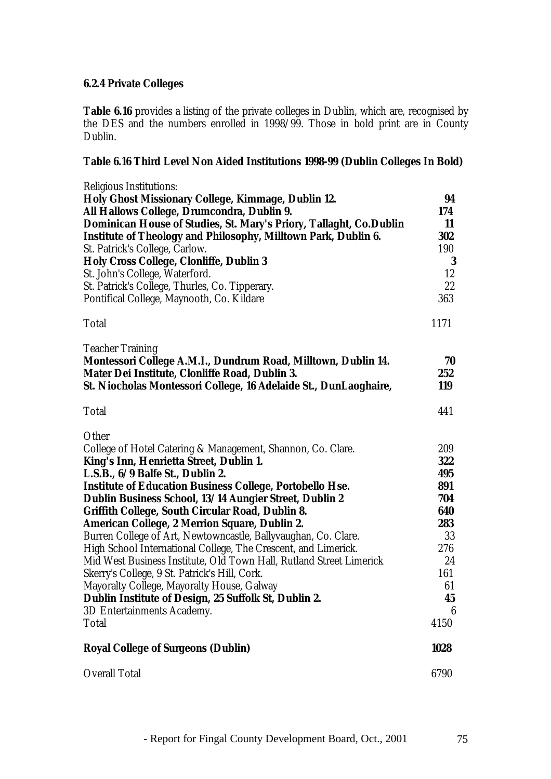### **6.2.4 Private Colleges**

**Table 6.16** provides a listing of the private colleges in Dublin, which are, recognised by the DES and the numbers enrolled in 1998/99. Those in bold print are in County Dublin.

### **Table 6.16 Third Level Non Aided Institutions 1998-99 (Dublin Colleges In Bold)**

| <b>Religious Institutions:</b>                                        |      |
|-----------------------------------------------------------------------|------|
| Holy Ghost Missionary College, Kimmage, Dublin 12.                    | 94   |
| All Hallows College, Drumcondra, Dublin 9.                            | 174  |
| Dominican House of Studies, St. Mary's Priory, Tallaght, Co.Dublin    | 11   |
| <b>Institute of Theology and Philosophy, Milltown Park, Dublin 6.</b> | 302  |
| St. Patrick's College, Carlow.                                        | 190  |
| <b>Holy Cross College, Clonliffe, Dublin 3</b>                        | 3    |
| St. John's College, Waterford.                                        | 12   |
| St. Patrick's College, Thurles, Co. Tipperary.                        | 22   |
| Pontifical College, Maynooth, Co. Kildare                             | 363  |
| <b>Total</b>                                                          | 1171 |
| <b>Teacher Training</b>                                               |      |
| Montessori College A.M.I., Dundrum Road, Milltown, Dublin 14.         | 70   |
| Mater Dei Institute, Clonliffe Road, Dublin 3.                        | 252  |
| St. Niocholas Montessori College, 16 Adelaide St., DunLaoghaire,      | 119  |
| <b>Total</b>                                                          | 441  |
| Other                                                                 |      |
| College of Hotel Catering & Management, Shannon, Co. Clare.           | 209  |
| King's Inn, Henrietta Street, Dublin 1.                               | 322  |
| L.S.B., 6/9 Balfe St., Dublin 2.                                      | 495  |
| <b>Institute of Education Business College, Portobello Hse.</b>       | 891  |
| Dublin Business School, 13/14 Aungier Street, Dublin 2                | 704  |
| Griffith College, South Circular Road, Dublin 8.                      | 640  |
| American College, 2 Merrion Square, Dublin 2.                         | 283  |
| Burren College of Art, Newtowncastle, Ballyvaughan, Co. Clare.        | 33   |
| High School International College, The Crescent, and Limerick.        | 276  |
| Mid West Business Institute, Old Town Hall, Rutland Street Limerick   | 24   |
| Skerry's College, 9 St. Patrick's Hill, Cork.                         | 161  |
| Mayoralty College, Mayoralty House, Galway                            | 61   |
| Dublin Institute of Design, 25 Suffolk St, Dublin 2.                  | 45   |
| 3D Entertainments Academy.                                            | 6    |
| <b>Total</b>                                                          | 4150 |
| <b>Royal College of Surgeons (Dublin)</b>                             | 1028 |
| <b>Overall Total</b>                                                  | 6790 |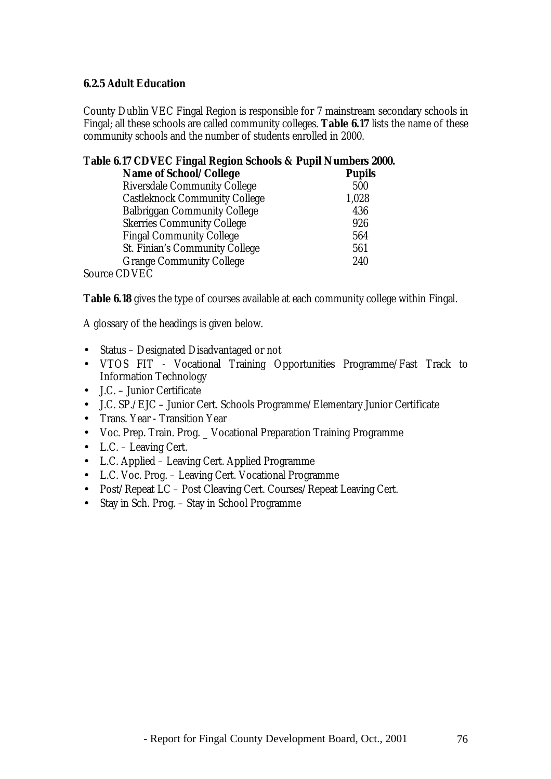### **6.2.5 Adult Education**

County Dublin VEC Fingal Region is responsible for 7 mainstream secondary schools in Fingal; all these schools are called community colleges. **Table 6.17** lists the name of these community schools and the number of students enrolled in 2000.

### **Table 6.17 CDVEC Fingal Region Schools & Pupil Numbers 2000.**

| <b>Name of School/College</b>        | <b>Pupils</b> |
|--------------------------------------|---------------|
| <b>Riversdale Community College</b>  | 500           |
| <b>Castleknock Community College</b> | 1,028         |
| <b>Balbriggan Community College</b>  | 436           |
| <b>Skerries Community College</b>    | 926           |
| <b>Fingal Community College</b>      | 564           |
| St. Finian's Community College       | 561           |
| <b>Grange Community College</b>      | 240           |
| 0 CDVEC                              |               |

Source CDVEC

**Table 6.18** gives the type of courses available at each community college within Fingal.

A glossary of the headings is given below.

- Status Designated Disadvantaged or not
- VTOS FIT Vocational Training Opportunities Programme/Fast Track to Information Technology
- J.C. Junior Certificate
- J.C. SP./EJC Junior Cert. Schools Programme/Elementary Junior Certificate
- Trans. Year Transition Year
- Voc. Prep. Train. Prog. \_ Vocational Preparation Training Programme
- L.C. Leaving Cert.
- L.C. Applied Leaving Cert. Applied Programme
- L.C. Voc. Prog. Leaving Cert. Vocational Programme
- Post/Repeat LC Post Cleaving Cert. Courses/Repeat Leaving Cert.
- Stay in Sch. Prog. Stay in School Programme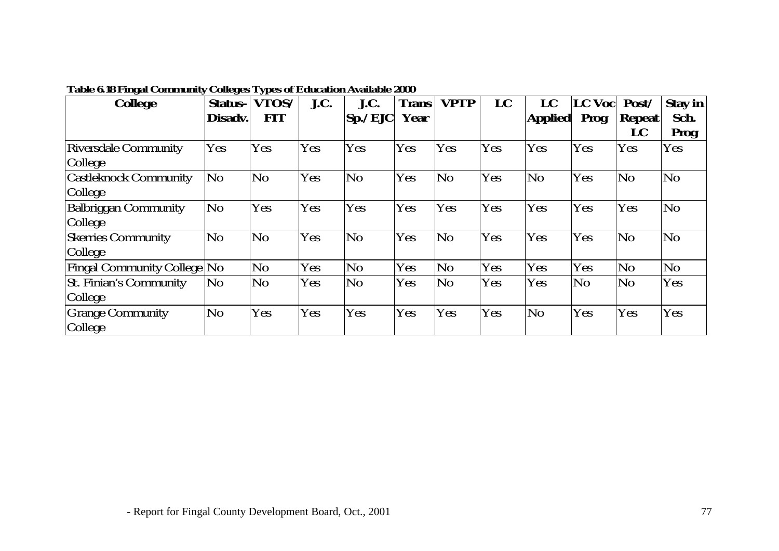| <b>College</b>                     | ັ<br><b>Status-</b> | ◡▴<br>VTOS/    | J.C.       | J.C.           | <b>Trans</b> | <b>VPTP</b>    | LC  | LC             | LC Voc | Post/          | <b>Stay in</b> |
|------------------------------------|---------------------|----------------|------------|----------------|--------------|----------------|-----|----------------|--------|----------------|----------------|
|                                    | Disadv.             | <b>FIT</b>     |            | Sp./EJC        | Year         |                |     | <b>Applied</b> | Prog   | <b>Repeat</b>  | Sch.           |
|                                    |                     |                |            |                |              |                |     |                |        | LC             | <b>Prog</b>    |
| <b>Riversdale Community</b>        | Yes                 | Yes            | Yes        | Yes            | Yes          | Yes            | Yes | Yes            | Yes    | Yes            | <b>Yes</b>     |
| <b>College</b>                     |                     |                |            |                |              |                |     |                |        |                |                |
| <b>Castleknock Community</b>       | No                  | N <sub>0</sub> | <b>Yes</b> | N <sub>0</sub> | Yes          | N <sub>0</sub> | Yes | N <sub>0</sub> | Yes    | N <sub>0</sub> | No             |
| <b>College</b>                     |                     |                |            |                |              |                |     |                |        |                |                |
| <b>Balbriggan Community</b>        | N <sub>o</sub>      | Yes            | Yes        | Yes            | Yes          | Yes            | Yes | Yes            | Yes    | Yes            | No             |
| <b>College</b>                     |                     |                |            |                |              |                |     |                |        |                |                |
| <b>Skerries</b> Community          | No.                 | N <sub>o</sub> | Yes        | N <sub>o</sub> | Yes          | N <sub>0</sub> | Yes | Yes            | Yes    | N <sub>o</sub> | N <sub>o</sub> |
| College                            |                     |                |            |                |              |                |     |                |        |                |                |
| <b>Fingal Community College No</b> |                     | N <sub>o</sub> | Yes        | N <sub>o</sub> | Yes          | N <sub>0</sub> | Yes | Yes            | Yes    | N <sub>0</sub> | No             |
| <b>St. Finian's Community</b>      | No                  | N <sub>o</sub> | Yes        | No.            | Yes          | N <sub>0</sub> | Yes | Yes            | No     | N <sub>o</sub> | Yes            |
| College                            |                     |                |            |                |              |                |     |                |        |                |                |
| <b>Grange Community</b>            | No                  | Yes            | Yes        | Yes            | Yes          | <b>Yes</b>     | Yes | N <sub>0</sub> | Yes    | Yes            | Yes            |
| College                            |                     |                |            |                |              |                |     |                |        |                |                |

## **Table 6.18 Fingal Community Colleges Types of Education Available 2000**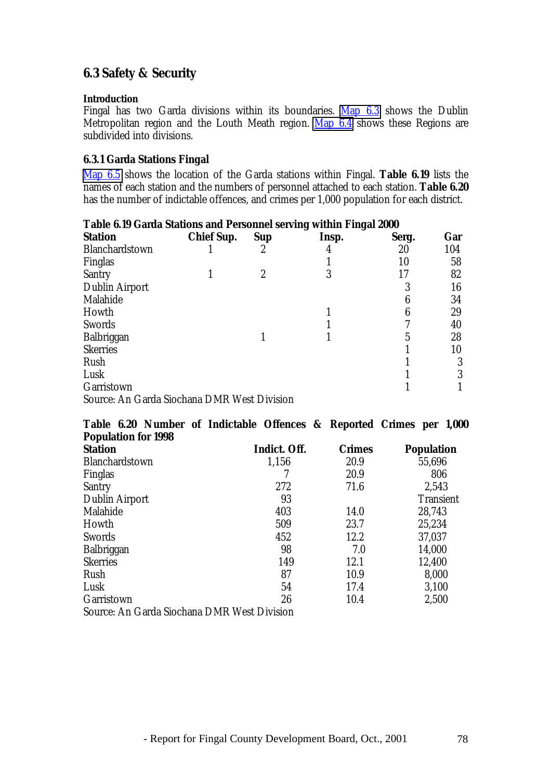# **6.3 Safety & Security**

#### **Introduction**

Fingal has two Garda divisions within its boundaries. Map 6.3 shows the Dublin Metropolitan region and the Louth Meath region. Map 6.4 shows these Regions are subdivided into divisions.

### **6.3.1 Garda Stations Fingal**

Map 6.5 shows the location of the Garda stations within Fingal. **Table 6.19** lists the names of each station and the numbers of personnel attached to each station. **Table 6.20** has the number of indictable offences, and crimes per 1,000 population for each district.

| Table 6.19 Garda Stations and Personnel serving within Fingal 2000 |                   |            |       |       |     |
|--------------------------------------------------------------------|-------------------|------------|-------|-------|-----|
| <b>Station</b>                                                     | <b>Chief Sup.</b> | <b>Sup</b> | Insp. | Serg. | Gar |
| Blanchardstown                                                     |                   | 2          | 4     | 20    | 104 |
| Finglas                                                            |                   |            |       | 10    | 58  |
| <b>Santry</b>                                                      |                   | 2          | 3     | 17    | 82  |
| <b>Dublin Airport</b>                                              |                   |            |       | 3     | 16  |
| Malahide                                                           |                   |            |       |       | 34  |
| Howth                                                              |                   |            |       | 6     | 29  |
| <b>Swords</b>                                                      |                   |            |       |       | 40  |
| Balbriggan                                                         |                   |            |       | 5     | 28  |
| <b>Skerries</b>                                                    |                   |            |       |       | 10  |
| Rush                                                               |                   |            |       |       | 3   |
| Lusk                                                               |                   |            |       |       | 3   |
| Garristown                                                         |                   |            |       |       |     |
| Source: An Garda Siochana DMR West Division                        |                   |            |       |       |     |

| Table 6.20 Number of Indictable Offences & Reported Crimes per 1,000 |              |               |                   |
|----------------------------------------------------------------------|--------------|---------------|-------------------|
| <b>Population for 1998</b>                                           |              |               |                   |
| <b>Station</b>                                                       | Indict. Off. | <b>Crimes</b> | <b>Population</b> |
| Blanchardstown                                                       | 1,156        | 20.9          | 55,696            |
| Finglas                                                              |              | 20.9          | 806               |
| <b>Santry</b>                                                        | 272          | 71.6          | 2,543             |
| <b>Dublin Airport</b>                                                | 93           |               | <b>Transient</b>  |
| Malahide                                                             | 403          | 14.0          | 28,743            |
| Howth                                                                | 509          | 23.7          | 25,234            |
| <b>Swords</b>                                                        | 452          | 12.2          | 37,037            |
| Balbriggan                                                           | 98           | 7.0           | 14,000            |
| <b>Skerries</b>                                                      | 149          | 12.1          | 12,400            |
| Rush                                                                 | 87           | 10.9          | 8,000             |
| Lusk                                                                 | 54           | 17.4          | 3,100             |
| Garristown                                                           | 26           | 10.4          | 2,500             |
| Source: An Garda Siochana DMR West Division                          |              |               |                   |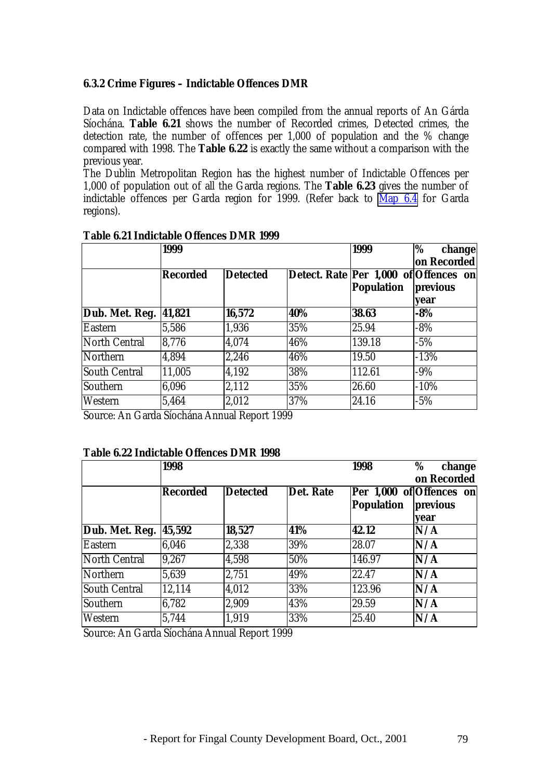### **6.3.2 Crime Figures – Indictable Offences DMR**

Data on Indictable offences have been compiled from the annual reports of An Gárda Síochána. **Table 6.21** shows the number of Recorded crimes, Detected crimes, the detection rate, the number of offences per 1,000 of population and the % change compared with 1998. The **Table 6.22** is exactly the same without a comparison with the previous year.

The Dublin Metropolitan Region has the highest number of Indictable Offences per 1,000 of population out of all the Garda regions. The **Table 6.23** gives the number of indictable offences per Garda region for 1999. (Refer back to Map 6.4 for Garda regions).

|                       | 1999            |                 | 1999 | %<br>change<br>on Recorded                                 |                  |
|-----------------------|-----------------|-----------------|------|------------------------------------------------------------|------------------|
|                       | <b>Recorded</b> | <b>Detected</b> |      | Detect. Rate Per 1,000 of Offences on<br><b>Population</b> | previous<br>vear |
| Dub. Met. Reg. 41,821 |                 | 16,572          | 40%  | 38.63                                                      | $-8%$            |
| <b>Eastern</b>        | 5,586           | 1,936           | 35%  | 25.94                                                      | $-8%$            |
| North Central         | 8,776           | 4,074           | 46%  | 139.18                                                     | $-5%$            |
| Northern              | 4,894           | 2,246           | 46%  | 19.50                                                      | $-13%$           |
| <b>South Central</b>  | 11,005          | 4,192           | 38%  | 112.61                                                     | $-9%$            |
| Southern              | 6,096           | 2,112           | 35%  | 26.60                                                      | $-10%$           |
| Western               | 5,464           | 2,012           | 37%  | 24.16                                                      | $-5%$            |

#### **Table 6.21 Indictable Offences DMR 1999**

Source: An Garda Síochána Annual Report 1999

#### **Table 6.22 Indictable Offences DMR 1998**

|                      | 1998     |                 |                  | 1998              | %<br>change<br>on Recorded                   |  |
|----------------------|----------|-----------------|------------------|-------------------|----------------------------------------------|--|
|                      | Recorded | <b>Detected</b> | <b>Det. Rate</b> | <b>Population</b> | Per 1,000 of Offences on<br>previous<br>vear |  |
| Dub. Met. Reg.       | 45,592   | 18,527          | 41%              | 42.12             | N/A                                          |  |
| <b>Eastern</b>       | 6.046    | 2,338           | 39%              | 28.07             | N/A                                          |  |
| North Central        | 9,267    | 4,598           | 50%              | 146.97            | N/A                                          |  |
| Northern             | 5,639    | 2,751           | 49%              | 22.47             | N/A                                          |  |
| <b>South Central</b> | 12,114   | 4,012           | 33%              | 123.96            | N/A                                          |  |
| Southern             | 6,782    | 2,909           | 43%              | 29.59             | N/A                                          |  |
| Western              | 5,744    | 1,919           | 33%              | 25.40             | N/A                                          |  |

Source: An Garda Síochána Annual Report 1999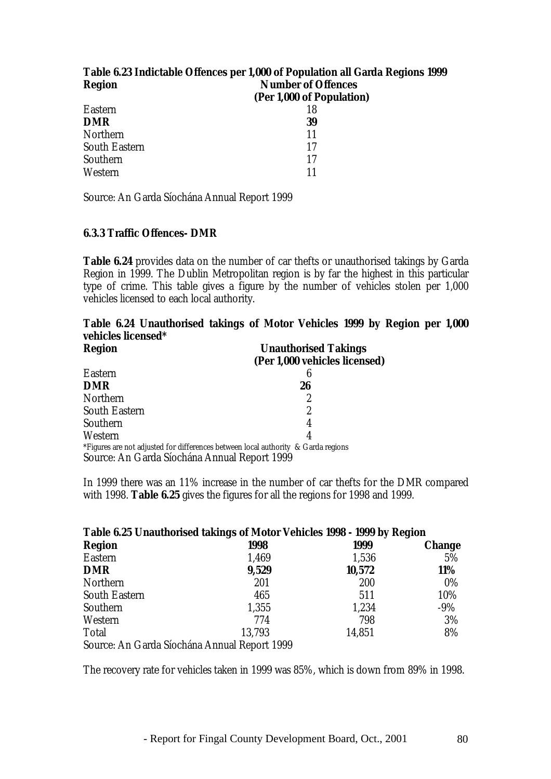| Table 6.23 Indictable Offences per 1,000 of Population all Garda Regions 1999 |                           |  |  |  |  |
|-------------------------------------------------------------------------------|---------------------------|--|--|--|--|
| <b>Region</b>                                                                 | <b>Number of Offences</b> |  |  |  |  |
|                                                                               | (Per 1,000 of Population) |  |  |  |  |
| <b>Eastern</b>                                                                | 18                        |  |  |  |  |
| <b>DMR</b>                                                                    | 39                        |  |  |  |  |
| Northern                                                                      | 11                        |  |  |  |  |
| <b>South Eastern</b>                                                          | 17                        |  |  |  |  |
| Southern                                                                      | 17                        |  |  |  |  |
| Western                                                                       | 11                        |  |  |  |  |

Source: An Garda Síochána Annual Report 1999

#### **6.3.3 Traffic Offences- DMR**

**Table 6.24** provides data on the number of car thefts or unauthorised takings by Garda Region in 1999. The Dublin Metropolitan region is by far the highest in this particular type of crime. This table gives a figure by the number of vehicles stolen per 1,000 vehicles licensed to each local authority.

## **Table 6.24 Unauthorised takings of Motor Vehicles 1999 by Region per 1,000 vehicles licensed\***

| <b>Region</b>                                | <b>Unauthorised Takings</b>                                                       |
|----------------------------------------------|-----------------------------------------------------------------------------------|
|                                              | (Per 1,000 vehicles licensed)                                                     |
| Eastern                                      | 6                                                                                 |
| <b>DMR</b>                                   | 26                                                                                |
| Northern                                     | 2                                                                                 |
| <b>South Eastern</b>                         | 2                                                                                 |
| Southern                                     | 4                                                                                 |
| Western                                      | 4                                                                                 |
|                                              | *Figures are not adjusted for differences between local authority & Garda regions |
| Source: An Garda Síochána Annual Report 1999 |                                                                                   |

In 1999 there was an 11% increase in the number of car thefts for the DMR compared with 1998. **Table 6.25** gives the figures for all the regions for 1998 and 1999.

| Table 6.25 Unauthorised takings of Motor Vehicles 1998 - 1999 by Region |        |        |               |
|-------------------------------------------------------------------------|--------|--------|---------------|
| <b>Region</b>                                                           | 1998   | 1999   | <b>Change</b> |
| <b>Eastern</b>                                                          | 1,469  | 1,536  | 5%            |
| <b>DMR</b>                                                              | 9,529  | 10,572 | 11%           |
| Northern                                                                | 201    | 200    | $0\%$         |
| <b>South Eastern</b>                                                    | 465    | 511    | 10%           |
| Southern                                                                | 1,355  | 1,234  | $-9%$         |
| Western                                                                 | 774    | 798    | 3%            |
| <b>Total</b>                                                            | 13,793 | 14,851 | 8%            |
| Source: An Garda Síochána Annual Report 1999                            |        |        |               |

The recovery rate for vehicles taken in 1999 was 85%, which is down from 89% in 1998.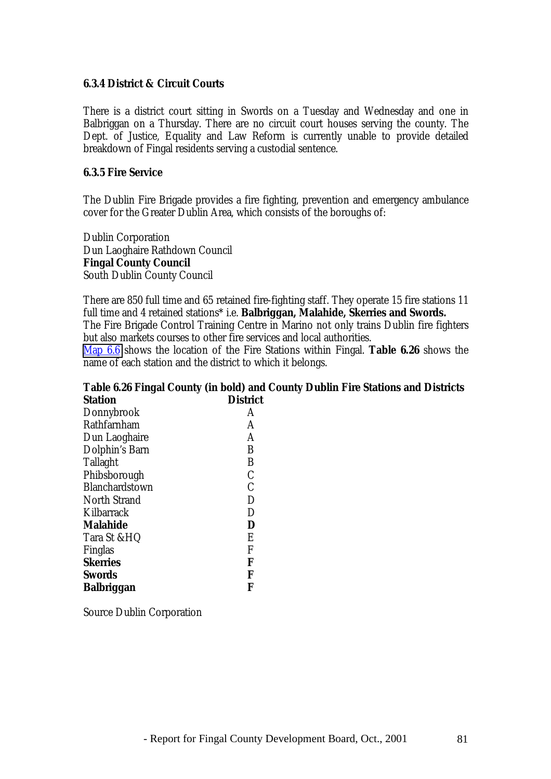#### **6.3.4 District & Circuit Courts**

There is a district court sitting in Swords on a Tuesday and Wednesday and one in Balbriggan on a Thursday. There are no circuit court houses serving the county. The Dept. of Justice, Equality and Law Reform is currently unable to provide detailed breakdown of Fingal residents serving a custodial sentence.

#### **6.3.5 Fire Service**

The Dublin Fire Brigade provides a fire fighting, prevention and emergency ambulance cover for the Greater Dublin Area, which consists of the boroughs of:

Dublin Corporation Dun Laoghaire Rathdown Council **Fingal County Council** South Dublin County Council

There are 850 full time and 65 retained fire-fighting staff. They operate 15 fire stations 11 full time and 4 retained stations\* i.e. **Balbriggan, Malahide, Skerries and Swords.** The Fire Brigade Control Training Centre in Marino not only trains Dublin fire fighters but also markets courses to other fire services and local authorities.

Map 6.6 shows the location of the Fire Stations within Fingal. **Table 6.26** shows the name of each station and the district to which it belongs.

#### **Table 6.26 Fingal County (in bold) and County Dublin Fire Stations and Districts Station District**

| DISUIC        |
|---------------|
| A             |
| A             |
| A             |
| B             |
| B             |
| $\mathcal{C}$ |
| $\mathcal{C}$ |
| D             |
| D             |
| D             |
| E             |
| F             |
| F             |
| F             |
| F             |
|               |

Source Dublin Corporation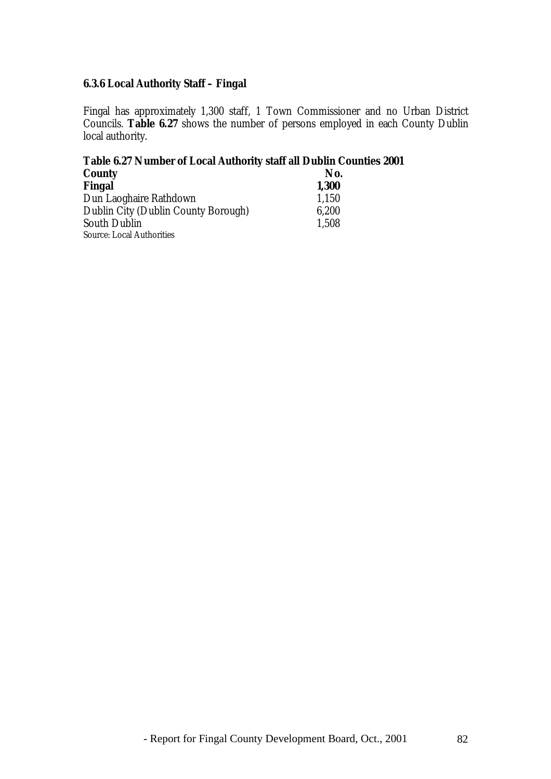## **6.3.6 Local Authority Staff – Fingal**

Fingal has approximately 1,300 staff, 1 Town Commissioner and no Urban District Councils. **Table 6.27** shows the number of persons employed in each County Dublin local authority.

# **Table 6.27 Number of Local Authority staff all Dublin Counties 2001**

| <b>County</b>                       | No.   |
|-------------------------------------|-------|
| Fingal                              | 1,300 |
| Dun Laoghaire Rathdown              | 1,150 |
| Dublin City (Dublin County Borough) | 6,200 |
| <b>South Dublin</b>                 | 1,508 |
| <b>Source: Local Authorities</b>    |       |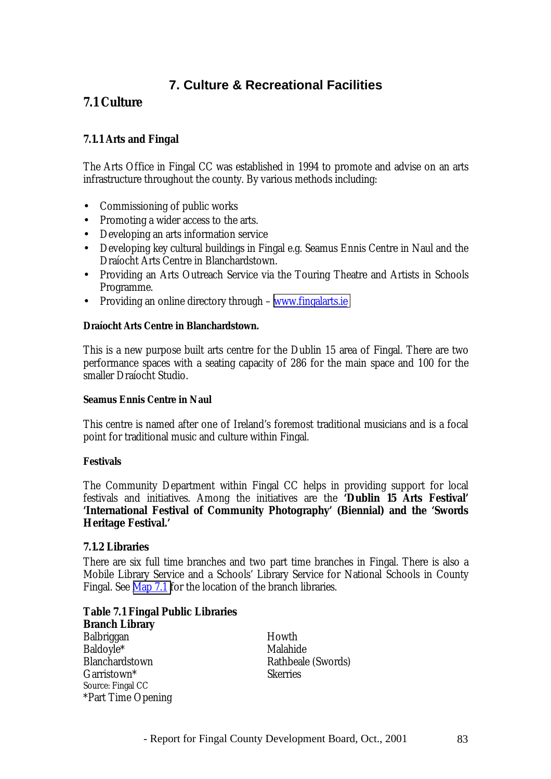# **7. Culture & Recreational Facilities**

# **7.1 Culture**

## **7.1.1 Arts and Fingal**

The Arts Office in Fingal CC was established in 1994 to promote and advise on an arts infrastructure throughout the county. By various methods including:

- Commissioning of public works
- Promoting a wider access to the arts.
- Developing an arts information service
- Developing key cultural buildings in Fingal e.g. Seamus Ennis Centre in Naul and the Draíocht Arts Centre in Blanchardstown.
- Providing an Arts Outreach Service via the Touring Theatre and Artists in Schools Programme.
- Providing an online directory through [www.fingalarts.ie](http://www.fingalarts.ie/)

#### **Draíocht Arts Centre in Blanchardstown.**

This is a new purpose built arts centre for the Dublin 15 area of Fingal. There are two performance spaces with a seating capacity of 286 for the main space and 100 for the smaller Draíocht Studio.

#### **Seamus Ennis Centre in Naul**

This centre is named after one of Ireland's foremost traditional musicians and is a focal point for traditional music and culture within Fingal.

#### **Festivals**

The Community Department within Fingal CC helps in providing support for local festivals and initiatives. Among the initiatives are the **'Dublin 15 Arts Festival' 'International Festival of Community Photography' (Biennial) and the 'Swords Heritage Festival.'**

### **7.1.2 Libraries**

There are six full time branches and two part time branches in Fingal. There is also a Mobile Library Service and a Schools' Library Service for National Schools in County Fingal. See Map 7.1 for the location of the branch libraries.

**Table 7.1 Fingal Public Libraries Branch Library** Balbriggan Howth Baldovle\* Malahide Blanchardstown Rathbeale (Swords) Garristown\* Skerries Source: Fingal CC \*Part Time Opening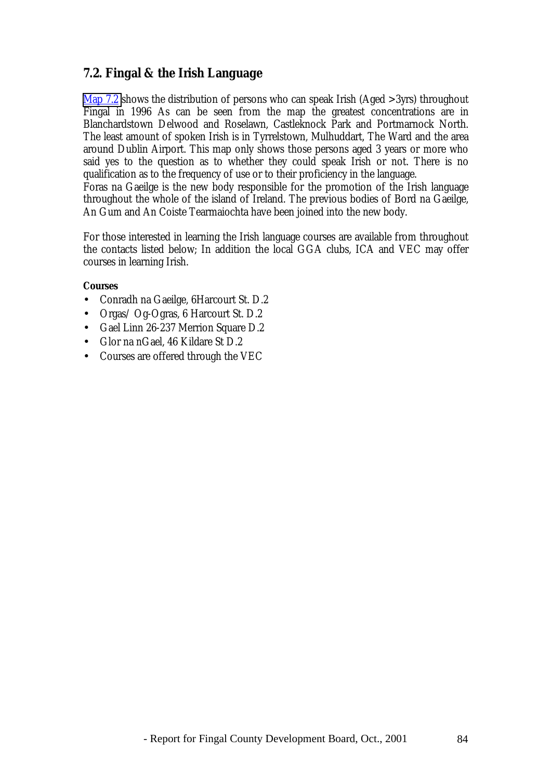## **7.2. Fingal & the Irish Language**

Map 7.2 shows the distribution of persons who can speak Irish (Aged >3yrs) throughout Fingal in 1996 As can be seen from the map the greatest concentrations are in Blanchardstown Delwood and Roselawn, Castleknock Park and Portmarnock North. The least amount of spoken Irish is in Tyrrelstown, Mulhuddart, The Ward and the area around Dublin Airport. This map only shows those persons aged 3 years or more who said yes to the question as to whether they could speak Irish or not. There is no qualification as to the frequency of use or to their proficiency in the language.

Foras na Gaeilge is the new body responsible for the promotion of the Irish language throughout the whole of the island of Ireland. The previous bodies of Bord na Gaeilge, An Gum and An Coiste Tearmaiochta have been joined into the new body.

For those interested in learning the Irish language courses are available from throughout the contacts listed below; In addition the local GGA clubs, ICA and VEC may offer courses in learning Irish.

#### **Courses**

- Conradh na Gaeilge, 6Harcourt St. D.2
- Orgas/ Og-Ogras, 6 Harcourt St. D.2
- Gael Linn 26-237 Merrion Square D.2
- Glor na nGael, 46 Kildare St D.2
- Courses are offered through the VEC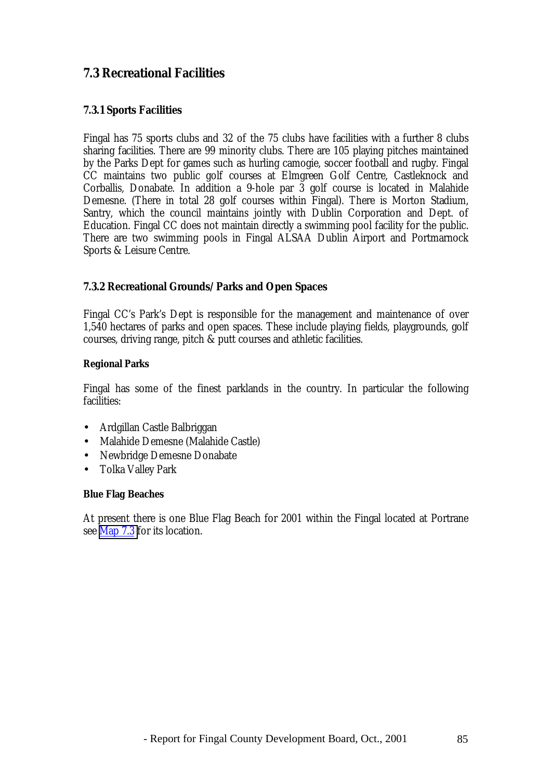# **7.3 Recreational Facilities**

## **7.3.1 Sports Facilities**

Fingal has 75 sports clubs and 32 of the 75 clubs have facilities with a further 8 clubs sharing facilities. There are 99 minority clubs. There are 105 playing pitches maintained by the Parks Dept for games such as hurling camogie, soccer football and rugby. Fingal CC maintains two public golf courses at Elmgreen Golf Centre, Castleknock and Corballis, Donabate. In addition a 9-hole par 3 golf course is located in Malahide Demesne. (There in total 28 golf courses within Fingal). There is Morton Stadium, Santry, which the council maintains jointly with Dublin Corporation and Dept. of Education. Fingal CC does not maintain directly a swimming pool facility for the public. There are two swimming pools in Fingal ALSAA Dublin Airport and Portmarnock Sports & Leisure Centre.

### **7.3.2 Recreational Grounds/Parks and Open Spaces**

Fingal CC's Park's Dept is responsible for the management and maintenance of over 1,540 hectares of parks and open spaces. These include playing fields, playgrounds, golf courses, driving range, pitch & putt courses and athletic facilities.

#### **Regional Parks**

Fingal has some of the finest parklands in the country. In particular the following facilities:

- Ardgillan Castle Balbriggan
- Malahide Demesne (Malahide Castle)
- Newbridge Demesne Donabate
- Tolka Valley Park

#### **Blue Flag Beaches**

At present there is one Blue Flag Beach for 2001 within the Fingal located at Portrane see Map 7.3 for its location.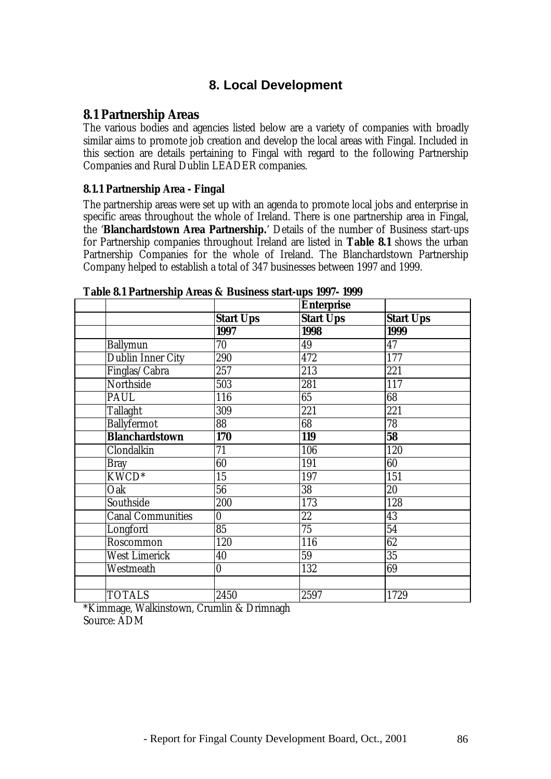## **8. Local Development**

### **8.1 Partnership Areas**

The various bodies and agencies listed below are a variety of companies with broadly similar aims to promote job creation and develop the local areas with Fingal. Included in this section are details pertaining to Fingal with regard to the following Partnership Companies and Rural Dublin LEADER companies.

### **8.1.1 Partnership Area - Fingal**

The partnership areas were set up with an agenda to promote local jobs and enterprise in specific areas throughout the whole of Ireland. There is one partnership area in Fingal, the '**Blanchardstown Area Partnership.**' Details of the number of Business start-ups for Partnership companies throughout Ireland are listed in **Table 8.1** shows the urban Partnership Companies for the whole of Ireland. The Blanchardstown Partnership Company helped to establish a total of 347 businesses between 1997 and 1999.

|                            |                          | <b>Enterprise</b> |                  |
|----------------------------|--------------------------|-------------------|------------------|
|                            | <b>Start Ups</b>         | <b>Start Ups</b>  | <b>Start Ups</b> |
|                            | 1997                     | 1998              | 1999             |
| <b>Ballymun</b>            | 70                       | 49                | 47               |
| <b>Dublin Inner City</b>   | 290                      | 472               | 177              |
| Finglas/Cabra              | 257                      | 213               | 221              |
| <b>Northside</b>           | 503                      | 281               | 117              |
| PAUL                       | 116                      | 65                | 68               |
| <b>Tallaght</b>            | 309                      | 221               | 221              |
| <b>Ballyfermot</b>         | $\overline{\textbf{88}}$ | $\overline{68}$   | 78               |
| <b>Blanchardstown</b>      | 170                      | 119               | 58               |
| Clondalkin                 | 71                       | 106               | 120              |
| <b>Bray</b>                | 60                       | 191               | 60               |
| $\overline{\text{KWCD}^*}$ | $\overline{15}$          | 197               | 151              |
| Oak                        | $\overline{56}$          | $\overline{38}$   | 20               |
| Southside                  | 200                      | 173               | 128              |
| <b>Canal Communities</b>   | $\bf{0}$                 | 22                | 43               |
| Longford                   | 85                       | $\overline{75}$   | 54               |
| Roscommon                  | 120                      | 116               | 62               |
| <b>West Limerick</b>       | 40                       | 59                | $\overline{35}$  |
| Westmeath                  | $\bf{0}$                 | 132               | 69               |
|                            |                          |                   |                  |
| <b>TOTALS</b>              | 2450                     | 2597              | 1729             |

#### **Table 8.1 Partnership Areas & Business start-ups 1997- 1999**

\*Kimmage, Walkinstown, Crumlin & Drimnagh Source: ADM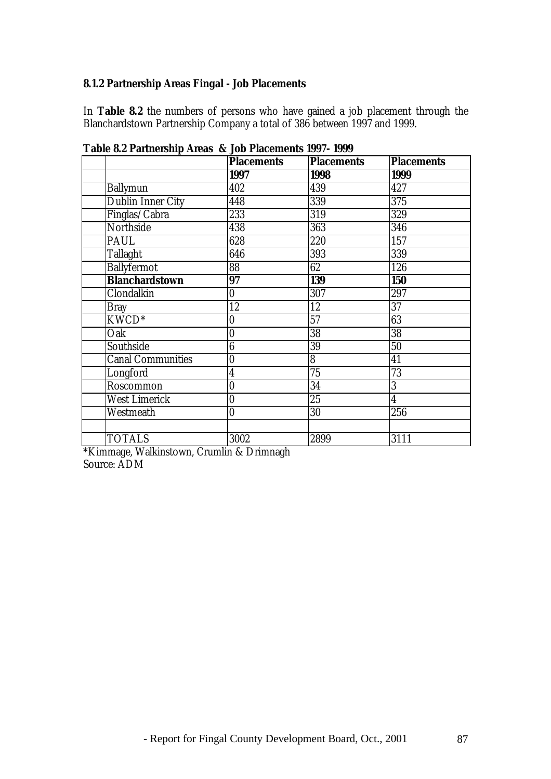## **8.1.2 Partnership Areas Fingal - Job Placements**

In **Table 8.2** the numbers of persons who have gained a job placement through the Blanchardstown Partnership Company a total of 386 between 1997 and 1999.

|                          | <b>Placements</b> | <b>Placements</b> | <b>Placements</b> |
|--------------------------|-------------------|-------------------|-------------------|
|                          | 1997              | 1998              | 1999              |
| <b>Ballymun</b>          | 402               | 439               | 427               |
| <b>Dublin Inner City</b> | 448               | 339               | 375               |
| Finglas/Cabra            | 233               | 319               | 329               |
| Northside                | 438               | 363               | 346               |
| PAUL                     | 628               | 220               | 157               |
| <b>Tallaght</b>          | 646               | 393               | 339               |
| <b>Ballyfermot</b>       | 88                | 62                | 126               |
| <b>Blanchardstown</b>    | 97                | 139               | <b>150</b>        |
| Clondalkin               | $\bf{0}$          | 307               | 297               |
| <b>Bray</b>              | 12                | 12                | 37                |
| KWCD <sup>*</sup>        | 0                 | 57                | 63                |
| Oak                      | $\bf{0}$          | 38                | 38                |
| Southside                | $\boldsymbol{6}$  | 39                | 50                |
| <b>Canal Communities</b> | $\bf{0}$          | 8                 | 41                |
| Longford                 | $\boldsymbol{4}$  | 75                | 73                |
| Roscommon                | $\boldsymbol{0}$  | 34                | $\overline{3}$    |
| <b>West Limerick</b>     | $\bf{0}$          | 25                | $\overline{4}$    |
| Westmeath                | $\bf{0}$          | 30                | 256               |
|                          |                   |                   |                   |
| <b>TOTALS</b>            | 3002              | 2899              | 3111              |

**Table 8.2 Partnership Areas & Job Placements 1997- 1999**

\*Kimmage, Walkinstown, Crumlin & Drimnagh Source: ADM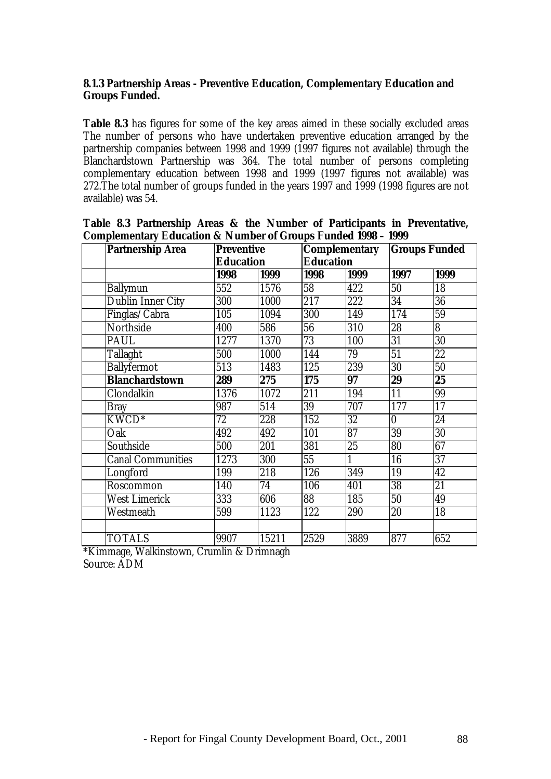### **8.1.3 Partnership Areas - Preventive Education, Complementary Education and Groups Funded.**

**Table 8.3** has figures for some of the key areas aimed in these socially excluded areas The number of persons who have undertaken preventive education arranged by the partnership companies between 1998 and 1999 (1997 figures not available) through the Blanchardstown Partnership was 364. The total number of persons completing complementary education between 1998 and 1999 (1997 figures not available) was 272.The total number of groups funded in the years 1997 and 1999 (1998 figures are not available) was 54.

| <b>Partnership Area</b>  |     | <b>Preventive</b> |                 |                  | <b>Complementary</b> | <b>Groups Funded</b>    |      |
|--------------------------|-----|-------------------|-----------------|------------------|----------------------|-------------------------|------|
|                          |     | <b>Education</b>  |                 | <b>Education</b> |                      |                         |      |
|                          |     | 1998              | 1999            | 1998             | 1999                 | 1997                    | 1999 |
| <b>Ballymun</b>          | 552 |                   | 1576            | 58               | 422                  | 50                      | 18   |
| Dublin Inner City        | 300 |                   | 1000            | 217              | 222                  | 34                      | 36   |
| Finglas/Cabra            | 105 |                   | 1094            | 300              | 149                  | 174                     | 59   |
| Northside                | 400 |                   | 586             | 56               | 310                  | 28                      | 8    |
| PAUL                     |     | 1277              | 1370            | 73               | 100                  | 31                      | 30   |
| Tallaght                 | 500 |                   | 1000            | 144              | 79                   | 51                      | 22   |
| <b>Ballyfermot</b>       | 513 |                   | 1483            | 125              | 239                  | 30                      | 50   |
| <b>Blanchardstown</b>    | 289 |                   | 275             | 175              | 97                   | 29                      | 25   |
| Clondalkin               |     | 1376              | 1072            | 211              | 194                  | 11                      | 99   |
| <b>Bray</b>              | 987 |                   | 514             | 39               | 707                  | 177                     | 17   |
| KWCD <sup>*</sup>        | 72  |                   | 228             | 152              | 32                   | $\overline{\mathbf{0}}$ | 24   |
| Oak                      | 492 |                   | 492             | 101              | 87                   | $\overline{39}$         | 30   |
| Southside                | 500 |                   | 201             | 381              | 25                   | 80                      | 67   |
| <b>Canal Communities</b> |     | 1273              | 300             | 55               | 1                    | 16                      | 37   |
| Longford                 | 199 |                   | 218             | 126              | 349                  | 19                      | 42   |
| Roscommon                | 140 |                   | $\overline{74}$ | 106              | 401                  | $\overline{38}$         | 21   |
| <b>West Limerick</b>     | 333 |                   | 606             | $\overline{88}$  | 185                  | $\overline{50}$         | 49   |
| Westmeath                | 599 |                   | 1123            | 122              | 290                  | 20                      | 18   |
|                          |     |                   |                 |                  |                      |                         |      |
| <b>TOTALS</b>            |     | 9907              | 15211           | 2529             | 3889                 | 877                     | 652  |

|  |  |  |  |                                                                          | Table 8.3 Partnership Areas & the Number of Participants in Preventative, |
|--|--|--|--|--------------------------------------------------------------------------|---------------------------------------------------------------------------|
|  |  |  |  | <b>Complementary Education &amp; Number of Groups Funded 1998 - 1999</b> |                                                                           |

\*Kimmage, Walkinstown, Crumlin & Drimnagh Source: ADM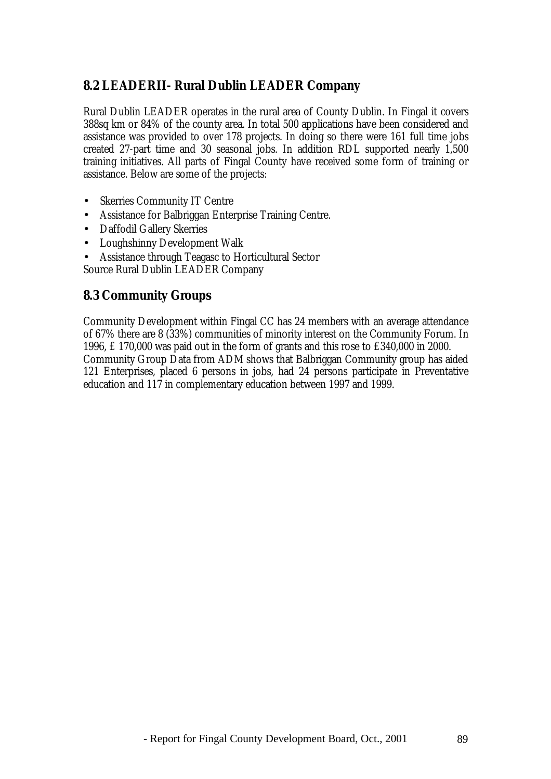# **8.2 LEADERII- Rural Dublin LEADER Company**

Rural Dublin LEADER operates in the rural area of County Dublin. In Fingal it covers 388sq km or 84% of the county area. In total 500 applications have been considered and assistance was provided to over 178 projects. In doing so there were 161 full time jobs created 27-part time and 30 seasonal jobs. In addition RDL supported nearly 1,500 training initiatives. All parts of Fingal County have received some form of training or assistance. Below are some of the projects:

- Skerries Community IT Centre
- Assistance for Balbriggan Enterprise Training Centre.
- Daffodil Gallery Skerries
- Loughshinny Development Walk
- Assistance through Teagasc to Horticultural Sector

Source Rural Dublin LEADER Company

## **8.3 Community Groups**

Community Development within Fingal CC has 24 members with an average attendance of 67% there are 8 (33%) communities of minority interest on the Community Forum. In 1996, £ 170,000 was paid out in the form of grants and this rose to £340,000 in 2000. Community Group Data from ADM shows that Balbriggan Community group has aided 121 Enterprises, placed 6 persons in jobs, had 24 persons participate in Preventative education and 117 in complementary education between 1997 and 1999.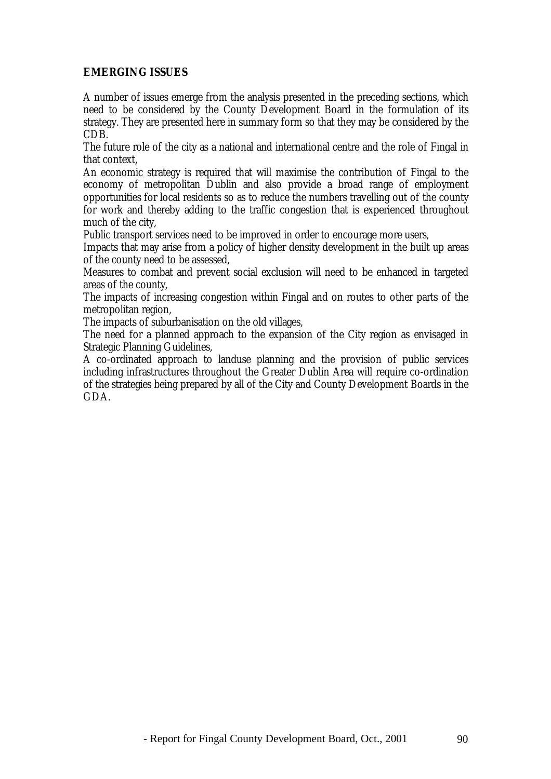### **EMERGING ISSUES**

A number of issues emerge from the analysis presented in the preceding sections, which need to be considered by the County Development Board in the formulation of its strategy. They are presented here in summary form so that they may be considered by the CDB.

The future role of the city as a national and international centre and the role of Fingal in that context,

An economic strategy is required that will maximise the contribution of Fingal to the economy of metropolitan Dublin and also provide a broad range of employment opportunities for local residents so as to reduce the numbers travelling out of the county for work and thereby adding to the traffic congestion that is experienced throughout much of the city,

Public transport services need to be improved in order to encourage more users,

Impacts that may arise from a policy of higher density development in the built up areas of the county need to be assessed,

Measures to combat and prevent social exclusion will need to be enhanced in targeted areas of the county,

The impacts of increasing congestion within Fingal and on routes to other parts of the metropolitan region,

The impacts of suburbanisation on the old villages,

The need for a planned approach to the expansion of the City region as envisaged in Strategic Planning Guidelines,

A co-ordinated approach to landuse planning and the provision of public services including infrastructures throughout the Greater Dublin Area will require co-ordination of the strategies being prepared by all of the City and County Development Boards in the GDA.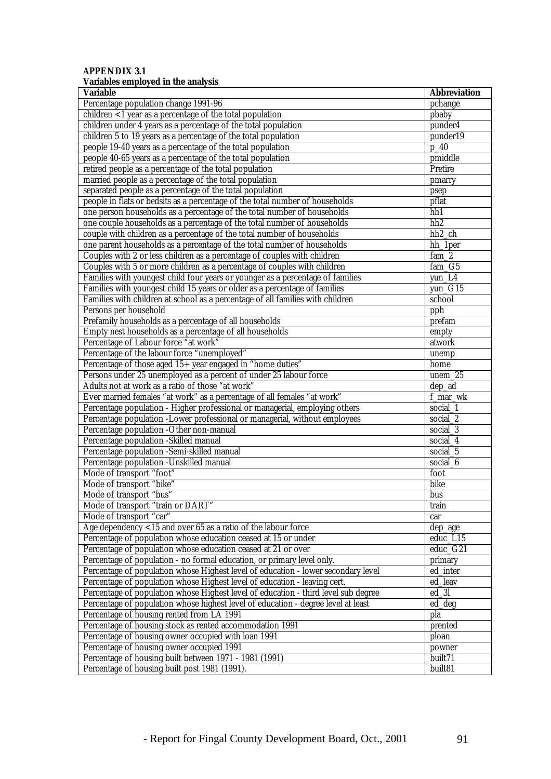#### **APPENDIX 3.1 Variables employed in the analysis**

| <b>Variable</b>                                                                    | <b>Abbreviation</b> |
|------------------------------------------------------------------------------------|---------------------|
| Percentage population change 1991-96                                               | pchange             |
| children $<$ 1 year as a percentage of the total population                        | pbaby               |
| children under 4 years as a percentage of the total population                     | punder4             |
| children 5 to 19 years as a percentage of the total population                     | punder19            |
| people 19-40 years as a percentage of the total population                         | $p_4$               |
| people 40-65 years as a percentage of the total population                         | pmiddle             |
| retired people as a percentage of the total population                             | Pretire             |
| married people as a percentage of the total population                             | pmarry              |
| separated people as a percentage of the total population                           | psep                |
| people in flats or bedsits as a percentage of the total number of households       | pflat               |
| one person households as a percentage of the total number of households            | hh1                 |
| one couple households as a percentage of the total number of households            | hh <sub>2</sub>     |
| couple with children as a percentage of the total number of households             | hh <sub>2</sub> ch  |
| one parent households as a percentage of the total number of households            | hh_1per             |
| Couples with 2 or less children as a percentage of couples with children           | fam <sub>2</sub>    |
| Couples with 5 or more children as a percentage of couples with children           | fam G5              |
| Families with youngest child four years or younger as a percentage of families     | yun_L4              |
| Families with youngest child 15 years or older as a percentage of families         | yun_G15             |
| Families with children at school as a percentage of all families with children     | school              |
| Persons per household                                                              | pph                 |
| Prefamily households as a percentage of all households                             | prefam              |
| Empty nest households as a percentage of all households                            | empty               |
| Percentage of Labour force "at work"                                               | atwork              |
| Percentage of the labour force "unemployed"                                        | unemp               |
| Percentage of those aged 15+ year engaged in "home duties"                         | home                |
| Persons under 25 unemployed as a percent of under 25 labour force                  | unem $25$           |
| Adults not at work as a ratio of those "at work"                                   | $dep\_ad$           |
| Ever married females "at work" as a percentage of all females "at work"            | f_mar_wk            |
| Percentage population - Higher professional or managerial, employing others        | social 1            |
| Percentage population -Lower professional or managerial, without employees         | social_2            |
| Percentage population -Other non-manual                                            | social $3$          |
| Percentage population -Skilled manual                                              | social <sub>4</sub> |
| Percentage population -Semi-skilled manual                                         | social_5            |
| Percentage population -Unskilled manual                                            | social <sub>6</sub> |
| Mode of transport "foot"                                                           | foot                |
| Mode of transport "bike"                                                           | bike                |
| Mode of transport "bus"                                                            | bus                 |
| Mode of transport "train or DART"                                                  | train               |
| Mode of transport "car"                                                            | car                 |
| Age dependency $<$ 15 and over 65 as a ratio of the labour force                   | dep_age             |
| Percentage of population whose education ceased at 15 or under                     | educ_L15            |
| Percentage of population whose education ceased at 21 or over                      | educ_G21            |
| Percentage of population - no formal education, or primary level only.             | primary             |
| Percentage of population whose Highest level of education - lower secondary level  | ed_inter            |
| Percentage of population whose Highest level of education - leaving cert.          | ed_leav             |
| Percentage of population whose Highest level of education - third level sub degree | $ed_3l$             |
| Percentage of population whose highest level of education - degree level at least  | ed deg              |
| Percentage of housing rented from LA 1991                                          | pla                 |
| Percentage of housing stock as rented accommodation 1991                           | prented             |
| Percentage of housing owner occupied with loan 1991                                | ploan               |
| Percentage of housing owner occupied 1991                                          | powner              |
| Percentage of housing built between 1971 - 1981 (1991)                             | built71             |
| Percentage of housing built post 1981 (1991).                                      | built81             |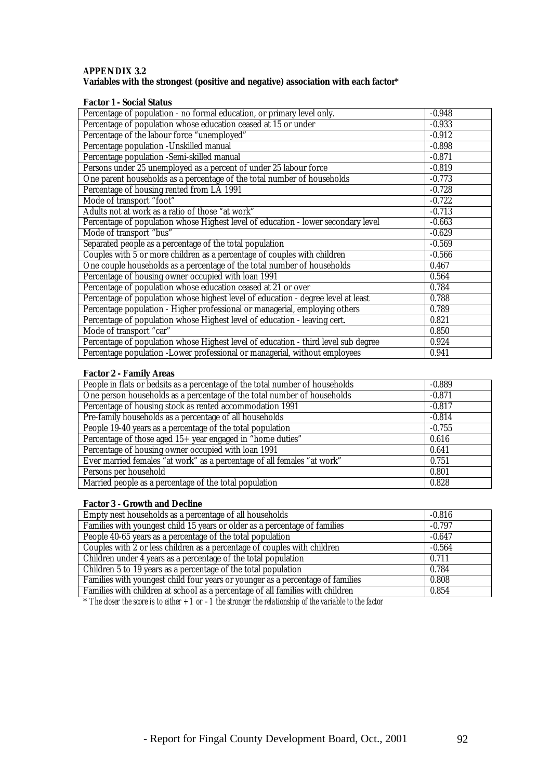#### **APPENDIX 3.2 Variables with the strongest (positive and negative) association with each factor\***

#### **Factor 1 - Social Status**

| Percentage of population - no formal education, or primary level only.             | $-0.948$ |
|------------------------------------------------------------------------------------|----------|
| Percentage of population whose education ceased at 15 or under                     | $-0.933$ |
| Percentage of the labour force "unemployed"                                        | $-0.912$ |
| Percentage population -Unskilled manual                                            | $-0.898$ |
| Percentage population -Semi-skilled manual                                         | $-0.871$ |
| Persons under 25 unemployed as a percent of under 25 labour force                  | $-0.819$ |
| One parent households as a percentage of the total number of households            | $-0.773$ |
| Percentage of housing rented from LA 1991                                          | $-0.728$ |
| Mode of transport "foot"                                                           | $-0.722$ |
| Adults not at work as a ratio of those "at work"                                   | $-0.713$ |
| Percentage of population whose Highest level of education - lower secondary level  | $-0.663$ |
| Mode of transport "bus"                                                            | $-0.629$ |
| Separated people as a percentage of the total population                           | $-0.569$ |
| Couples with 5 or more children as a percentage of couples with children           | $-0.566$ |
| One couple households as a percentage of the total number of households            | 0.467    |
| Percentage of housing owner occupied with loan 1991                                | 0.564    |
| Percentage of population whose education ceased at 21 or over                      | 0.784    |
| Percentage of population whose highest level of education - degree level at least  | 0.788    |
| Percentage population - Higher professional or managerial, employing others        | 0.789    |
| Percentage of population whose Highest level of education - leaving cert.          | 0.821    |
| Mode of transport "car"                                                            | 0.850    |
| Percentage of population whose Highest level of education - third level sub degree | 0.924    |
| Percentage population -Lower professional or managerial, without employees         | 0.941    |

#### **Factor 2 - Family Areas**

| People in flats or bedsits as a percentage of the total number of households | $-0.889$ |
|------------------------------------------------------------------------------|----------|
| One person households as a percentage of the total number of households      | $-0.871$ |
| Percentage of housing stock as rented accommodation 1991                     | $-0.817$ |
| Pre-family households as a percentage of all households                      | $-0.814$ |
| People 19-40 years as a percentage of the total population                   | $-0.755$ |
| Percentage of those aged $15+$ year engaged in "home duties"                 | 0.616    |
| Percentage of housing owner occupied with loan 1991                          | 0.641    |
| Ever married females "at work" as a percentage of all females "at work"      | 0.751    |
| Persons per household                                                        | 0.801    |
| Married people as a percentage of the total population                       | 0.828    |

#### **Factor 3 - Growth and Decline**

| Empty nest households as a percentage of all households                        | $-0.816$ |
|--------------------------------------------------------------------------------|----------|
| Families with youngest child 15 years or older as a percentage of families     | $-0.797$ |
| People 40-65 years as a percentage of the total population                     | $-0.647$ |
| Couples with 2 or less children as a percentage of couples with children       | $-0.564$ |
| Children under 4 years as a percentage of the total population                 | 0.711    |
| Children 5 to 19 years as a percentage of the total population                 | 0.784    |
| Families with youngest child four years or younger as a percentage of families | 0.808    |
| Families with children at school as a percentage of all families with children | 0.854    |

 $*$  *The closer the score is to either +1 or -1 the stronger the relationship of the variable to the factor*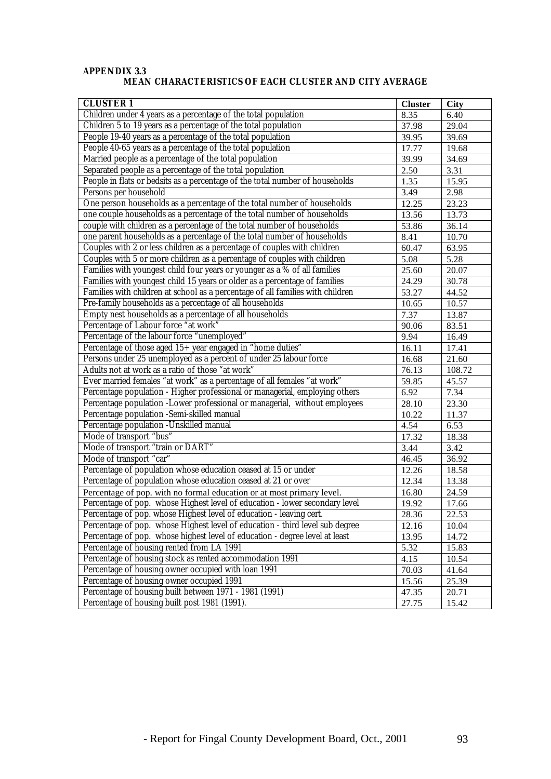#### **APPENDIX 3.3 MEAN CHARACTERISTICS OF EACH CLUSTER AND CITY AVERAGE**

| <b>CLUSTER1</b>                                                                | <b>Cluster</b>     | <b>City</b> |
|--------------------------------------------------------------------------------|--------------------|-------------|
| Children under 4 years as a percentage of the total population                 | 8.35               | 6.40        |
| Children 5 to 19 years as a percentage of the total population                 | 37.98              | 29.04       |
| People 19-40 years as a percentage of the total population                     | 39.95              | 39.69       |
| People 40-65 years as a percentage of the total population                     | 17.77              | 19.68       |
| Married people as a percentage of the total population                         | 39.99              | 34.69       |
| Separated people as a percentage of the total population                       | 2.50               | 3.31        |
| People in flats or bedsits as a percentage of the total number of households   | 1.35               | 15.95       |
| Persons per household                                                          | 3.49               | 2.98        |
| One person households as a percentage of the total number of households        | 12.25              | 23.23       |
| one couple households as a percentage of the total number of households        | 13.56              | 13.73       |
| couple with children as a percentage of the total number of households         | 53.86              | 36.14       |
| one parent households as a percentage of the total number of households        | 8.41               | 10.70       |
| Couples with 2 or less children as a percentage of couples with children       | 60.47              | 63.95       |
| Couples with 5 or more children as a percentage of couples with children       | 5.08               | 5.28        |
| Families with youngest child four years or younger as a % of all families      | 25.60              | 20.07       |
| Families with youngest child 15 years or older as a percentage of families     | 24.29              | 30.78       |
| Families with children at school as a percentage of all families with children | 53.27              | 44.52       |
| Pre-family households as a percentage of all households                        | 10.65              | 10.57       |
| Empty nest households as a percentage of all households                        | 7.37               | 13.87       |
| Percentage of Labour force "at work"                                           | $\overline{90.06}$ | 83.51       |
| Percentage of the labour force "unemployed"                                    | 9.94               | 16.49       |
| Percentage of those aged 15+ year engaged in "home duties"                     | 16.11              | 17.41       |
| Persons under 25 unemployed as a percent of under 25 labour force              | 16.68              | 21.60       |
| Adults not at work as a ratio of those "at work"                               | 76.13              | 108.72      |
| Ever married females "at work" as a percentage of all females "at work"        | 59.85              | 45.57       |
| Percentage population - Higher professional or managerial, employing others    | 6.92               | 7.34        |
| Percentage population -Lower professional or managerial, without employees     | 28.10              | 23.30       |
| Percentage population -Semi-skilled manual                                     | $10.\overline{22}$ | 11.37       |
| Percentage population -Unskilled manual                                        | 4.54               | 6.53        |
| Mode of transport "bus"                                                        | 17.32              | 18.38       |
| Mode of transport "train or DART"                                              | 3.44               | 3.42        |
| Mode of transport "car"                                                        | 46.45              | 36.92       |
| Percentage of population whose education ceased at 15 or under                 | 12.26              | 18.58       |
| Percentage of population whose education ceased at 21 or over                  | 12.34              | 13.38       |
| Percentage of pop. with no formal education or at most primary level.          | 16.80              | 24.59       |
| Percentage of pop. whose Highest level of education - lower secondary level    | 19.92              | 17.66       |
| Percentage of pop. whose Highest level of education - leaving cert.            | 28.36              | 22.53       |
| Percentage of pop. whose Highest level of education - third level sub degree   | 12.16              | 10.04       |
| Percentage of pop. whose highest level of education - degree level at least    | 13.95              | 14.72       |
| Percentage of housing rented from LA 1991                                      | 5.32               | 15.83       |
| Percentage of housing stock as rented accommodation 1991                       | 4.15               | 10.54       |
| Percentage of housing owner occupied with loan 1991                            | 70.03              | 41.64       |
| Percentage of housing owner occupied 1991                                      | 15.56              | 25.39       |
| Percentage of housing built between 1971 - 1981 (1991)                         | 47.35              | 20.71       |
| Percentage of housing built post 1981 (1991).                                  | 27.75              | 15.42       |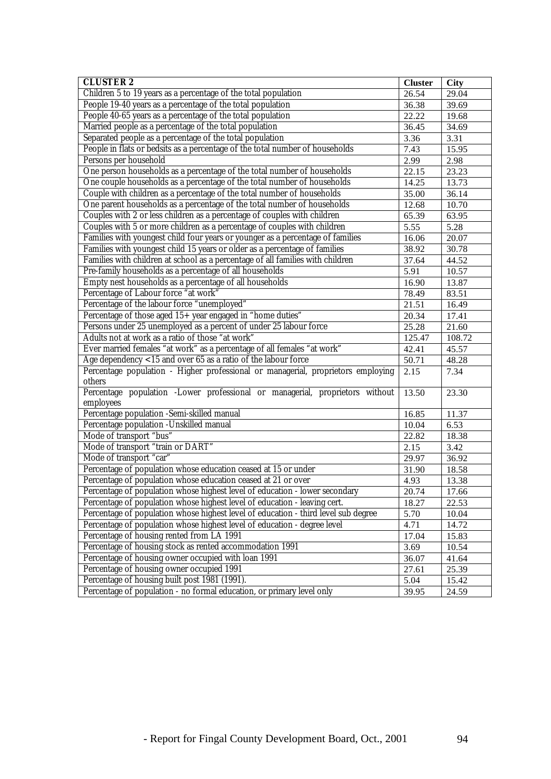| <b>CLUSTER 2</b>                                                                          | <b>Cluster</b>     | <b>City</b> |
|-------------------------------------------------------------------------------------------|--------------------|-------------|
| Children 5 to 19 years as a percentage of the total population                            | 26.54              | 29.04       |
| People 19-40 years as a percentage of the total population                                | 36.38              | 39.69       |
| People 40-65 years as a percentage of the total population                                | 22.22              | 19.68       |
| Married people as a percentage of the total population                                    | 36.45              | 34.69       |
| Separated people as a percentage of the total population                                  | 3.36               | 3.31        |
| People in flats or bedsits as a percentage of the total number of households              | 7.43               | 15.95       |
| Persons per household                                                                     | 2.99               | 2.98        |
| One person households as a percentage of the total number of households                   | 22.15              | 23.23       |
| One couple households as a percentage of the total number of households                   | 14.25              | 13.73       |
| Couple with children as a percentage of the total number of households                    | 35.00              | 36.14       |
| One parent households as a percentage of the total number of households                   | 12.68              | 10.70       |
| Couples with 2 or less children as a percentage of couples with children                  | 65.39              | 63.95       |
| Couples with 5 or more children as a percentage of couples with children                  | 5.55               | 5.28        |
| Families with youngest child four years or younger as a percentage of families            | 16.06              | 20.07       |
| Families with youngest child 15 years or older as a percentage of families                | 38.92              | 30.78       |
| Families with children at school as a percentage of all families with children            | 37.64              | 44.52       |
| Pre-family households as a percentage of all households                                   | 5.91               | 10.57       |
| Empty nest households as a percentage of all households                                   | $\overline{16.90}$ | 13.87       |
| Percentage of Labour force "at work"                                                      | 78.49              | 83.51       |
| Percentage of the labour force "unemployed"                                               | 21.51              | 16.49       |
| Percentage of those aged 15+ year engaged in "home duties"                                | 20.34              | 17.41       |
| Persons under 25 unemployed as a percent of under 25 labour force                         | 25.28              | 21.60       |
| Adults not at work as a ratio of those "at work"                                          | 125.47             | 108.72      |
| Ever married females "at work" as a percentage of all females "at work"                   | 42.41              | 45.57       |
| Age dependency <15 and over 65 as a ratio of the labour force                             | 50.71              | 48.28       |
| Percentage population - Higher professional or managerial, proprietors employing          | 2.15               | 7.34        |
| others                                                                                    |                    |             |
| Percentage population -Lower professional or managerial, proprietors without<br>employees | 13.50              | 23.30       |
| Percentage population -Semi-skilled manual                                                | 16.85              | 11.37       |
| Percentage population -Unskilled manual                                                   | 10.04              | 6.53        |
| Mode of transport "bus"                                                                   | 22.82              | 18.38       |
| Mode of transport "train or DART"                                                         | 2.15               | 3.42        |
| Mode of transport "car"                                                                   | 29.97              | 36.92       |
| Percentage of population whose education ceased at 15 or under                            | 31.90              | 18.58       |
| Percentage of population whose education ceased at 21 or over                             | 4.93               | 13.38       |
| Percentage of population whose highest level of education - lower secondary               | 20.74              | 17.66       |
| Percentage of population whose highest level of education - leaving cert.                 | 18.27              | 22.53       |
| Percentage of population whose highest level of education - third level sub degree        | 5.70               | 10.04       |
| Percentage of population whose highest level of education - degree level                  | 4.71               | 14.72       |
| Percentage of housing rented from LA 1991                                                 | 17.04              | 15.83       |
| Percentage of housing stock as rented accommodation 1991                                  | 3.69               | 10.54       |
| Percentage of housing owner occupied with loan 1991                                       | 36.07              | 41.64       |
| Percentage of housing owner occupied 1991                                                 | 27.61              | 25.39       |
| Percentage of housing built post 1981 (1991).                                             | 5.04               | 15.42       |
| Percentage of population - no formal education, or primary level only                     | 39.95              | 24.59       |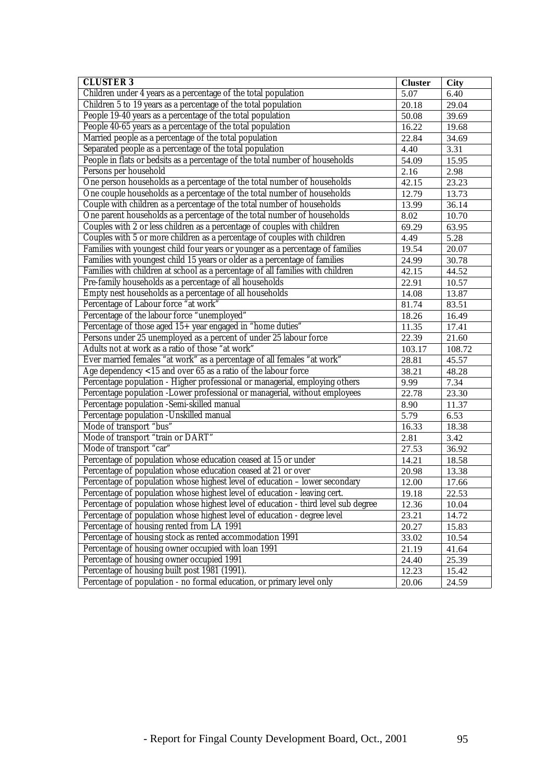| <b>CLUSTER 3</b>                                                                   |       | <b>City</b> |
|------------------------------------------------------------------------------------|-------|-------------|
| Children under 4 years as a percentage of the total population                     |       | 6.40        |
| Children 5 to 19 years as a percentage of the total population                     | 20.18 | 29.04       |
| People 19-40 years as a percentage of the total population                         | 50.08 | 39.69       |
| People 40-65 years as a percentage of the total population                         | 16.22 | 19.68       |
| Married people as a percentage of the total population                             | 22.84 | 34.69       |
| Separated people as a percentage of the total population                           | 4.40  | 3.31        |
| People in flats or bedsits as a percentage of the total number of households       | 54.09 | 15.95       |
| Persons per household                                                              | 2.16  | 2.98        |
| One person households as a percentage of the total number of households            | 42.15 | 23.23       |
| One couple households as a percentage of the total number of households            | 12.79 | 13.73       |
| Couple with children as a percentage of the total number of households             | 13.99 | 36.14       |
| One parent households as a percentage of the total number of households            | 8.02  | 10.70       |
| Couples with 2 or less children as a percentage of couples with children           | 69.29 | 63.95       |
| Couples with 5 or more children as a percentage of couples with children           | 4.49  | 5.28        |
| Families with youngest child four years or younger as a percentage of families     | 19.54 | 20.07       |
| Families with youngest child 15 years or older as a percentage of families         | 24.99 | 30.78       |
| Families with children at school as a percentage of all families with children     | 42.15 | 44.52       |
| Pre-family households as a percentage of all households                            | 22.91 | 10.57       |
| Empty nest households as a percentage of all households                            | 14.08 | 13.87       |
| Percentage of Labour force "at work"                                               | 81.74 | 83.51       |
| Percentage of the labour force "unemployed"                                        | 18.26 | 16.49       |
| Percentage of those aged 15+ year engaged in "home duties"                         |       | 17.41       |
| Persons under 25 unemployed as a percent of under 25 labour force                  |       | 21.60       |
| Adults not at work as a ratio of those "at work"                                   |       | 108.72      |
| Ever married females "at work" as a percentage of all females "at work"            |       | 45.57       |
| Age dependency $<$ 15 and over 65 as a ratio of the labour force                   |       | 48.28       |
| Percentage population - Higher professional or managerial, employing others        |       | 7.34        |
| Percentage population -Lower professional or managerial, without employees         | 22.78 | 23.30       |
| Percentage population -Semi-skilled manual                                         |       | 11.37       |
| Percentage population -Unskilled manual                                            | 5.79  | 6.53        |
| Mode of transport "bus"                                                            | 16.33 | 18.38       |
| Mode of transport "train or DART"                                                  | 2.81  | 3.42        |
| Mode of transport "car"                                                            | 27.53 | 36.92       |
| Percentage of population whose education ceased at 15 or under                     | 14.21 | 18.58       |
| Percentage of population whose education ceased at 21 or over                      | 20.98 | 13.38       |
| Percentage of population whose highest level of education - lower secondary        | 12.00 | 17.66       |
| Percentage of population whose highest level of education - leaving cert.          | 19.18 | 22.53       |
| Percentage of population whose highest level of education - third level sub degree | 12.36 | 10.04       |
| Percentage of population whose highest level of education - degree level<br>23.21  |       | 14.72       |
| Percentage of housing rented from LA 1991<br>20.27                                 |       | 15.83       |
| Percentage of housing stock as rented accommodation 1991                           | 33.02 | 10.54       |
| Percentage of housing owner occupied with loan 1991                                | 21.19 | 41.64       |
| Percentage of housing owner occupied 1991                                          | 24.40 | 25.39       |
| Percentage of housing built post 1981 (1991).                                      |       | 15.42       |
| Percentage of population - no formal education, or primary level only              | 20.06 | 24.59       |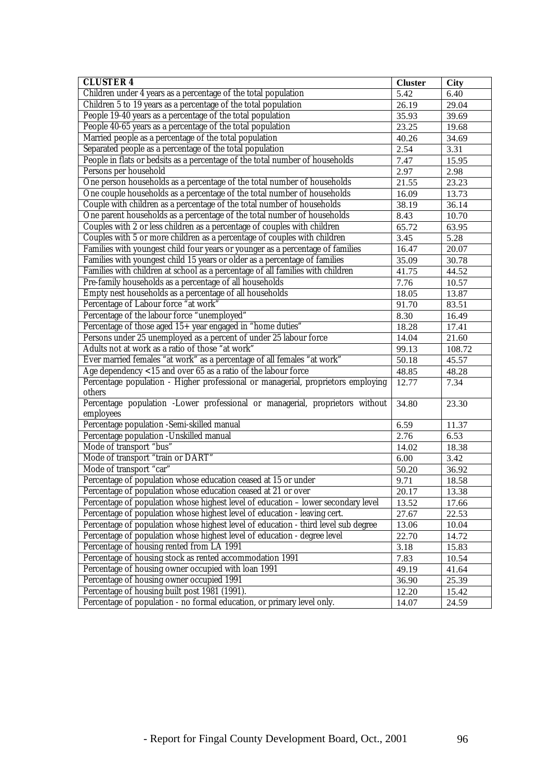| <b>CLUSTER 4</b>                                                                   | <b>Cluster</b>     | <b>City</b> |
|------------------------------------------------------------------------------------|--------------------|-------------|
| Children under 4 years as a percentage of the total population                     |                    | 6.40        |
| Children 5 to 19 years as a percentage of the total population                     | $\overline{26.19}$ | 29.04       |
| People 19-40 years as a percentage of the total population                         | 35.93              | 39.69       |
| People 40-65 years as a percentage of the total population                         | 23.25              | 19.68       |
| Married people as a percentage of the total population                             | 40.26              | 34.69       |
| Separated people as a percentage of the total population                           | 2.54               | 3.31        |
| People in flats or bedsits as a percentage of the total number of households       | 7.47               | 15.95       |
| Persons per household                                                              | 2.97               | 2.98        |
| One person households as a percentage of the total number of households            | 21.55              | 23.23       |
| One couple households as a percentage of the total number of households            | 16.09              | 13.73       |
| Couple with children as a percentage of the total number of households             | 38.19              | 36.14       |
| One parent households as a percentage of the total number of households            | 8.43               | 10.70       |
| Couples with 2 or less children as a percentage of couples with children           | 65.72              | 63.95       |
| Couples with 5 or more children as a percentage of couples with children           | 3.45               | 5.28        |
| Families with youngest child four years or younger as a percentage of families     | 16.47              | 20.07       |
| Families with youngest child 15 years or older as a percentage of families         | 35.09              | 30.78       |
| Families with children at school as a percentage of all families with children     | 41.75              | 44.52       |
| Pre-family households as a percentage of all households                            | 7.76               | 10.57       |
| Empty nest households as a percentage of all households                            | 18.05              | 13.87       |
| Percentage of Labour force "at work"                                               | 91.70              | 83.51       |
| Percentage of the labour force "unemployed"                                        | 8.30               | 16.49       |
| Percentage of those aged 15+ year engaged in "home duties"                         | 18.28              | 17.41       |
| Persons under 25 unemployed as a percent of under 25 labour force                  |                    | 21.60       |
| Adults not at work as a ratio of those "at work"                                   |                    | 108.72      |
| Ever married females "at work" as a percentage of all females "at work"            |                    | 45.57       |
| Age dependency <15 and over 65 as a ratio of the labour force                      | 48.85              | 48.28       |
| Percentage population - Higher professional or managerial, proprietors employing   | 12.77              | 7.34        |
| others                                                                             |                    |             |
| Percentage population -Lower professional or managerial, proprietors without       | 34.80              | 23.30       |
| employees                                                                          |                    |             |
| Percentage population -Semi-skilled manual                                         | 6.59               | 11.37       |
| Percentage population -Unskilled manual                                            | 2.76               | 6.53        |
| Mode of transport "bus"                                                            | 14.02              | 18.38       |
| Mode of transport "train or DART"                                                  | 6.00               | 3.42        |
| Mode of transport "car"                                                            | 50.20              | 36.92       |
| Percentage of population whose education ceased at 15 or under                     | 9.71               | 18.58       |
| Percentage of population whose education ceased at 21 or over                      | 20.17              | 13.38       |
| Percentage of population whose highest level of education - lower secondary level  | 13.52              | 17.66       |
| Percentage of population whose highest level of education - leaving cert.          | 27.67              | 22.53       |
| Percentage of population whose highest level of education - third level sub degree | 13.06              | 10.04       |
| Percentage of population whose highest level of education - degree level           | 22.70              | 14.72       |
| Percentage of housing rented from LA 1991                                          | 3.18               | 15.83       |
| Percentage of housing stock as rented accommodation 1991                           | 7.83               | 10.54       |
| Percentage of housing owner occupied with loan 1991                                | 49.19              | 41.64       |
| Percentage of housing owner occupied 1991                                          | 36.90              | 25.39       |
| Percentage of housing built post 1981 (1991).                                      |                    | 15.42       |
| Percentage of population - no formal education, or primary level only.             | 14.07              | 24.59       |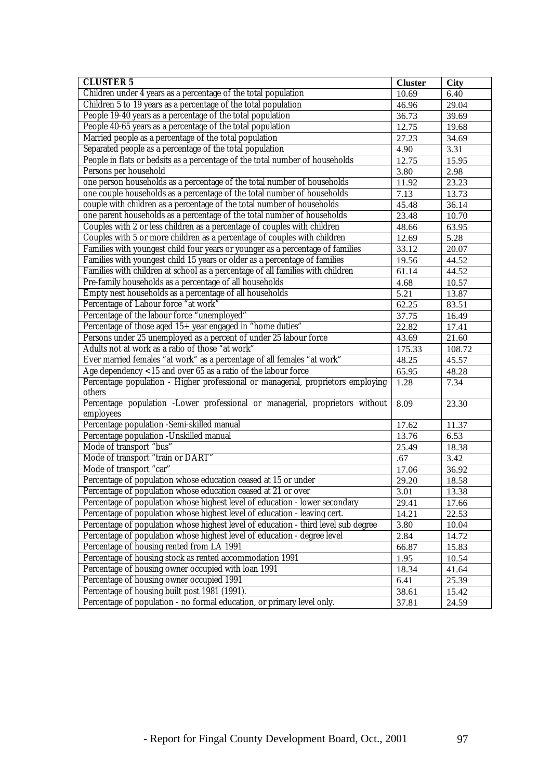| <b>CLUSTER 5</b>                                                                   | <b>Cluster</b> | <b>City</b> |
|------------------------------------------------------------------------------------|----------------|-------------|
| Children under 4 years as a percentage of the total population                     |                | 6.40        |
| Children 5 to 19 years as a percentage of the total population                     | 46.96          | 29.04       |
| People 19-40 years as a percentage of the total population                         | 36.73          | 39.69       |
| People 40-65 years as a percentage of the total population                         | 12.75          | 19.68       |
| Married people as a percentage of the total population                             | 27.23          | 34.69       |
| Separated people as a percentage of the total population                           | 4.90           | 3.31        |
| People in flats or bedsits as a percentage of the total number of households       | 12.75          | 15.95       |
| Persons per household                                                              | 3.80           | 2.98        |
| one person households as a percentage of the total number of households            | 11.92          | 23.23       |
| one couple households as a percentage of the total number of households            | 7.13           | 13.73       |
| couple with children as a percentage of the total number of households             | 45.48          | 36.14       |
| one parent households as a percentage of the total number of households            | 23.48          | 10.70       |
| Couples with 2 or less children as a percentage of couples with children           | 48.66          | 63.95       |
| Couples with 5 or more children as a percentage of couples with children           | 12.69          | 5.28        |
| Families with youngest child four years or younger as a percentage of families     | 33.12          | 20.07       |
| Families with youngest child 15 years or older as a percentage of families         | 19.56          | 44.52       |
| Families with children at school as a percentage of all families with children     | 61.14          | 44.52       |
| Pre-family households as a percentage of all households                            | 4.68           | 10.57       |
| Empty nest households as a percentage of all households                            | 5.21           | 13.87       |
| Percentage of Labour force "at work"                                               | 62.25          | 83.51       |
| Percentage of the labour force "unemployed"                                        | 37.75          | 16.49       |
| Percentage of those aged 15+ year engaged in "home duties"                         | 22.82          | 17.41       |
| Persons under 25 unemployed as a percent of under 25 labour force                  |                | 21.60       |
| Adults not at work as a ratio of those "at work"                                   |                | 108.72      |
| Ever married females "at work" as a percentage of all females "at work"            |                | 45.57       |
| Age dependency <15 and over 65 as a ratio of the labour force                      | 65.95          | 48.28       |
| Percentage population - Higher professional or managerial, proprietors employing   | 1.28           | 7.34        |
| others                                                                             |                |             |
| Percentage population -Lower professional or managerial, proprietors without       | 8.09           | 23.30       |
| employees                                                                          |                |             |
| Percentage population -Semi-skilled manual                                         | 17.62          | 11.37       |
| Percentage population -Unskilled manual                                            | 13.76          | 6.53        |
| Mode of transport "bus"                                                            | 25.49          | 18.38       |
| Mode of transport "train or DART"                                                  | .67            | 3.42        |
| Mode of transport "car"                                                            | 17.06          | 36.92       |
| Percentage of population whose education ceased at 15 or under                     | 29.20          | 18.58       |
| Percentage of population whose education ceased at 21 or over                      | 3.01           | 13.38       |
| Percentage of population whose highest level of education - lower secondary        | 29.41          | 17.66       |
| Percentage of population whose highest level of education - leaving cert.          | 14.21          | 22.53       |
| Percentage of population whose highest level of education - third level sub degree | 3.80           | 10.04       |
| Percentage of population whose highest level of education - degree level           | 2.84           | 14.72       |
| Percentage of housing rented from LA 1991                                          | 66.87          | 15.83       |
| Percentage of housing stock as rented accommodation 1991                           | 1.95           | 10.54       |
| Percentage of housing owner occupied with loan 1991                                | 18.34          | 41.64       |
| Percentage of housing owner occupied 1991                                          | 6.41           | 25.39       |
| Percentage of housing built post 1981 (1991).                                      |                | 15.42       |
| Percentage of population - no formal education, or primary level only.             | 37.81          | 24.59       |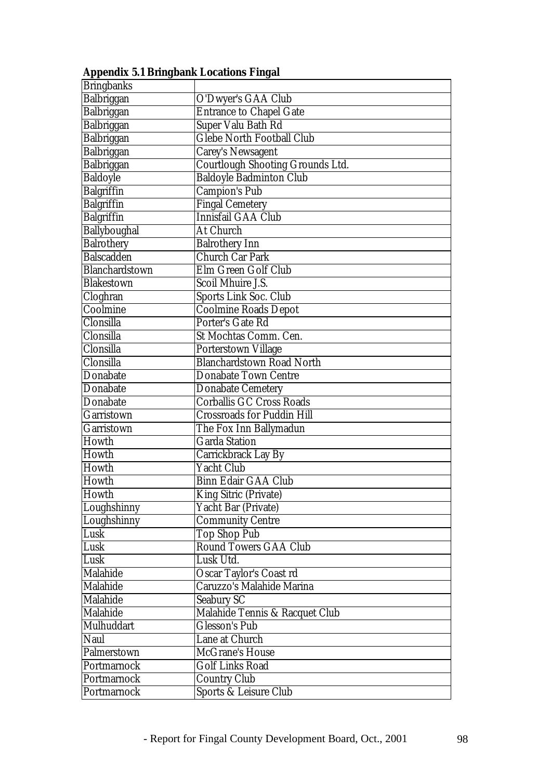| <b>Bringbanks</b> |                                         |
|-------------------|-----------------------------------------|
| Balbriggan        | O'Dwyer's GAA Club                      |
| Balbriggan        | <b>Entrance to Chapel Gate</b>          |
| Balbriggan        | <b>Super Valu Bath Rd</b>               |
| Balbriggan        | <b>Glebe North Football Club</b>        |
| Balbriggan        | <b>Carey's Newsagent</b>                |
| Balbriggan        | <b>Courtlough Shooting Grounds Ltd.</b> |
| <b>Baldoyle</b>   | Baldoyle Badminton Club                 |
| <b>Balgriffin</b> | <b>Campion's Pub</b>                    |
| <b>Balgriffin</b> | <b>Fingal Cemetery</b>                  |
| <b>Balgriffin</b> | Innisfail GAA Club                      |
| Ballyboughal      | At Church                               |
| <b>Balrothery</b> | <b>Balrothery Inn</b>                   |
| <b>Balscadden</b> | Church Car Park                         |
| Blanchardstown    | Elm Green Golf Club                     |
| <b>Blakestown</b> | <b>Scoil Mhuire J.S.</b>                |
| Cloghran          | Sports Link Soc. Club                   |
| Coolmine          | <b>Coolmine Roads Depot</b>             |
| Clonsilla         | Porter's Gate Rd                        |
| Clonsilla         | St Mochtas Comm. Cen.                   |
| Clonsilla         | Porterstown Village                     |
| Clonsilla         | <b>Blanchardstown Road North</b>        |
| Donabate          | <b>Donabate Town Centre</b>             |
| Donabate          | <b>Donabate Cemetery</b>                |
| Donabate          | <b>Corballis GC Cross Roads</b>         |
| Garristown        | <b>Crossroads for Puddin Hill</b>       |
| Garristown        | The Fox Inn Ballymadun                  |
| Howth             | <b>Garda Station</b>                    |
| Howth             | Carrickbrack Lay By                     |
| Howth             | <b>Yacht Club</b>                       |
| Howth             | <b>Binn Edair GAA Club</b>              |
| Howth             | <b>King Sitric (Private)</b>            |
| Loughshinny       | Yacht Bar (Private)                     |
| Loughshinny       | <b>Community Centre</b>                 |
| Lusk              | <b>Top Shop Pub</b>                     |
| Lusk              | <b>Round Towers GAA Club</b>            |
| Lusk              | Lusk Utd.                               |
| Malahide          | <b>Oscar Taylor's Coast rd</b>          |
| Malahide          | Caruzzo's Malahide Marina               |
| Malahide          | <b>Seabury SC</b>                       |
| Malahide          | Malahide Tennis & Racquet Club          |
| Mulhuddart        | <b>Glesson's Pub</b>                    |
| Naul              | Lane at Church                          |
| Palmerstown       | <b>McGrane's House</b>                  |
| Portmarnock       | <b>Golf Links Road</b>                  |
| Portmarnock       | <b>Country Club</b>                     |
| Portmarnock       | Sports & Leisure Club                   |

**Appendix 5.1 Bringbank Locations Fingal**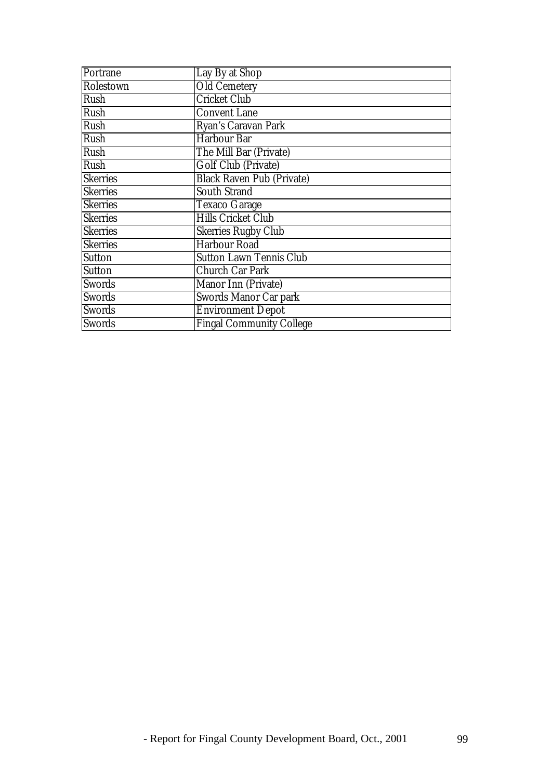| Portrane        | Lay By at Shop                   |
|-----------------|----------------------------------|
| Rolestown       | <b>Old Cemetery</b>              |
| Rush            | <b>Cricket Club</b>              |
| Rush            | <b>Convent Lane</b>              |
| Rush            | Ryan's Caravan Park              |
| Rush            | <b>Harbour Bar</b>               |
| Rush            | The Mill Bar (Private)           |
| Rush            | Golf Club (Private)              |
| <b>Skerries</b> | <b>Black Raven Pub (Private)</b> |
| <b>Skerries</b> | <b>South Strand</b>              |
| <b>Skerries</b> | <b>Texaco Garage</b>             |
| <b>Skerries</b> | <b>Hills Cricket Club</b>        |
| <b>Skerries</b> | <b>Skerries Rugby Club</b>       |
| <b>Skerries</b> | <b>Harbour Road</b>              |
| <b>Sutton</b>   | <b>Sutton Lawn Tennis Club</b>   |
| <b>Sutton</b>   | <b>Church Car Park</b>           |
| <b>Swords</b>   | Manor Inn (Private)              |
| <b>Swords</b>   | Swords Manor Car park            |
| <b>Swords</b>   | <b>Environment Depot</b>         |
| Swords          | <b>Fingal Community College</b>  |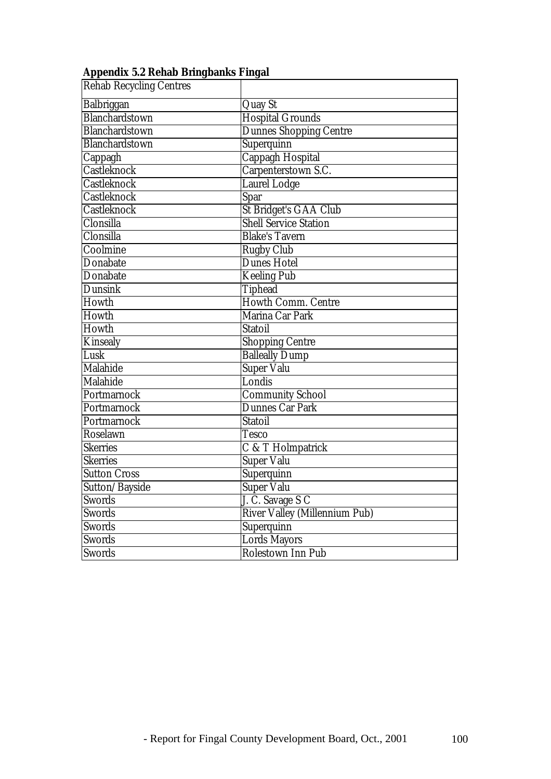| тррсним ол испар отнувания і підш |                                      |
|-----------------------------------|--------------------------------------|
| <b>Rehab Recycling Centres</b>    |                                      |
| Balbriggan                        | <b>Quay St</b>                       |
| Blanchardstown                    | <b>Hospital Grounds</b>              |
| Blanchardstown                    | <b>Dunnes Shopping Centre</b>        |
| Blanchardstown                    | Superquinn                           |
| Cappagh                           | <b>Cappagh Hospital</b>              |
| Castleknock                       | Carpenterstown S.C.                  |
| Castleknock                       | <b>Laurel Lodge</b>                  |
| Castleknock                       | <b>Spar</b>                          |
| <b>Castleknock</b>                | St Bridget's GAA Club                |
| Clonsilla                         | <b>Shell Service Station</b>         |
| Clonsilla                         | <b>Blake's Tavern</b>                |
| Coolmine                          | <b>Rugby Club</b>                    |
| Donabate                          | <b>Dunes Hotel</b>                   |
| Donabate                          | <b>Keeling Pub</b>                   |
| <b>Dunsink</b>                    | <b>Tiphead</b>                       |
| Howth                             | Howth Comm. Centre                   |
| Howth                             | Marina Car Park                      |
| Howth                             | <b>Statoil</b>                       |
| <b>Kinsealy</b>                   | <b>Shopping Centre</b>               |
| Lusk                              | <b>Balleally Dump</b>                |
| Malahide                          | <b>Super Valu</b>                    |
| <b>Malahide</b>                   | Londis                               |
| Portmarnock                       | <b>Community School</b>              |
| Portmarnock                       | <b>Dunnes Car Park</b>               |
| Portmarnock                       | <b>Statoil</b>                       |
| Roselawn                          | <b>Tesco</b>                         |
| Skerries                          | C & T Holmpatrick                    |
| <b>Skerries</b>                   | <b>Super Valu</b>                    |
| <b>Sutton Cross</b>               | Superquinn                           |
| Sutton/Bayside                    | <b>Super Valu</b>                    |
| <b>Swords</b>                     | J. C. Savage S C                     |
| Swords                            | <b>River Valley (Millennium Pub)</b> |
| <b>Swords</b>                     | Superquinn                           |
| <b>Swords</b>                     | <b>Lords Mayors</b>                  |
| <b>Swords</b>                     | Rolestown Inn Pub                    |

## **Appendix 5.2 Rehab Bringbanks Fingal**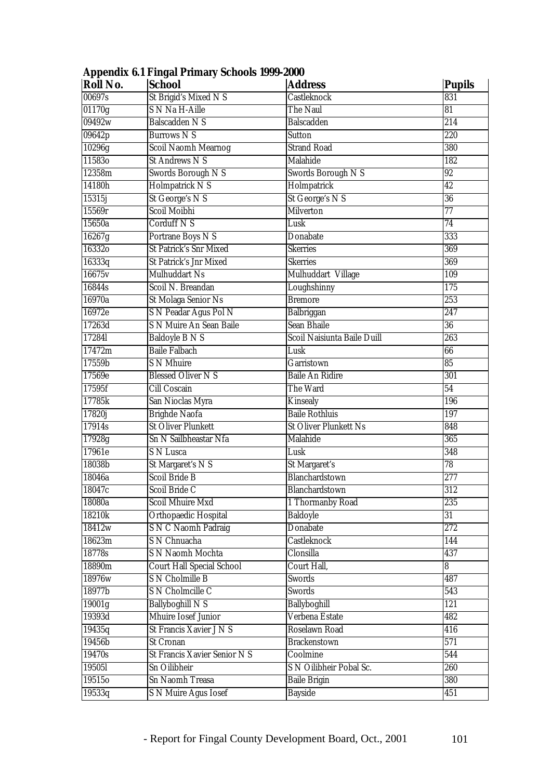| Roll No. | <b>School</b>                    | <b>Address</b>               | <b>Pupils</b>    |
|----------|----------------------------------|------------------------------|------------------|
| 00697s   | St Brigid's Mixed N S            | <b>Castleknock</b>           | 831              |
| 01170g   | <b>S N Na H-Aille</b>            | The Naul                     | 81               |
| 09492w   | <b>Balscadden N S</b>            | <b>Balscadden</b>            | $\overline{214}$ |
| 09642p   | <b>Burrows NS</b>                | <b>Sutton</b>                | 220              |
| 10296g   | <b>Scoil Naomh Mearnog</b>       | <b>Strand Road</b>           | 380              |
| 115830   | <b>St Andrews N S</b>            | Malahide                     | 182              |
| 12358m   | Swords Borough N S               | Swords Borough N S           | 92               |
| 14180h   | Holmpatrick NS                   | Holmpatrick                  | $\overline{42}$  |
| 15315j   | <b>St George's N S</b>           | St George's N S              | $\overline{36}$  |
| 15569r   | Scoil Moibhi                     | <b>Milverton</b>             | $\overline{77}$  |
| 15650a   | <b>Corduff N S</b>               | Lusk                         | $\overline{74}$  |
| 16267g   | Portrane Boys N S                | Donabate                     | 333              |
| 163320   | <b>St Patrick's Snr Mixed</b>    | <b>Skerries</b>              | 369              |
| 16333q   | St Patrick's Jnr Mixed           | <b>Skerries</b>              | 369              |
| 16675v   | <b>Mulhuddart Ns</b>             | Mulhuddart Village           | 109              |
| 16844s   | Scoil N. Breandan                | Loughshinny                  | $\overline{175}$ |
| 16970a   | <b>St Molaga Senior Ns</b>       | <b>Bremore</b>               | $\overline{253}$ |
| 16972e   | S N Peadar Agus Pol N            | Balbriggan                   | $\overline{247}$ |
| 17263d   | <b>S N Muire An Sean Baile</b>   | <b>Sean Bhaile</b>           | $\overline{36}$  |
| 17284l   | <b>Baldoyle B N S</b>            | Scoil Naisiunta Baile Duill  | $\overline{263}$ |
| 17472m   | <b>Baile Falbach</b>             | Lusk                         | 66               |
| 17559b   | <b>S N Mhuire</b>                | Garristown                   | 85               |
| 17569e   | <b>Blessed Oliver N S</b>        | <b>Baile An Ridire</b>       | $\overline{301}$ |
| 17595f   | <b>Cill Coscain</b>              | The Ward                     | $\overline{54}$  |
| 17785k   | San Nioclas Myra                 | <b>Kinsealy</b>              | 196              |
| 17820j   | <b>Brighde Naofa</b>             | <b>Baile Rothluis</b>        | 197              |
| 17914s   | <b>St Oliver Plunkett</b>        | <b>St Oliver Plunkett Ns</b> | 848              |
| 17928g   | <b>Sn N Sailbheastar Nfa</b>     | <b>Malahide</b>              | 365              |
| 17961e   | S N Lusca                        | Lusk                         | 348              |
| 18038b   | St Margaret's N S                | <b>St Margaret's</b>         | $\overline{78}$  |
| 18046a   | <b>Scoil Bride B</b>             | Blanchardstown               | $\overline{277}$ |
| 18047c   | Scoil Bride C                    | Blanchardstown               | 312              |
| 18080a   | <b>Scoil Mhuire Mxd</b>          | 1 Thormanby Road             | $\overline{235}$ |
| 18210k   | <b>Orthopaedic Hospital</b>      | <b>Baldoyle</b>              | $\overline{31}$  |
| 18412w   | <b>S N C Naomh Padraig</b>       | <b>Donabate</b>              | 272              |
| 18623m   | S N Chnuacha                     | <b>Castleknock</b>           | 144              |
| 18778s   | <b>S N Naomh Mochta</b>          | Clonsilla                    | 437              |
| 18890m   | <b>Court Hall Special School</b> | Court Hall,                  | 8                |
| 18976w   | <b>S N Cholmille B</b>           | <b>Swords</b>                | 487              |
| 18977b   | <b>S N Cholmcille C</b>          | Swords                       | 543              |
| 19001g   | <b>Ballyboghill N S</b>          | Ballyboghill                 | $\overline{121}$ |
| 19393d   | <b>Mhuire Iosef Junior</b>       | Verbena Estate               | 482              |
| 19435q   | St Francis Xavier J N S          | <b>Roselawn Road</b>         | 416              |
| 19456b   | <b>St Cronan</b>                 | <b>Brackenstown</b>          | $\overline{571}$ |
| 19470s   | St Francis Xavier Senior N S     | Coolmine                     | 544              |
| 195051   | <b>Sn Oilibheir</b>              | S N Oilibheir Pobal Sc.      | 260              |
| 19515o   | Sn Naomh Treasa                  | <b>Baile Brigin</b>          | 380              |
| 19533q   | <b>S N Muire Agus Iosef</b>      | <b>Bayside</b>               | 451              |

# **Appendix 6.1 Fingal Primary Schools 1999-2000**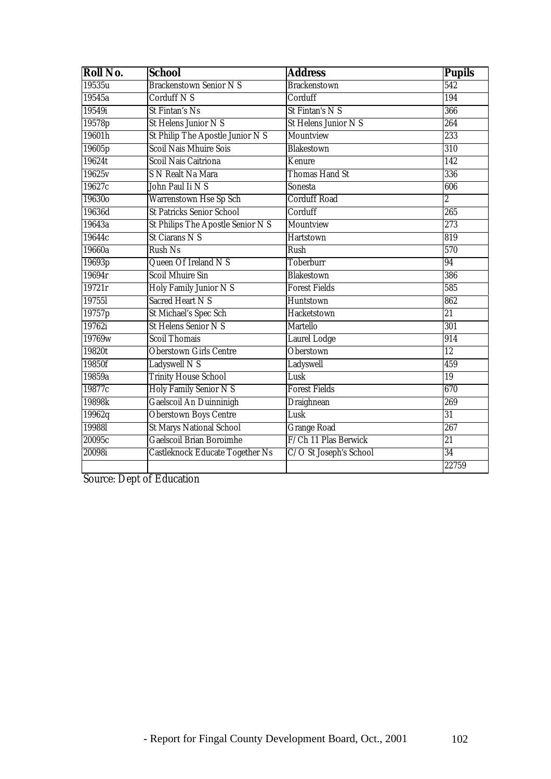| Roll No.      | School                                 | <b>Address</b>              | <b>Pupils</b>    |
|---------------|----------------------------------------|-----------------------------|------------------|
| 19535u        | <b>Brackenstown Senior N S</b>         | <b>Brackenstown</b>         | $\overline{542}$ |
| 19545a        | Corduff N S                            | Corduff                     | 194              |
| 19549i        | <b>St Fintan's Ns</b>                  | St Fintan's N S             | 366              |
| 19578p        | <b>St Helens Junior N S</b>            | <b>St Helens Junior N S</b> | 264              |
| 19601h        | St Philip The Apostle Junior N S       | Mountview                   | 233              |
| 19605p        | <b>Scoil Nais Mhuire Sois</b>          | <b>Blakestown</b>           | 310              |
| 19624t        | <b>Scoil Nais Caitriona</b>            | Kenure                      | 142              |
| 19625v        | <b>S N Realt Na Mara</b>               | <b>Thomas Hand St</b>       | 336              |
| 19627c        | John Paul Ii N S                       | Sonesta                     | 606              |
| 19630o        | <b>Warrenstown Hse Sp Sch</b>          | <b>Corduff Road</b>         | $\overline{2}$   |
| 19636d        | <b>St Patricks Senior School</b>       | Corduff                     | 265              |
| 19643a        | St Philips The Apostle Senior N S      | Mountview                   | 273              |
| 19644c        | <b>St Ciarans N S</b>                  | Hartstown                   | 819              |
| 19660a        | <b>Rush Ns</b>                         | Rush                        | 570              |
| 19693p        | Queen Of Ireland N S                   | <b>Toberburr</b>            | $\overline{94}$  |
| 19694r        | <b>Scoil Mhuire Sin</b>                | <b>Blakestown</b>           | 386              |
| 19721r        | Holy Family Junior N S                 | <b>Forest Fields</b>        | 585              |
| <b>197551</b> | <b>Sacred Heart N S</b>                | <b>Huntstown</b>            | 862              |
| 19757p        | St Michael's Spec Sch                  | Hacketstown                 | $\overline{21}$  |
| 19762i        | <b>St Helens Senior N S</b>            | <b>Martello</b>             | 301              |
| 19769w        | <b>Scoil Thomais</b>                   | <b>Laurel Lodge</b>         | $\overline{914}$ |
| 19820t        | <b>Oberstown Girls Centre</b>          | <b>Oberstown</b>            | $\overline{12}$  |
| 19850f        | Ladyswell N S                          | Ladyswell                   | 459              |
| 19859a        | <b>Trinity House School</b>            | Lusk                        | 19               |
| 19877c        | Holy Family Senior N S                 | <b>Forest Fields</b>        | 670              |
| 19898k        | Gaelscoil An Duinninigh                | <b>Draighnean</b>           | 269              |
| 19962q        | <b>Oberstown Boys Centre</b>           | Lusk                        | $\overline{31}$  |
| 199881        | <b>St Marys National School</b>        | <b>Grange Road</b>          | 267              |
| 20095c        | Gaelscoil Brian Boroimhe               | F/Ch 11 Plas Berwick        | $\overline{21}$  |
| 20098i        | <b>Castleknock Educate Together Ns</b> | C/O St Joseph's School      | $\overline{34}$  |
|               |                                        |                             | 22759            |

Source: Dept of Education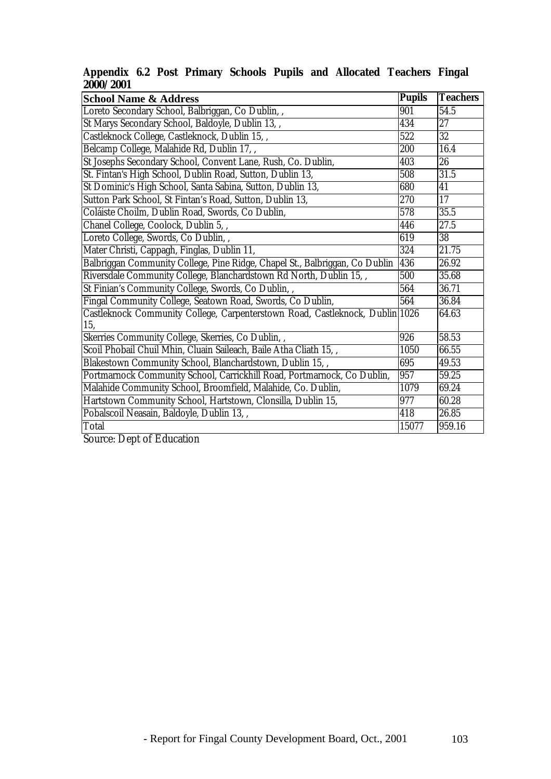| <b>School Name &amp; Address</b>                                             | <b>Pupils</b> | <b>Teachers</b> |
|------------------------------------------------------------------------------|---------------|-----------------|
| Loreto Secondary School, Balbriggan, Co Dublin, ,                            | 901           | 54.5            |
| St Marys Secondary School, Baldoyle, Dublin 13,,                             |               | $\overline{27}$ |
| Castleknock College, Castleknock, Dublin 15,,                                | 434<br>522    | $\overline{32}$ |
| Belcamp College, Malahide Rd, Dublin 17,,                                    | 200           | 16.4            |
| St Josephs Secondary School, Convent Lane, Rush, Co. Dublin,                 | 403           | $26\,$          |
| St. Fintan's High School, Dublin Road, Sutton, Dublin 13,                    |               | 31.5            |
| St Dominic's High School, Santa Sabina, Sutton, Dublin 13,                   |               | 41              |
| Sutton Park School, St Fintan's Road, Sutton, Dublin 13,                     |               | 17              |
| Coláiste Choilm, Dublin Road, Swords, Co Dublin,                             |               | 35.5            |
| Chanel College, Coolock, Dublin 5,,                                          |               | 27.5            |
| Loreto College, Swords, Co Dublin, ,                                         |               | 38              |
| Mater Christi, Cappagh, Finglas, Dublin 11,                                  |               | 21.75           |
| Balbriggan Community College, Pine Ridge, Chapel St., Balbriggan, Co Dublin  |               | 26.92           |
| Riversdale Community College, Blanchardstown Rd North, Dublin 15,,           |               | 35.68           |
| St Finian's Community College, Swords, Co Dublin, ,                          |               | 36.71           |
| Fingal Community College, Seatown Road, Swords, Co Dublin,                   |               | 36.84           |
| Castleknock Community College, Carpenterstown Road, Castleknock, Dublin 1026 |               | 64.63           |
| 15,                                                                          | 926           | 58.53           |
| Skerries Community College, Skerries, Co Dublin, ,                           |               |                 |
| Scoil Phobail Chuil Mhin, Cluain Saileach, Baile Atha Cliath 15,,            | 1050          | 66.55           |
| Blakestown Community School, Blanchardstown, Dublin 15,,                     | 695           | 49.53           |
| Portmarnock Community School, Carrickhill Road, Portmarnock, Co Dublin,      | 957           | 59.25           |
| Malahide Community School, Broomfield, Malahide, Co. Dublin,                 | 1079<br>977   | 69.24           |
| Hartstown Community School, Hartstown, Clonsilla, Dublin 15,                 |               | 60.28           |
| Pobalscoil Neasain, Baldoyle, Dublin 13,,                                    |               | 26.85           |
| Total                                                                        | 15077         | 959.16          |

### **Appendix 6.2 Post Primary Schools Pupils and Allocated Teachers Fingal 2000/2001**

Source: Dept of Education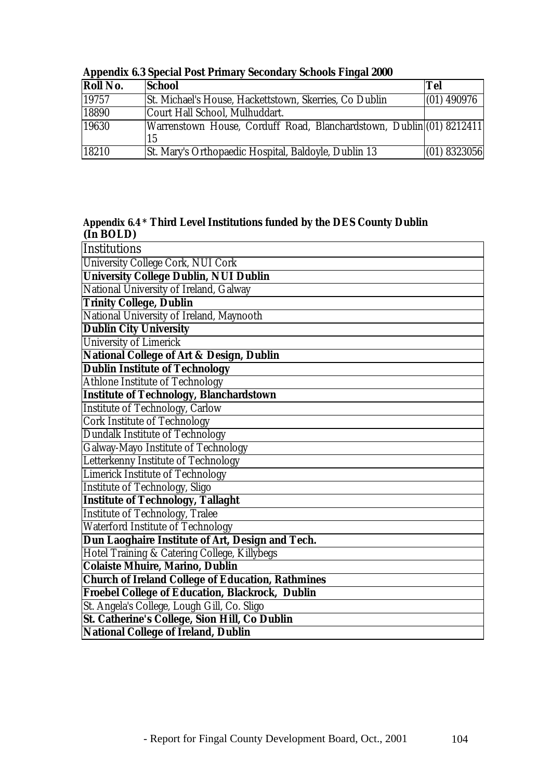| <b>Roll No.</b> | <b>School</b>                                                              | <b>Tel</b>     |
|-----------------|----------------------------------------------------------------------------|----------------|
| 19757           | St. Michael's House, Hackettstown, Skerries, Co Dublin                     | $(01)$ 490976  |
| 18890           | Court Hall School, Mulhuddart.                                             |                |
| 19630           | Warrenstown House, Corduff Road, Blanchardstown, Dublin (01) 8212411<br>15 |                |
| 18210           | St. Mary's Orthopaedic Hospital, Baldoyle, Dublin 13                       | $(01)$ 8323056 |

## **Appendix 6.3 Special Post Primary Secondary Schools Fingal 2000**

#### **Appendix 6.4 \* Third Level Institutions funded by the DES County Dublin (In BOLD)**

| Institutions                                             |
|----------------------------------------------------------|
| University College Cork, NUI Cork                        |
| <b>University College Dublin, NUI Dublin</b>             |
| National University of Ireland, Galway                   |
| <b>Trinity College, Dublin</b>                           |
| National University of Ireland, Maynooth                 |
| <b>Dublin City University</b>                            |
| University of Limerick                                   |
| <b>National College of Art &amp; Design, Dublin</b>      |
| <b>Dublin Institute of Technology</b>                    |
| <b>Athlone Institute of Technology</b>                   |
| <b>Institute of Technology, Blanchardstown</b>           |
| <b>Institute of Technology, Carlow</b>                   |
| <b>Cork Institute of Technology</b>                      |
| <b>Dundalk Institute of Technology</b>                   |
| Galway-Mayo Institute of Technology                      |
| Letterkenny Institute of Technology                      |
| <b>Limerick Institute of Technology</b>                  |
| <b>Institute of Technology, Sligo</b>                    |
| <b>Institute of Technology, Tallaght</b>                 |
| <b>Institute of Technology, Tralee</b>                   |
| <b>Waterford Institute of Technology</b>                 |
| Dun Laoghaire Institute of Art, Design and Tech.         |
| Hotel Training & Catering College, Killybegs             |
| <b>Colaiste Mhuire, Marino, Dublin</b>                   |
| <b>Church of Ireland College of Education, Rathmines</b> |
| <b>Froebel College of Education, Blackrock, Dublin</b>   |
| St. Angela's College, Lough Gill, Co. Sligo              |
| St. Catherine's College, Sion Hill, Co Dublin            |
| National College of Ireland, Dublin                      |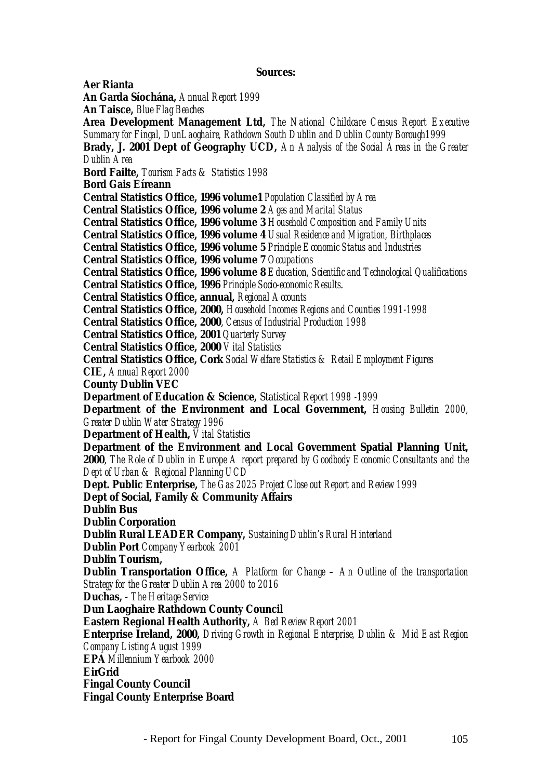#### **Sources:**

**Aer Rianta An Garda Síochána,** *Annual Report 1999* **An Taisce,** *Blue Flag Beaches* **Area Development Management Ltd,** *The National Childcare Census Report Executive Summary for Fingal, DunLaoghaire, Rathdown South Dublin and Dublin County Borough1999* **Brady, J. 2001 Dept of Geography UCD,** *An Analysis of the Social Areas in the Greater Dublin Area* **Bord Failte,** *Tourism Facts & Statistics 1998* **Bord Gais Eíreann Central Statistics Office, 1996 volume1** *Population Classified by Area* **Central Statistics Office, 1996 volume 2** *Ages and Marital Status* **Central Statistics Office, 1996 volume 3** *Household Composition and Family Units* **Central Statistics Office, 1996 volume 4** *Usual Residence and Migration, Birthplaces* **Central Statistics Office, 1996 volume 5** *Principle Economic Status and Industries* **Central Statistics Office, 1996 volume 7** *Occupations* **Central Statistics Office, 1996 volume 8** *Education, Scientific and Technological Qualifications* **Central Statistics Office, 1996** *Principle Socio-economic Results*. **Central Statistics Office, annual,** *Regional Accounts* **Central Statistics Office, 2000,** *Household Incomes Regions and Counties 1991-1998* **Central Statistics Office, 2000**, *Census of Industrial Production 1998* **Central Statistics Office, 2001** *Quarterly Survey* **Central Statistics Office, 2000** *Vital Statistics* **Central Statistics Office, Cork** *Social Welfare Statistics & Retail Employment Figures* **CIE,** *Annual Report 2000* **County Dublin VEC Department of Education & Science,** Statistical *Report 1998 -1999* **Department of the Environment and Local Government,** *Housing Bulletin 2000, Greater Dublin Water Strategy 1996* **Department of Health,** *Vital Statistics* **Department of the Environment and Local Government Spatial Planning Unit, 2000**, *The Role of Dublin in Europe A report prepared by Goodbody Economic Consultants and the Dept of Urban & Regional Planning UCD* **Dept. Public Enterprise,** *The Gas 2025 Project Close out Report and Review 1999* **Dept of Social, Family & Community Affairs Dublin Bus Dublin Corporation Dublin Rural LEADER Company,** *Sustaining Dublin's Rural Hinterland* **Dublin Port** *Company Yearbook 2001* **Dublin Tourism, Dublin Transportation Office,** *A Platform for Change – An Outline of the transportation Strategy for the Greater Dublin Area 2000 to 2016* **Duchas,** - *The Heritage Service* **Dun Laoghaire Rathdown County Council Eastern Regional Health Authority,** *A Bed Review Report 2001* **Enterprise Ireland, 2000,** *Driving Growth in Regional Enterprise, Dublin & Mid East Region Company Listing August 1999* **EPA** *Millennium Yearbook 2000* **EirGrid Fingal County Council Fingal County Enterprise Board**